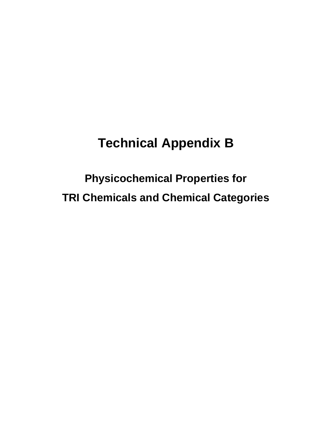# **Technical Appendix B**

**Physicochemical Properties for TRI Chemicals and Chemical Categories**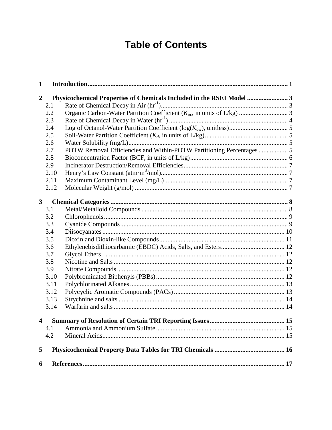## **Table of Contents**

| $\mathbf{1}$            |      |                                                                       |  |
|-------------------------|------|-----------------------------------------------------------------------|--|
| $\overline{2}$          |      | Physicochemical Properties of Chemicals Included in the RSEI Model  3 |  |
|                         | 2.1  |                                                                       |  |
|                         | 2.2  |                                                                       |  |
|                         | 2.3  |                                                                       |  |
|                         | 2.4  |                                                                       |  |
|                         | 2.5  |                                                                       |  |
|                         | 2.6  |                                                                       |  |
|                         | 2.7  | POTW Removal Efficiencies and Within-POTW Partitioning Percentages  5 |  |
|                         | 2.8  |                                                                       |  |
|                         | 2.9  |                                                                       |  |
|                         | 2.10 |                                                                       |  |
|                         | 2.11 |                                                                       |  |
|                         | 2.12 |                                                                       |  |
| $\overline{\mathbf{3}}$ |      |                                                                       |  |
|                         | 3.1  |                                                                       |  |
|                         | 3.2  |                                                                       |  |
|                         | 3.3  |                                                                       |  |
|                         | 3.4  |                                                                       |  |
|                         | 3.5  |                                                                       |  |
|                         | 3.6  |                                                                       |  |
|                         | 3.7  |                                                                       |  |
|                         | 3.8  |                                                                       |  |
|                         | 3.9  |                                                                       |  |
|                         | 3.10 |                                                                       |  |
|                         | 3.11 |                                                                       |  |
|                         | 3.12 |                                                                       |  |
|                         | 3.13 |                                                                       |  |
|                         | 3.14 |                                                                       |  |
| 4                       |      |                                                                       |  |
|                         | 4.1  |                                                                       |  |
|                         | 4.2  |                                                                       |  |
| 5                       |      |                                                                       |  |
| 6                       |      |                                                                       |  |
|                         |      |                                                                       |  |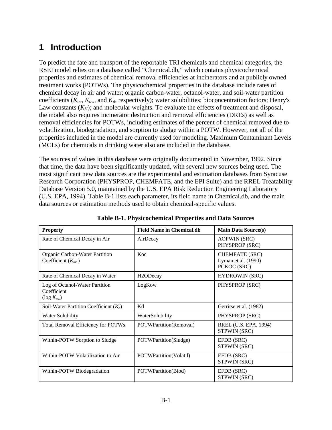## <span id="page-2-0"></span>**1 Introduction**

To predict the fate and transport of the reportable TRI chemicals and chemical categories, the RSEI model relies on a database called "Chemical.db," which contains physicochemical properties and estimates of chemical removal efficiencies at incinerators and at publicly owned treatment works (POTWs). The physicochemical properties in the database include rates of chemical decay in air and water; organic carbon-water, octanol-water, and soil-water partition coefficients (*Koc*, *Kow*, and *Kd*, respectively); water solubilities; bioconcentration factors; Henry's Law constants  $(K_H)$ ; and molecular weights. To evaluate the effects of treatment and disposal, the model also requires incinerator destruction and removal efficiencies (DREs) as well as removal efficiencies for POTWs, including estimates of the percent of chemical removed due to volatilization, biodegradation, and sorption to sludge within a POTW. However, not all of the properties included in the model are currently used for modeling. Maximum Contaminant Levels (MCLs) for chemicals in drinking water also are included in the database.

The sources of values in this database were originally documented in November, 1992. Since that time, the data have been significantly updated, with several new sources being used. The most significant new data sources are the experimental and estimation databases from Syracuse Research Corporation (PHYSPROP, CHEMFATE, and the EPI Suite) and the RREL Treatability Database Version 5.0, maintained by the U.S. EPA Risk Reduction Engineering Laboratory (U.S. EPA, 1994). Table B-1 lists each parameter, its field name in Chemical.db, and the main data sources or estimation methods used to obtain chemical-specific values.

| <b>Property</b>                                                  | <b>Field Name in Chemical.db</b> | <b>Main Data Source(s)</b>                                  |  |  |  |
|------------------------------------------------------------------|----------------------------------|-------------------------------------------------------------|--|--|--|
| Rate of Chemical Decay in Air                                    | AirDecay                         | <b>AOPWIN (SRC)</b><br>PHYSPROP (SRC)                       |  |  |  |
| Organic Carbon-Water Partition<br>Coefficient $(K_{oc})$         | Koc                              | <b>CHEMFATE (SRC)</b><br>Lyman et al. (1990)<br>PCKOC (SRC) |  |  |  |
| Rate of Chemical Decay in Water                                  | H <sub>2</sub> ODecay            | <b>HYDROWIN (SRC)</b>                                       |  |  |  |
| Log of Octanol-Water Partition<br>Coefficient<br>$(\log K_{ow})$ | LogKow                           | PHYSPROP (SRC)                                              |  |  |  |
| Soil-Water Partition Coefficient $(K_d)$                         | Kd                               | Gerritse et al. (1982)                                      |  |  |  |
| Water Solubility                                                 | WaterSolubility                  | PHYSPROP (SRC)                                              |  |  |  |
| <b>Total Removal Efficiency for POTWs</b>                        | POTWPartition(Removal)           | RREL (U.S. EPA, 1994)<br>STPWIN (SRC)                       |  |  |  |
| Within-POTW Sorption to Sludge                                   | POTWPartition(Sludge)            | EFDB (SRC)<br>STPWIN (SRC)                                  |  |  |  |
| Within-POTW Volatilization to Air                                | POTWPartition(Volatil)           | EFDB (SRC)<br>STPWIN (SRC)                                  |  |  |  |
| Within-POTW Biodegradation                                       | POTWPartition(Biod)              | EFDB (SRC)<br>STPWIN (SRC)                                  |  |  |  |

**Table B-1. Physicochemical Properties and Data Sources**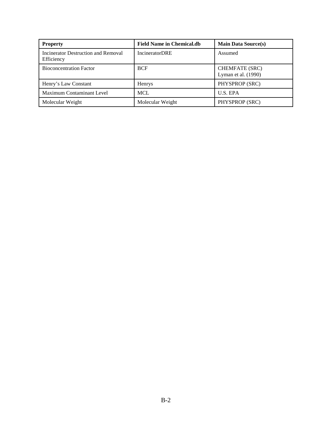| <b>Property</b>                                          | <b>Field Name in Chemical.db</b> | <b>Main Data Source(s)</b>                     |
|----------------------------------------------------------|----------------------------------|------------------------------------------------|
| <b>Incinerator Destruction and Removal</b><br>Efficiency | <b>IncineratorDRE</b>            | Assumed                                        |
| <b>Bioconcentration Factor</b>                           | <b>BCF</b>                       | <b>CHEMFATE (SRC)</b><br>Lyman et al. $(1990)$ |
| Henry's Law Constant                                     | <b>Henrys</b>                    | PHYSPROP (SRC)                                 |
| <b>Maximum Contaminant Level</b>                         | <b>MCL</b>                       | U.S. EPA                                       |
| Molecular Weight                                         | Molecular Weight                 | PHYSPROP (SRC)                                 |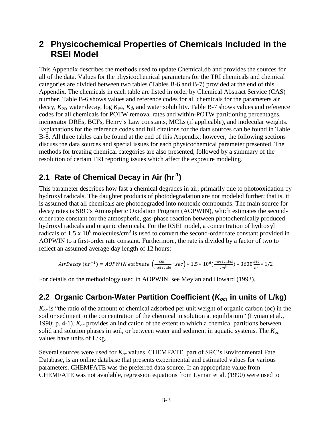#### <span id="page-4-0"></span>**2 Physicochemical Properties of Chemicals Included in the RSEI Model**

This Appendix describes the methods used to update Chemical.db and provides the sources for all of the data. Values for the physicochemical parameters for the TRI chemicals and chemical categories are divided between two tables (Tables B-6 and B-7) provided at the end of this Appendix. The chemicals in each table are listed in order by Chemical Abstract Service (CAS) number. Table B-6 shows values and reference codes for all chemicals for the parameters air decay, *Koc*, water decay, log *Kow*, *Kd*, and water solubility. Table B-7 shows values and reference codes for all chemicals for POTW removal rates and within-POTW partitioning percentages, incinerator DREs, BCFs, Henry's Law constants, MCLs (if applicable), and molecular weights. Explanations for the reference codes and full citations for the data sources can be found in Table B-8. All three tables can be found at the end of this Appendix; however, the following sections discuss the data sources and special issues for each physicochemical parameter presented. The methods for treating chemical categories are also presented, followed by a summary of the resolution of certain TRI reporting issues which affect the exposure modeling.

#### <span id="page-4-1"></span>**2.1 Rate of Chemical Decay in Air (hr-1)**

This parameter describes how fast a chemical degrades in air, primarily due to photooxidation by hydroxyl radicals. The daughter products of photodegradation are not modeled further; that is, it is assumed that all chemicals are photodegraded into nontoxic compounds. The main source for decay rates is SRC's Atmospheric Oxidation Program (AOPWIN), which estimates the secondorder rate constant for the atmospheric, gas-phase reaction between photochemically produced hydroxyl radicals and organic chemicals. For the RSEI model, a concentration of hydroxyl radicals of 1.5 x  $10^6$  molecules/cm<sup>3</sup> is used to convert the second-order rate constant provided in AOPWIN to a first-order rate constant. Furthermore, the rate is divided by a factor of two to reflect an assumed average day length of 12 hours:

AirDecay 
$$
(hr^{-1}) = AOPWIN
$$
 estimate  $\left(\frac{cm^3}{molecule} \cdot sec\right) * 1.5 * 10^6 \left(\frac{molecules}{cm^3}\right) * 3600 \frac{sec}{hr} * 1/2$ 

For details on the methodology used in AOPWIN, see Meylan and Howard (1993).

#### <span id="page-4-2"></span>**2.2 Organic Carbon-Water Partition Coefficient (***Koc***, in units of L/kg)**

 $K_{oc}$  is "the ratio of the amount of chemical adsorbed per unit weight of organic carbon (oc) in the soil or sediment to the concentration of the chemical in solution at equilibrium" (Lyman et al., 1990; p. 4-1). *Koc* provides an indication of the extent to which a chemical partitions between solid and solution phases in soil, or between water and sediment in aquatic systems. The *Koc* values have units of L/kg.

Several sources were used for *Koc* values. CHEMFATE, part of SRC's Environmental Fate Database, is an online database that presents experimental and estimated values for various parameters. CHEMFATE was the preferred data source. If an appropriate value from CHEMFATE was not available, regression equations from Lyman et al. (1990) were used to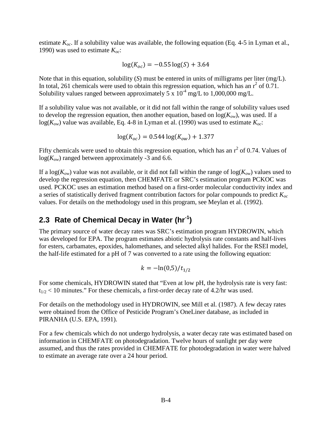estimate  $K_{oc}$ . If a solubility value was available, the following equation (Eq. 4-5 in Lyman et al., 1990) was used to estimate *Koc*:

$$
\log(K_{oc}) = -0.55 \log(S) + 3.64
$$

Note that in this equation, solubility (*S*) must be entered in units of milligrams per liter (mg/L). In total, 261 chemicals were used to obtain this regression equation, which has an  $r^2$  of 0.71. Solubility values ranged between approximately  $5 \times 10^{-4}$  mg/L to 1,000,000 mg/L.

If a solubility value was not available, or it did not fall within the range of solubility values used to develop the regression equation, then another equation, based on  $log(K_{ow})$ , was used. If a log( $K_{ow}$ ) value was available, Eq. 4-8 in Lyman et al. (1990) was used to estimate  $K_{oc}$ :

$$
\log(K_{oc}) = 0.544 \log(K_{ow}) + 1.377
$$

Fifty chemicals were used to obtain this regression equation, which has an  $r^2$  of 0.74. Values of  $log(K_{ow})$  ranged between approximately -3 and 6.6.

If a  $log(K_{ow})$  value was not available, or it did not fall within the range of  $log(K_{ow})$  values used to develop the regression equation, then CHEMFATE or SRC's estimation program PCKOC was used. PCKOC uses an estimation method based on a first-order molecular conductivity index and a series of statistically derived fragment contribution factors for polar compounds to predict *Koc* values. For details on the methodology used in this program, see Meylan et al. (1992).

#### <span id="page-5-0"></span>**2.3 Rate of Chemical Decay in Water (hr-1)**

The primary source of water decay rates was SRC's estimation program HYDROWIN, which was developed for EPA. The program estimates abiotic hydrolysis rate constants and half-lives for esters, carbamates, epoxides, halomethanes, and selected alkyl halides. For the RSEI model, the half-life estimated for a pH of 7 was converted to a rate using the following equation:

$$
k = -\ln(0.5)/t_{1/2}
$$

For some chemicals, HYDROWIN stated that "Even at low pH, the hydrolysis rate is very fast:  $t_{1/2}$  < 10 minutes." For these chemicals, a first-order decay rate of 4.2/hr was used.

For details on the methodology used in HYDROWIN, see Mill et al. (1987). A few decay rates were obtained from the Office of Pesticide Program's OneLiner database, as included in PIRANHA (U.S. EPA, 1991).

For a few chemicals which do not undergo hydrolysis, a water decay rate was estimated based on information in CHEMFATE on photodegradation. Twelve hours of sunlight per day were assumed, and thus the rates provided in CHEMFATE for photodegradation in water were halved to estimate an average rate over a 24 hour period.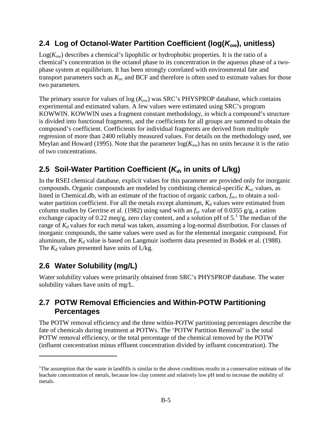#### <span id="page-6-0"></span>**2.4 Log of Octanol-Water Partition Coefficient (log(***Kow***), unitless)**

 $Log(K_{ow})$  describes a chemical's lipophilic or hydrophobic properties. It is the ratio of a chemical's concentration in the octanol phase to its concentration in the aqueous phase of a twophase system at equilibrium. It has been strongly correlated with environmental fate and transport parameters such as *Koc* and BCF and therefore is often used to estimate values for those two parameters.

The primary source for values of log (*Kow*) was SRC's PHYSPROP database, which contains experimental and estimated values. A few values were estimated using SRC's program KOWWIN. KOWWIN uses a fragment constant methodology, in which a compound's structure is divided into functional fragments, and the coefficients for all groups are summed to obtain the compound's coefficient. Coefficients for individual fragments are derived from multiple regression of more than 2400 reliably measured values. For details on the methodology used, see Meylan and Howard (1995). Note that the parameter  $log(K_{ow})$  has no units because it is the ratio of two concentrations.

#### <span id="page-6-1"></span>**2.5 Soil-Water Partition Coefficient (***Kd***, in units of L/kg)**

In the RSEI chemical database, explicit values for this parameter are provided only for inorganic compounds. Organic compounds are modeled by combining chemical-specific *Koc* values, as listed in Chemical.db, with an estimate of the fraction of organic carbon, *foc*, to obtain a soilwater partition coefficient. For all the metals except aluminum,  $K_d$  values were estimated from column studies by Gerritse et al. (1982) using sand with an *foc* value of 0.0355 g/g, a cation exchangecapacity of 0[.](#page-6-4)22 meq/g, zero clay content, and a solution pH of  $5<sup>1</sup>$ . The median of the range of *K<sup>d</sup>* values for each metal was taken, assuming a log-normal distribution. For classes of inorganic compounds, the same values were used as for the elemental inorganic compound. For aluminum, the  $K_d$  value is based on Langmuir isotherm data presented in Bodek et al. (1988). The  $K_d$  values presented have units of  $L/kg$ .

#### <span id="page-6-2"></span>**2.6 Water Solubility (mg/L)**

Water solubility values were primarily obtained from SRC's PHYSPROP database. The water solubility values have units of mg/L.

#### <span id="page-6-3"></span>**2.7 POTW Removal Efficiencies and Within-POTW Partitioning Percentages**

The POTW removal efficiency and the three within-POTW partitioning percentages describe the fate of chemicals during treatment at POTWs. The 'POTW Partition Removal' is the total POTW removal efficiency, or the total percentage of the chemical removed by the POTW (influent concentration minus effluent concentration divided by influent concentration). The

<span id="page-6-4"></span><sup>&</sup>lt;sup>1</sup>The assumption that the waste in landfills is similar to the above conditions results in a conservative estimate of the leachate concentration of metals, because low clay content and relatively low pH tend to increase the mobility of metals.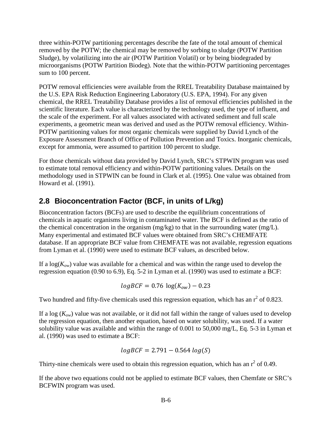three within-POTW partitioning percentages describe the fate of the total amount of chemical removed by the POTW; the chemical may be removed by sorbing to sludge (POTW Partition Sludge), by volatilizing into the air (POTW Partition Volatil) or by being biodegraded by microorganisms (POTW Partition Biodeg). Note that the within-POTW partitioning percentages sum to 100 percent.

POTW removal efficiencies were available from the RREL Treatability Database maintained by the U.S. EPA Risk Reduction Engineering Laboratory (U.S. EPA, 1994). For any given chemical, the RREL Treatability Database provides a list of removal efficiencies published in the scientific literature. Each value is characterized by the technology used, the type of influent, and the scale of the experiment. For all values associated with activated sediment and full scale experiments, a geometric mean was derived and used as the POTW removal efficiency. Within-POTW partitioning values for most organic chemicals were supplied by David Lynch of the Exposure Assessment Branch of Office of Pollution Prevention and Toxics. Inorganic chemicals, except for ammonia, were assumed to partition 100 percent to sludge.

For those chemicals without data provided by David Lynch, SRC's STPWIN program was used to estimate total removal efficiency and within-POTW partitioning values. Details on the methodology used in STPWIN can be found in Clark et al. (1995). One value was obtained from Howard et al. (1991).

#### <span id="page-7-0"></span>**2.8 Bioconcentration Factor (BCF, in units of L/kg)**

Bioconcentration factors (BCFs) are used to describe the equilibrium concentrations of chemicals in aquatic organisms living in contaminated water. The BCF is defined as the ratio of the chemical concentration in the organism (mg/kg) to that in the surrounding water (mg/L). Many experimental and estimated BCF values were obtained from SRC's CHEMFATE database. If an appropriate BCF value from CHEMFATE was not available, regression equations from Lyman et al. (1990) were used to estimate BCF values, as described below.

If a  $log(K_{ow})$  value was available for a chemical and was within the range used to develop the regression equation (0.90 to 6.9), Eq. 5-2 in Lyman et al. (1990) was used to estimate a BCF:

$$
logBCF = 0.76 log(K_{ow}) - 0.23
$$

Two hundred and fifty-five chemicals used this regression equation, which has an  $r^2$  of 0.823.

If a log  $(K_{ow})$  value was not available, or it did not fall within the range of values used to develop the regression equation, then another equation, based on water solubility, was used. If a water solubility value was available and within the range of 0.001 to 50,000 mg/L, Eq. 5-3 in Lyman et al. (1990) was used to estimate a BCF:

$$
logBCF=2.791-0.564\;log(S)
$$

Thirty-nine chemicals were used to obtain this regression equation, which has an  $r^2$  of 0.49.

If the above two equations could not be applied to estimate BCF values, then Chemfate or SRC's BCFWIN program was used.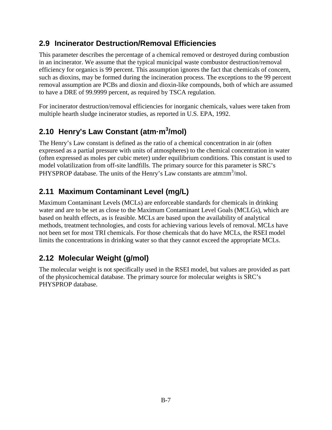#### <span id="page-8-0"></span>**2.9 Incinerator Destruction/Removal Efficiencies**

This parameter describes the percentage of a chemical removed or destroyed during combustion in an incinerator. We assume that the typical municipal waste combustor destruction/removal efficiency for organics is 99 percent. This assumption ignores the fact that chemicals of concern, such as dioxins, may be formed during the incineration process. The exceptions to the 99 percent removal assumption are PCBs and dioxin and dioxin-like compounds, both of which are assumed to have a DRE of 99.9999 percent, as required by TSCA regulation.

For incinerator destruction/removal efficiencies for inorganic chemicals, values were taken from multiple hearth sludge incinerator studies, as reported in U.S. EPA, 1992.

## <span id="page-8-1"></span>**2.10 Henry's Law Constant (atm·m<sup>3</sup> /mol)**

The Henry's Law constant is defined as the ratio of a chemical concentration in air (often expressed as a partial pressure with units of atmospheres) to the chemical concentration in water (often expressed as moles per cubic meter) under equilibrium conditions. This constant is used to model volatilization from off-site landfills. The primary source for this parameter is SRC's PHYSPROP database. The units of the Henry's Law constants are atm $\equiv m^3$ /mol.

#### <span id="page-8-2"></span>**2.11 Maximum Contaminant Level (mg/L)**

Maximum Contaminant Levels (MCLs) are enforceable standards for chemicals in drinking water and are to be set as close to the Maximum Contaminant Level Goals (MCLGs), which are based on health effects, as is feasible. MCLs are based upon the availability of analytical methods, treatment technologies, and costs for achieving various levels of removal. MCLs have not been set for most TRI chemicals. For those chemicals that do have MCLs, the RSEI model limits the concentrations in drinking water so that they cannot exceed the appropriate MCLs.

### <span id="page-8-3"></span>**2.12 Molecular Weight (g/mol)**

The molecular weight is not specifically used in the RSEI model, but values are provided as part of the physicochemical database. The primary source for molecular weights is SRC's PHYSPROP database.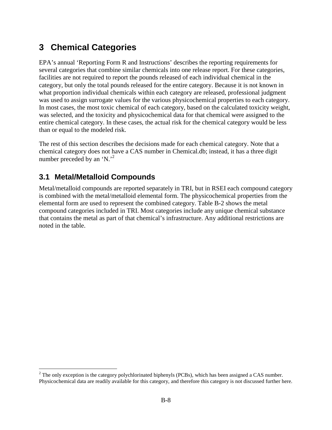## <span id="page-9-0"></span>**3 Chemical Categories**

EPA's annual 'Reporting Form R and Instructions' describes the reporting requirements for several categories that combine similar chemicals into one release report. For these categories, facilities are not required to report the pounds released of each individual chemical in the category, but only the total pounds released for the entire category. Because it is not known in what proportion individual chemicals within each category are released, professional judgment was used to assign surrogate values for the various physicochemical properties to each category. In most cases, the most toxic chemical of each category, based on the calculated toxicity weight, was selected, and the toxicity and physicochemical data for that chemical were assigned to the entire chemical category. In these cases, the actual risk for the chemical category would be less than or equal to the modeled risk.

The rest of this section describes the decisions made for each chemical category. Note that a chemical category does not have a CAS number in Chemical.db; instead, it has a three digit numberpreceded by an 'N.<sup>'2</sup>

#### <span id="page-9-1"></span>**3.1 Metal/Metalloid Compounds**

Metal/metalloid compounds are reported separately in TRI, but in RSEI each compound category is combined with the metal/metalloid elemental form. The physicochemical properties from the elemental form are used to represent the combined category. Table B-2 shows the metal compound categories included in TRI. Most categories include any unique chemical substance that contains the metal as part of that chemical's infrastructure. Any additional restrictions are noted in the table.

<span id="page-9-2"></span> $2$  The only exception is the category polychlorinated biphenyls (PCBs), which has been assigned a CAS number. Physicochemical data are readily available for this category, and therefore this category is not discussed further here.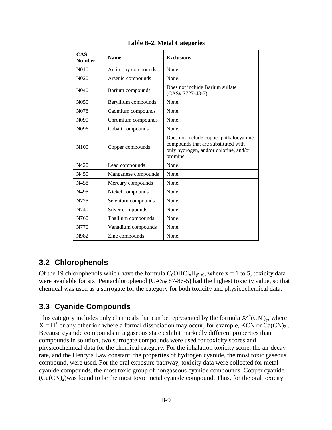| <b>CAS</b><br><b>Number</b> | <b>Name</b>         | <b>Exclusions</b>                                                                                                                   |
|-----------------------------|---------------------|-------------------------------------------------------------------------------------------------------------------------------------|
| N <sub>0</sub> 10           | Antimony compounds  | None.                                                                                                                               |
| N <sub>0</sub> 20           | Arsenic compounds   | None.                                                                                                                               |
| N <sub>04</sub> 0           | Barium compounds    | Does not include Barium sulfate<br>(CAS# 7727-43-7).                                                                                |
| N <sub>050</sub>            | Beryllium compounds | None.                                                                                                                               |
| N <sub>078</sub>            | Cadmium compounds   | None.                                                                                                                               |
| N <sub>090</sub>            | Chromium compounds  | None.                                                                                                                               |
| N <sub>096</sub>            | Cobalt compounds    | None.                                                                                                                               |
| N <sub>100</sub>            | Copper compounds    | Does not include copper phthalocyanine<br>compounds that are substituted with<br>only hydrogen, and/or chlorine, and/or<br>bromine. |
| N420                        | Lead compounds      | None.                                                                                                                               |
| N450                        | Manganese compounds | None.                                                                                                                               |
| N458                        | Mercury compounds   | None.                                                                                                                               |
| N495                        | Nickel compounds    | None.                                                                                                                               |
| N725                        | Selenium compounds  | None.                                                                                                                               |
| N740                        | Silver compounds    | None.                                                                                                                               |
| N760                        | Thallium compounds  | None.                                                                                                                               |
| N770                        | Vanadium compounds  | None.                                                                                                                               |
| N982                        | Zinc compounds      | None.                                                                                                                               |

#### **Table B-2. Metal Categories**

#### <span id="page-10-0"></span>**3.2 Chlorophenols**

Of the 19 chlorophenols which have the formula  $C_6OHCl_xH_{(5-x)}$ , where x = 1 to 5, toxicity data were available for six. Pentachlorophenol (CAS# 87-86-5) had the highest toxicity value, so that chemical was used as a surrogate for the category for both toxicity and physicochemical data.

#### <span id="page-10-1"></span>**3.3 Cyanide Compounds**

This category includes only chemicals that can be represented by the formula  $X^{y+}$ (CN)<sub>y</sub>, where  $X = H^+$  or any other ion where a formal dissociation may occur, for example, KCN or Ca(CN)<sub>2</sub>. Because cyanide compounds in a gaseous state exhibit markedly different properties than compounds in solution, two surrogate compounds were used for toxicity scores and physicochemical data for the chemical category. For the inhalation toxicity score, the air decay rate, and the Henry's Law constant, the properties of hydrogen cyanide, the most toxic gaseous compound, were used. For the oral exposure pathway, toxicity data were collected for metal cyanide compounds, the most toxic group of nongaseous cyanide compounds. Copper cyanide  $(Cu(CN)<sub>2</sub>)$  was found to be the most toxic metal cyanide compound. Thus, for the oral toxicity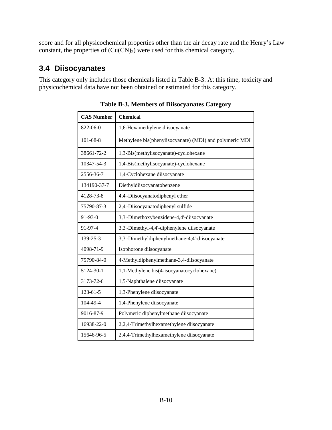score and for all physicochemical properties other than the air decay rate and the Henry's Law constant, the properties of  $(Cu(CN)<sub>2</sub>)$  were used for this chemical category.

#### <span id="page-11-0"></span>**3.4 Diisocyanates**

This category only includes those chemicals listed in Table B-3. At this time, toxicity and physicochemical data have not been obtained or estimated for this category.

| <b>CAS Number</b> | <b>Chemical</b>                                         |
|-------------------|---------------------------------------------------------|
| 822-06-0          | 1,6-Hexamethylene diisocyanate                          |
| $101 - 68 - 8$    | Methylene bis(phenylisocyanate) (MDI) and polymeric MDI |
| 38661-72-2        | 1,3-Bis(methylisocyanate)-cyclohexane                   |
| 10347-54-3        | 1,4-Bis(methylisocyanate)-cyclohexane                   |
| 2556-36-7         | 1,4-Cyclohexane diisocyanate                            |
| 134190-37-7       | Diethyldiisocyanatobenzene                              |
| 4128-73-8         | 4,4'-Diisocyanatodiphenyl ether                         |
| 75790-87-3        | 2,4'-Diisocyanatodiphenyl sulfide                       |
| 91-93-0           | 3,3'-Dimethoxybenzidene-4,4'-diisocyanate               |
| 91-97-4           | 3,3'-Dimethyl-4,4'-diphenylene diisocyanate             |
| 139-25-3          | 3,3'-Dimethyldiphenylmethane-4,4'-diisocyanate          |
| 4098-71-9         | Isophorone diisocyanate                                 |
| 75790-84-0        | 4-Methyldiphenylmethane-3,4-diisocyanate                |
| 5124-30-1         | 1,1-Methylene bis(4-isocyanatocyclohexane)              |
| 3173-72-6         | 1,5-Naphthalene diisocyanate                            |
| 123-61-5          | 1,3-Phenylene diisocyanate                              |
| 104-49-4          | 1,4-Phenylene diisocyanate                              |
| 9016-87-9         | Polymeric diphenylmethane diisocyanate                  |
| 16938-22-0        | 2,2,4-Trimethylhexamethylene diisocyanate               |
| 15646-96-5        | 2,4,4-Trimethylhexamethylene diisocyanate               |

**Table B-3. Members of Diisocyanates Category**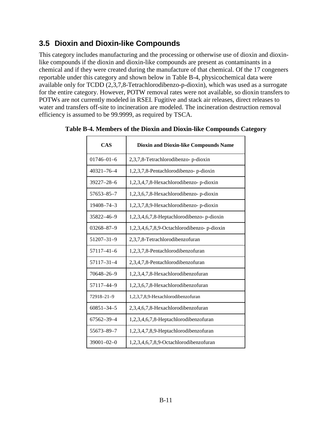#### <span id="page-12-0"></span>**3.5 Dioxin and Dioxin-like Compounds**

This category includes manufacturing and the processing or otherwise use of dioxin and dioxinlike compounds if the dioxin and dioxin-like compounds are present as contaminants in a chemical and if they were created during the manufacture of that chemical. Of the 17 congeners reportable under this category and shown below in Table B-4, physicochemical data were available only for TCDD (2,3,7,8-Tetrachlorodibenzo-p-dioxin), which was used as a surrogate for the entire category. However, POTW removal rates were not available, so dioxin transfers to POTWs are not currently modeled in RSEI. Fugitive and stack air releases, direct releases to water and transfers off-site to incineration are modeled. The incineration destruction removal efficiency is assumed to be 99.9999, as required by TSCA.

| <b>CAS</b>       | <b>Dioxin and Dioxin-like Compounds Name</b> |
|------------------|----------------------------------------------|
| $01746 - 01 - 6$ | 2,3,7,8-Tetrachlorodibenzo- p-dioxin         |
| $40321 - 76 - 4$ | 1,2,3,7,8-Pentachlorodibenzo- p-dioxin       |
| $39227 - 28 - 6$ | 1,2,3,4,7,8-Hexachlorodibenzo-p-dioxin       |
| 57653-85-7       | 1,2,3,6,7,8-Hexachlorodibenzo-p-dioxin       |
| 19408-74-3       | 1,2,3,7,8,9-Hexachlorodibenzo-p-dioxin       |
| 35822-46-9       | 1,2,3,4,6,7,8-Heptachlorodibenzo-p-dioxin    |
| 03268-87-9       | 1,2,3,4,6,7,8,9-Octachlorodibenzo- p-dioxin  |
| 51207-31-9       | 2,3,7,8-Tetrachlorodibenzofuran              |
| $57117 - 41 - 6$ | 1,2,3,7,8-Pentachlorodibenzofuran            |
| 57117-31-4       | 2,3,4,7,8-Pentachlorodibenzofuran            |
| 70648-26-9       | 1,2,3,4,7,8-Hexachlorodibenzofuran           |
| 57117-44-9       | 1,2,3,6,7,8-Hexachlorodibenzofuran           |
| 72918-21-9       | 1,2,3,7,8,9-Hexachlorodibenzofuran           |
| $60851 - 34 - 5$ | 2,3,4,6,7,8-Hexachlorodibenzofuran           |
| 67562-39-4       | 1,2,3,4,6,7,8-Heptachlorodibenzofuran        |
| 55673-89-7       | 1,2,3,4,7,8,9-Heptachlorodibenzofuran        |
| $39001 - 02 - 0$ | 1,2,3,4,6,7,8,9-Octachlorodibenzofuran       |

**Table B-4. Members of the Dioxin and Dioxin-like Compounds Category**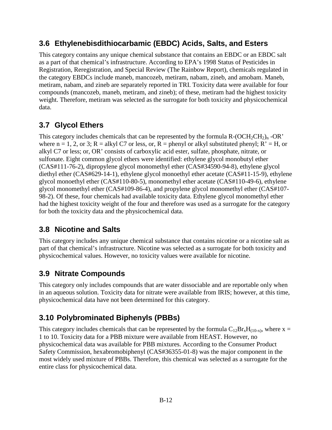#### <span id="page-13-0"></span>**3.6 Ethylenebisdithiocarbamic (EBDC) Acids, Salts, and Esters**

This category contains any unique chemical substance that contains an EBDC or an EBDC salt as a part of that chemical's infrastructure. According to EPA's 1998 Status of Pesticides in Registration, Reregistration, and Special Review (The Rainbow Report), chemicals regulated in the category EBDCs include maneb, mancozeb, metiram, nabam, zineb, and amobam. Maneb, metiram, nabam, and zineb are separately reported in TRI. Toxicity data were available for four compounds (mancozeb, maneb, metiram, and zineb); of these, metiram had the highest toxicity weight. Therefore, metiram was selected as the surrogate for both toxicity and physicochemical data.

#### <span id="page-13-1"></span>**3.7 Glycol Ethers**

This category includes chemicals that can be represented by the formula  $R\text{-}(\text{OCH}_2\text{CH}_2)$ <sub>n</sub> $\text{-}OR\text{'}$ where  $n = 1, 2$ , or 3;  $R = \text{alkyl C7}$  or less, or,  $R = \text{phenyl or alkyl substituted phenyl; } R' = H$ , or alkyl C7 or less; or, OR' consists of carboxylic acid ester, sulfate, phosphate, nitrate, or sulfonate. Eight common glycol ethers were identified: ethylene glycol monobutyl ether (CAS#111-76-2), dipropylene glycol monomethyl ether (CAS#34590-94-8), ethylene glycol diethyl ether (CAS#629-14-1), ethylene glycol monoethyl ether acetate (CAS#11-15-9), ethylene glycol monoethyl ether (CAS#110-80-5), monomethyl ether acetate (CAS#110-49-6), ethylene glycol monomethyl ether (CAS#109-86-4), and propylene glycol monomethyl ether (CAS#107- 98-2). Of these, four chemicals had available toxicity data. Ethylene glycol monomethyl ether had the highest toxicity weight of the four and therefore was used as a surrogate for the category for both the toxicity data and the physicochemical data.

#### <span id="page-13-2"></span>**3.8 Nicotine and Salts**

This category includes any unique chemical substance that contains nicotine or a nicotine salt as part of that chemical's infrastructure. Nicotine was selected as a surrogate for both toxicity and physicochemical values. However, no toxicity values were available for nicotine.

#### <span id="page-13-3"></span>**3.9 Nitrate Compounds**

This category only includes compounds that are water dissociable and are reportable only when in an aqueous solution. Toxicity data for nitrate were available from IRIS; however, at this time, physicochemical data have not been determined for this category.

#### <span id="page-13-4"></span>**3.10 Polybrominated Biphenyls (PBBs)**

This category includes chemicals that can be represented by the formula  $C_{12}Br_xH_{(10-x)}$ , where x = 1 to 10. Toxicity data for a PBB mixture were available from HEAST. However, no physicochemical data was available for PBB mixtures. According to the Consumer Product Safety Commission, hexabromobiphenyl (CAS#36355-01-8) was the major component in the most widely used mixture of PBBs. Therefore, this chemical was selected as a surrogate for the entire class for physicochemical data.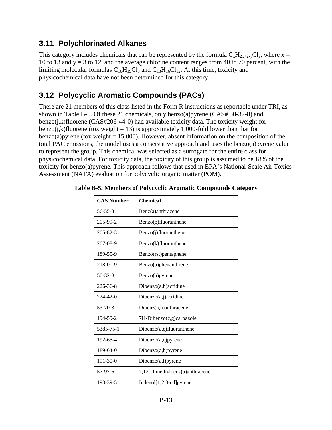#### <span id="page-14-0"></span>**3.11 Polychlorinated Alkanes**

This category includes chemicals that can be represented by the formula  $C_xH_{2x+2-y}Cl_y$ , where x = 10 to 13 and  $y = 3$  to 12, and the average chlorine content ranges from 40 to 70 percent, with the limiting molecular formulas  $C_{10}H_{19}Cl_3$  and  $C_{13}H_{16}Cl_{12}$ . At this time, toxicity and physicochemical data have not been determined for this category.

#### <span id="page-14-1"></span>**3.12 Polycyclic Aromatic Compounds (PACs)**

There are 21 members of this class listed in the Form R instructions as reportable under TRI, as shown in Table B-5. Of these 21 chemicals, only benzo(a)pyrene (CAS# 50-32-8) and benzo(j,k)fluorene (CAS#206-44-0) had available toxicity data. The toxicity weight for benzo(*j*,k)fluorene (tox weight = 13) is approximately 1,000-fold lower than that for benzo(a) pyrene (tox weight  $= 15,000$ ). However, absent information on the composition of the total PAC emissions, the model uses a conservative approach and uses the benzo(a)pyrene value to represent the group. This chemical was selected as a surrogate for the entire class for physicochemical data. For toxicity data, the toxicity of this group is assumed to be 18% of the toxicity for benzo(a)pyrene. This approach follows that used in EPA's National-Scale Air Toxics Assessment (NATA) evaluation for polycyclic organic matter (POM).

| <b>CAS Number</b> | <b>Chemical</b>                |
|-------------------|--------------------------------|
| $56 - 55 - 3$     | Benz(a)anthracene              |
| 205-99-2          | Benzo(b)fluoranthene           |
| $205 - 82 - 3$    | Benzo(j)fluoranthene           |
| 207-08-9          | Benzo(k)fluoranthene           |
| 189-55-9          | Benzo(rst) pentaphene          |
| 218-01-9          | Benzo(a)phenanthrene           |
| $50 - 32 - 8$     | Benzo(a)pyrene                 |
| $226 - 36 - 8$    | Dibenzo(a,h)acridine           |
| $224 - 42 - 0$    | Dibenzo(a,j)acridine           |
| $53 - 70 - 3$     | $Dibenz(a,h)$ anthracene       |
| 194-59-2          | 7H-Dibenzo(c,g)carbazole       |
| 5385-75-1         | Dibenzo(a,e)fluoranthene       |
| 192-65-4          | Dibenzo(a,e)pyrene             |
| 189-64-0          | Dibenzo(a,h)pyrene             |
| $191 - 30 - 0$    | Dibenzo(a,l)pyrene             |
| 57-97-6           | 7,12-Dimethylbenz(a)anthracene |
| 193-39-5          | $Indenol[1,2,3-cd]pyrene$      |

#### **Table B-5. Members of Polycyclic Aromatic Compounds Category**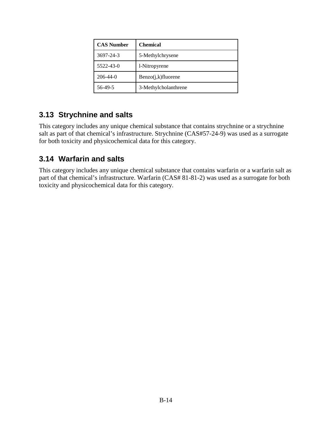| <b>CAS Number</b> | <b>Chemical</b>       |
|-------------------|-----------------------|
| 3697-24-3         | 5-Methylchrysene      |
| 5522-43-0         | 1-Nitropyrene         |
| $206 - 44 - 0$    | $Benzo(j,k)$ fluorene |
| 56-49-5           | 3-Methylcholanthrene  |

#### <span id="page-15-0"></span>**3.13 Strychnine and salts**

This category includes any unique chemical substance that contains strychnine or a strychnine salt as part of that chemical's infrastructure. Strychnine (CAS#57-24-9) was used as a surrogate for both toxicity and physicochemical data for this category.

#### <span id="page-15-1"></span>**3.14 Warfarin and salts**

This category includes any unique chemical substance that contains warfarin or a warfarin salt as part of that chemical's infrastructure. Warfarin (CAS# 81-81-2) was used as a surrogate for both toxicity and physicochemical data for this category.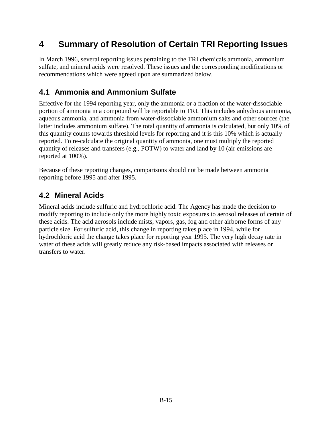## <span id="page-16-0"></span>**4 Summary of Resolution of Certain TRI Reporting Issues**

In March 1996, several reporting issues pertaining to the TRI chemicals ammonia, ammonium sulfate, and mineral acids were resolved. These issues and the corresponding modifications or recommendations which were agreed upon are summarized below.

#### <span id="page-16-1"></span>**4.1 Ammonia and Ammonium Sulfate**

Effective for the 1994 reporting year, only the ammonia or a fraction of the water-dissociable portion of ammonia in a compound will be reportable to TRI. This includes anhydrous ammonia, aqueous ammonia, and ammonia from water-dissociable ammonium salts and other sources (the latter includes ammonium sulfate). The total quantity of ammonia is calculated, but only 10% of this quantity counts towards threshold levels for reporting and it is this 10% which is actually reported. To re-calculate the original quantity of ammonia, one must multiply the reported quantity of releases and transfers (e.g., POTW) to water and land by 10 (air emissions are reported at 100%).

Because of these reporting changes, comparisons should not be made between ammonia reporting before 1995 and after 1995.

#### <span id="page-16-2"></span>**4.2 Mineral Acids**

Mineral acids include sulfuric and hydrochloric acid. The Agency has made the decision to modify reporting to include only the more highly toxic exposures to aerosol releases of certain of these acids. The acid aerosols include mists, vapors, gas, fog and other airborne forms of any particle size. For sulfuric acid, this change in reporting takes place in 1994, while for hydrochloric acid the change takes place for reporting year 1995. The very high decay rate in water of these acids will greatly reduce any risk-based impacts associated with releases or transfers to water.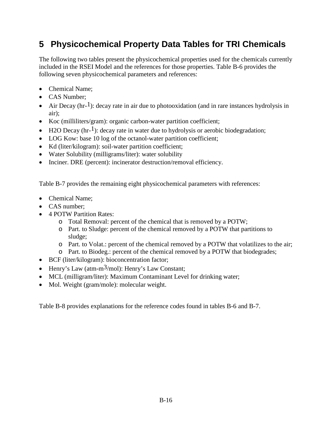## <span id="page-17-0"></span>**5 Physicochemical Property Data Tables for TRI Chemicals**

The following two tables present the physicochemical properties used for the chemicals currently included in the RSEI Model and the references for those properties. Table B-6 provides the following seven physicochemical parameters and references:

- Chemical Name:
- CAS Number:
- $\bullet$  Air Decay (hr-<sup>1</sup>): decay rate in air due to photooxidation (and in rare instances hydrolysis in air);
- Koc (milliliters/gram): organic carbon-water partition coefficient;
- $\bullet$  H2O Decay (hr-<sup>1</sup>): decay rate in water due to hydrolysis or aerobic biodegradation;
- LOG Kow: base 10 log of the octanol-water partition coefficient;
- Kd (liter/kilogram): soil-water partition coefficient;
- Water Solubility (milligrams/liter): water solubility
- Inciner. DRE (percent): incinerator destruction/removal efficiency.

Table B-7 provides the remaining eight physicochemical parameters with references:

- Chemical Name:
- CAS number;
- 4 POTW Partition Rates:
	- o Total Removal: percent of the chemical that is removed by a POTW;
	- o Part. to Sludge: percent of the chemical removed by a POTW that partitions to sludge;
	- o Part. to Volat.: percent of the chemical removed by a POTW that volatilizes to the air;
	- o Part. to Biodeg.: percent of the chemical removed by a POTW that biodegrades;
- BCF (liter/kilogram): bioconcentration factor;
- $\bullet$  Henry's Law (atm-m<sup>3</sup>/mol): Henry's Law Constant;
- MCL (milligram/liter): Maximum Contaminant Level for drinking water;
- Mol. Weight (gram/mole): molecular weight.

Table B-8 provides explanations for the reference codes found in tables B-6 and B-7.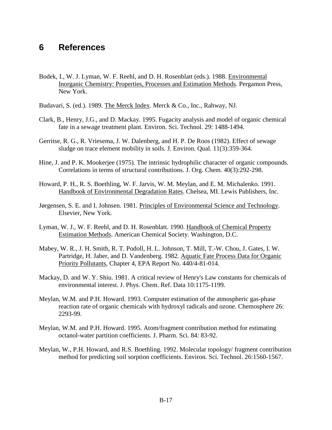#### <span id="page-18-0"></span>**6 References**

- Bodek, I., W. J. Lyman, W. F. Reehl, and D. H. Rosenblatt (eds.). 1988. Environmental Inorganic Chemistry: Properties, Processes and Estimation Methods. Pergamon Press, New York.
- Budavari, S. (ed.). 1989. The Merck Index. Merck & Co., Inc., Rahway, NJ.
- Clark, B., Henry, J.G., and D. Mackay. 1995. Fugacity analysis and model of organic chemical fate in a sewage treatment plant. Environ. Sci. Technol. 29: 1488-1494.
- Gerritse, R. G., R. Vriesema, J. W. Dalenberg, and H. P. De Roos (1982). Effect of sewage sludge on trace element mobility in soils. J. Environ. Qual. 11(3):359-364.
- Hine, J. and P. K. Mookerjee (1975). The intrinsic hydrophilic character of organic compounds. Correlations in terms of structural contributions. J. Org. Chem. 40(3):292-298.
- Howard, P. H., R. S. Boethling, W. F. Jarvis, W. M. Meylan, and E. M. Michalenko. 1991. Handbook of Environmental Degradation Rates. Chelsea, MI. Lewis Publishers, Inc.
- Jørgensen, S. E. and I. Johnsen. 1981. Principles of Environmental Science and Technology. Elsevier, New York.
- Lyman, W. J., W. F. Reehl, and D. H. Rosenblatt. 1990. Handbook of Chemical Property Estimation Methods. American Chemical Society. Washington, D.C.
- Mabey, W. R., J. H. Smith, R. T. Podoll, H. L. Johnson, T. Mill, T.-W. Chou, J. Gates, I. W. Partridge, H. Jaber, and D. Vandenberg. 1982. Aquatic Fate Process Data for Organic Priority Pollutants, Chapter 4, EPA Report No. 440/4-81-014.
- Mackay, D. and W. Y. Shiu. 1981. A critical review of Henry's Law constants for chemicals of environmental interest. J. Phys. Chem. Ref. Data 10:1175-1199.
- Meylan, W.M. and P.H. Howard. 1993. Computer estimation of the atmospheric gas-phase reaction rate of organic chemicals with hydroxyl radicals and ozone. Chemosphere 26: 2293-99.
- Meylan, W.M. and P.H. Howard. 1995. Atom/fragment contribution method for estimating octanol-water partition coefficients. J. Pharm. Sci. 84: 83-92.
- Meylan, W., P.H. Howard, and R.S. Boethling. 1992. Molecular topology/ fragment contribution method for predicting soil sorption coefficients. Environ. Sci. Technol. 26:1560-1567.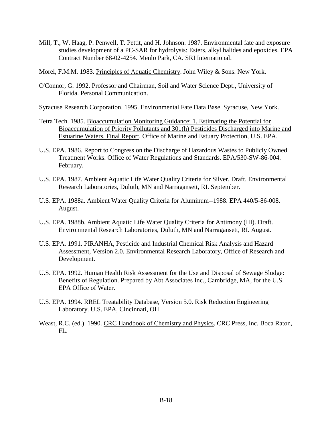- Mill, T., W. Haag, P. Penwell, T. Pettit, and H. Johnson. 1987. Environmental fate and exposure studies development of a PC-SAR for hydrolysis: Esters, alkyl halides and epoxides. EPA Contract Number 68-02-4254. Menlo Park, CA. SRI International.
- Morel, F.M.M. 1983. Principles of Aquatic Chemistry. John Wiley & Sons. New York.
- O'Connor, G. 1992. Professor and Chairman, Soil and Water Science Dept., University of Florida. Personal Communication.
- Syracuse Research Corporation. 1995. Environmental Fate Data Base. Syracuse, New York.
- Tetra Tech. 1985. Bioaccumulation Monitoring Guidance: 1. Estimating the Potential for Bioaccumulation of Priority Pollutants and 301(h) Pesticides Discharged into Marine and Estuarine Waters. Final Report. Office of Marine and Estuary Protection, U.S. EPA.
- U.S. EPA. 1986. Report to Congress on the Discharge of Hazardous Wastes to Publicly Owned Treatment Works. Office of Water Regulations and Standards. EPA/530-SW-86-004. February.
- U.S. EPA. 1987. Ambient Aquatic Life Water Quality Criteria for Silver. Draft. Environmental Research Laboratories, Duluth, MN and Narragansett, RI. September.
- U.S. EPA. 1988a. Ambient Water Quality Criteria for Aluminum--1988. EPA 440/5-86-008. August.
- U.S. EPA. 1988b. Ambient Aquatic Life Water Quality Criteria for Antimony (III). Draft. Environmental Research Laboratories, Duluth, MN and Narragansett, RI. August.
- U.S. EPA. 1991. PIRANHA, Pesticide and Industrial Chemical Risk Analysis and Hazard Assessment, Version 2.0. Environmental Research Laboratory, Office of Research and Development.
- U.S. EPA. 1992. Human Health Risk Assessment for the Use and Disposal of Sewage Sludge: Benefits of Regulation. Prepared by Abt Associates Inc., Cambridge, MA, for the U.S. EPA Office of Water.
- U.S. EPA. 1994. RREL Treatability Database, Version 5.0. Risk Reduction Engineering Laboratory. U.S. EPA, Cincinnati, OH.
- Weast, R.C. (ed.). 1990. CRC Handbook of Chemistry and Physics. CRC Press, Inc. Boca Raton, FL.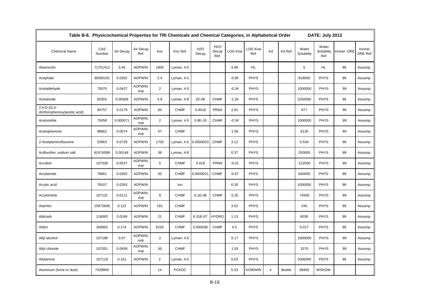| Table B-6. Physicochemical Properties for TRI Chemicals and Chemical Categories, in Alphabetical Order<br>DATE: July 2013 |               |           |                   |                |              |              |                                   |                |                        |    |              |                     |                             |              |                      |
|---------------------------------------------------------------------------------------------------------------------------|---------------|-----------|-------------------|----------------|--------------|--------------|-----------------------------------|----------------|------------------------|----|--------------|---------------------|-----------------------------|--------------|----------------------|
| <b>Chemical Name</b>                                                                                                      | CAS<br>Number | Air Decay | Air Decay<br>Ref. | Koc            | Koc Ref.     | H2O<br>Decay | H <sub>2</sub> O<br>Decay<br>Ref. | <b>LOG Kow</b> | <b>LOG Kow</b><br>Ref. | Kd | Kd Ref.      | Water<br>Solubility | Water<br>Solubility<br>Ref. | Inciner, DRE | Inciner.<br>DRE Ref. |
| Abamectin                                                                                                                 | 71751412      | 3.45      | <b>AOPWIN</b>     | 1800           | Lyman, 4-5   |              |                                   | 4.98           | HL.                    |    |              | 5                   | HL.                         | 99           | Assump.              |
| Acephate                                                                                                                  | 30560191      | 0.0302    | <b>AOPWIN</b>     | 2.4            | Lyman, 4-5   |              |                                   | $-0.85$        | <b>PHYS</b>            |    |              | 818000              | <b>PHYS</b>                 | 99           | Assump.              |
| Acetaldehyde                                                                                                              | 75070         | 0.0427    | AOPWIN:<br>exp    | $\overline{2}$ | Lyman, 4-5   |              |                                   | $-0.34$        | <b>PHYS</b>            |    |              | 1000000             | <b>PHYS</b>                 | 99           | Assump.              |
| Acetamide                                                                                                                 | 60355         | 0.00568   | <b>AOPWIN</b>     | 4.9            | Lyman, 4-8   | 2E-08        | <b>CHMF</b>                       | $-1.26$        | <b>PHYS</b>            |    |              | 2250000             | <b>PHYS</b>                 | 99           | Assump.              |
| $2,4-D$ ((2,4-<br>dichlorophenoxy) acetic acid)                                                                           | 94757         | 0.0179    | <b>AOPWIN</b>     | 84             | <b>CHMF</b>  | 0.0018       | <b>PRNA</b>                       | 2.81           | <b>PHYS</b>            |    |              | 677                 | <b>PHYS</b>                 | 99           | Assump.              |
| Acetonitrile                                                                                                              | 75058         | 0.000071  | AOPWIN;<br>exp    | $\overline{2}$ | Lyman, 4-5   | 5.8E-10      | <b>CHMF</b>                       | $-0.34$        | <b>PHYS</b>            |    |              | 1000000             | <b>PHYS</b>                 | 99           | Assump.              |
| Acetophenone                                                                                                              | 98862         | 0.0074    | AOPWIN;<br>exp    | 57             | <b>CHMF</b>  |              |                                   | 1.58           | <b>PHYS</b>            |    |              | 6130                | <b>PHYS</b>                 | 99           | Assump.              |
| 2-Acetylaminofluorene                                                                                                     | 53963         | 0.0729    | <b>AOPWIN</b>     | 1700           | Lyman, 4-5   | 0.0000023    | <b>CHMF</b>                       | 3.12           | <b>PHYS</b>            |    |              | 5.534               | <b>PHYS</b>                 | 99           | Assump.              |
| Acifluorfen, sodium salt                                                                                                  | 62476599      | 0.00148   | <b>AOPWIN</b>     | 38             | Lyman, 4-8   |              |                                   | 0.37           | <b>PHYS</b>            |    |              | 250000              | <b>PHYS</b>                 | 99           | Assump.              |
| Acrolein                                                                                                                  | 107028        | 0.0537    | AOPWIN;<br>exp    | 5              | <b>CHMF</b>  | 0.019        | <b>PRNA</b>                       | $-0.01$        | <b>PHYS</b>            |    |              | 212000              | <b>PHYS</b>                 | 99           | Assump.              |
| Acrylamide                                                                                                                | 79061         | 0.0303    | <b>AOPWIN</b>     | 50             | <b>CHMF</b>  | 0.0000021    | <b>CHMF</b>                       | $-0.67$        | <b>PHYS</b>            |    |              | 640000              | <b>PHYS</b>                 | 99           | Assump.              |
| Acrylic acid                                                                                                              | 79107         | 0.0263    | <b>AOPWIN</b>     |                | lon          |              |                                   | 0.35           | <b>PHYS</b>            |    |              | 1000000             | <b>PHYS</b>                 | 99           | Assump.              |
| Acrylonitrile                                                                                                             | 107131        | 0.0111    | AOPWIN:<br>exp    | 9              | <b>CHMF</b>  | $6.1E-08$    | <b>CHMF</b>                       | 0.25           | <b>PHYS</b>            |    |              | 74500               | <b>PHYS</b>                 | 99           | Assump.              |
| Alachlor                                                                                                                  | 15972608      | 0.122     | <b>AOPWIN</b>     | 191            | <b>CHMF</b>  |              |                                   | 3.52           | <b>PHYS</b>            |    |              | 240                 | <b>PHYS</b>                 | 99           | Assump.              |
| Aldicarb                                                                                                                  | 116063        | 0.0249    | <b>AOPWIN</b>     | 21             | <b>CHMF</b>  | 6.31E-07     | <b>HYDRO</b>                      | 1.13           | <b>PHYS</b>            |    |              | 6030                | <b>PHYS</b>                 | 99           | Assump.              |
| Aldrin                                                                                                                    | 309002        | 0.174     | <b>AOPWIN</b>     | 8220           | <b>CHMF</b>  | 0.000038     | <b>CHMF</b>                       | 6.5            | <b>PHYS</b>            |    |              | 0.017               | <b>PHYS</b>                 | 99           | Assump.              |
| Allyl alcohol                                                                                                             | 107186        | 0.07      | AOPWIN;<br>exp    | $\overline{2}$ | Lyman, 4-5   |              |                                   | 0.17           | <b>PHYS</b>            |    |              | 1000000             | <b>PHYS</b>                 | 99           | Assump.              |
| Allyl chloride                                                                                                            | 107051        | 0.0459    | AOPWIN;<br>exp    | 50             | <b>CHMF</b>  |              |                                   | 1.93           | <b>PHYS</b>            |    |              | 3370                | <b>PHYS</b>                 | 99           | Assump.              |
| Allylamine                                                                                                                | 107119        | 0.151     | <b>AOPWIN</b>     | $\overline{2}$ | Lyman, 4-5   |              |                                   | 0.03           | <b>PHYS</b>            |    |              | 1000000             | <b>PHYS</b>                 | 99           | Assump.              |
| Aluminum (fume or dust)                                                                                                   | 7429905       |           |                   | 14             | <b>PCKOC</b> |              |                                   | 0.33           | <b>KOWWIN</b>          | 4  | <b>Bodek</b> | 59400               | <b>WSKOW</b>                |              |                      |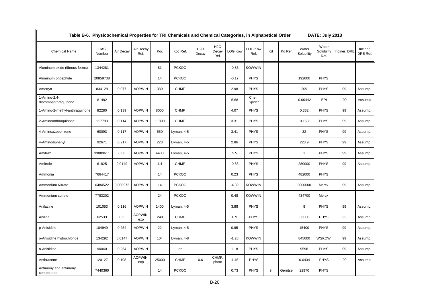| Table B-6. Physicochemical Properties for TRI Chemicals and Chemical Categories, in Alphabetical Order<br>DATE: July 2013 |               |           |                   |       |              |              |                                   |                |                        |    |          |                     |                             |              |                      |
|---------------------------------------------------------------------------------------------------------------------------|---------------|-----------|-------------------|-------|--------------|--------------|-----------------------------------|----------------|------------------------|----|----------|---------------------|-----------------------------|--------------|----------------------|
| <b>Chemical Name</b>                                                                                                      | CAS<br>Number | Air Decay | Air Decay<br>Ref. | Koc   | Koc Ref.     | H2O<br>Decay | H <sub>2</sub> O<br>Decay<br>Ref. | <b>LOG Kow</b> | <b>LOG Kow</b><br>Ref. | Kd | Kd Ref.  | Water<br>Solubility | Water<br>Solubility<br>Ref. | Inciner. DRE | Inciner.<br>DRE Ref. |
| Aluminum oxide (fibrous forms)                                                                                            | 1344281       |           |                   | 81    | <b>PCKOC</b> |              |                                   | $-0.83$        | <b>KOWWIN</b>          |    |          |                     |                             |              |                      |
| Aluminum phosphide                                                                                                        | 20859738      |           |                   | 14    | <b>PCKOC</b> |              |                                   | $-0.17$        | <b>PHYS</b>            |    |          | 192000              | <b>PHYS</b>                 |              |                      |
| Ametryn                                                                                                                   | 834128        | 0.077     | <b>AOPWIN</b>     | 389   | <b>CHMF</b>  |              |                                   | 2.98           | PHYS                   |    |          | 209                 | <b>PHYS</b>                 | 99           | Assump.              |
| 1-Amino-2,4-<br>dibromoanthraquinone                                                                                      | 81492         |           |                   |       |              |              |                                   | 5.68           | Chem<br>Spider         |    |          | 0.00442             | EPI                         | 99           | Assump.              |
| 1-Amino-2-methyl-anthraquinone                                                                                            | 82280         | 0.139     | <b>AOPWIN</b>     | 8000  | <b>CHMF</b>  |              |                                   | 4.07           | <b>PHYS</b>            |    |          | 0.332               | <b>PHYS</b>                 | 99           | Assump.              |
| 2-Aminoanthraquinone                                                                                                      | 117793        | 0.114     | <b>AOPWIN</b>     | 11800 | <b>CHMF</b>  |              |                                   | 3.31           | <b>PHYS</b>            |    |          | 0.163               | <b>PHYS</b>                 | 99           | Assump.              |
| 4-Aminoazobenzene                                                                                                         | 60093         | 0.117     | <b>AOPWIN</b>     | 650   | Lyman, 4-5   |              |                                   | 3.41           | <b>PHYS</b>            |    |          | 32                  | <b>PHYS</b>                 | 99           | Assump.              |
| 4-Aminodiphenyl                                                                                                           | 92671         | 0.217     | <b>AOPWIN</b>     | 223   | Lyman, 4-5   |              |                                   | 2.86           | <b>PHYS</b>            |    |          | 223.9               | <b>PHYS</b>                 | 99           | Assump.              |
| Amitraz                                                                                                                   | 33089611      | 0.36      | <b>AOPWIN</b>     | 4400  | Lyman, 4-5   |              |                                   | 5.5            | <b>PHYS</b>            |    |          | $\overline{1}$      | <b>PHYS</b>                 | 99           | Assump.              |
| Amitrole                                                                                                                  | 61825         | 0.0149    | <b>AOPWIN</b>     | 4.4   | <b>CHMF</b>  |              |                                   | $-0.86$        | <b>PHYS</b>            |    |          | 280000              | <b>PHYS</b>                 | 99           | Assump.              |
| Ammonia                                                                                                                   | 7664417       |           |                   | 14    | <b>PCKOC</b> |              |                                   | 0.23           | <b>PHYS</b>            |    |          | 482000              | <b>PHYS</b>                 |              |                      |
| Ammonium Nitrate                                                                                                          | 6484522       | 0.000972  | <b>AOPWIN</b>     | 14    | <b>PCKOC</b> |              |                                   | $-4.39$        | <b>KOWWIN</b>          |    |          | 2000000             | Merck                       | 99           | Assump.              |
| Ammonium sulfate                                                                                                          | 7783202       |           |                   | 24    | <b>PCKOC</b> |              |                                   | 0.48           | <b>KOWWIN</b>          |    |          | 434700              | Merck                       |              |                      |
| Anilazine                                                                                                                 | 101053        | 0.116     | <b>AOPWIN</b>     | 1400  | Lyman, 4-5   |              |                                   | 3.88           | <b>PHYS</b>            |    |          | 8                   | <b>PHYS</b>                 | 99           | Assump.              |
| Aniline                                                                                                                   | 62533         | 0.3       | AOPWIN;<br>exp    | 240   | <b>CHMF</b>  |              |                                   | 0.9            | <b>PHYS</b>            |    |          | 36000               | PHYS                        | 99           | Assump.              |
| p-Anisidine                                                                                                               | 104949        | 0.254     | <b>AOPWIN</b>     | 22    | Lyman, 4-5   |              |                                   | 0.95           | <b>PHYS</b>            |    |          | 15400               | <b>PHYS</b>                 | 99           | Assump.              |
| o-Anisidine hydrochloride                                                                                                 | 134292        | 0.0147    | <b>AOPWIN</b>     | 104   | Lyman, 4-8   |              |                                   | $-1.28$        | <b>KOWWIN</b>          |    |          | 845000              | <b>WSKOW</b>                | 99           | Assump.              |
| o-Anisidine                                                                                                               | 90040         | 0.254     | <b>AOPWIN</b>     |       | lon          |              |                                   | 1.18           | <b>PHYS</b>            |    |          | 9598                | <b>PHYS</b>                 | 99           | Assump.              |
| Anthracene                                                                                                                | 120127        | 0.108     | AOPWIN;<br>exp    | 25000 | <b>CHMF</b>  | 0.6          | CHMF:<br>photo                    | 4.45           | <b>PHYS</b>            |    |          | 0.0434              | <b>PHYS</b>                 | 99           | Assump.              |
| Antimony and antimony<br>compounds                                                                                        | 7440360       |           |                   | 14    | <b>PCKOC</b> |              |                                   | 0.73           | <b>PHYS</b>            | 9  | Gerritse | 22970               | <b>PHYS</b>                 |              |                      |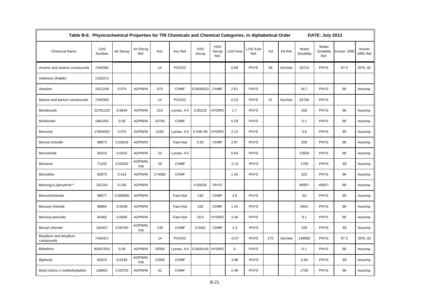| Table B-6. Physicochemical Properties for TRI Chemicals and Chemical Categories, in Alphabetical Order<br><b>DATE: July 2013</b> |               |           |                   |        |              |                     |                                   |                |                        |     |          |                     |                             |              |                      |
|----------------------------------------------------------------------------------------------------------------------------------|---------------|-----------|-------------------|--------|--------------|---------------------|-----------------------------------|----------------|------------------------|-----|----------|---------------------|-----------------------------|--------------|----------------------|
| <b>Chemical Name</b>                                                                                                             | CAS<br>Number | Air Decay | Air Decay<br>Ref. | Koc    | Koc Ref.     | <b>H2O</b><br>Decay | H <sub>2</sub> O<br>Decay<br>Ref. | <b>LOG Kow</b> | <b>LOG Kow</b><br>Ref. | Kd  | Kd Ref.  | Water<br>Solubility | Water<br>Solubility<br>Ref. | Inciner. DRE | Inciner.<br>DRE Ref. |
| Arsenic and arsenic compounds                                                                                                    | 7440382       |           |                   | 14     | <b>PCKOC</b> |                     |                                   | 0.68           | <b>PHYS</b>            | 38  | Gerritse | 34710               | <b>PHYS</b>                 | 97.5         | EPA, 92              |
| Asbestos (friable)                                                                                                               | 1332214       |           |                   |        |              |                     |                                   |                |                        |     |          |                     |                             |              |                      |
| Atrazine                                                                                                                         | 1912249       | 0.074     | <b>AOPWIN</b>     | 570    | <b>CHMF</b>  | 0.0000033           | <b>CHMF</b>                       | 2.61           | <b>PHYS</b>            |     |          | 34.7                | <b>PHYS</b>                 | 99           | Assump.              |
| Barium and barium compounds                                                                                                      | 7440393       |           |                   | 14     | <b>PCKOC</b> |                     |                                   | 0.23           | <b>PHYS</b>            | 31  | Gerritse | 54760               | <b>PHYS</b>                 |              |                      |
| Bendiocarb                                                                                                                       | 22781233      | 0.0644    | <b>AOPWIN</b>     | 210    | Lyman, 4-5   | 0.00233             | <b>HYDRO</b>                      | 1.7            | <b>PHYS</b>            |     |          | 260                 | <b>PHYS</b>                 | 99           | Assump.              |
| Benfluralin                                                                                                                      | 1861401       | 0.06      | <b>AOPWIN</b>     | 10700  | <b>CHMF</b>  |                     |                                   | 5.29           | <b>PHYS</b>            |     |          | 0.1                 | <b>PHYS</b>                 | 99           | Assump.              |
| Benomyl                                                                                                                          | 17804352      | 0.575     | <b>AOPWIN</b>     | 2100   | Lyman, 4-5   | 9.43E-08            | <b>HYDRO</b>                      | 2.12           | <b>PHYS</b>            |     |          | 3.8                 | <b>PHYS</b>                 | 99           | Assump.              |
| Benzal chloride                                                                                                                  | 98873         | 0.00619   | <b>AOPWIN</b>     |        | Fast Hyd     | 5.62                | <b>CHMF</b>                       | 2.97           | <b>PHYS</b>            |     |          | 250                 | <b>PHYS</b>                 | 99           | Assump.              |
| Benzamide                                                                                                                        | 55210         | 0.0102    | <b>AOPWIN</b>     | 23     | Lyman, 4-5   |                     |                                   | 0.64           | <b>PHYS</b>            |     |          | 13500               | <b>PHYS</b>                 | 99           | Assump.              |
| Benzene                                                                                                                          | 71432         | 0.00332   | AOPWIN;<br>exp    | 29     | <b>CHMF</b>  |                     |                                   | 2.13           | <b>PHYS</b>            |     |          | 1790                | PHYS                        | 99           | Assump.              |
| Benzidine                                                                                                                        | 92875         | 0.415     | <b>AOPWIN</b>     | 174000 | <b>CHMF</b>  |                     |                                   | 1.34           | <b>PHYS</b>            |     |          | 322                 | <b>PHYS</b>                 | 99           | Assump.              |
| Benzo(g,h,i)perylene**                                                                                                           | 191242        | 0.235     | <b>AOPWIN</b>     |        |              | 0.00026             | <b>PHYS</b>                       |                |                        |     |          | #REF!               | #REF!                       | 99           | Assump.              |
| Benzotrichloride                                                                                                                 | 98077         | 0.000965  | <b>AOPWIN</b>     |        | Fast Hyd     | 130                 | <b>CHMF</b>                       | 3.9            | <b>PHYS</b>            |     |          | 53                  | <b>PHYS</b>                 | 99           | Assump.              |
| Benzoyl chloride                                                                                                                 | 98884         | 0.0048    | <b>AOPWIN</b>     |        | Fast Hyd     | 150                 | <b>CHMF</b>                       | 1.44           | <b>PHYS</b>            |     |          | 4941                | <b>PHYS</b>                 | 99           | Assump.              |
| Benzoyl peroxide                                                                                                                 | 94360         | 0.0096    | <b>AOPWIN</b>     |        | Fast Hyd     | 19.6                | <b>HYDRO</b>                      | 3.46           | <b>PHYS</b>            |     |          | 9.1                 | <b>PHYS</b>                 | 99           | Assump.              |
| Benzyl chloride                                                                                                                  | 100447        | 0.00783   | AOPWIN:<br>exp    | 139    | <b>CHMF</b>  | 0.0461              | <b>CHMF</b>                       | 2.3            | <b>PHYS</b>            |     |          | 525                 | PHYS                        | 99           | Assump.              |
| Beryllium and beryllium<br>compounds                                                                                             | 7440417       |           |                   | 14     | <b>PCKOC</b> |                     |                                   | $-0.57$        | <b>PHYS</b>            | 170 | Gerritse | 148900              | <b>PHYS</b>                 | 97.3         | EPA, 92              |
| Bifenthrin                                                                                                                       | 82657043      | 0.08      | <b>AOPWIN</b>     | 15000  | Lyman, 4-5   | 0.0000145 HYDRO     |                                   | 6              | <b>PHYS</b>            |     |          | 0.1                 | <b>PHYS</b>                 | 99           | Assump.              |
| Biphenyl                                                                                                                         | 92524         | 0.0194    | AOPWIN;<br>exp    | 12000  | <b>CHMF</b>  |                     |                                   | 3.98           | <b>PHYS</b>            |     |          | 6.94                | PHYS                        | 99           | Assump.              |
| Bis(2-chloro-1-methethyl)ether                                                                                                   | 108601        | 0.00703   | <b>AOPWIN</b>     | 52     | <b>CHMF</b>  |                     |                                   | 2.48           | <b>PHYS</b>            |     |          | 1700                | <b>PHYS</b>                 | 99           | Assump.              |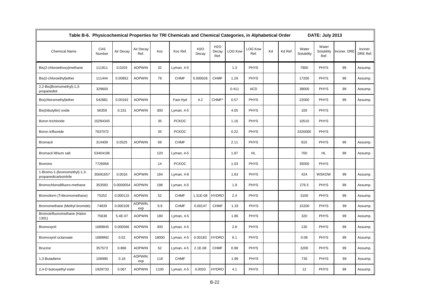| Table B-6. Physicochemical Properties for TRI Chemicals and Chemical Categories, in Alphabetical Order<br>DATE: July 2013 |               |           |                   |       |              |                           |                                   |                |                        |    |         |                     |                             |              |                      |
|---------------------------------------------------------------------------------------------------------------------------|---------------|-----------|-------------------|-------|--------------|---------------------------|-----------------------------------|----------------|------------------------|----|---------|---------------------|-----------------------------|--------------|----------------------|
| <b>Chemical Name</b>                                                                                                      | CAS<br>Number | Air Decay | Air Decay<br>Ref. | Koc   | Koc Ref.     | H <sub>2</sub> O<br>Decay | H <sub>2</sub> O<br>Decay<br>Ref. | <b>LOG Kow</b> | <b>LOG Kow</b><br>Ref. | Kd | Kd Ref. | Water<br>Solubility | Water<br>Solubility<br>Ref. | Inciner. DRE | Inciner.<br>DRE Ref. |
| Bis(2-chloroethoxy)methane                                                                                                | 111911        | 0.0203    | <b>AOPWIN</b>     | 32    | Lyman, 4-5   |                           |                                   | 1.3            | <b>PHYS</b>            |    |         | 7800                | <b>PHYS</b>                 | 99           | Assump.              |
| Bis(2-chloroethyl)ether                                                                                                   | 111444        | 0.00852   | <b>AOPWIN</b>     | 79    | <b>CHMF</b>  | 0.000026                  | <b>CHMF</b>                       | 1.29           | <b>PHYS</b>            |    |         | 17200               | <b>PHYS</b>                 | 99           | Assump.              |
| 2,2-Bis(Bromomethyl)-1,3-<br>propanediol                                                                                  | 329600        |           |                   |       |              |                           |                                   | 0.411          | <b>ACD</b>             |    |         | 38000               | <b>PHYS</b>                 | 99           | Assump.              |
| Bis(chloromethyl)ether                                                                                                    | 542881        | 0.00192   | <b>AOPWIN</b>     |       | Fast Hyd     | 4.2                       | CHMF*                             | 0.57           | <b>PHYS</b>            |    |         | 22000               | <b>PHYS</b>                 | 99           | Assump.              |
| Bis(tributyltin) oxide                                                                                                    | 56359         | 0.231     | <b>AOPWIN</b>     | 300   | Lyman, 4-5   |                           |                                   | 4.05           | <b>PHYS</b>            |    |         | 100                 | <b>PHYS</b>                 |              |                      |
| Boron trichloride                                                                                                         | 10294345      |           |                   | 35    | <b>PCKOC</b> |                           |                                   | 1.16           | <b>PHYS</b>            |    |         | 10510               | <b>PHYS</b>                 |              |                      |
| Boron trifluoride                                                                                                         | 7637072       |           |                   | 35    | <b>PCKOC</b> |                           |                                   | 0.22           | <b>PHYS</b>            |    |         | 3320000             | <b>PHYS</b>                 |              |                      |
| <b>Bromacil</b>                                                                                                           | 314409        | 0.0525    | <b>AOPWIN</b>     | 69    | <b>CHMF</b>  |                           |                                   | 2.11           | <b>PHYS</b>            |    |         | 815                 | <b>PHYS</b>                 | 99           | Assump.              |
| Bromacil lithium salt                                                                                                     | 53404196      |           |                   | 120   | Lyman, 4-5   |                           |                                   | 1.87           | HL.                    |    |         | 700                 | <b>HL</b>                   | 99           | Assump.              |
| <b>Bromine</b>                                                                                                            | 7726956       |           |                   | 14    | <b>PCKOC</b> |                           |                                   | 1.03           | <b>PHYS</b>            |    |         | 35000               | <b>PHYS</b>                 |              |                      |
| 1-Bromo-1-(bromomethyl)-1,3-<br>propanedicarbonitrile                                                                     | 35691657      | 0.0016    | <b>AOPWIN</b>     | 184   | Lyman, 4-8   |                           |                                   | 1.63           | <b>PHYS</b>            |    |         | 424                 | <b>WSKOW</b>                | 99           | Assump.              |
| Bromochlorodifluoro-methane                                                                                               | 353593        | 0.0000054 | <b>AOPWIN</b>     | 198   | Lyman, 4-5   |                           |                                   | 1.9            | <b>PHYS</b>            |    |         | 276.5               | <b>PHYS</b>                 | 99           | Assump.              |
| Bromoform (Tribromomethane)                                                                                               | 75252         | 0.000115  | <b>AOPWIN</b>     | 52    | <b>CHMF</b>  | 1.31E-08                  | <b>HYDRO</b>                      | 2.4            | <b>PHYS</b>            |    |         | 3100                | <b>PHYS</b>                 | 99           | Assump.              |
| Bromomethane (Methyl bromide)                                                                                             | 74839         | 0.000109  | AOPWIN;<br>exp    | 9.9   | <b>CHMF</b>  | 0.00147                   | <b>CHMF</b>                       | 1.19           | <b>PHYS</b>            |    |         | 15200               | <b>PHYS</b>                 | 99           | Assump.              |
| Bromotrifluoromethane (Halon<br>1301)                                                                                     | 75638         | 5.4E-07   | <b>AOPWIN</b>     | 180   | Lyman, 4-5   |                           |                                   | 1.86           | <b>PHYS</b>            |    |         | 320                 | <b>PHYS</b>                 | 99           | Assump.              |
| Bromoxynil                                                                                                                | 1689845       | 0.000566  | <b>AOPWIN</b>     | 300   | Lyman, 4-5   |                           |                                   | 2.8            | <b>PHYS</b>            |    |         | 130                 | <b>PHYS</b>                 | 99           | Assump.              |
| Bromoxynil octanoate                                                                                                      | 1689992       | 0.02      | <b>AOPWIN</b>     | 18000 | Lyman, 4-5   | 0.00183                   | <b>HYDRO</b>                      | 6.1            | <b>PHYS</b>            |    |         | 0.08                | <b>PHYS</b>                 | 99           | Assump.              |
| <b>Brucine</b>                                                                                                            | 357573        | 0.866     | <b>AOPWIN</b>     | 52    | Lyman, 4-5   | 2.1E-08                   | <b>CHMF</b>                       | 0.98           | <b>PHYS</b>            |    |         | 3200                | <b>PHYS</b>                 | 99           | Assump.              |
| 1,3-Butadiene                                                                                                             | 106990        | 0.18      | AOPWIN;<br>exp    | 116   | <b>CHMF</b>  |                           |                                   | 1.99           | PHYS                   |    |         | 735                 | <b>PHYS</b>                 | 99           | Assump.              |
| 2,4-D butoxyethyl ester                                                                                                   | 1929733       | 0.067     | <b>AOPWIN</b>     | 1100  | Lyman, 4-5   | 0.0033                    | <b>HYDRO</b>                      | 4.1            | <b>PHYS</b>            |    |         | 12                  | <b>PHYS</b>                 | 99           | Assump.              |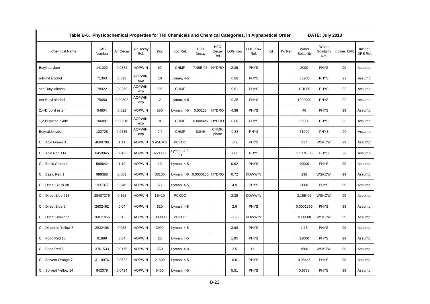| Table B-6. Physicochemical Properties for TRI Chemicals and Chemical Categories, in Alphabetical Order |               |           |                   |                |                     |                     |                                   |                |                        |    |         |                     | DATE: July 2013             |              |                      |
|--------------------------------------------------------------------------------------------------------|---------------|-----------|-------------------|----------------|---------------------|---------------------|-----------------------------------|----------------|------------------------|----|---------|---------------------|-----------------------------|--------------|----------------------|
| <b>Chemical Name</b>                                                                                   | CAS<br>Number | Air Decay | Air Decay<br>Ref. | Koc            | Koc Ref.            | <b>H2O</b><br>Decay | H <sub>2</sub> O<br>Decay<br>Ref. | <b>LOG Kow</b> | <b>LOG Kow</b><br>Ref. | Kd | Kd Ref. | Water<br>Solubility | Water<br>Solubility<br>Ref. | Inciner. DRE | Inciner.<br>DRE Ref. |
| Butyl acrylate                                                                                         | 141322        | 0.0372    | <b>AOPWIN</b>     | 67             | <b>CHMF</b>         | 7.46E-06            | <b>HYDRO</b>                      | 2.36           | <b>PHYS</b>            |    |         | 2000                | <b>PHYS</b>                 | 99           | Assump.              |
| n-Butyl alcohol                                                                                        | 71363         | 0.023     | AOPWIN;<br>exp    | 10             | Lyman, 4-5          |                     |                                   | 0.88           | <b>PHYS</b>            |    |         | 63200               | <b>PHYS</b>                 | 99           | Assump.              |
| sec-Butyl alcohol                                                                                      | 78922         | 0.0259    | AOPWIN:<br>exp    | 5.6            | <b>CHMF</b>         |                     |                                   | 0.61           | <b>PHYS</b>            |    |         | 181000              | <b>PHYS</b>                 | 99           | Assump.              |
| tert-Butyl alcohol                                                                                     | 75650         | 0.00302   | AOPWIN;<br>exp    | $\overline{2}$ | Lyman, 4-5          |                     |                                   | 0.35           | <b>PHYS</b>            |    |         | 1000000             | <b>PHYS</b>                 | 99           | Assump.              |
| 2,4-D butyl ester                                                                                      | 94804         | 0.022     | <b>AOPWIN</b>     | 530            | Lyman, 4-5          | 0.00128             | <b>HYDRO</b>                      | 4.38           | <b>PHYS</b>            |    |         | 46                  | <b>PHYS</b>                 | 99           | Assump.              |
| 1,2-Butylene oxide                                                                                     | 106887        | 0.00516   | AOPWIN;<br>exp    | 8              | <b>CHMF</b>         | 0.000026            | <b>HYDRO</b>                      | 0.86           | <b>PHYS</b>            |    |         | 95000               | <b>PHYS</b>                 | 99           | Assump.              |
| Butyraldehyde                                                                                          | 123728        | 0.0635    | AOPWIN:<br>exp    | 9.4            | <b>CHMF</b>         | 0.049               | CHMF:<br>photo                    | 0.88           | <b>PHYS</b>            |    |         | 71000               | <b>PHYS</b>                 | 99           | Assump.              |
| C.I. Acid Green 3                                                                                      | 4680788       | 1.11      | <b>AOPWIN</b>     | 3.45E+09       | <b>PCKOC</b>        |                     |                                   | $-3.2$         | <b>PHYS</b>            |    |         | 217                 | <b>WSKOW</b>                | 99           | Assump.              |
| C.I. Acid Red 114                                                                                      | 6459945       | 0.0492    | <b>AOPWIN</b>     | 450000         | Lyman, 4-8;<br>C.I. |                     |                                   | 7.86           | <b>PHYS</b>            |    |         | 2.517E-06           | <b>PHYS</b>                 | 99           | Assump.              |
| C.I. Basic Green 4                                                                                     | 569642        | 1.19      | <b>AOPWIN</b>     | 13             | Lyman, 4-5          |                     |                                   | 0.62           | <b>PHYS</b>            |    |         | 40000               | <b>PHYS</b>                 | 99           | Assump.              |
| C.I. Basic Red 1                                                                                       | 989388        | 0.803     | <b>AOPWIN</b>     | 38100          | Lyman, 4-8          | 0.0000136 HYDRO     |                                   | 0.72           | KOWWIN                 |    |         | 238                 | <b>WSKOW</b>                | 99           | Assump.              |
| C.I. Direct Black 38                                                                                   | 1937377       | 0.546     | <b>AOPWIN</b>     | 53             | Lyman, 4-5          |                     |                                   | 4.9            | <b>PHYS</b>            |    |         | 3000                | <b>PHYS</b>                 | 99           | Assump.              |
| C.I. Direct Blue 218                                                                                   | 28407376      | 0.168     | <b>AOPWIN</b>     | $1E + 10$      | <b>PCKOC</b>        |                     |                                   | 3.39           | <b>KOWWIN</b>          |    |         | 3.15E-06            | <b>WSKOW</b>                | 99           | Assump.              |
| C.I. Direct Blue 6                                                                                     | 2602462       | 0.04      | <b>AOPWIN</b>     | 620            | Lyman, 4-8          |                     |                                   | 2.6            | <b>PHYS</b>            |    |         | 0.0001366           | <b>PHYS</b>                 | 99           | Assump.              |
| C.I. Direct Brown 95                                                                                   | 16071866      | 0.13      | <b>AOPWIN</b>     | 1080000        | <b>PCKOC</b>        |                     |                                   | $-6.53$        | KOWWIN                 |    |         | 1000000             | <b>WSKOW</b>                | 99           | Assump.              |
| C.I. Disperse Yellow 3                                                                                 | 2832408       | 0.058     | <b>AOPWIN</b>     | 3990           | Lyman, 4-5          |                     |                                   | 3.98           | <b>PHYS</b>            |    |         | 1.18                | <b>PHYS</b>                 | 99           | Assump.              |
| C.I. Food Red 15                                                                                       | 81889         | 0.64      | <b>AOPWIN</b>     | 25             | Lyman, 4-5          |                     |                                   | 1.95           | <b>PHYS</b>            |    |         | 12000               | <b>PHYS</b>                 | 99           | Assump.              |
| C.I. Food Red 5                                                                                        | 3761533       | 0.0175    | <b>AOPWIN</b>     | 550            | Lyman, 4-8          |                     |                                   | 2.5            | HL.                    |    |         | 1580                | <b>WSKOW</b>                | 99           | Assump.              |
| C.I. Solvent Orange 7                                                                                  | 3118976       | 0.0622    | <b>AOPWIN</b>     | 21600          | Lyman, 4-5          |                     |                                   | 6.6            | <b>PHYS</b>            |    |         | 0.05445             | <b>PHYS</b>                 | 99           | Assump.              |
| C.I. Solvent Yellow 14                                                                                 | 842079        | 0.0494    | <b>AOPWIN</b>     | 5400           | Lyman, 4-5          |                     |                                   | 5.51           | <b>PHYS</b>            |    |         | 0.6738              | <b>PHYS</b>                 | 99           | Assump.              |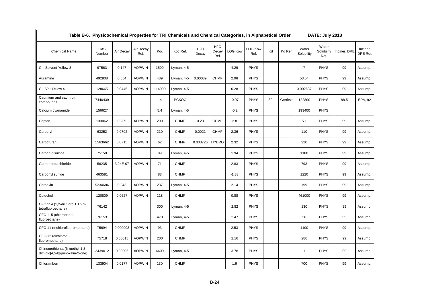| Table B-6. Physicochemical Properties for TRI Chemicals and Chemical Categories, in Alphabetical Order |               |           |                   |        |              |              |                                   |                |                 | DATE: July 2013 |          |                     |                             |              |                      |
|--------------------------------------------------------------------------------------------------------|---------------|-----------|-------------------|--------|--------------|--------------|-----------------------------------|----------------|-----------------|-----------------|----------|---------------------|-----------------------------|--------------|----------------------|
| <b>Chemical Name</b>                                                                                   | CAS<br>Number | Air Decay | Air Decay<br>Ref. | Koc    | Koc Ref.     | H2O<br>Decay | H <sub>2</sub> O<br>Decay<br>Ref. | <b>LOG Kow</b> | LOG Kow<br>Ref. | Kd              | Kd Ref.  | Water<br>Solubility | Water<br>Solubility<br>Ref. | Inciner. DRE | Inciner.<br>DRE Ref. |
| C.I. Solvent Yellow 3                                                                                  | 97563         | 0.147     | <b>AOPWIN</b>     | 1500   | Lyman, 4-5   |              |                                   | 4.29           | <b>PHYS</b>     |                 |          | $\overline{7}$      | <b>PHYS</b>                 | 99           | Assump.              |
| Auramine                                                                                               | 492808        | 0.554     | <b>AOPWIN</b>     | 489    | Lyman, 4-5   | 0.00039      | <b>CHMF</b>                       | 2.98           | <b>PHYS</b>     |                 |          | 53.54               | <b>PHYS</b>                 | 99           | Assump.              |
| C.I. Vat Yellow 4                                                                                      | 128665        | 0.0445    | <b>AOPWIN</b>     | 114000 | Lyman, 4-5   |              |                                   | 6.28           | <b>PHYS</b>     |                 |          | 0.002637            | <b>PHYS</b>                 | 99           | Assump.              |
| Cadmium and cadmium<br>compounds                                                                       | 7440439       |           |                   | 14     | <b>PCKOC</b> |              |                                   | $-0.07$        | <b>PHYS</b>     | 32              | Gerritse | 122800              | <b>PHYS</b>                 | 88.5         | EPA, 92              |
| Calcium cyanamide                                                                                      | 156627        |           |                   | 5.4    | Lyman, 4-5   |              |                                   | $-0.2$         | <b>PHYS</b>     |                 |          | 193400              | <b>PHYS</b>                 |              |                      |
| Captan                                                                                                 | 133062        | 0.239     | <b>AOPWIN</b>     | 200    | <b>CHMF</b>  | 0.23         | <b>CHMF</b>                       | 2.8            | <b>PHYS</b>     |                 |          | 5.1                 | <b>PHYS</b>                 | 99           | Assump.              |
| Carbaryl                                                                                               | 63252         | 0.0702    | <b>AOPWIN</b>     | 210    | <b>CHMF</b>  | 0.0021       | <b>CHMF</b>                       | 2.36           | <b>PHYS</b>     |                 |          | 110                 | <b>PHYS</b>                 | 99           | Assump.              |
| Carbofuran                                                                                             | 1563662       | 0.0715    | <b>AOPWIN</b>     | 62     | <b>CHMF</b>  | 0.000726     | <b>HYDRO</b>                      | 2.32           | <b>PHYS</b>     |                 |          | 320                 | <b>PHYS</b>                 | 99           | Assump.              |
| Carbon disulfide                                                                                       | 75150         |           |                   | 89     | Lyman, 4-5   |              |                                   | 1.94           | <b>PHYS</b>     |                 |          | 1180                | <b>PHYS</b>                 | 99           | Assump.              |
| Carbon tetrachloride                                                                                   | 56235         | 3.24E-07  | <b>AOPWIN</b>     | 71     | <b>CHMF</b>  |              |                                   | 2.83           | <b>PHYS</b>     |                 |          | 793                 | <b>PHYS</b>                 | 99           | Assump.              |
| Carbonyl sulfide                                                                                       | 463581        |           |                   | 88     | <b>CHMF</b>  |              |                                   | $-1.33$        | <b>PHYS</b>     |                 |          | 1220                | <b>PHYS</b>                 | 99           | Assump.              |
| Carboxin                                                                                               | 5234684       | 0.343     | <b>AOPWIN</b>     | 237    | Lyman, 4-5   |              |                                   | 2.14           | <b>PHYS</b>     |                 |          | 199                 | <b>PHYS</b>                 | 99           | Assump.              |
| Catechol                                                                                               | 120809        | 0.0627    | <b>AOPWIN</b>     | 118    | <b>CHMF</b>  |              |                                   | 0.88           | <b>PHYS</b>     |                 |          | 461000              | <b>PHYS</b>                 | 99           | Assump.              |
| CFC 114 (1,2-dichloro, 1, 1, 2, 2-<br>tetrafluoroethane)                                               | 76142         |           |                   | 300    | Lyman, 4-5   |              |                                   | 2.82           | <b>PHYS</b>     |                 |          | 130                 | <b>PHYS</b>                 | 99           | Assump.              |
| CFC 115 (chloropenta-<br>fluoroethane)                                                                 | 76153         |           |                   | 470    | Lyman, 4-5   |              |                                   | 2.47           | <b>PHYS</b>     |                 |          | 58                  | <b>PHYS</b>                 | 99           | Assump.              |
| CFC-11 (trichlorofluoromethane)                                                                        | 75694         | 0.000003  | <b>AOPWIN</b>     | 93     | <b>CHMF</b>  |              |                                   | 2.53           | <b>PHYS</b>     |                 |          | 1100                | <b>PHYS</b>                 | 99           | Assump.              |
| CFC-12 (dichlorodi-<br>fluoromethane)                                                                  | 75718         | 0.00018   | <b>AOPWIN</b>     | 200    | <b>CHMF</b>  |              |                                   | 2.16           | <b>PHYS</b>     |                 |          | 280                 | <b>PHYS</b>                 | 99           | Assump.              |
| Chinomethionat (6-methyl-1,3-<br>dithiolo[4,5-b]quinoxalin-2-one)                                      | 2439012       | 0.00905   | <b>AOPWIN</b>     | 4400   | Lyman, 4-5   |              |                                   | 3.78           | <b>PHYS</b>     |                 |          | $\mathbf{1}$        | <b>PHYS</b>                 | 99           | Assump.              |
| Chloramben                                                                                             | 133904        | 0.0177    | <b>AOPWIN</b>     | 130    | <b>CHMF</b>  |              |                                   | 1.9            | <b>PHYS</b>     |                 |          | 700                 | <b>PHYS</b>                 | 99           | Assump.              |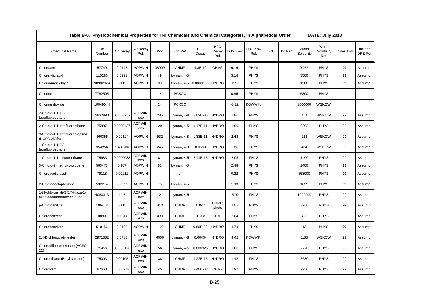| Table B-6. Physicochemical Properties for TRI Chemicals and Chemical Categories, in Alphabetical Order |               |           |                   |                |              |              |                             |                |                        |    |         |                     | DATE: July 2013             |              |                      |
|--------------------------------------------------------------------------------------------------------|---------------|-----------|-------------------|----------------|--------------|--------------|-----------------------------|----------------|------------------------|----|---------|---------------------|-----------------------------|--------------|----------------------|
| <b>Chemical Name</b>                                                                                   | CAS<br>Number | Air Decay | Air Decay<br>Ref. | Koc            | Koc Ref.     | H2O<br>Decay | <b>H2O</b><br>Decay<br>Ref. | <b>LOG Kow</b> | <b>LOG Kow</b><br>Ref. | Kd | Kd Ref. | Water<br>Solubility | Water<br>Solubility<br>Ref. | Inciner. DRE | Inciner.<br>DRE Ref. |
| Chlordane                                                                                              | 57749         | 0.0143    | <b>AOPWIN</b>     | 38000          | <b>CHMF</b>  | 4.3E-10      | <b>CHMF</b>                 | 6.16           | <b>PHYS</b>            |    |         | 0.056               | <b>PHYS</b>                 | 99           | Assump.              |
| Chlorendic acid                                                                                        | 115286        | 0.0221    | <b>AOPWIN</b>     | 49             | Lyman, 4-5   |              |                             | 3.14           | <b>PHYS</b>            |    |         | 3500                | <b>PHYS</b>                 | 99           | Assump.              |
| Chlorimuron ethyl*                                                                                     | 90982324      | 0.115     | <b>AOPWIN</b>     | 88             | Lyman, 4-5   | 0.0000136    | <b>HYDRO</b>                | 2.5            | <b>PHYS</b>            |    |         | 1200                | <b>PHYS</b>                 | 99           | Assump.              |
| Chlorine                                                                                               | 7782505       |           |                   | 14             | <b>PCKOC</b> |              |                             | 0.85           | <b>PHYS</b>            |    |         | 6300                | <b>PHYS</b>                 |              |                      |
| Chlorine dioxide                                                                                       | 10049044      |           |                   | 24             | <b>PCKOC</b> |              |                             | $-3.22$        | <b>KOWWIN</b>          |    |         | 1000000             | <b>WSKOW</b>                |              |                      |
| 2-Chloro-1,1,1,2-<br>tetrafluoroethane                                                                 | 2837890       | 0.0000257 | AOPWIN:<br>exp    | 245            | Lyman, 4-8   | 3.82E-06     | <b>HYDRO</b>                | 1.86           | <b>PHYS</b>            |    |         | 404                 | <b>WSKOW</b>                | 99           | Assump.              |
| 2-Chloro-1,1,1-trifluoroethane                                                                         | 75887         | 0.0000437 | AOPWIN:<br>exp    | 29             | Lyman, 4-5   | 1.47E-11     | <b>HYDRO</b>                | 1.99           | <b>PHYS</b>            |    |         | 9203                | <b>PHYS</b>                 | 99           | Assump.              |
| 3-Chloro-1,1,1-trifluoropropane<br>(HCFC-253fb)                                                        | 460355        | 0.00124   | <b>AOPWIN</b>     | 532            | Lyman, 4-8   | 1.33E-11     | <b>HYDRO</b>                | 2.48           | <b>PHYS</b>            |    |         | 123                 | <b>WSKOW</b>                | 99           | Assump.              |
| 1-Chloro-1,1,2,2-<br>tetrafluoroethane                                                                 | 354256        | 1.43E-06  | <b>AOPWIN</b>     | 245            | Lyman, 4-8   | 0.0569       | <b>HYDRO</b>                | 1.86           | <b>PHYS</b>            |    |         | 404                 | <b>WSKOW</b>                | 99           | Assump.              |
| 1-Chloro-1,1-difluoroethane                                                                            | 75683         | 0.0000083 | AOPWIN;<br>exp    | 81             | Lyman, 4-5   | 8.44E-13     | <b>HYDRO</b>                | 2.05           | <b>PHYS</b>            |    |         | 1400                | <b>PHYS</b>                 | 99           | Assump.              |
| 3-Chloro-2-methyl-1-propene                                                                            | 563473        | 0.107     | <b>AOPWIN</b>     | 81             | Lyman, 4-5   |              |                             | 2.48           | PHYS                   |    |         | 1400                | <b>PHYS</b>                 | 99           | Assump.              |
| Chloroacetic acid                                                                                      | 79118         | 0.00212   | <b>AOPWIN</b>     |                | lon          |              |                             | 0.22           | PHYS                   |    |         | 858000              | <b>PHYS</b>                 | 99           | Assump.              |
| 2-Chloroacetophenone                                                                                   | 532274        | 0.00552   | <b>AOPWIN</b>     | 75             | Lyman, 4-5   |              |                             | 1.93           | <b>PHYS</b>            |    |         | 1635                | <b>PHYS</b>                 | 99           | Assump.              |
| 1-(3-chloroallyl)-3,5,7-triaza-1-<br>azoniaadamantane chloride                                         | 4080313       | 1.43      | AOPWIN:<br>ave    | $\overline{2}$ | Lyman, 4-5   |              |                             | $-5.92$        | <b>PHYS</b>            |    |         | 1000000             | <b>PHYS</b>                 | 99           | Assump.              |
| p-Chloroaniline                                                                                        | 106478        | 0.115     | AOPWIN;<br>exp    | 410            | <b>CHMF</b>  | 0.047        | CHMF:<br>photo              | 1.83           | <b>PHYS</b>            |    |         | 3900                | <b>PHYS</b>                 | 99           | Assump.              |
| Chlorobenzene                                                                                          | 108907        | 0.00208   | AOPWIN;<br>exp    | 430            | <b>CHMF</b>  | 9E-08        | <b>CHMF</b>                 | 2.84           | <b>PHYS</b>            |    |         | 498                 | <b>PHYS</b>                 | 99           | Assump.              |
| Chlorobenzilate                                                                                        | 510156        | 0.0138    | <b>AOPWIN</b>     | 1100           | <b>CHMF</b>  | 9.66E-08     | <b>HYDRO</b>                | 4.74           | <b>PHYS</b>            |    |         | 13                  | <b>PHYS</b>                 | 99           | Assump.              |
| 2,4-D chlorocrotyl ester                                                                               | 2971382       | 0.0788    | AOPWIN:<br>ave    | 6050           | Lyman, 4-8   | 0.00434      | <b>HYDRO</b>                | 4.42           | <b>KOWWIN</b>          |    |         | 1.83                | <b>WSKOW</b>                | 99           | Assump.              |
| Chlorodifluoromethane (HCFC-<br>22)                                                                    | 75456         | 0.0000126 | AOPWIN;<br>exp    | 56             | Lyman, 4-5   | 0.000325     | <b>HYDRO</b>                | 1.08           | <b>PHYS</b>            |    |         | 2770                | PHYS                        | 99           | Assump.              |
| Chloroethane (Ethyl chloride)                                                                          | 75003         | 0.00105   | AOPWIN:<br>exp    | 38             | <b>CHMF</b>  | 4.22E-15     | <b>HYDRO</b>                | 1.43           | <b>PHYS</b>            |    |         | 5680                | <b>PHYS</b>                 | 99           | Assump.              |
| Chloroform                                                                                             | 67663         | 0.000278  | AOPWIN;<br>exp    | 45             | <b>CHMF</b>  | 2.48E-08     | <b>CHMF</b>                 | 1.97           | <b>PHYS</b>            |    |         | 7950                | <b>PHYS</b>                 | 99           | Assump.              |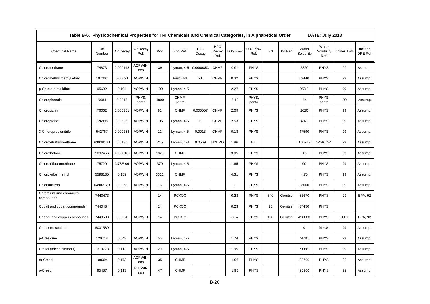| Table B-6. Physicochemical Properties for TRI Chemicals and Chemical Categories, in Alphabetical Order |               |           |                   |      |                |                     |                                   |                |                        |     |          |                     | DATE: July 2013             |              |                      |
|--------------------------------------------------------------------------------------------------------|---------------|-----------|-------------------|------|----------------|---------------------|-----------------------------------|----------------|------------------------|-----|----------|---------------------|-----------------------------|--------------|----------------------|
| <b>Chemical Name</b>                                                                                   | CAS<br>Number | Air Decay | Air Decay<br>Ref. | Koc  | Koc Ref.       | <b>H2O</b><br>Decay | H <sub>2</sub> O<br>Decay<br>Ref. | <b>LOG Kow</b> | <b>LOG Kow</b><br>Ref. | Kd  | Kd Ref.  | Water<br>Solubility | Water<br>Solubility<br>Ref. | Inciner. DRE | Inciner.<br>DRE Ref. |
| Chloromethane                                                                                          | 74873         | 0.000118  | AOPWIN;<br>exp    | 39   | Lyman, 4-5     | 0.0000853           | <b>CHMF</b>                       | 0.91           | <b>PHYS</b>            |     |          | 5320                | <b>PHYS</b>                 | 99           | Assump.              |
| Chloromethyl methyl ether                                                                              | 107302        | 0.00621   | <b>AOPWIN</b>     |      | Fast Hyd       | 21                  | <b>CHMF</b>                       | 0.32           | <b>PHYS</b>            |     |          | 69440               | <b>PHYS</b>                 | 99           | Assump.              |
| p-Chloro-o-toluidine                                                                                   | 95692         | 0.104     | <b>AOPWIN</b>     | 100  | Lyman, 4-5     |                     |                                   | 2.27           | <b>PHYS</b>            |     |          | 953.9               | <b>PHYS</b>                 | 99           | Assump.              |
| Chlorophenols                                                                                          | N084          | 0.0015    | PHYS:<br>penta    | 4800 | CHMF:<br>penta |                     |                                   | 5.12           | PHYS:<br>penta         |     |          | 14                  | PHYS:<br>penta              | 99           | Assump.              |
| Chloropicrin                                                                                           | 76062         | 0.000351  | <b>AOPWIN</b>     | 81   | <b>CHMF</b>    | 0.000007            | <b>CHMF</b>                       | 2.09           | <b>PHYS</b>            |     |          | 1620                | <b>PHYS</b>                 | 99           | Assump.              |
| Chloroprene                                                                                            | 126998        | 0.0595    | <b>AOPWIN</b>     | 105  | Lyman, 4-5     | $\mathsf 0$         | <b>CHMF</b>                       | 2.53           | <b>PHYS</b>            |     |          | 874.9               | <b>PHYS</b>                 | 99           | Assump.              |
| 3-Chloropropionitrile                                                                                  | 542767        | 0.000288  | <b>AOPWIN</b>     | 12   | Lyman, 4-5     | 0.0013              | <b>CHMF</b>                       | 0.18           | <b>PHYS</b>            |     |          | 47590               | <b>PHYS</b>                 | 99           | Assump.              |
| Chlorotetrafluoroethane                                                                                | 63938103      | 0.0136    | <b>AOPWIN</b>     | 245  | Lyman, 4-8     | 0.0569              | <b>HYDRO</b>                      | 1.86           | HL.                    |     |          | 0.00917             | <b>WSKOW</b>                | 99           | Assump.              |
| Chlorothalonil                                                                                         | 1897456       | 0.0000167 | <b>AOPWIN</b>     | 1820 | <b>CHMF</b>    |                     |                                   | 3.05           | <b>PHYS</b>            |     |          | 0.6                 | <b>PHYS</b>                 | 99           | Assump.              |
| Chlorotrifluoromethane                                                                                 | 75729         | 3.78E-06  | <b>AOPWIN</b>     | 370  | Lyman, 4-5     |                     |                                   | 1.65           | <b>PHYS</b>            |     |          | 90                  | <b>PHYS</b>                 | 99           | Assump.              |
| Chlorpyrifos methyl                                                                                    | 5598130       | 0.159     | <b>AOPWIN</b>     | 3311 | <b>CHMF</b>    |                     |                                   | 4.31           | <b>PHYS</b>            |     |          | 4.76                | <b>PHYS</b>                 | 99           | Assump.              |
| Chlorsulfuron                                                                                          | 64902723      | 0.0068    | <b>AOPWIN</b>     | 16   | Lyman, 4-5     |                     |                                   | $\overline{2}$ | <b>PHYS</b>            |     |          | 28000               | <b>PHYS</b>                 | 99           | Assump.              |
| Chromium and chromium<br>compounds                                                                     | 7440473       |           |                   | 14   | <b>PCKOC</b>   |                     |                                   | 0.23           | <b>PHYS</b>            | 340 | Gerritse | 86670               | <b>PHYS</b>                 | 99           | EPA, 92              |
| Cobalt and cobalt compounds                                                                            | 7440484       |           |                   | 14   | <b>PCKOC</b>   |                     |                                   | 0.23           | <b>PHYS</b>            | 10  | Gerritse | 87450               | <b>PHYS</b>                 |              |                      |
| Copper and copper compounds                                                                            | 7440508       | 0.0264    | <b>AOPWIN</b>     | 14   | <b>PCKOC</b>   |                     |                                   | $-0.57$        | <b>PHYS</b>            | 150 | Gerritse | 420800              | <b>PHYS</b>                 | 99.9         | EPA, 92              |
| Creosote, coal tar                                                                                     | 8001589       |           |                   |      |                |                     |                                   |                |                        |     |          | 0                   | Merck                       | 99           | Assump.              |
| p-Cresidine                                                                                            | 120718        | 0.543     | <b>AOPWIN</b>     | 55   | Lyman, 4-5     |                     |                                   | 1.74           | <b>PHYS</b>            |     |          | 2810                | <b>PHYS</b>                 | 99           | Assump.              |
| Cresol (mixed isomers)                                                                                 | 1319773       | 0.113     | <b>AOPWIN</b>     | 29   | Lyman, 4-5     |                     |                                   | 1.95           | <b>PHYS</b>            |     |          | 9066                | <b>PHYS</b>                 | 99           | Assump.              |
| m-Cresol                                                                                               | 108394        | 0.173     | AOPWIN;<br>exp    | 35   | <b>CHMF</b>    |                     |                                   | 1.96           | <b>PHYS</b>            |     |          | 22700               | <b>PHYS</b>                 | 99           | Assump.              |
| o-Cresol                                                                                               | 95487         | 0.113     | AOPWIN:<br>exp    | 47   | <b>CHMF</b>    |                     |                                   | 1.95           | <b>PHYS</b>            |     |          | 25900               | <b>PHYS</b>                 | 99           | Assump.              |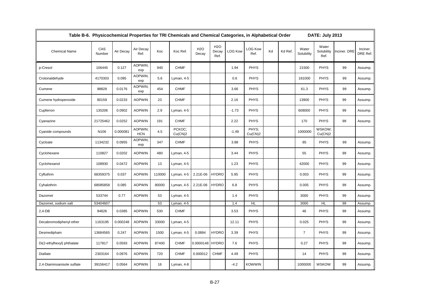|                            | Table B-6. Physicochemical Properties for TRI Chemicals and Chemical Categories, in Alphabetical Order<br><b>DATE: July 2013</b> |           |                       |        |                   |                           |                             |                |                        |    |         |                     |                             |              |                      |
|----------------------------|----------------------------------------------------------------------------------------------------------------------------------|-----------|-----------------------|--------|-------------------|---------------------------|-----------------------------|----------------|------------------------|----|---------|---------------------|-----------------------------|--------------|----------------------|
| <b>Chemical Name</b>       | CAS<br>Number                                                                                                                    | Air Decay | Air Decay<br>Ref.     | Koc    | Koc Ref.          | H <sub>2</sub> O<br>Decay | <b>H2O</b><br>Decay<br>Ref. | <b>LOG Kow</b> | <b>LOG Kow</b><br>Ref. | Kd | Kd Ref. | Water<br>Solubility | Water<br>Solubility<br>Ref. | Inciner. DRE | Inciner.<br>DRE Ref. |
| p-Cresol                   | 106445                                                                                                                           | 0.127     | AOPWIN;<br>exp        | 940    | <b>CHMF</b>       |                           |                             | 1.94           | <b>PHYS</b>            |    |         | 21500               | <b>PHYS</b>                 | 99           | Assump.              |
| Crotonaldehyde             | 4170303                                                                                                                          | 0.095     | AOPWIN;<br>exp        | 5.6    | Lyman, 4-5        |                           |                             | 0.6            | <b>PHYS</b>            |    |         | 181000              | PHYS                        | 99           | Assump.              |
| Cumene                     | 98828                                                                                                                            | 0.0176    | AOPWIN:<br>exp        | 454    | <b>CHMF</b>       |                           |                             | 3.66           | <b>PHYS</b>            |    |         | 61.3                | <b>PHYS</b>                 | 99           | Assump.              |
| Cumene hydroperoxide       | 80159                                                                                                                            | 0.0233    | <b>AOPWIN</b>         | 23     | <b>CHMF</b>       |                           |                             | 2.16           | <b>PHYS</b>            |    |         | 13900               | <b>PHYS</b>                 | 99           | Assump.              |
| Cupferron                  | 135206                                                                                                                           | 0.0902    | <b>AOPWIN</b>         | 2.9    | Lyman, 4-5        |                           |                             | $-1.73$        | <b>PHYS</b>            |    |         | 608000              | <b>PHYS</b>                 | 99           | Assump.              |
| Cyanazine                  | 21725462                                                                                                                         | 0.0252    | <b>AOPWIN</b>         | 191    | <b>CHMF</b>       |                           |                             | 2.22           | <b>PHYS</b>            |    |         | 170                 | <b>PHYS</b>                 | 99           | Assump.              |
| Cyanide compounds          | N106                                                                                                                             | 0.000081  | AOPWIN;<br><b>HCN</b> | 4.5    | PCKOC:<br>Cu(CN)2 |                           |                             | $-1.49$        | PHYS:<br>Cu(CN)2       |    |         | 1000000             | WSKOW;<br>Cu(CN)2           |              |                      |
| Cycloate                   | 1134232                                                                                                                          | 0.0955    | AOPWIN:<br>exp        | 347    | <b>CHMF</b>       |                           |                             | 3.88           | <b>PHYS</b>            |    |         | 85                  | PHYS                        | 99           | Assump.              |
| Cyclohexane                | 110827                                                                                                                           | 0.0202    | <b>AOPWIN</b>         | 480    | Lyman, 4-5        |                           |                             | 3.44           | <b>PHYS</b>            |    |         | 55                  | <b>PHYS</b>                 | 99           | Assump.              |
| Cyclohexanol               | 108930                                                                                                                           | 0.0472    | <b>AOPWIN</b>         | 13     | Lyman, 4-5        |                           |                             | 1.23           | PHYS                   |    |         | 42000               | <b>PHYS</b>                 | 99           | Assump.              |
| Cyfluthrin                 | 68359375                                                                                                                         | 0.037     | <b>AOPWIN</b>         | 110000 | Lyman, 4-5        | 2.21E-06                  | <b>HYDRO</b>                | 5.95           | <b>PHYS</b>            |    |         | 0.003               | <b>PHYS</b>                 | 99           | Assump.              |
| Cyhalothrin                | 68085858                                                                                                                         | 0.085     | <b>AOPWIN</b>         | 80000  | Lyman, 4-5        | 2.21E-06                  | <b>HYDRO</b>                | 6.8            | <b>PHYS</b>            |    |         | 0.005               | <b>PHYS</b>                 | 99           | Assump.              |
| Dazomet                    | 533744                                                                                                                           | 0.77      | <b>AOPWIN</b>         | 53     | Lyman, 4-5        |                           |                             | 1.4            | <b>PHYS</b>            |    |         | 3000                | <b>PHYS</b>                 | 99           | Assump.              |
| Dazomet, sodium salt       | 53404607                                                                                                                         |           |                       | 53     | Lyman, 4-5        |                           |                             | 1.4            | <b>HL</b>              |    |         | 3000                | <b>HL</b>                   | 99           | Assump.              |
| 2,4-DB                     | 94826                                                                                                                            | 0.0385    | <b>AOPWIN</b>         | 530    | <b>CHMF</b>       |                           |                             | 3.53           | <b>PHYS</b>            |    |         | 46                  | <b>PHYS</b>                 | 99           | Assump.              |
| Decabromodiphenyl ether    | 1163195                                                                                                                          | 0.000248  | <b>AOPWIN</b>         | 33000  | Lyman, 4-5        |                           |                             | 12.11          | <b>PHYS</b>            |    |         | 0.025               | <b>PHYS</b>                 | 99           | Assump.              |
| Desmedipham                | 13684565                                                                                                                         | 0.247     | <b>AOPWIN</b>         | 1500   | Lyman, 4-5        | 0.0894                    | <b>HYDRO</b>                | 3.39           | <b>PHYS</b>            |    |         | $\overline{7}$      | <b>PHYS</b>                 | 99           | Assump.              |
| Di(2-ethylhexyl) phthalate | 117817                                                                                                                           | 0.0593    | <b>AOPWIN</b>         | 87400  | <b>CHMF</b>       | 0.0000148                 | <b>HYDRO</b>                | 7.6            | <b>PHYS</b>            |    |         | 0.27                | <b>PHYS</b>                 | 99           | Assump.              |
| Diallate                   | 2303164                                                                                                                          | 0.0976    | <b>AOPWIN</b>         | 720    | <b>CHMF</b>       | 0.000012                  | <b>CHMF</b>                 | 4.49           | <b>PHYS</b>            |    |         | 14                  | <b>PHYS</b>                 | 99           | Assump.              |
| 2,4-Diaminoanisole sulfate | 39156417                                                                                                                         | 0.0564    | <b>AOPWIN</b>         | 16     | Lyman, 4-8        |                           |                             | $-4.2$         | <b>KOWWIN</b>          |    |         | 1000000             | <b>WSKOW</b>                | 99           | Assump.              |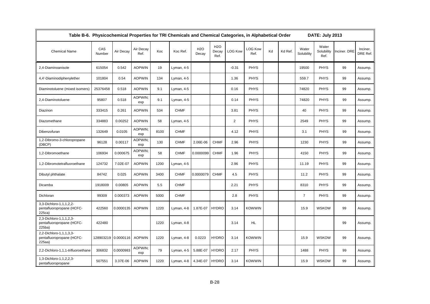| Table B-6. Physicochemical Properties for TRI Chemicals and Chemical Categories, in Alphabetical Order<br>DATE: July 2013 |                     |           |                       |      |             |                           |                                   |                |                        |    |         |                     |                             |              |                      |
|---------------------------------------------------------------------------------------------------------------------------|---------------------|-----------|-----------------------|------|-------------|---------------------------|-----------------------------------|----------------|------------------------|----|---------|---------------------|-----------------------------|--------------|----------------------|
| <b>Chemical Name</b>                                                                                                      | CAS<br>Number       | Air Decay | Air Decay<br>Ref.     | Koc  | Koc Ref.    | H <sub>2</sub> O<br>Decay | H <sub>2</sub> O<br>Decay<br>Ref. | <b>LOG Kow</b> | <b>LOG Kow</b><br>Ref. | Kd | Kd Ref. | Water<br>Solubility | Water<br>Solubility<br>Ref. | Inciner. DRE | Inciner.<br>DRE Ref. |
| 2,4-Diaminoanisole                                                                                                        | 615054              | 0.542     | <b>AOPWIN</b>         | 19   | Lyman, 4-5  |                           |                                   | $-0.31$        | <b>PHYS</b>            |    |         | 19500               | <b>PHYS</b>                 | 99           | Assump.              |
| 4,4'-Diaminodiphenylether                                                                                                 | 101804              | 0.54      | <b>AOPWIN</b>         | 134  | Lyman, 4-5  |                           |                                   | 1.36           | <b>PHYS</b>            |    |         | 559.7               | <b>PHYS</b>                 | 99           | Assump.              |
| Diaminotoluene (mixed isomers)                                                                                            | 25376458            | 0.518     | <b>AOPWIN</b>         | 9.1  | Lyman, 4-5  |                           |                                   | 0.16           | <b>PHYS</b>            |    |         | 74820               | <b>PHYS</b>                 | 99           | Assump.              |
| 2,4-Diaminotoluene                                                                                                        | 95807               | 0.518     | AOPWIN:<br>exp        | 9.1  | Lyman, 4-5  |                           |                                   | 0.14           | <b>PHYS</b>            |    |         | 74820               | <b>PHYS</b>                 | 99           | Assump.              |
| Diazinon                                                                                                                  | 333415              | 0.261     | <b>AOPWIN</b>         | 534  | <b>CHMF</b> |                           |                                   | 3.81           | <b>PHYS</b>            |    |         | 40                  | <b>PHYS</b>                 | 99           | Assump.              |
| Diazomethane                                                                                                              | 334883              | 0.00252   | <b>AOPWIN</b>         | 58   | Lyman, 4-5  |                           |                                   | $\overline{2}$ | <b>PHYS</b>            |    |         | 2549                | <b>PHYS</b>                 | 99           | Assump.              |
| Dibenzofuran                                                                                                              | 132649              | 0.0105    | <b>AOPWIN:</b><br>exp | 8100 | <b>CHMF</b> |                           |                                   | 4.12           | <b>PHYS</b>            |    |         | 3.1                 | <b>PHYS</b>                 | 99           | Assump.              |
| 1,2-Dibromo-3-chloropropane<br>(DBCP)                                                                                     | 96128               | 0.00117   | AOPWIN:<br>exp        | 130  | <b>CHMF</b> | 2.06E-06                  | <b>CHMF</b>                       | 2.96           | <b>PHYS</b>            |    |         | 1230                | <b>PHYS</b>                 | 99           | Assump.              |
| 1,2-Dibromoethane                                                                                                         | 106934              | 0.000675  | AOPWIN:<br>exp        | 58   | <b>CHMF</b> | 0.0000099                 | <b>CHMF</b>                       | 1.96           | <b>PHYS</b>            |    |         | 4150                | <b>PHYS</b>                 | 99           | Assump.              |
| 1,2-Dibromotetrafluoroethane                                                                                              | 124732              | 7.02E-07  | <b>AOPWIN</b>         | 1200 | Lyman, 4-5  |                           |                                   | 2.96           | <b>PHYS</b>            |    |         | 11.19               | <b>PHYS</b>                 | 99           | Assump.              |
| Dibutyl phthalate                                                                                                         | 84742               | 0.025     | <b>AOPWIN</b>         | 3400 | <b>CHMF</b> | 0.0000079                 | <b>CHMF</b>                       | 4.5            | <b>PHYS</b>            |    |         | 11.2                | <b>PHYS</b>                 | 99           | Assump.              |
| Dicamba                                                                                                                   | 1918009             | 0.00805   | <b>AOPWIN</b>         | 5.5  | <b>CHMF</b> |                           |                                   | 2.21           | <b>PHYS</b>            |    |         | 8310                | <b>PHYS</b>                 | 99           | Assump.              |
| Dichloran                                                                                                                 | 99309               | 0.000373  | <b>AOPWIN</b>         | 5000 | <b>CHMF</b> |                           |                                   | 2.8            | <b>PHYS</b>            |    |         | $\overline{7}$      | <b>PHYS</b>                 | 99           | Assump.              |
| 3,3-Dichloro-1,1,1,2,2-<br>pentafluoropropane (HCFC-<br>225ca)                                                            | 422560              | 0.0000135 | <b>AOPWIN</b>         | 1220 | Lyman, 4-8  | 1.87E-07                  | <b>HYDRO</b>                      | 3.14           | <b>KOWWIN</b>          |    |         | 15.9                | <b>WSKOW</b>                | 99           | Assump.              |
| 2,3-Dichloro-1,1,1,2,3-<br>pentafluoropropane (HCFC-<br>225ba)                                                            | 422480              |           |                       | 1220 | Lyman, 4-8  |                           |                                   | 3.14           | HL.                    |    |         |                     |                             | 99           | Assump.              |
| 2,2-Dichloro-1,1,1,3,3-<br>pentafluoropropane (HCFC-<br>225aa)                                                            | 128903219 0.0000116 |           | <b>AOPWIN</b>         | 1220 | Lyman, 4-8  | 0.0223                    | <b>HYDRO</b>                      | 3.14           | <b>KOWWIN</b>          |    |         | 15.9                | <b>WSKOW</b>                | 99           | Assump.              |
| 2,2-Dichloro-1,1,1-trifluoroethane                                                                                        | 306832              | 0.0000983 | AOPWIN:<br>exp        | 79   | Lyman, 4-5  | 5.88E-07                  | <b>HYDRO</b>                      | 2.17           | <b>PHYS</b>            |    |         | 1488                | <b>PHYS</b>                 | 99           | Assump.              |
| 1,3-Dichloro-1,1,2,2,3-<br>pentafluoropropane                                                                             | 507551              | 3.37E-06  | <b>AOPWIN</b>         | 1220 | Lyman, 4-8  | 4.34E-07                  | <b>HYDRO</b>                      | 3.14           | <b>KOWWIN</b>          |    |         | 15.9                | <b>WSKOW</b>                | 99           | Assump.              |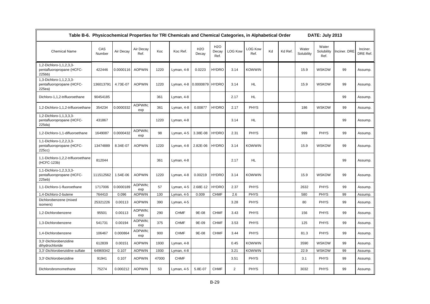| Table B-6. Physicochemical Properties for TRI Chemicals and Chemical Categories, in Alphabetical Order<br>DATE: July 2013 |               |           |                   |       |             |                     |                             |                |                        |    |         |                     |                             |              |                      |
|---------------------------------------------------------------------------------------------------------------------------|---------------|-----------|-------------------|-------|-------------|---------------------|-----------------------------|----------------|------------------------|----|---------|---------------------|-----------------------------|--------------|----------------------|
| <b>Chemical Name</b>                                                                                                      | CAS<br>Number | Air Decay | Air Decay<br>Ref. | Koc   | Koc Ref.    | <b>H2O</b><br>Decay | <b>H2O</b><br>Decay<br>Ref. | <b>LOG Kow</b> | <b>LOG Kow</b><br>Ref. | Kd | Kd Ref. | Water<br>Solubility | Water<br>Solubility<br>Ref. | Inciner. DRE | Inciner.<br>DRE Ref. |
| 1,2-Dichloro-1,1,2,3,3-<br>pentafluoropropane (HCFC-<br>225bb)                                                            | 422446        | 0.0000116 | <b>AOPWIN</b>     | 1220  | Lyman, 4-8  | 0.0223              | <b>HYDRO</b>                | 3.14           | <b>KOWWIN</b>          |    |         | 15.9                | <b>WSKOW</b>                | 99           | Assump.              |
| 1,3-Dichloro-1,1,2,3,3-<br>pentafluoropropane (HCFC-<br>225ea)                                                            | 136013791     | 4.73E-07  | <b>AOPWIN</b>     | 1220  | Lyman, 4-8  | 0.0000879 HYDRO     |                             | 3.14           | HL.                    |    |         | 15.9                | <b>WSKOW</b>                | 99           | Assump.              |
| Dichloro-1,1,2-trifluoroethane                                                                                            | 90454185      |           |                   | 361   | Lyman, 4-8  |                     |                             | 2.17           | HL.                    |    |         |                     |                             | 99           | Assump.              |
| 1,2-Dichloro-1,1,2-trifluoroethane                                                                                        | 354234        | 0.0000332 | AOPWIN;<br>exp    | 361   | Lyman, 4-8  | 0.00877             | <b>HYDRO</b>                | 2.17           | <b>PHYS</b>            |    |         | 186                 | <b>WSKOW</b>                | 99           | Assump.              |
| 1,2-Dichloro-1,1,3,3,3-<br>pentafluoropropane (HCFC-<br>225da)                                                            | 431867        |           |                   | 1220  | Lyman, 4-8  |                     |                             | 3.14           | <b>HL</b>              |    |         |                     |                             | 99           | Assump.              |
| 1,2-Dichloro-1,1-difluoroethane                                                                                           | 1649087       | 0.0000432 | AOPWIN:<br>exp    | 98    | Lyman, 4-5  | 3.38E-08            | <b>HYDRO</b>                | 2.31           | <b>PHYS</b>            |    |         | 999                 | <b>PHYS</b>                 | 99           | Assump.              |
| 1,1-Dichloro-1,2,2,3,3-<br>pentafluoropropane (HCFC-<br>225cc)                                                            | 13474889      | 8.34E-07  | <b>AOPWIN</b>     | 1220  | Lyman, 4-8  | 2.82E-06            | <b>HYDRO</b>                | 3.14           | <b>KOWWIN</b>          |    |         | 15.9                | <b>WSKOW</b>                | 99           | Assump.              |
| 1,1-Dichloro-1,2,2-trifluoroethane<br>(HCFC-123b)                                                                         | 812044        |           |                   | 361   | Lyman, 4-8  |                     |                             | 2.17           | HL                     |    |         |                     |                             | 99           | Assump.              |
| 1,1-Dichloro-1,2,3,3,3-<br>pentafluoropropane (HCFC-<br>225eb)                                                            | 111512562     | 1.54E-06  | <b>AOPWIN</b>     | 1220  | Lyman, 4-8  | 0.00219             | <b>HYDRO</b>                | 3.14           | <b>KOWWIN</b>          |    |         | 15.9                | <b>WSKOW</b>                | 99           | Assump.              |
| 1,1-Dichloro-1-fluoroethane                                                                                               | 1717006       | 0.0000189 | AOPWIN:<br>exp    | 57    | Lyman, 4-5  | 2.68E-12            | <b>HYDRO</b>                | 2.37           | <b>PHYS</b>            |    |         | 2632                | <b>PHYS</b>                 | 99           | Assump.              |
| 1,4-Dichloro-2-butene                                                                                                     | 764410        | 0.096     | <b>AOPWIN</b>     | 130   | Lyman, 4-5  | 0.009               | <b>CHMF</b>                 | 2.6            | <b>PHYS</b>            |    |         | 580                 | <b>PHYS</b>                 | 99           | Assump.              |
| Dichlorobenzene (mixed<br>isomers)                                                                                        | 25321226      | 0.00113   | <b>AOPWIN</b>     | 390   | Lyman, 4-5  |                     |                             | 3.28           | <b>PHYS</b>            |    |         | 80                  | <b>PHYS</b>                 | 99           | Assump.              |
| 1,2-Dichlorobenzene                                                                                                       | 95501         | 0.00113   | AOPWIN;<br>exp    | 290   | <b>CHMF</b> | 9E-08               | <b>CHMF</b>                 | 3.43           | <b>PHYS</b>            |    |         | 156                 | <b>PHYS</b>                 | 99           | Assump.              |
| 1,3-Dichlorobenzene                                                                                                       | 541731        | 0.00194   | AOPWIN:<br>exp    | 375   | <b>CHMF</b> | 9E-09               | <b>CHMF</b>                 | 3.53           | <b>PHYS</b>            |    |         | 125                 | <b>PHYS</b>                 | 99           | Assump.              |
| 1,4-Dichlorobenzene                                                                                                       | 106467        | 0.000864  | AOPWIN:<br>exp    | 900   | <b>CHMF</b> | 9E-08               | <b>CHMF</b>                 | 3.44           | <b>PHYS</b>            |    |         | 81.3                | <b>PHYS</b>                 | 99           | Assump.              |
| 3,3'-Dichlorobenzidine<br>dihydrochloride                                                                                 | 612839        | 0.00151   | <b>AOPWIN</b>     | 1930  | Lyman, 4-8  |                     |                             | 0.45           | <b>KOWWIN</b>          |    |         | 3590                | <b>WSKOW</b>                | 99           | Assump.              |
| 3,3'-Dichlorobenzidine sulfate                                                                                            | 64969342      | 0.107     | <b>AOPWIN</b>     | 1930  | Lyman, 4-8  |                     |                             | 3.21           | <b>KOWWIN</b>          |    |         | 22.9                | <b>WSKOW</b>                | 99           | Assump.              |
| 3,3'-Dichlorobenzidine                                                                                                    | 91941         | 0.107     | <b>AOPWIN</b>     | 47000 | <b>CHMF</b> |                     |                             | 3.51           | <b>PHYS</b>            |    |         | 3.1                 | <b>PHYS</b>                 | 99           | Assump.              |
| Dichlorobromomethane                                                                                                      | 75274         | 0.000212  | <b>AOPWIN</b>     | 53    | Lyman, 4-5  | 5.8E-07             | <b>CHMF</b>                 | $\overline{2}$ | <b>PHYS</b>            |    |         | 3032                | <b>PHYS</b>                 | 99           | Assump.              |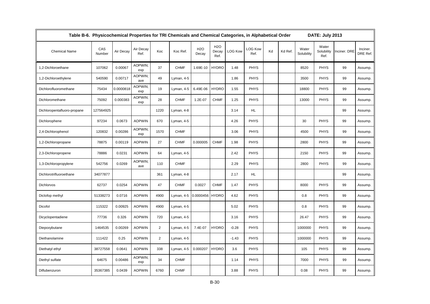|                             | Table B-6. Physicochemical Properties for TRI Chemicals and Chemical Categories, in Alphabetical Order |           |                   |                |             |                           |                                   |                |                        |    |         |                     |                             |              |                      |
|-----------------------------|--------------------------------------------------------------------------------------------------------|-----------|-------------------|----------------|-------------|---------------------------|-----------------------------------|----------------|------------------------|----|---------|---------------------|-----------------------------|--------------|----------------------|
| <b>Chemical Name</b>        | CAS<br>Number                                                                                          | Air Decay | Air Decay<br>Ref. | Koc            | Koc Ref.    | H <sub>2</sub> O<br>Decay | H <sub>2</sub> O<br>Decay<br>Ref. | <b>LOG Kow</b> | <b>LOG Kow</b><br>Ref. | Kd | Kd Ref. | Water<br>Solubility | Water<br>Solubility<br>Ref. | Inciner. DRE | Inciner.<br>DRE Ref. |
| 1,2-Dichloroethane          | 107062                                                                                                 | 0.00067   | AOPWIN:<br>exp    | 37             | <b>CHMF</b> | 1.69E-10                  | <b>HYDRO</b>                      | 1.48           | <b>PHYS</b>            |    |         | 8520                | <b>PHYS</b>                 | 99           | Assump.              |
| 1,2-Dichloroethylene        | 540590                                                                                                 | 0.00717   | AOPWIN;<br>ave    | 49             | Lyman, 4-5  |                           |                                   | 1.86           | <b>PHYS</b>            |    |         | 3500                | <b>PHYS</b>                 | 99           | Assump.              |
| Dichlorofluoromethane       | 75434                                                                                                  | 0.0000818 | AOPWIN;<br>exp    | 19             | Lyman, 4-5  | 6.49E-06                  | <b>HYDRO</b>                      | 1.55           | <b>PHYS</b>            |    |         | 18800               | <b>PHYS</b>                 | 99           | Assump.              |
| Dichloromethane             | 75092                                                                                                  | 0.000383  | AOPWIN:<br>exp    | 28             | <b>CHMF</b> | 1.2E-07                   | <b>CHMF</b>                       | 1.25           | <b>PHYS</b>            |    |         | 13000               | <b>PHYS</b>                 | 99           | Assump.              |
| Dichloropentafluoro-propane | 127564925                                                                                              |           |                   | 1220           | Lyman, 4-8  |                           |                                   | 3.14           | HL.                    |    |         |                     |                             | 99           | Assump.              |
| Dichlorophene               | 97234                                                                                                  | 0.0673    | <b>AOPWIN</b>     | 670            | Lyman, 4-5  |                           |                                   | 4.26           | <b>PHYS</b>            |    |         | 30                  | <b>PHYS</b>                 | 99           | Assump.              |
| 2,4-Dichlorophenol          | 120832                                                                                                 | 0.00286   | AOPWIN;<br>exp    | 1570           | <b>CHMF</b> |                           |                                   | 3.06           | <b>PHYS</b>            |    |         | 4500                | <b>PHYS</b>                 | 99           | Assump.              |
| 1,2-Dichloropropane         | 78875                                                                                                  | 0.00119   | <b>AOPWIN</b>     | 27             | <b>CHMF</b> | 0.000005                  | <b>CHMF</b>                       | 1.98           | <b>PHYS</b>            |    |         | 2800                | <b>PHYS</b>                 | 99           | Assump.              |
| 2,3-Dichloropropene         | 78886                                                                                                  | 0.0231    | <b>AOPWIN</b>     | 64             | Lyman, 4-5  |                           |                                   | 2.42           | <b>PHYS</b>            |    |         | 2150                | <b>PHYS</b>                 | 99           | Assump.              |
| 1,3-Dichloropropylene       | 542756                                                                                                 | 0.0269    | AOPWIN;<br>ave    | 110            | <b>CHMF</b> |                           |                                   | 2.29           | <b>PHYS</b>            |    |         | 2800                | <b>PHYS</b>                 | 99           | Assump.              |
| Dichlorotrifluoroethane     | 34077877                                                                                               |           |                   | 361            | Lyman, 4-8  |                           |                                   | 2.17           | <b>HL</b>              |    |         |                     |                             | 99           | Assump.              |
| Dichlorvos                  | 62737                                                                                                  | 0.0254    | <b>AOPWIN</b>     | 47             | <b>CHMF</b> | 0.0027                    | <b>CHMF</b>                       | 1.47           | <b>PHYS</b>            |    |         | 8000                | <b>PHYS</b>                 | 99           | Assump.              |
| Diclofop methyl             | 51338273                                                                                               | 0.0716    | <b>AOPWIN</b>     | 4900           | Lyman, 4-5  | 0.0000456 HYDRO           |                                   | 4.62           | <b>PHYS</b>            |    |         | 0.8                 | <b>PHYS</b>                 | 99           | Assump.              |
| Dicofol                     | 115322                                                                                                 | 0.00925   | <b>AOPWIN</b>     | 4900           | Lyman, 4-5  |                           |                                   | 5.02           | <b>PHYS</b>            |    |         | 0.8                 | <b>PHYS</b>                 | 99           | Assump.              |
| Dicyclopentadiene           | 77736                                                                                                  | 0.326     | <b>AOPWIN</b>     | 720            | Lyman, 4-5  |                           |                                   | 3.16           | <b>PHYS</b>            |    |         | 26.47               | <b>PHYS</b>                 | 99           | Assump.              |
| Diepoxybutane               | 1464535                                                                                                | 0.00269   | <b>AOPWIN</b>     | $\overline{2}$ | Lyman, 4-5  | 7.4E-07                   | <b>HYDRO</b>                      | $-0.28$        | <b>PHYS</b>            |    |         | 1000000             | <b>PHYS</b>                 | 99           | Assump.              |
| Diethanolamine              | 111422                                                                                                 | 0.25      | <b>AOPWIN</b>     | $\overline{2}$ | Lyman, 4-5  |                           |                                   | $-1.43$        | <b>PHYS</b>            |    |         | 1000000             | <b>PHYS</b>                 | 99           | Assump.              |
| Diethatyl ethyl             | 38727558                                                                                               | 0.0641    | <b>AOPWIN</b>     | 338            | Lyman, 4-5  | 0.000207                  | <b>HYDRO</b>                      | 3.6            | <b>PHYS</b>            |    |         | 105                 | <b>PHYS</b>                 | 99           | Assump.              |
| Diethyl sulfate             | 64675                                                                                                  | 0.00486   | AOPWIN;<br>exp    | 34             | <b>CHMF</b> |                           |                                   | 1.14           | <b>PHYS</b>            |    |         | 7000                | <b>PHYS</b>                 | 99           | Assump.              |
| Diflubenzuron               | 35367385                                                                                               | 0.0439    | <b>AOPWIN</b>     | 6760           | <b>CHMF</b> |                           |                                   | 3.88           | <b>PHYS</b>            |    |         | 0.08                | <b>PHYS</b>                 | 99           | Assump.              |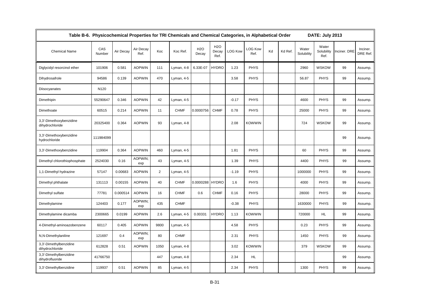| Table B-6. Physicochemical Properties for TRI Chemicals and Chemical Categories, in Alphabetical Order |               |           |                   |                |             |                           |                                   |                |                        |    |         |                     | DATE: July 2013             |              |                      |
|--------------------------------------------------------------------------------------------------------|---------------|-----------|-------------------|----------------|-------------|---------------------------|-----------------------------------|----------------|------------------------|----|---------|---------------------|-----------------------------|--------------|----------------------|
| <b>Chemical Name</b>                                                                                   | CAS<br>Number | Air Decay | Air Decay<br>Ref. | Koc            | Koc Ref.    | H <sub>2</sub> O<br>Decay | H <sub>2</sub> O<br>Decay<br>Ref. | <b>LOG Kow</b> | <b>LOG Kow</b><br>Ref. | Kd | Kd Ref. | Water<br>Solubility | Water<br>Solubility<br>Ref. | Inciner. DRE | Inciner.<br>DRE Ref. |
| Diglycidyl resorcinol ether                                                                            | 101906        | 0.581     | <b>AOPWIN</b>     | 111            | Lyman, 4-8  | 6.33E-07                  | <b>HYDRO</b>                      | 1.23           | <b>PHYS</b>            |    |         | 2960                | <b>WSKOW</b>                | 99           | Assump.              |
| Dihydrosafrole                                                                                         | 94586         | 0.139     | <b>AOPWIN</b>     | 470            | Lyman, 4-5  |                           |                                   | 3.58           | <b>PHYS</b>            |    |         | 56.87               | <b>PHYS</b>                 | 99           | Assump.              |
| Diisocyanates                                                                                          | N120          |           |                   |                |             |                           |                                   |                |                        |    |         |                     |                             |              |                      |
| Dimethipin                                                                                             | 55290647      | 0.346     | <b>AOPWIN</b>     | 42             | Lyman, 4-5  |                           |                                   | $-0.17$        | <b>PHYS</b>            |    |         | 4600                | <b>PHYS</b>                 | 99           | Assump.              |
| Dimethoate                                                                                             | 60515         | 0.214     | <b>AOPWIN</b>     | 11             | <b>CHMF</b> | 0.0000756                 | <b>CHMF</b>                       | 0.78           | <b>PHYS</b>            |    |         | 25000               | <b>PHYS</b>                 | 99           | Assump.              |
| 3,3'-Dimethoxybenzidine<br>dihydrochloride                                                             | 20325400      | 0.364     | <b>AOPWIN</b>     | 93             | Lyman, 4-8  |                           |                                   | 2.08           | <b>KOWWIN</b>          |    |         | 724                 | <b>WSKOW</b>                | 99           | Assump.              |
| 3,3'-Dimethoxybenzidine<br>hydrochloride                                                               | 111984099     |           |                   |                |             |                           |                                   |                |                        |    |         |                     |                             | 99           | Assump.              |
| 3,3'-Dimethoxybenzidine                                                                                | 119904        | 0.364     | <b>AOPWIN</b>     | 460            | Lyman, 4-5  |                           |                                   | 1.81           | <b>PHYS</b>            |    |         | 60                  | <b>PHYS</b>                 | 99           | Assump.              |
| Dimethyl chlorothiophosphate                                                                           | 2524030       | 0.16      | AOPWIN;<br>exp    | 43             | Lyman, 4-5  |                           |                                   | 1.39           | <b>PHYS</b>            |    |         | 4400                | <b>PHYS</b>                 | 99           | Assump.              |
| 1,1-Dimethyl hydrazine                                                                                 | 57147         | 0.00683   | <b>AOPWIN</b>     | $\overline{2}$ | Lyman, 4-5  |                           |                                   | $-1.19$        | <b>PHYS</b>            |    |         | 1000000             | <b>PHYS</b>                 | 99           | Assump.              |
| Dimethyl phthalate                                                                                     | 131113        | 0.00155   | <b>AOPWIN</b>     | 40             | <b>CHMF</b> | 0.0000288 HYDRO           |                                   | 1.6            | <b>PHYS</b>            |    |         | 4000                | <b>PHYS</b>                 | 99           | Assump.              |
| Dimethyl sulfate                                                                                       | 77781         | 0.000514  | <b>AOPWIN</b>     | 16             | <b>CHMF</b> | 0.6                       | <b>CHMF</b>                       | 0.16           | <b>PHYS</b>            |    |         | 28000               | <b>PHYS</b>                 | 99           | Assump.              |
| Dimethylamine                                                                                          | 124403        | 0.177     | AOPWIN;<br>exp    | 435            | <b>CHMF</b> |                           |                                   | $-0.38$        | <b>PHYS</b>            |    |         | 1630000             | <b>PHYS</b>                 | 99           | Assump.              |
| Dimethylamine dicamba                                                                                  | 2300665       | 0.0199    | <b>AOPWIN</b>     | 2.6            | Lyman, 4-5  | 0.00331                   | <b>HYDRO</b>                      | 1.13           | <b>KOWWIN</b>          |    |         | 720000              | <b>HL</b>                   | 99           | Assump.              |
| 4-Dimethyl-aminoazobenzene                                                                             | 60117         | 0.405     | <b>AOPWIN</b>     | 9800           | Lyman, 4-5  |                           |                                   | 4.58           | <b>PHYS</b>            |    |         | 0.23                | <b>PHYS</b>                 | 99           | Assump.              |
| N,N-Dimethylaniline                                                                                    | 121697        | 0.4       | AOPWIN:<br>exp    | 80             | <b>CHMF</b> |                           |                                   | 2.31           | <b>PHYS</b>            |    |         | 1450                | <b>PHYS</b>                 | 99           | Assump.              |
| 3,3'-Dimethylbenzidine<br>dihydrochloride                                                              | 612828        | 0.51      | <b>AOPWIN</b>     | 1050           | Lyman, 4-8  |                           |                                   | 3.02           | <b>KOWWIN</b>          |    |         | 379                 | <b>WSKOW</b>                | 99           | Assump.              |
| 3,3'-Dimethylbenzidine<br>dihydrofluoride                                                              | 41766750      |           |                   | 447            | Lyman, 4-8  |                           |                                   | 2.34           | HL.                    |    |         |                     |                             | 99           | Assump.              |
| 3,3'-Dimethylbenzidine                                                                                 | 119937        | 0.51      | <b>AOPWIN</b>     | 85             | Lyman, 4-5  |                           |                                   | 2.34           | <b>PHYS</b>            |    |         | 1300                | <b>PHYS</b>                 | 99           | Assump.              |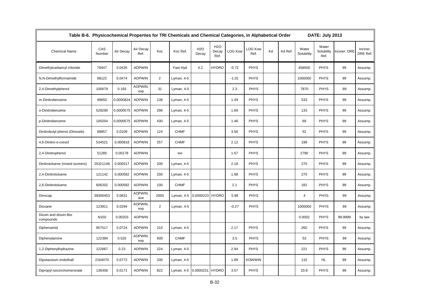| Table B-6. Physicochemical Properties for TRI Chemicals and Chemical Categories, in Alphabetical Order |                  |           |                   |                |             |                     |                                   |                |                        |    |         |                     | DATE: July 2013             |              |                      |
|--------------------------------------------------------------------------------------------------------|------------------|-----------|-------------------|----------------|-------------|---------------------|-----------------------------------|----------------|------------------------|----|---------|---------------------|-----------------------------|--------------|----------------------|
| <b>Chemical Name</b>                                                                                   | CAS<br>Number    | Air Decay | Air Decay<br>Ref. | Koc            | Koc Ref.    | <b>H2O</b><br>Decay | H <sub>2</sub> O<br>Decay<br>Ref. | <b>LOG Kow</b> | <b>LOG Kow</b><br>Ref. | Kd | Kd Ref. | Water<br>Solubility | Water<br>Solubility<br>Ref. | Inciner. DRE | Inciner.<br>DRE Ref. |
| Dimethylcarbamyl chloride                                                                              | 79447            | 0.0435    | <b>AOPWIN</b>     |                | Fast Hyd    | 4.2                 | <b>HYDRO</b>                      | $-0.72$        | <b>PHYS</b>            |    |         | 458500              | <b>PHYS</b>                 | 99           | Assump.              |
| N,N-Dimethylformamide                                                                                  | 68122            | 0.0474    | <b>AOPWIN</b>     | $\overline{2}$ | Lyman, 4-5  |                     |                                   | $-1.01$        | <b>PHYS</b>            |    |         | 1000000             | <b>PHYS</b>                 | 99           | Assump.              |
| 2,4-Dimethylphenol                                                                                     | 105679           | 0.193     | AOPWIN:<br>exp    | 31             | Lyman, 4-5  |                     |                                   | 2.3            | <b>PHYS</b>            |    |         | 7870                | <b>PHYS</b>                 | 99           | Assump.              |
| m-Dinitrobenzene                                                                                       | 99650            | 0.0000824 | <b>AOPWIN</b>     | 138            | Lyman, 4-5  |                     |                                   | 1.49           | <b>PHYS</b>            |    |         | 533                 | <b>PHYS</b>                 | 99           | Assump.              |
| o-Dinitrobenzene                                                                                       | 528290           | 0.0000575 | <b>AOPWIN</b>     | 296            | Lyman, 4-5  |                     |                                   | 1.69           | <b>PHYS</b>            |    |         | 133                 | <b>PHYS</b>                 | 99           | Assump.              |
| p-Dinitrobenzene                                                                                       | 100254           | 0.0000575 | <b>AOPWIN</b>     | 430            | Lyman, 4-5  |                     |                                   | 1.46           | <b>PHYS</b>            |    |         | 69                  | <b>PHYS</b>                 | 99           | Assump.              |
| Dinitrobutyl phenol (Dinoseb)                                                                          | 88857            | 0.0109    | <b>AOPWIN</b>     | 124            | <b>CHMF</b> |                     |                                   | 3.56           | <b>PHYS</b>            |    |         | 52                  | <b>PHYS</b>                 | 99           | Assump.              |
| 4,6-Dinitro-o-cresol                                                                                   | 534521           | 0.000818  | <b>AOPWIN</b>     | 257            | <b>CHMF</b> |                     |                                   | 2.12           | <b>PHYS</b>            |    |         | 198                 | <b>PHYS</b>                 | 99           | Assump.              |
| 2,4-Dinitrophenol                                                                                      | 51285            | 0.00178   | <b>AOPWIN</b>     |                | lon         |                     |                                   | 1.67           | <b>PHYS</b>            |    |         | 2790                | <b>PHYS</b>                 | 99           | Assump.              |
| Dinitrotoluene (mixed isomers)                                                                         | 25321146         | 0.000517  | <b>AOPWIN</b>     | 200            | Lyman, 4-5  |                     |                                   | 2.18           | <b>PHYS</b>            |    |         | 270                 | <b>PHYS</b>                 | 99           | Assump.              |
| 2,4-Dinitrotoluene                                                                                     | 121142           | 0.000582  | <b>AOPWIN</b>     | 200            | Lyman, 4-5  |                     |                                   | 1.98           | <b>PHYS</b>            |    |         | 270                 | <b>PHYS</b>                 | 99           | Assump.              |
| 2,6-Dinitrotoluene                                                                                     | 606202           | 0.000582  | <b>AOPWIN</b>     | 100            | <b>CHMF</b> |                     |                                   | 2.1            | <b>PHYS</b>            |    |         | 182                 | <b>PHYS</b>                 | 99           | Assump.              |
| Dinocap                                                                                                | 39300453         | 0.0831    | AOPWIN:<br>ave    | 2000           | Lyman, 4-5  | 0.0000223           | <b>HYDRO</b>                      | 5.98           | <b>PHYS</b>            |    |         | $\overline{4}$      | <b>PHYS</b>                 | 99           | Assump.              |
| Dioxane                                                                                                | 123911           | 0.0294    | AOPWIN;<br>exp    | $\overline{2}$ | Lyman, 4-5  |                     |                                   | $-0.27$        | <b>PHYS</b>            |    |         | 1000000             | <b>PHYS</b>                 | 99           | Assump.              |
| Dioxin and dioxin-like<br>compounds                                                                    | N <sub>150</sub> | 0.00203   | <b>AOPWIN</b>     |                |             |                     |                                   |                |                        |    |         | 0.0002              | <b>PHYS</b>                 | 99.9999      | by law               |
| Diphenamid                                                                                             | 957517           | 0.0724    | <b>AOPWIN</b>     | 210            | Lyman, 4-5  |                     |                                   | 2.17           | <b>PHYS</b>            |    |         | 260                 | <b>PHYS</b>                 | 99           | Assump.              |
| Diphenylamine                                                                                          | 122394           | 0.525     | AOPWIN;<br>exp    | 600            | <b>CHMF</b> |                     |                                   | 3.5            | <b>PHYS</b>            |    |         | 53                  | <b>PHYS</b>                 | 99           | Assump.              |
| 1,2-Diphenylhydrazine                                                                                  | 122667           | 0.23      | <b>AOPWIN</b>     | 224            | Lyman, 4-5  |                     |                                   | 2.94           | <b>PHYS</b>            |    |         | 221                 | <b>PHYS</b>                 | 99           | Assump.              |
| Dipotassium endothall                                                                                  | 2164070          | 0.0772    | <b>AOPWIN</b>     | 330            | Lyman, 4-5  |                     |                                   | 1.89           | <b>KOWWIN</b>          |    |         | 110                 | HL.                         | 99           | Assump.              |
| Dipropyl isocinchomeronate                                                                             | 136458           | 0.0171    | <b>AOPWIN</b>     | 822            | Lyman, 4-5  | 0.0000231 HYDRO     |                                   | 3.57           | <b>PHYS</b>            |    |         | 20.8                | <b>PHYS</b>                 | 99           | Assump.              |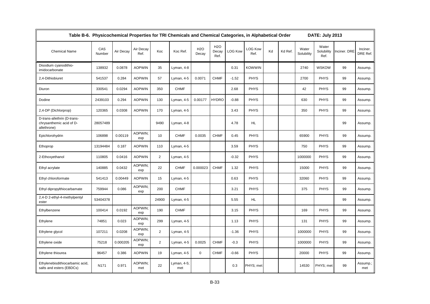| Table B-6. Physicochemical Properties for TRI Chemicals and Chemical Categories, in Alphabetical Order |               |           |                   |                |                    |                     |                      |                |                        |    |         |                     | DATE: July 2013             |              |                      |
|--------------------------------------------------------------------------------------------------------|---------------|-----------|-------------------|----------------|--------------------|---------------------|----------------------|----------------|------------------------|----|---------|---------------------|-----------------------------|--------------|----------------------|
| <b>Chemical Name</b>                                                                                   | CAS<br>Number | Air Decay | Air Decay<br>Ref. | Koc            | Koc Ref.           | <b>H2O</b><br>Decay | H2O<br>Decay<br>Ref. | <b>LOG Kow</b> | <b>LOG Kow</b><br>Ref. | Kd | Kd Ref. | Water<br>Solubility | Water<br>Solubility<br>Ref. | Inciner. DRE | Inciner.<br>DRE Ref. |
| Disodium cyanodithio-<br>imidocarbonate                                                                | 138932        | 0.0878    | <b>AOPWIN</b>     | 35             | Lyman, 4-8         |                     |                      | 0.31           | <b>KOWWIN</b>          |    |         | 2740                | <b>WSKOW</b>                | 99           | Assump.              |
| 2,4-Dithiobiuret                                                                                       | 541537        | 0.284     | <b>AOPWIN</b>     | 57             | Lyman, 4-5         | 0.0071              | <b>CHMF</b>          | $-1.52$        | <b>PHYS</b>            |    |         | 2700                | <b>PHYS</b>                 | 99           | Assump.              |
| Diuron                                                                                                 | 330541        | 0.0294    | <b>AOPWIN</b>     | 350            | <b>CHMF</b>        |                     |                      | 2.68           | <b>PHYS</b>            |    |         | 42                  | <b>PHYS</b>                 | 99           | Assump.              |
| Dodine                                                                                                 | 2439103       | 0.294     | <b>AOPWIN</b>     | 130            | Lyman, 4-5         | 0.00177             | <b>HYDRO</b>         | $-0.88$        | <b>PHYS</b>            |    |         | 630                 | <b>PHYS</b>                 | 99           | Assump.              |
| 2,4-DP (Dichlorprop)                                                                                   | 120365        | 0.0308    | <b>AOPWIN</b>     | 170            | Lyman, 4-5         |                     |                      | 3.43           | <b>PHYS</b>            |    |         | 350                 | <b>PHYS</b>                 | 99           | Assump.              |
| D-trans-allethrin (D-trans-<br>chrysanthemic acid of D-<br>allethrone)                                 | 28057489      |           |                   | 9490           | Lyman, 4-8         |                     |                      | 4.78           | HL.                    |    |         |                     |                             | 99           | Assump.              |
| Epichlorohydrin                                                                                        | 106898        | 0.00119   | AOPWIN:<br>exp    | 10             | <b>CHMF</b>        | 0.0035              | <b>CHMF</b>          | 0.45           | <b>PHYS</b>            |    |         | 65900               | <b>PHYS</b>                 | 99           | Assump.              |
| Ethoprop                                                                                               | 13194484      | 0.187     | <b>AOPWIN</b>     | 110            | Lyman, 4-5         |                     |                      | 3.59           | <b>PHYS</b>            |    |         | 750                 | <b>PHYS</b>                 | 99           | Assump.              |
| 2-Ethoxyethanol                                                                                        | 110805        | 0.0416    | <b>AOPWIN</b>     | $\overline{2}$ | Lyman, 4-5         |                     |                      | $-0.32$        | <b>PHYS</b>            |    |         | 1000000             | <b>PHYS</b>                 | 99           | Assump.              |
| Ethyl acrylate                                                                                         | 140885        | 0.0432    | AOPWIN:<br>exp    | 22             | <b>CHMF</b>        | 0.000023            | <b>CHMF</b>          | 1.32           | <b>PHYS</b>            |    |         | 15000               | <b>PHYS</b>                 | 99           | Assump.              |
| Ethyl chloroformate                                                                                    | 541413        | 0.00449   | <b>AOPWIN</b>     | 15             | Lyman, 4-5         |                     |                      | 0.63           | <b>PHYS</b>            |    |         | 32060               | <b>PHYS</b>                 | 99           | Assump.              |
| Ethyl dipropylthiocarbamate                                                                            | 759944        | 0.086     | AOPWIN:<br>exp    | 200            | <b>CHMF</b>        |                     |                      | 3.21           | <b>PHYS</b>            |    |         | 375                 | <b>PHYS</b>                 | 99           | Assump.              |
| 2,4-D 2-ethyl-4-methylpentyl<br>ester                                                                  | 53404378      |           |                   | 24900          | Lyman, 4-5         |                     |                      | 5.55           | HL.                    |    |         |                     |                             | 99           | Assump.              |
| Ethylbenzene                                                                                           | 100414        | 0.0192    | AOPWIN:<br>exp    | 190            | <b>CHMF</b>        |                     |                      | 3.15           | <b>PHYS</b>            |    |         | 169                 | <b>PHYS</b>                 | 99           | Assump.              |
| Ethylene                                                                                               | 74851         | 0.023     | AOPWIN;<br>exp    | 299            | Lyman, 4-5         |                     |                      | 1.13           | <b>PHYS</b>            |    |         | 131                 | <b>PHYS</b>                 | 99           | Assump.              |
| Ethylene glycol                                                                                        | 107211        | 0.0208    | AOPWIN;<br>exp    | $\overline{2}$ | Lyman, 4-5         |                     |                      | $-1.36$        | <b>PHYS</b>            |    |         | 1000000             | <b>PHYS</b>                 | 99           | Assump.              |
| Ethylene oxide                                                                                         | 75218         | 0.000205  | AOPWIN;<br>exp    | $\overline{2}$ | Lyman, 4-5         | 0.0025              | <b>CHMF</b>          | $-0.3$         | <b>PHYS</b>            |    |         | 1000000             | <b>PHYS</b>                 | 99           | Assump.              |
| Ethylene thiourea                                                                                      | 96457         | 0.386     | <b>AOPWIN</b>     | 19             | Lyman, 4-5         | $\pmb{0}$           | <b>CHMF</b>          | $-0.66$        | <b>PHYS</b>            |    |         | 20000               | <b>PHYS</b>                 | 99           | Assump.              |
| Ethylenebisdithiocarbamic acid,<br>salts and esters (EBDCs)                                            | N171          | 0.971     | AOPWIN;<br>met    | 22             | Lyman, 4-5;<br>met |                     |                      | 0.3            | PHYS; met              |    |         | 14530               | PHYS; met                   | 99           | Assump.;<br>met      |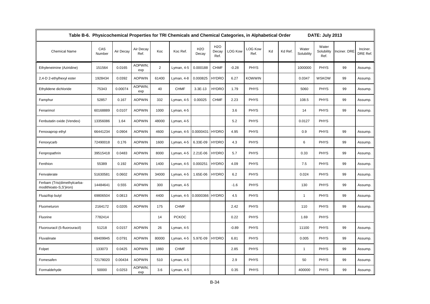|                                                       | Table B-6. Physicochemical Properties for TRI Chemicals and Chemical Categories, in Alphabetical Order |           |                   |                |              |                     |                                   |                |                        |    |         |                     |                             | DATE: July 2013 |                      |
|-------------------------------------------------------|--------------------------------------------------------------------------------------------------------|-----------|-------------------|----------------|--------------|---------------------|-----------------------------------|----------------|------------------------|----|---------|---------------------|-----------------------------|-----------------|----------------------|
| <b>Chemical Name</b>                                  | CAS<br>Number                                                                                          | Air Decay | Air Decay<br>Ref. | Koc            | Koc Ref.     | <b>H2O</b><br>Decay | H <sub>2</sub> O<br>Decay<br>Ref. | <b>LOG Kow</b> | <b>LOG Kow</b><br>Ref. | Kd | Kd Ref. | Water<br>Solubility | Water<br>Solubility<br>Ref. | Inciner. DRE    | Inciner.<br>DRE Ref. |
| Ethyleneimine (Aziridine)                             | 151564                                                                                                 | 0.0165    | AOPWIN:<br>exp    | $\overline{2}$ | Lyman, 4-5   | 0.000188            | <b>CHMF</b>                       | $-0.28$        | <b>PHYS</b>            |    |         | 1000000             | <b>PHYS</b>                 | 99              | Assump.              |
| 2,4-D 2-ethylhexyl ester                              | 1928434                                                                                                | 0.0392    | <b>AOPWIN</b>     | 61400          | Lyman, 4-8   | 0.000825            | <b>HYDRO</b>                      | 6.27           | <b>KOWWIN</b>          |    |         | 0.0347              | <b>WSKOW</b>                | 99              | Assump.              |
| Ethylidene dichloride                                 | 75343                                                                                                  | 0.00074   | AOPWIN;<br>exp    | 40             | <b>CHMF</b>  | $3.3E-13$           | <b>HYDRO</b>                      | 1.79           | <b>PHYS</b>            |    |         | 5060                | <b>PHYS</b>                 | 99              | Assump.              |
| Famphur                                               | 52857                                                                                                  | 0.167     | <b>AOPWIN</b>     | 332            | Lyman, 4-5   | 0.00025             | <b>CHMF</b>                       | 2.23           | <b>PHYS</b>            |    |         | 108.5               | <b>PHYS</b>                 | 99              | Assump.              |
| Fenarimol                                             | 60168889                                                                                               | 0.0107    | <b>AOPWIN</b>     | 1000           | Lyman, 4-5   |                     |                                   | 3.6            | <b>PHYS</b>            |    |         | 14                  | <b>PHYS</b>                 | 99              | Assump.              |
| Fenbutatin oxide (Vendex)                             | 13356086                                                                                               | 1.64      | <b>AOPWIN</b>     | 48000          | Lyman, 4-5   |                     |                                   | 5.2            | <b>PHYS</b>            |    |         | 0.0127              | <b>PHYS</b>                 |                 |                      |
| Fenoxaprop ethyl                                      | 66441234                                                                                               | 0.0904    | <b>AOPWIN</b>     | 4600           | Lyman, 4-5   | 0.0000431           | <b>HYDRO</b>                      | 4.95           | <b>PHYS</b>            |    |         | 0.9                 | <b>PHYS</b>                 | 99              | Assump.              |
| Fenoxycarb                                            | 72490018                                                                                               | 0.176     | <b>AOPWIN</b>     | 1600           | Lyman, 4-5   | 6.33E-09            | <b>HYDRO</b>                      | 4.3            | <b>PHYS</b>            |    |         | 6                   | <b>PHYS</b>                 | 99              | Assump.              |
| Fenpropathrin                                         | 39515418                                                                                               | 0.0483    | <b>AOPWIN</b>     | 8000           | Lyman, 4-5   | 2.21E-06            | <b>HYDRO</b>                      | 5.7            | <b>PHYS</b>            |    |         | 0.33                | <b>PHYS</b>                 | 99              | Assump.              |
| Fenthion                                              | 55389                                                                                                  | 0.192     | <b>AOPWIN</b>     | 1400           | Lyman, 4-5   | 0.000251            | <b>HYDRO</b>                      | 4.09           | <b>PHYS</b>            |    |         | 7.5                 | <b>PHYS</b>                 | 99              | Assump.              |
| Fenvalerate                                           | 51630581                                                                                               | 0.0602    | <b>AOPWIN</b>     | 34000          | Lyman, 4-5   | 1.65E-06            | <b>HYDRO</b>                      | 6.2            | <b>PHYS</b>            |    |         | 0.024               | <b>PHYS</b>                 | 99              | Assump.              |
| Ferbam (Tris(dimethylcarba-<br>modithioato-S,S')iron) | 14484641                                                                                               | 0.555     | <b>AOPWIN</b>     | 300            | Lyman, 4-5   |                     |                                   | $-1.6$         | <b>PHYS</b>            |    |         | 130                 | <b>PHYS</b>                 | 99              | Assump.              |
| Fluazifop butyl                                       | 69806504                                                                                               | 0.0813    | <b>AOPWIN</b>     | 4400           | Lyman, 4-5   | 0.0000366 HYDRO     |                                   | 4.5            | <b>PHYS</b>            |    |         | $\mathbf{1}$        | <b>PHYS</b>                 | 99              | Assump.              |
| Fluometuron                                           | 2164172                                                                                                | 0.0205    | <b>AOPWIN</b>     | 175            | <b>CHMF</b>  |                     |                                   | 2.42           | <b>PHYS</b>            |    |         | 110                 | <b>PHYS</b>                 | 99              | Assump.              |
| Fluorine                                              | 7782414                                                                                                |           |                   | 14             | <b>PCKOC</b> |                     |                                   | 0.22           | <b>PHYS</b>            |    |         | 1.69                | <b>PHYS</b>                 |                 |                      |
| Fluorouracil (5-fluorouracil)                         | 51218                                                                                                  | 0.0157    | <b>AOPWIN</b>     | 26             | Lyman, 4-5   |                     |                                   | $-0.89$        | <b>PHYS</b>            |    |         | 11100               | <b>PHYS</b>                 | 99              | Assump.              |
| Fluvalinate                                           | 69409945                                                                                               | 0.0791    | <b>AOPWIN</b>     | 80000          | Lyman, 4-5   | 5.97E-09            | <b>HYDRO</b>                      | 6.81           | <b>PHYS</b>            |    |         | 0.005               | <b>PHYS</b>                 | 99              | Assump.              |
| Folpet                                                | 133073                                                                                                 | 0.0425    | <b>AOPWIN</b>     | 1860           | <b>CHMF</b>  |                     |                                   | 2.85           | <b>PHYS</b>            |    |         | $\overline{1}$      | <b>PHYS</b>                 | 99              | Assump.              |
| Fomesafen                                             | 72178020                                                                                               | 0.00434   | <b>AOPWIN</b>     | 510            | Lyman, 4-5   |                     |                                   | 2.9            | <b>PHYS</b>            |    |         | 50                  | <b>PHYS</b>                 | 99              | Assump.              |
| Formaldehyde                                          | 50000                                                                                                  | 0.0253    | AOPWIN;<br>exp    | 3.6            | Lyman, 4-5   |                     |                                   | 0.35           | <b>PHYS</b>            |    |         | 400000              | <b>PHYS</b>                 | 99              | Assump.              |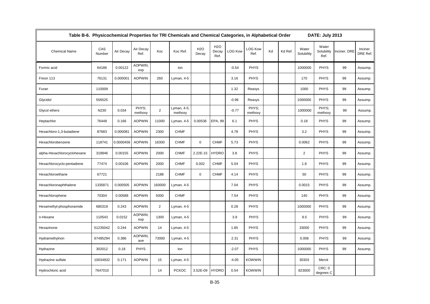| Table B-6. Physicochemical Properties for TRI Chemicals and Chemical Categories, in Alphabetical Order |               |           |                   |                |                        |                     |                                   |                |                        |    |         |                     | DATE: July 2013             |              |                      |
|--------------------------------------------------------------------------------------------------------|---------------|-----------|-------------------|----------------|------------------------|---------------------|-----------------------------------|----------------|------------------------|----|---------|---------------------|-----------------------------|--------------|----------------------|
| <b>Chemical Name</b>                                                                                   | CAS<br>Number | Air Decay | Air Decay<br>Ref. | Koc            | Koc Ref.               | <b>H2O</b><br>Decay | H <sub>2</sub> O<br>Decay<br>Ref. | <b>LOG Kow</b> | <b>LOG Kow</b><br>Ref. | Kd | Kd Ref. | Water<br>Solubility | Water<br>Solubility<br>Ref. | Inciner. DRE | Inciner.<br>DRE Ref. |
| Formic acid                                                                                            | 64186         | 0.00122   | AOPWIN:<br>exp    |                | lon                    |                     |                                   | $-0.54$        | <b>PHYS</b>            |    |         | 1000000             | <b>PHYS</b>                 | 99           | Assump.              |
| Freon 113                                                                                              | 76131         | 0.000001  | <b>AOPWIN</b>     | 260            | Lyman, 4-5             |                     |                                   | 3.16           | <b>PHYS</b>            |    |         | 170                 | <b>PHYS</b>                 | 99           | Assump.              |
| Furan                                                                                                  | 110009        |           |                   |                |                        |                     |                                   | 1.32           | Reaxys                 |    |         | 1000                | <b>PHYS</b>                 | 99           | Assump.              |
| Glycidol                                                                                               | 556525        |           |                   |                |                        |                     |                                   | $-0.96$        | Reaxys                 |    |         | 1000000             | <b>PHYS</b>                 | 99           | Assump.              |
| Glycol ethers                                                                                          | N230          | 0.034     | PHYS;<br>methoxy  | $\overline{2}$ | Lyman, 4-5;<br>methoxy |                     |                                   | $-0.77$        | PHYS:<br>methoxy       |    |         | 1000000             | PHYS:<br>methoxy            | 99           | Assump.              |
| Heptachlor                                                                                             | 76448         | 0.166     | <b>AOPWIN</b>     | 11000          | Lyman, 4-5             | 0.00536             | EPA, 99                           | 6.1            | <b>PHYS</b>            |    |         | 0.18                | <b>PHYS</b>                 | 99           | Assump.              |
| Hexachloro-1,3-butadiene                                                                               | 87683         | 0.000081  | <b>AOPWIN</b>     | 2300           | <b>CHMF</b>            |                     |                                   | 4.78           | <b>PHYS</b>            |    |         | 3.2                 | <b>PHYS</b>                 | 99           | Assump.              |
| Hexachlorobenzene                                                                                      | 118741        | 0.0000456 | <b>AOPWIN</b>     | 16300          | <b>CHMF</b>            | $\mathbf 0$         | <b>CHMF</b>                       | 5.73           | <b>PHYS</b>            |    |         | 0.0062              | <b>PHYS</b>                 | 99           | Assump.              |
| alpha-Hexachlorocyclohexane                                                                            | 319846        | 0.00155   | <b>AOPWIN</b>     | 2000           | <b>CHMF</b>            | 2.22E-15            | <b>HYDRO</b>                      | 3.8            | <b>PHYS</b>            |    |         | $\overline{2}$      | <b>PHYS</b>                 | 99           | Assump.              |
| Hexachlorocyclo-pentadiene                                                                             | 77474         | 0.00106   | <b>AOPWIN</b>     | 2000           | <b>CHMF</b>            | 0.002               | <b>CHMF</b>                       | 5.04           | <b>PHYS</b>            |    |         | 1.8                 | <b>PHYS</b>                 | 99           | Assump.              |
| Hexachloroethane                                                                                       | 67721         |           |                   | 2188           | <b>CHMF</b>            | $\mathbf 0$         | <b>CHMF</b>                       | 4.14           | <b>PHYS</b>            |    |         | 50                  | <b>PHYS</b>                 | 99           | Assump.              |
| Hexachloronaphthalene                                                                                  | 1335871       | 0.000505  | <b>AOPWIN</b>     | 160000         | Lyman, 4-5             |                     |                                   | 7.04           | <b>PHYS</b>            |    |         | 0.0015              | <b>PHYS</b>                 | 99           | Assump.              |
| Hexachlorophene                                                                                        | 70304         | 0.00588   | <b>AOPWIN</b>     | 5000           | <b>CHMF</b>            |                     |                                   | 7.54           | <b>PHYS</b>            |    |         | 140                 | <b>PHYS</b>                 | 99           | Assump.              |
| Hexamethyl-phosphoramide                                                                               | 680319        | 0.243     | <b>AOPWIN</b>     | $\overline{2}$ | Lyman, 4-5             |                     |                                   | 0.28           | <b>PHYS</b>            |    |         | 1000000             | <b>PHYS</b>                 | 99           | Assump.              |
| n-Hexane                                                                                               | 110543        | 0.0152    | AOPWIN;<br>exp    | 1300           | Lyman, 4-5             |                     |                                   | 3.9            | <b>PHYS</b>            |    |         | 9.5                 | PHYS                        | 99           | Assump.              |
| Hexazinone                                                                                             | 51235042      | 0.244     | <b>AOPWIN</b>     | 14             | Lyman, 4-5             |                     |                                   | 1.85           | <b>PHYS</b>            |    |         | 33000               | <b>PHYS</b>                 | 99           | Assump.              |
| Hydramethylnon                                                                                         | 67485294      | 0.386     | AOPWIN;<br>ave    | 73000          | Lyman, 4-5             |                     |                                   | 2.31           | <b>PHYS</b>            |    |         | 0.006               | <b>PHYS</b>                 | 99           | Assump.              |
| Hydrazine                                                                                              | 302012        | 0.18      | <b>PHYS</b>       |                | lon                    |                     |                                   | $-2.07$        | <b>PHYS</b>            |    |         | 1000000             | <b>PHYS</b>                 | 99           | Assump.              |
| Hydrazine sulfate                                                                                      | 10034932      | 0.171     | <b>AOPWIN</b>     | 15             | Lyman, 4-5             |                     |                                   | $-4.05$        | <b>KOWWIN</b>          |    |         | 30303               | Merck                       |              |                      |
| Hydrochloric acid                                                                                      | 7647010       |           |                   | 14             | <b>PCKOC</b>           | 3.52E-09            | <b>HYDRO</b>                      | 0.54           | <b>KOWWIN</b>          |    |         | 823000              | CRC; 0<br>degrees C         |              |                      |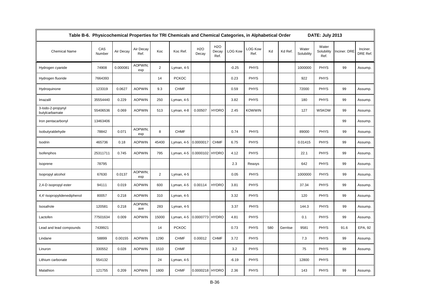| Table B-6. Physicochemical Properties for TRI Chemicals and Chemical Categories, in Alphabetical Order |               |           |                   |                |              |                 |                                   | DATE: July 2013 |                        |     |          |                     |                             |              |                      |
|--------------------------------------------------------------------------------------------------------|---------------|-----------|-------------------|----------------|--------------|-----------------|-----------------------------------|-----------------|------------------------|-----|----------|---------------------|-----------------------------|--------------|----------------------|
| <b>Chemical Name</b>                                                                                   | CAS<br>Number | Air Decay | Air Decay<br>Ref. | Koc            | Koc Ref.     | H2O<br>Decay    | H <sub>2</sub> O<br>Decay<br>Ref. | <b>LOG Kow</b>  | <b>LOG Kow</b><br>Ref. | Kd  | Kd Ref.  | Water<br>Solubility | Water<br>Solubility<br>Ref. | Inciner. DRE | Inciner.<br>DRE Ref. |
| Hydrogen cyanide                                                                                       | 74908         | 0.000081  | AOPWIN:<br>exp    | $\overline{2}$ | Lyman, 4-5   |                 |                                   | $-0.25$         | <b>PHYS</b>            |     |          | 1000000             | PHYS                        | 99           | Assump.              |
| Hydrogen fluoride                                                                                      | 7664393       |           |                   | 14             | <b>PCKOC</b> |                 |                                   | 0.23            | <b>PHYS</b>            |     |          | 922                 | <b>PHYS</b>                 |              |                      |
| Hydroquinone                                                                                           | 123319        | 0.0627    | <b>AOPWIN</b>     | 9.3            | <b>CHMF</b>  |                 |                                   | 0.59            | <b>PHYS</b>            |     |          | 72000               | <b>PHYS</b>                 | 99           | Assump.              |
| Imazalil                                                                                               | 35554440      | 0.229     | <b>AOPWIN</b>     | 250            | Lyman, 4-5   |                 |                                   | 3.82            | <b>PHYS</b>            |     |          | 180                 | <b>PHYS</b>                 | 99           | Assump.              |
| 3-lodo-2-propynyl<br>butylcarbamate                                                                    | 55406536      | 0.069     | <b>AOPWIN</b>     | 513            | Lyman, 4-8   | 0.00507         | <b>HYDRO</b>                      | 2.45            | <b>KOWWIN</b>          |     |          | 127                 | <b>WSKOW</b>                | 99           | Assump.              |
| Iron pentacarbonyl                                                                                     | 13463406      |           |                   |                |              |                 |                                   |                 |                        |     |          |                     |                             | 99           | Assump.              |
| Isobutyraldehyde                                                                                       | 78842         | 0.071     | AOPWIN:<br>exp    | 8              | <b>CHMF</b>  |                 |                                   | 0.74            | <b>PHYS</b>            |     |          | 89000               | <b>PHYS</b>                 | 99           | Assump.              |
| Isodrin                                                                                                | 465736        | 0.18      | <b>AOPWIN</b>     | 45400          | Lyman, 4-5   | 0.0000017       | <b>CHMF</b>                       | 6.75            | <b>PHYS</b>            |     |          | 0.01415             | <b>PHYS</b>                 | 99           | Assump.              |
| Isofenphos                                                                                             | 25311711      | 0.745     | <b>AOPWIN</b>     | 795            | Lyman, 4-5   | 0.0000102 HYDRO |                                   | 4.12            | <b>PHYS</b>            |     |          | 22.1                | PHYS                        | 99           | Assump.              |
| Isoprene                                                                                               | 78795         |           |                   |                |              |                 |                                   | 2.3             | Reaxys                 |     |          | 642                 | PHYS                        | 99           | Assump.              |
| Isopropyl alcohol                                                                                      | 67630         | 0.0137    | AOPWIN:<br>exp    | 2              | Lyman, 4-5   |                 |                                   | 0.05            | <b>PHYS</b>            |     |          | 1000000             | <b>PHYS</b>                 | 99           | Assump.              |
| 2,4-D isopropyl ester                                                                                  | 94111         | 0.019     | <b>AOPWIN</b>     | 600            | Lyman, 4-5   | 0.00114         | <b>HYDRO</b>                      | 3.81            | <b>PHYS</b>            |     |          | 37.34               | <b>PHYS</b>                 | 99           | Assump.              |
| 4,4'-Isopropylidenediphenol                                                                            | 80057         | 0.218     | <b>AOPWIN</b>     | 310            | Lyman, 4-5   |                 |                                   | 3.32            | <b>PHYS</b>            |     |          | 120                 | <b>PHYS</b>                 | 99           | Assump.              |
| Isosafrole                                                                                             | 120581        | 0.218     | AOPWIN;<br>ave    | 283            | Lyman, 4-5   |                 |                                   | 3.37            | <b>PHYS</b>            |     |          | 144.3               | <b>PHYS</b>                 | 99           | Assump.              |
| Lactofen                                                                                               | 77501634      | 0.009     | <b>AOPWIN</b>     | 15000          | Lyman, 4-5   | 0.0000773 HYDRO |                                   | 4.81            | <b>PHYS</b>            |     |          | 0.1                 | PHYS                        | 99           | Assump.              |
| Lead and lead compounds                                                                                | 7439921       |           |                   | 14             | <b>PCKOC</b> |                 |                                   | 0.73            | <b>PHYS</b>            | 580 | Gerritse | 9581                | <b>PHYS</b>                 | 91.6         | EPA, 92              |
| Lindane                                                                                                | 58899         | 0.00155   | <b>AOPWIN</b>     | 1290           | <b>CHMF</b>  | 0.00012         | <b>CHMF</b>                       | 3.72            | <b>PHYS</b>            |     |          | 7.3                 | <b>PHYS</b>                 | 99           | Assump.              |
| Linuron                                                                                                | 330552        | 0.028     | <b>AOPWIN</b>     | 1510           | <b>CHMF</b>  |                 |                                   | 3.2             | <b>PHYS</b>            |     |          | 75                  | PHYS                        | 99           | Assump.              |
| Lithium carbonate                                                                                      | 554132        |           |                   | 24             | Lyman, 4-5   |                 |                                   | $-6.19$         | <b>PHYS</b>            |     |          | 12800               | <b>PHYS</b>                 |              |                      |
| Malathion                                                                                              | 121755        | 0.209     | <b>AOPWIN</b>     | 1800           | <b>CHMF</b>  | 0.0000218 HYDRO |                                   | 2.36            | <b>PHYS</b>            |     |          | 143                 | <b>PHYS</b>                 | 99           | Assump.              |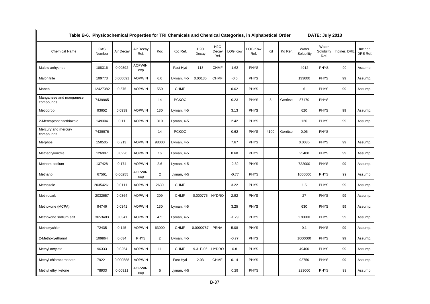| Table B-6. Physicochemical Properties for TRI Chemicals and Chemical Categories, in Alphabetical Order |               |           |                   |                |              |                     |                             |                |                        |      |          |                     | DATE: July 2013             |              |                      |
|--------------------------------------------------------------------------------------------------------|---------------|-----------|-------------------|----------------|--------------|---------------------|-----------------------------|----------------|------------------------|------|----------|---------------------|-----------------------------|--------------|----------------------|
| <b>Chemical Name</b>                                                                                   | CAS<br>Number | Air Decay | Air Decay<br>Ref. | Koc            | Koc Ref.     | <b>H2O</b><br>Decay | <b>H2O</b><br>Decay<br>Ref. | <b>LOG Kow</b> | <b>LOG Kow</b><br>Ref. | Kd   | Kd Ref.  | Water<br>Solubility | Water<br>Solubility<br>Ref. | Inciner. DRE | Inciner.<br>DRE Ref. |
| Maleic anhydride                                                                                       | 108316        | 0.00392   | AOPWIN;<br>exp    |                | Fast Hyd     | 113                 | <b>CHMF</b>                 | 1.62           | <b>PHYS</b>            |      |          | 4912                | <b>PHYS</b>                 | 99           | Assump.              |
| Malonitrile                                                                                            | 109773        | 0.000091  | <b>AOPWIN</b>     | 6.6            | Lyman, 4-5   | 0.00135             | <b>CHMF</b>                 | $-0.6$         | <b>PHYS</b>            |      |          | 133000              | <b>PHYS</b>                 | 99           | Assump.              |
| Maneb                                                                                                  | 12427382      | 0.575     | <b>AOPWIN</b>     | 550            | <b>CHMF</b>  |                     |                             | 0.62           | <b>PHYS</b>            |      |          | 6                   | <b>PHYS</b>                 | 99           | Assump.              |
| Manganese and manganese<br>compounds                                                                   | 7439965       |           |                   | 14             | <b>PCKOC</b> |                     |                             | 0.23           | <b>PHYS</b>            | 5    | Gerritse | 87170               | <b>PHYS</b>                 |              |                      |
| Mecoprop                                                                                               | 93652         | 0.0939    | <b>AOPWIN</b>     | 130            | Lyman, 4-5   |                     |                             | 3.13           | <b>PHYS</b>            |      |          | 620                 | <b>PHYS</b>                 | 99           | Assump.              |
| 2-Mercaptobenzothiazole                                                                                | 149304        | 0.11      | <b>AOPWIN</b>     | 310            | Lyman, 4-5   |                     |                             | 2.42           | <b>PHYS</b>            |      |          | 120                 | <b>PHYS</b>                 | 99           | Assump.              |
| Mercury and mercury<br>compounds                                                                       | 7439976       |           |                   | 14             | <b>PCKOC</b> |                     |                             | 0.62           | <b>PHYS</b>            | 4100 | Gerritse | 0.06                | <b>PHYS</b>                 |              |                      |
| Merphos                                                                                                | 150505        | 0.213     | <b>AOPWIN</b>     | 98000          | Lyman, 4-5   |                     |                             | 7.67           | <b>PHYS</b>            |      |          | 0.0035              | <b>PHYS</b>                 | 99           | Assump.              |
| Methacrylonitrile                                                                                      | 126987        | 0.0226    | <b>AOPWIN</b>     | 16             | Lyman, 4-5   |                     |                             | 0.68           | <b>PHYS</b>            |      |          | 25400               | <b>PHYS</b>                 | 99           | Assump.              |
| Metham sodium                                                                                          | 137428        | 0.174     | <b>AOPWIN</b>     | 2.6            | Lyman, 4-5   |                     |                             | $-2.62$        | <b>PHYS</b>            |      |          | 722000              | <b>PHYS</b>                 | 99           | Assump.              |
| Methanol                                                                                               | 67561         | 0.00255   | AOPWIN;<br>exp    | $\overline{2}$ | Lyman, 4-5   |                     |                             | $-0.77$        | <b>PHYS</b>            |      |          | 1000000             | <b>PHYS</b>                 | 99           | Assump.              |
| Methazole                                                                                              | 20354261      | 0.0111    | <b>AOPWIN</b>     | 2630           | <b>CHMF</b>  |                     |                             | 3.22           | <b>PHYS</b>            |      |          | 1.5                 | <b>PHYS</b>                 | 99           | Assump.              |
| Methiocarb                                                                                             | 2032657       | 0.0364    | <b>AOPWIN</b>     | 209            | <b>CHMF</b>  | 0.000775            | <b>HYDRO</b>                | 2.92           | <b>PHYS</b>            |      |          | 27                  | <b>PHYS</b>                 | 99           | Assump.              |
| Methoxone (MCPA)                                                                                       | 94746         | 0.0341    | <b>AOPWIN</b>     | 130            | Lyman, 4-5   |                     |                             | 3.25           | <b>PHYS</b>            |      |          | 630                 | <b>PHYS</b>                 | 99           | Assump.              |
| Methoxone sodium salt                                                                                  | 3653483       | 0.0341    | <b>AOPWIN</b>     | 4.5            | Lyman, 4-5   |                     |                             | $-1.29$        | <b>PHYS</b>            |      |          | 270000              | <b>PHYS</b>                 | 99           | Assump.              |
| Methoxychlor                                                                                           | 72435         | 0.145     | <b>AOPWIN</b>     | 63000          | <b>CHMF</b>  | 0.0000787           | <b>PRNA</b>                 | 5.08           | <b>PHYS</b>            |      |          | 0.1                 | <b>PHYS</b>                 | 99           | Assump.              |
| 2-Methoxyethanol                                                                                       | 109864        | 0.034     | <b>PHYS</b>       | $\overline{2}$ | Lyman, 4-5   |                     |                             | $-0.77$        | <b>PHYS</b>            |      |          | 1000000             | <b>PHYS</b>                 | 99           | Assump.              |
| Methyl acrylate                                                                                        | 96333         | 0.0254    | <b>AOPWIN</b>     | 11             | <b>CHMF</b>  | 9.31E-06            | <b>HYDRO</b>                | 0.8            | <b>PHYS</b>            |      |          | 49400               | <b>PHYS</b>                 | 99           | Assump.              |
| Methyl chlorocarbonate                                                                                 | 79221         | 0.000588  | <b>AOPWIN</b>     |                | Fast Hyd     | 2.03                | <b>CHMF</b>                 | 0.14           | <b>PHYS</b>            |      |          | 92750               | <b>PHYS</b>                 | 99           | Assump.              |
| Methyl ethyl ketone                                                                                    | 78933         | 0.00311   | AOPWIN:<br>exp    | 5              | Lyman, 4-5   |                     |                             | 0.29           | <b>PHYS</b>            |      |          | 223000              | <b>PHYS</b>                 | 99           | Assump.              |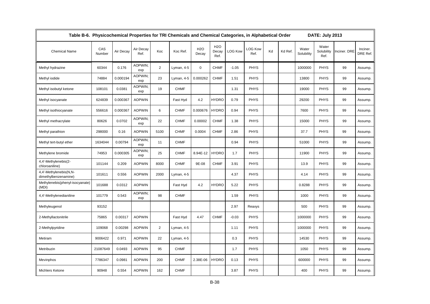| Table B-6. Physicochemical Properties for TRI Chemicals and Chemical Categories, in Alphabetical Order |               |           |                   |                |             |                     |                             |                |                        |    |         |                     | DATE: July 2013             |              |                      |
|--------------------------------------------------------------------------------------------------------|---------------|-----------|-------------------|----------------|-------------|---------------------|-----------------------------|----------------|------------------------|----|---------|---------------------|-----------------------------|--------------|----------------------|
| <b>Chemical Name</b>                                                                                   | CAS<br>Number | Air Decay | Air Decay<br>Ref. | Koc            | Koc Ref.    | <b>H2O</b><br>Decay | <b>H2O</b><br>Decay<br>Ref. | <b>LOG Kow</b> | <b>LOG Kow</b><br>Ref. | Kd | Kd Ref. | Water<br>Solubility | Water<br>Solubility<br>Ref. | Inciner. DRE | Inciner.<br>DRE Ref. |
| Methyl hydrazine                                                                                       | 60344         | 0.176     | AOPWIN;<br>exp    | $\overline{2}$ | Lyman, 4-5  | $\mathbf 0$         | <b>CHMF</b>                 | $-1.05$        | <b>PHYS</b>            |    |         | 1000000             | <b>PHYS</b>                 | 99           | Assump.              |
| Methyl iodide                                                                                          | 74884         | 0.000194  | AOPWIN;<br>exp    | 23             | Lyman, 4-5  | 0.000262            | <b>CHMF</b>                 | 1.51           | <b>PHYS</b>            |    |         | 13800               | <b>PHYS</b>                 | 99           | Assump.              |
| Methyl isobutyl ketone                                                                                 | 108101        | 0.0381    | AOPWIN:<br>exp    | 19             | <b>CHMF</b> |                     |                             | 1.31           | <b>PHYS</b>            |    |         | 19000               | <b>PHYS</b>                 | 99           | Assump.              |
| Methyl isocyanate                                                                                      | 624839        | 0.000367  | <b>AOPWIN</b>     |                | Fast Hyd    | 4.2                 | <b>HYDRO</b>                | 0.79           | <b>PHYS</b>            |    |         | 29200               | <b>PHYS</b>                 | 99           | Assump.              |
| Methyl isothiocyanate                                                                                  | 556616        | 0.000367  | <b>AOPWIN</b>     | 6              | <b>CHMF</b> | 0.000676            | <b>HYDRO</b>                | 0.94           | <b>PHYS</b>            |    |         | 7600                | <b>PHYS</b>                 | 99           | Assump.              |
| Methyl methacrylate                                                                                    | 80626         | 0.0702    | AOPWIN;<br>exp    | 22             | <b>CHMF</b> | 0.00002             | <b>CHMF</b>                 | 1.38           | <b>PHYS</b>            |    |         | 15000               | <b>PHYS</b>                 | 99           | Assump.              |
| Methyl parathion                                                                                       | 298000        | 0.16      | <b>AOPWIN</b>     | 5100           | <b>CHMF</b> | 0.0004              | <b>CHMF</b>                 | 2.86           | <b>PHYS</b>            |    |         | 37.7                | <b>PHYS</b>                 | 99           | Assump.              |
| Methyl tert-butyl ether                                                                                | 1634044       | 0.00794   | AOPWIN:<br>exp    | 11             | <b>CHMF</b> |                     |                             | 0.94           | <b>PHYS</b>            |    |         | 51000               | <b>PHYS</b>                 | 99           | Assump.              |
| Methylene bromide                                                                                      | 74953         | 0.000305  | AOPWIN;<br>exp    | 25             | <b>CHMF</b> | 8.94E-12            | <b>HYDRO</b>                | 1.7            | <b>PHYS</b>            |    |         | 11900               | <b>PHYS</b>                 | 99           | Assump.              |
| 4,4'-Methylenebis(2-<br>chloroaniline)                                                                 | 101144        | 0.209     | <b>AOPWIN</b>     | 8000           | <b>CHMF</b> | 9E-08               | <b>CHMF</b>                 | 3.91           | <b>PHYS</b>            |    |         | 13.9                | <b>PHYS</b>                 | 99           | Assump.              |
| 4,4'-Methylenebis(N,N-<br>dimethylbenzenamine)                                                         | 101611        | 0.556     | <b>AOPWIN</b>     | 2000           | Lyman, 4-5  |                     |                             | 4.37           | <b>PHYS</b>            |    |         | 4.14                | <b>PHYS</b>                 | 99           | Assump.              |
| Methylenebis(phenyl-isocyanate)<br>(MDI)                                                               | 101688        | 0.0312    | <b>AOPWIN</b>     |                | Fast Hyd    | 4.2                 | <b>HYDRO</b>                | 5.22           | <b>PHYS</b>            |    |         | 0.8288              | <b>PHYS</b>                 | 99           | Assump.              |
| 4,4'-Methylenedianiline                                                                                | 101779        | 0.543     | AOPWIN:<br>exp    | 98             | <b>CHMF</b> |                     |                             | 1.59           | <b>PHYS</b>            |    |         | 1000                | <b>PHYS</b>                 | 99           | Assump.              |
| Methyleugenol                                                                                          | 93152         |           |                   |                |             |                     |                             | 2.97           | Reaxys                 |    |         | 500                 | <b>PHYS</b>                 | 99           | Assump.              |
| 2-Methyllactonitrile                                                                                   | 75865         | 0.00317   | <b>AOPWIN</b>     |                | Fast Hyd    | 4.47                | <b>CHMF</b>                 | $-0.03$        | <b>PHYS</b>            |    |         | 1000000             | <b>PHYS</b>                 | 99           | Assump.              |
| 2-Methylpyridine                                                                                       | 109068        | 0.00298   | <b>AOPWIN</b>     | $\overline{2}$ | Lyman, 4-5  |                     |                             | 1.11           | <b>PHYS</b>            |    |         | 1000000             | <b>PHYS</b>                 | 99           | Assump.              |
| Metiram                                                                                                | 9006422       | 0.971     | <b>AOPWIN</b>     | 22             | Lyman, 4-5  |                     |                             | 0.3            | <b>PHYS</b>            |    |         | 14530               | <b>PHYS</b>                 | 99           | Assump.              |
| Metribuzin                                                                                             | 21087649      | 0.0493    | <b>AOPWIN</b>     | 95             | <b>CHMF</b> |                     |                             | 1.7            | <b>PHYS</b>            |    |         | 1050                | <b>PHYS</b>                 | 99           | Assump.              |
| Mevinphos                                                                                              | 7786347       | 0.0981    | <b>AOPWIN</b>     | 200            | <b>CHMF</b> | 2.38E-06            | <b>HYDRO</b>                | 0.13           | <b>PHYS</b>            |    |         | 600000              | <b>PHYS</b>                 | 99           | Assump.              |
| <b>Michlers Ketone</b>                                                                                 | 90948         | 0.554     | <b>AOPWIN</b>     | 162            | <b>CHMF</b> |                     |                             | 3.87           | <b>PHYS</b>            |    |         | 400                 | <b>PHYS</b>                 | 99           | Assump.              |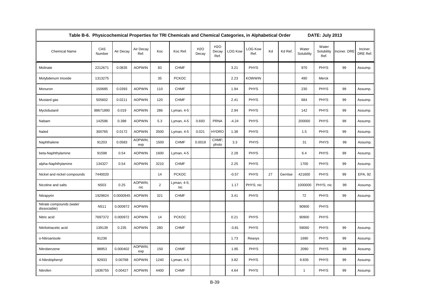| Table B-6. Physicochemical Properties for TRI Chemicals and Chemical Categories, in Alphabetical Order |               |           |                   |                |                    |                     |                                   |                |                        |    |          |                     | DATE: July 2013             |              |                      |
|--------------------------------------------------------------------------------------------------------|---------------|-----------|-------------------|----------------|--------------------|---------------------|-----------------------------------|----------------|------------------------|----|----------|---------------------|-----------------------------|--------------|----------------------|
| <b>Chemical Name</b>                                                                                   | CAS<br>Number | Air Decay | Air Decay<br>Ref. | Koc            | Koc Ref.           | <b>H2O</b><br>Decay | H <sub>2</sub> O<br>Decay<br>Ref. | <b>LOG Kow</b> | <b>LOG Kow</b><br>Ref. | Kd | Kd Ref.  | Water<br>Solubility | Water<br>Solubility<br>Ref. | Inciner. DRE | Inciner.<br>DRE Ref. |
| Molinate                                                                                               | 2212671       | 0.0835    | <b>AOPWIN</b>     | 83             | <b>CHMF</b>        |                     |                                   | 3.21           | <b>PHYS</b>            |    |          | 970                 | <b>PHYS</b>                 | 99           | Assump.              |
| Molybdenum trioxide                                                                                    | 1313275       |           |                   | 35             | <b>PCKOC</b>       |                     |                                   | 2.23           | <b>KOWWIN</b>          |    |          | 490                 | Merck                       |              |                      |
| Monuron                                                                                                | 150685        | 0.0393    | <b>AOPWIN</b>     | 110            | <b>CHMF</b>        |                     |                                   | 1.94           | <b>PHYS</b>            |    |          | 230                 | <b>PHYS</b>                 | 99           | Assump.              |
| Mustard gas                                                                                            | 505602        | 0.0211    | <b>AOPWIN</b>     | 120            | <b>CHMF</b>        |                     |                                   | 2.41           | <b>PHYS</b>            |    |          | 684                 | <b>PHYS</b>                 | 99           | Assump.              |
| Myclobutanil                                                                                           | 88671890      | 0.019     | <b>AOPWIN</b>     | 286            | Lyman, 4-5         |                     |                                   | 2.94           | <b>PHYS</b>            |    |          | 142                 | <b>PHYS</b>                 | 99           | Assump.              |
| Nabam                                                                                                  | 142596        | 0.398     | <b>AOPWIN</b>     | 5.3            | Lyman, 4-5         | 0.693               | <b>PRNA</b>                       | $-4.24$        | <b>PHYS</b>            |    |          | 200000              | <b>PHYS</b>                 | 99           | Assump.              |
| Naled                                                                                                  | 300765        | 0.0172    | <b>AOPWIN</b>     | 3500           | Lyman, 4-5         | 0.021               | <b>HYDRO</b>                      | 1.38           | <b>PHYS</b>            |    |          | 1.5                 | PHYS                        | 99           | Assump.              |
| Naphthalene                                                                                            | 91203         | 0.0583    | AOPWIN:<br>exp    | 1500           | <b>CHMF</b>        | 0.0019              | CHMF:<br>photo                    | 3.3            | <b>PHYS</b>            |    |          | 31                  | <b>PHYS</b>                 | 99           | Assump.              |
| beta-Naphthylamine                                                                                     | 91598         | 0.54      | <b>AOPWIN</b>     | 1600           | Lyman, 4-5         |                     |                                   | 2.28           | <b>PHYS</b>            |    |          | 6.4                 | <b>PHYS</b>                 | 99           | Assump.              |
| alpha-Naphthylamine                                                                                    | 134327        | 0.54      | <b>AOPWIN</b>     | 3210           | <b>CHMF</b>        |                     |                                   | 2.25           | <b>PHYS</b>            |    |          | 1700                | <b>PHYS</b>                 | 99           | Assump.              |
| Nickel and nickel compounds                                                                            | 7440020       |           |                   | 14             | <b>PCKOC</b>       |                     |                                   | $-0.57$        | <b>PHYS</b>            | 27 | Gerritse | 421600              | <b>PHYS</b>                 | 99           | EPA, 92              |
| Nicotine and salts                                                                                     | N503          | 0.25      | AOPWIN:<br>nic    | $\overline{2}$ | Lyman, 4-5;<br>nic |                     |                                   | 1.17           | PHYS; nic              |    |          | 1000000             | PHYS; nic                   | 99           | Assump.              |
| Nitrapyrin                                                                                             | 1929824       | 0.0000945 | <b>AOPWIN</b>     | 321            | <b>CHMF</b>        |                     |                                   | 3.41           | <b>PHYS</b>            |    |          | 72                  | <b>PHYS</b>                 | 99           | Assump.              |
| Nitrate compounds (water<br>dissociable)                                                               | N511          | 0.000972  | <b>AOPWIN</b>     |                |                    |                     |                                   |                |                        |    |          | 90900               | <b>PHYS</b>                 |              |                      |
| Nitric acid                                                                                            | 7697372       | 0.000972  | <b>AOPWIN</b>     | 14             | <b>PCKOC</b>       |                     |                                   | 0.21           | <b>PHYS</b>            |    |          | 90900               | <b>PHYS</b>                 |              |                      |
| Nitrilotriacetic acid                                                                                  | 139139        | 0.235     | <b>AOPWIN</b>     | 280            | <b>CHMF</b>        |                     |                                   | $-3.81$        | <b>PHYS</b>            |    |          | 59060               | <b>PHYS</b>                 | 99           | Assump.              |
| o-Nitroanisole                                                                                         | 91236         |           |                   |                |                    |                     |                                   | 1.73           | Reaxys                 |    |          | 1690                | <b>PHYS</b>                 | 99           | Assump.              |
| Nitrobenzene                                                                                           | 98953         | 0.000402  | AOPWIN;<br>exp    | 150            | <b>CHMF</b>        |                     |                                   | 1.85           | <b>PHYS</b>            |    |          | 2090                | <b>PHYS</b>                 | 99           | Assump.              |
| 4-Nitrobiphenyl                                                                                        | 92933         | 0.00788   | <b>AOPWIN</b>     | 1240           | Lyman, 4-5         |                     |                                   | 3.82           | <b>PHYS</b>            |    |          | 9.835               | <b>PHYS</b>                 | 99           | Assump.              |
| Nitrofen                                                                                               | 1836755       | 0.00427   | <b>AOPWIN</b>     | 4400           | <b>CHMF</b>        |                     |                                   | 4.64           | <b>PHYS</b>            |    |          | $\mathbf{1}$        | <b>PHYS</b>                 | 99           | Assump.              |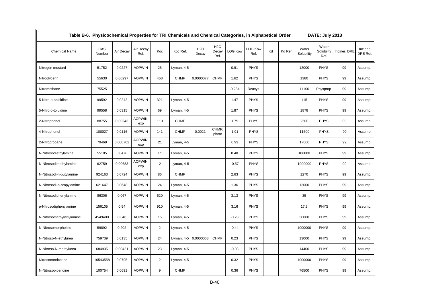| Table B-6. Physicochemical Properties for TRI Chemicals and Chemical Categories, in Alphabetical Order |               |           |                   |                |             |                     |                             |                |                        |    |         |                     | DATE: July 2013             |              |                      |
|--------------------------------------------------------------------------------------------------------|---------------|-----------|-------------------|----------------|-------------|---------------------|-----------------------------|----------------|------------------------|----|---------|---------------------|-----------------------------|--------------|----------------------|
| <b>Chemical Name</b>                                                                                   | CAS<br>Number | Air Decay | Air Decay<br>Ref. | Koc            | Koc Ref.    | <b>H2O</b><br>Decay | <b>H2O</b><br>Decay<br>Ref. | <b>LOG Kow</b> | <b>LOG Kow</b><br>Ref. | Kd | Kd Ref. | Water<br>Solubility | Water<br>Solubility<br>Ref. | Inciner. DRE | Inciner.<br>DRE Ref. |
| Nitrogen mustard                                                                                       | 51752         | 0.0227    | <b>AOPWIN</b>     | 25             | Lyman, 4-5  |                     |                             | 0.91           | <b>PHYS</b>            |    |         | 12000               | <b>PHYS</b>                 | 99           | Assump.              |
| Nitroglycerin                                                                                          | 55630         | 0.00297   | <b>AOPWIN</b>     | 468            | <b>CHMF</b> | 0.0000077           | <b>CHMF</b>                 | 1.62           | <b>PHYS</b>            |    |         | 1380                | <b>PHYS</b>                 | 99           | Assump.              |
| Nitromethane                                                                                           | 75525         |           |                   |                |             |                     |                             | $-0.284$       | Reaxys                 |    |         | 11100               | Physprop                    | 99           | Assump.              |
| 5-Nitro-o-anisidine                                                                                    | 99592         | 0.0242    | <b>AOPWIN</b>     | 321            | Lyman, 4-5  |                     |                             | 1.47           | <b>PHYS</b>            |    |         | 115                 | <b>PHYS</b>                 | 99           | Assump.              |
| 5-Nitro-o-toluidine                                                                                    | 99558         | 0.0315    | <b>AOPWIN</b>     | 69             | Lyman, 4-5  |                     |                             | 1.87           | <b>PHYS</b>            |    |         | 1878                | <b>PHYS</b>                 | 99           | Assump.              |
| 2-Nitrophenol                                                                                          | 88755         | 0.00243   | AOPWIN;<br>exp    | 113            | <b>CHMF</b> |                     |                             | 1.79           | <b>PHYS</b>            |    |         | 2500                | <b>PHYS</b>                 | 99           | Assump.              |
| 4-Nitrophenol                                                                                          | 100027        | 0.0116    | <b>AOPWIN</b>     | 141            | <b>CHMF</b> | 0.0021              | CHMF:<br>photo              | 1.91           | <b>PHYS</b>            |    |         | 11600               | <b>PHYS</b>                 | 99           | Assump.              |
| 2-Nitropropane                                                                                         | 79469         | 0.000702  | AOPWIN:<br>exp    | 21             | Lyman, 4-5  |                     |                             | 0.93           | <b>PHYS</b>            |    |         | 17000               | <b>PHYS</b>                 | 99           | Assump.              |
| N-Nitrosodiethylamine                                                                                  | 55185         | 0.0478    | <b>AOPWIN</b>     | 7.5            | Lyman, 4-5  |                     |                             | 0.48           | <b>PHYS</b>            |    |         | 106000              | <b>PHYS</b>                 | 99           | Assump.              |
| N-Nitrosodimethylamine                                                                                 | 62759         | 0.00683   | AOPWIN;<br>exp    | $\overline{2}$ | Lyman, 4-5  |                     |                             | $-0.57$        | <b>PHYS</b>            |    |         | 1000000             | PHYS                        | 99           | Assump.              |
| N-Nitrosodi-n-butylamine                                                                               | 924163        | 0.0724    | <b>AOPWIN</b>     | 86             | <b>CHMF</b> |                     |                             | 2.63           | <b>PHYS</b>            |    |         | 1270                | <b>PHYS</b>                 | 99           | Assump.              |
| N-Nitrosodi-n-propylamine                                                                              | 621647        | 0.0648    | <b>AOPWIN</b>     | 24             | Lyman, 4-5  |                     |                             | 1.36           | <b>PHYS</b>            |    |         | 13000               | <b>PHYS</b>                 | 99           | Assump.              |
| N-Nitrosodiphenylamine                                                                                 | 86306         | 0.067     | <b>AOPWIN</b>     | 620            | Lyman, 4-5  |                     |                             | 3.13           | <b>PHYS</b>            |    |         | 35                  | <b>PHYS</b>                 | 99           | Assump.              |
| p-Nitrosodiphenylamine                                                                                 | 156105        | 0.54      | <b>AOPWIN</b>     | 910            | Lyman, 4-5  |                     |                             | 3.16           | <b>PHYS</b>            |    |         | 17.3                | <b>PHYS</b>                 | 99           | Assump.              |
| N-Nitrosomethylvinylamine                                                                              | 4549400       | 0.046     | <b>AOPWIN</b>     | 15             | Lyman, 4-5  |                     |                             | $-0.28$        | <b>PHYS</b>            |    |         | 30000               | <b>PHYS</b>                 | 99           | Assump.              |
| N-Nitrosomorpholine                                                                                    | 59892         | 0.202     | <b>AOPWIN</b>     | $\overline{2}$ | Lyman, 4-5  |                     |                             | $-0.44$        | <b>PHYS</b>            |    |         | 1000000             | <b>PHYS</b>                 | 99           | Assump.              |
| N-Nitroso-N-ethylurea                                                                                  | 759739        | 0.0135    | <b>AOPWIN</b>     | 24             | Lyman, 4-5  | 0.0000063           | <b>CHMF</b>                 | 0.23           | <b>PHYS</b>            |    |         | 13000               | <b>PHYS</b>                 | 99           | Assump.              |
| N-Nitroso-N-methylurea                                                                                 | 684935        | 0.00421   | <b>AOPWIN</b>     | 23             | Lyman, 4-5  |                     |                             | $-0.03$        | <b>PHYS</b>            |    |         | 14400               | <b>PHYS</b>                 | 99           | Assump.              |
| Nitrosonornicotine                                                                                     | 16543558      | 0.0795    | <b>AOPWIN</b>     | $\overline{2}$ | Lyman, 4-5  |                     |                             | 0.32           | <b>PHYS</b>            |    |         | 1000000             | <b>PHYS</b>                 | 99           | Assump.              |
| N-Nitrosopiperidine                                                                                    | 100754        | 0.0691    | <b>AOPWIN</b>     | 9              | <b>CHMF</b> |                     |                             | 0.36           | <b>PHYS</b>            |    |         | 76500               | <b>PHYS</b>                 | 99           | Assump.              |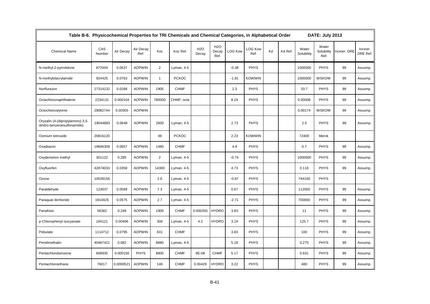| Table B-6. Physicochemical Properties for TRI Chemicals and Chemical Categories, in Alphabetical Order<br>DATE: July 2013 |               |           |                   |                |              |                     |                             |                |                        |    |         |                     |                             |              |                      |
|---------------------------------------------------------------------------------------------------------------------------|---------------|-----------|-------------------|----------------|--------------|---------------------|-----------------------------|----------------|------------------------|----|---------|---------------------|-----------------------------|--------------|----------------------|
| <b>Chemical Name</b>                                                                                                      | CAS<br>Number | Air Decay | Air Decay<br>Ref. | Koc            | Koc Ref.     | <b>H2O</b><br>Decay | <b>H2O</b><br>Decay<br>Ref. | <b>LOG Kow</b> | <b>LOG Kow</b><br>Ref. | Kd | Kd Ref. | Water<br>Solubility | Water<br>Solubility<br>Ref. | Inciner. DRE | Inciner.<br>DRE Ref. |
| N-methyl-2-pyrrolidone                                                                                                    | 872504        | 0.0637    | <b>AOPWIN</b>     | $\overline{2}$ | Lyman, 4-5   |                     |                             | $-0.38$        | <b>PHYS</b>            |    |         | 1000000             | <b>PHYS</b>                 | 99           | Assump.              |
| N-methylolacrylamide                                                                                                      | 924425        | 0.0763    | <b>AOPWIN</b>     | $\mathbf{1}$   | <b>PCKOC</b> |                     |                             | $-1.81$        | <b>KOWWIN</b>          |    |         | 1000000             | <b>WSKOW</b>                | 99           | Assump.              |
| Norflurazon                                                                                                               | 27314132      | 0.0268    | <b>AOPWIN</b>     | 1905           | <b>CHMF</b>  |                     |                             | 2.3            | <b>PHYS</b>            |    |         | 33.7                | <b>PHYS</b>                 | 99           | Assump.              |
| Octachloronaphthalene                                                                                                     | 2234131       | 0.000104  | <b>AOPWIN</b>     | 780000         | CHMF; octa   |                     |                             | 8.24           | <b>PHYS</b>            |    |         | 0.00008             | <b>PHYS</b>                 | 99           | Assump.              |
| Octochlorostyrene                                                                                                         | 29082744      | 0.00305   | <b>AOPWIN</b>     |                |              |                     |                             |                |                        |    |         | 0.00174             | <b>WSKOW</b>                | 99           | Assump.              |
| Oryzalin (4-(dipropylamino)-3,5-<br>dinitro-benzenesulfonamide)                                                           | 19044883      | 0.0648    | <b>AOPWIN</b>     | 2600           | Lyman, 4-5   |                     |                             | 2.73           | <b>PHYS</b>            |    |         | 2.5                 | <b>PHYS</b>                 | 99           | Assump.              |
| Osmium tetroxide                                                                                                          | 20816120      |           |                   | 49             | <b>PCKOC</b> |                     |                             | 2.23           | <b>KOWWIN</b>          |    |         | 72400               | Merck                       |              |                      |
| Oxadiazon                                                                                                                 | 19666309      | 0.0657    | <b>AOPWIN</b>     | 1480           | <b>CHMF</b>  |                     |                             | 4.8            | <b>PHYS</b>            |    |         | 0.7                 | <b>PHYS</b>                 | 99           | Assump.              |
| Oxydemeton methyl                                                                                                         | 301122        | 0.285     | <b>AOPWIN</b>     | $\overline{2}$ | Lyman, 4-5   |                     |                             | $-0.74$        | PHYS                   |    |         | 1000000             | <b>PHYS</b>                 | 99           | Assump.              |
| Oxyfluorfen                                                                                                               | 42874033      | 0.0358    | <b>AOPWIN</b>     | 14300          | Lyman, 4-5   |                     |                             | 4.73           | <b>PHYS</b>            |    |         | 0.116               | <b>PHYS</b>                 | 99           | Assump.              |
| Ozone                                                                                                                     | 10028156      |           |                   | 2.6            | Lyman, 4-5   |                     |                             | $-0.87$        | <b>PHYS</b>            |    |         | 744100              | <b>PHYS</b>                 |              |                      |
| Paraldehyde                                                                                                               | 123637        | 0.0589    | <b>AOPWIN</b>     | 7.3            | Lyman, 4-5   |                     |                             | 0.67           | PHYS                   |    |         | 112000              | <b>PHYS</b>                 | 99           | Assump.              |
| Paraquat dichloride                                                                                                       | 1910425       | 0.0575    | <b>AOPWIN</b>     | 2.7            | Lyman, 4-5   |                     |                             | $-2.71$        | <b>PHYS</b>            |    |         | 700000              | <b>PHYS</b>                 | 99           | Assump.              |
| Parathion                                                                                                                 | 56382         | 0.249     | <b>AOPWIN</b>     | 1900           | <b>CHMF</b>  | 0.000355            | <b>HYDRO</b>                | 3.83           | <b>PHYS</b>            |    |         | 11                  | <b>PHYS</b>                 | 99           | Assump.              |
| p-Chlorophenyl isocyanate                                                                                                 | 104121        | 0.00406   | <b>AOPWIN</b>     | 306            | Lyman, 4-5   | 4.2                 | <b>HYDRO</b>                | 3.24           | <b>PHYS</b>            |    |         | 125.7               | <b>PHYS</b>                 | 99           | Assump.              |
| Pebulate                                                                                                                  | 1114712       | 0.0795    | <b>AOPWIN</b>     | 631            | <b>CHMF</b>  |                     |                             | 3.83           | <b>PHYS</b>            |    |         | 100                 | <b>PHYS</b>                 | 99           | Assump.              |
| Pendimethalin                                                                                                             | 40487421      | 0.082     | <b>AOPWIN</b>     | 8880           | Lyman, 4-5   |                     |                             | 5.18           | <b>PHYS</b>            |    |         | 0.275               | <b>PHYS</b>                 | 99           | Assump.              |
| Pentachlorobenzene                                                                                                        | 608935        | 0.000156  | <b>PHYS</b>       | 8800           | <b>CHMF</b>  | 9E-08               | <b>CHMF</b>                 | 5.17           | <b>PHYS</b>            |    |         | 0.831               | <b>PHYS</b>                 | 99           | Assump.              |
| Pentachloroethane                                                                                                         | 76017         | 0.0000521 | <b>AOPWIN</b>     | 146            | <b>CHMF</b>  | 0.00429             | <b>HYDRO</b>                | 3.22           | <b>PHYS</b>            |    |         | 480                 | <b>PHYS</b>                 | 99           | Assump.              |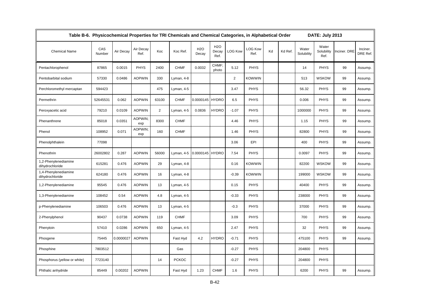| Table B-6. Physicochemical Properties for TRI Chemicals and Chemical Categories, in Alphabetical Order |               |           |                   |                |              |                     |                             |                |                        |    |         |                     | DATE: July 2013             |              |                      |
|--------------------------------------------------------------------------------------------------------|---------------|-----------|-------------------|----------------|--------------|---------------------|-----------------------------|----------------|------------------------|----|---------|---------------------|-----------------------------|--------------|----------------------|
| <b>Chemical Name</b>                                                                                   | CAS<br>Number | Air Decay | Air Decay<br>Ref. | Koc            | Koc Ref.     | <b>H2O</b><br>Decay | <b>H2O</b><br>Decay<br>Ref. | <b>LOG Kow</b> | <b>LOG Kow</b><br>Ref. | Kd | Kd Ref. | Water<br>Solubility | Water<br>Solubility<br>Ref. | Inciner. DRE | Inciner.<br>DRE Ref. |
| Pentachlorophenol                                                                                      | 87865         | 0.0015    | <b>PHYS</b>       | 2400           | <b>CHMF</b>  | 0.0032              | CHMF:<br>photo              | 5.12           | <b>PHYS</b>            |    |         | 14                  | <b>PHYS</b>                 | 99           | Assump.              |
| Pentobarbital sodium                                                                                   | 57330         | 0.0486    | <b>AOPWIN</b>     | 330            | Lyman, 4-8   |                     |                             | $\overline{2}$ | <b>KOWWIN</b>          |    |         | 513                 | <b>WSKOW</b>                | 99           | Assump.              |
| Perchloromethyl mercaptan                                                                              | 594423        |           |                   | 475            | Lyman, 4-5   |                     |                             | 3.47           | <b>PHYS</b>            |    |         | 56.32               | <b>PHYS</b>                 | 99           | Assump.              |
| Permethrin                                                                                             | 52645531      | 0.062     | <b>AOPWIN</b>     | 63100          | <b>CHMF</b>  | 0.0000145           | <b>HYDRO</b>                | 6.5            | <b>PHYS</b>            |    |         | 0.006               | <b>PHYS</b>                 | 99           | Assump.              |
| Peroxyacetic acid                                                                                      | 79210         | 0.0109    | <b>AOPWIN</b>     | $\overline{2}$ | Lyman, 4-5   | 0.0836              | <b>HYDRO</b>                | $-1.07$        | <b>PHYS</b>            |    |         | 1000000             | <b>PHYS</b>                 | 99           | Assump.              |
| Phenanthrene                                                                                           | 85018         | 0.0351    | AOPWIN;<br>exp    | 8300           | <b>CHMF</b>  |                     |                             | 4.46           | <b>PHYS</b>            |    |         | 1.15                | <b>PHYS</b>                 | 99           | Assump.              |
| Phenol                                                                                                 | 108952        | 0.071     | AOPWIN:<br>exp    | 160            | <b>CHMF</b>  |                     |                             | 1.46           | <b>PHYS</b>            |    |         | 82800               | <b>PHYS</b>                 | 99           | Assump.              |
| Phenolphthalein                                                                                        | 77098         |           |                   |                |              |                     |                             | 3.06           | EPI                    |    |         | 400                 | <b>PHYS</b>                 | 99           | Assump.              |
| Phenothrin                                                                                             | 26002802      | 0.287     | <b>AOPWIN</b>     | 56000          | Lyman, 4-5   | 0.0000145 HYDRO     |                             | 7.54           | <b>PHYS</b>            |    |         | 0.0097              | <b>PHYS</b>                 | 99           | Assump.              |
| 1,2-Phenylenediamine<br>dihydrochloride                                                                | 615281        | 0.476     | <b>AOPWIN</b>     | 29             | Lyman, 4-8   |                     |                             | 0.16           | <b>KOWWIN</b>          |    |         | 82200               | <b>WSKOW</b>                | 99           | Assump.              |
| 1,4-Phenylenediamine<br>dihydrochloride                                                                | 624180        | 0.476     | <b>AOPWIN</b>     | 16             | Lyman, 4-8   |                     |                             | $-0.39$        | <b>KOWWIN</b>          |    |         | 199000              | <b>WSKOW</b>                | 99           | Assump.              |
| 1,2-Phenylenediamine                                                                                   | 95545         | 0.476     | <b>AOPWIN</b>     | 13             | Lyman, 4-5   |                     |                             | 0.15           | <b>PHYS</b>            |    |         | 40400               | <b>PHYS</b>                 | 99           | Assump.              |
| 1,3-Phenylenediamine                                                                                   | 108452        | 0.54      | <b>AOPWIN</b>     | 4.8            | Lyman, 4-5   |                     |                             | $-0.33$        | <b>PHYS</b>            |    |         | 238000              | <b>PHYS</b>                 | 99           | Assump.              |
| p-Phenylenediamine                                                                                     | 106503        | 0.476     | <b>AOPWIN</b>     | 13             | Lyman, 4-5   |                     |                             | $-0.3$         | <b>PHYS</b>            |    |         | 37000               | <b>PHYS</b>                 | 99           | Assump.              |
| 2-Phenylphenol                                                                                         | 90437         | 0.0738    | <b>AOPWIN</b>     | 119            | <b>CHMF</b>  |                     |                             | 3.09           | <b>PHYS</b>            |    |         | 700                 | <b>PHYS</b>                 | 99           | Assump.              |
| Phenytoin                                                                                              | 57410         | 0.0286    | <b>AOPWIN</b>     | 650            | Lyman, 4-5   |                     |                             | 2.47           | <b>PHYS</b>            |    |         | 32                  | <b>PHYS</b>                 | 99           | Assump.              |
| Phosgene                                                                                               | 75445         | 0.0000027 | <b>AOPWIN</b>     |                | Fast Hyd     | 4.2                 | <b>HYDRO</b>                | $-0.71$        | <b>PHYS</b>            |    |         | 475100              | <b>PHYS</b>                 | 99           | Assump.              |
| Phosphine                                                                                              | 7803512       |           |                   |                | Gas          |                     |                             | $-0.27$        | <b>PHYS</b>            |    |         | 204800              | <b>PHYS</b>                 |              |                      |
| Phosphorus (yellow or white)                                                                           | 7723140       |           |                   | 14             | <b>PCKOC</b> |                     |                             | $-0.27$        | <b>PHYS</b>            |    |         | 204800              | <b>PHYS</b>                 |              |                      |
| Phthalic anhydride                                                                                     | 85449         | 0.00202   | <b>AOPWIN</b>     |                | Fast Hyd     | 1.23                | <b>CHMF</b>                 | 1.6            | <b>PHYS</b>            |    |         | 6200                | <b>PHYS</b>                 | 99           | Assump.              |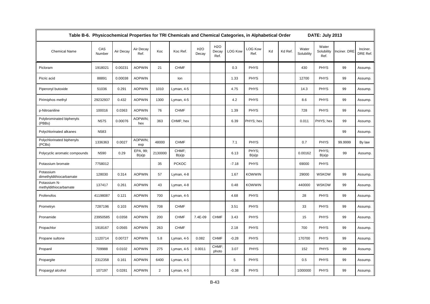| Table B-6. Physicochemical Properties for TRI Chemicals and Chemical Categories, in Alphabetical Order |               |           |                   |                |                |                     |                             |                |                        |    |         |                     | DATE: July 2013             |              |                      |
|--------------------------------------------------------------------------------------------------------|---------------|-----------|-------------------|----------------|----------------|---------------------|-----------------------------|----------------|------------------------|----|---------|---------------------|-----------------------------|--------------|----------------------|
| <b>Chemical Name</b>                                                                                   | CAS<br>Number | Air Decay | Air Decay<br>Ref. | Koc            | Koc Ref.       | <b>H2O</b><br>Decay | <b>H2O</b><br>Decay<br>Ref. | <b>LOG Kow</b> | <b>LOG Kow</b><br>Ref. | Kd | Kd Ref. | Water<br>Solubility | Water<br>Solubility<br>Ref. | Inciner. DRE | Inciner.<br>DRE Ref. |
| Picloram                                                                                               | 1918021       | 0.00231   | <b>AOPWIN</b>     | 21             | <b>CHMF</b>    |                     |                             | 0.3            | <b>PHYS</b>            |    |         | 430                 | <b>PHYS</b>                 | 99           | Assump.              |
| Picric acid                                                                                            | 88891         | 0.00038   | <b>AOPWIN</b>     |                | lon            |                     |                             | 1.33           | <b>PHYS</b>            |    |         | 12700               | <b>PHYS</b>                 | 99           | Assump.              |
| Piperonyl butoxide                                                                                     | 51036         | 0.291     | <b>AOPWIN</b>     | 1010           | Lyman, 4-5     |                     |                             | 4.75           | <b>PHYS</b>            |    |         | 14.3                | <b>PHYS</b>                 | 99           | Assump.              |
| Pirimiphos methyl                                                                                      | 29232937      | 0.432     | <b>AOPWIN</b>     | 1300           | Lyman, 4-5     |                     |                             | 4.2            | <b>PHYS</b>            |    |         | 8.6                 | <b>PHYS</b>                 | 99           | Assump.              |
| p-Nitroaniline                                                                                         | 100016        | 0.0363    | <b>AOPWIN</b>     | 76             | <b>CHMF</b>    |                     |                             | 1.39           | <b>PHYS</b>            |    |         | 728                 | <b>PHYS</b>                 | 99           | Assump.              |
| Polybrominated biphenyls<br>(PBBs)                                                                     | N575          | 0.00076   | AOPWIN;<br>hex    | 363            | CHMF; hex      |                     |                             | 6.39           | PHYS; hex              |    |         | 0.011               | PHYS; hex                   | 99           | Assump.              |
| Polychlorinated alkanes                                                                                | N583          |           |                   |                |                |                     |                             |                |                        |    |         |                     |                             | 99           | Assump.              |
| Polychlorinated biphenyls<br>(PCBs)                                                                    | 1336363       | 0.0027    | AOPWIN:<br>exp    | 48000          | <b>CHMF</b>    |                     |                             | 7.1            | <b>PHYS</b>            |    |         | 0.7                 | <b>PHYS</b>                 | 99.9999      | By law               |
| Polycyclic aromatic compounds                                                                          | N590          | 0.29      | EPA, 99;<br>B(a)p | 2130000        | CHMF;<br>B(a)p |                     |                             | 6.13           | PHYS;<br>B(a)p         |    |         | 0.00162             | PHYS;<br>B(a)p              | 99           | Assump.              |
| Potassium bromate                                                                                      | 7758012       |           |                   | 35             | <b>PCKOC</b>   |                     |                             | $-7.18$        | <b>PHYS</b>            |    |         | 69000               | <b>PHYS</b>                 |              |                      |
| Potassium<br>dimethyldithiocarbamate                                                                   | 128030        | 0.314     | <b>AOPWIN</b>     | 57             | Lyman, 4-8     |                     |                             | 1.67           | <b>KOWWIN</b>          |    |         | 29000               | <b>WSKOW</b>                | 99           | Assump.              |
| Potassium N-<br>methyldithiocarbamate                                                                  | 137417        | 0.261     | <b>AOPWIN</b>     | 43             | Lyman, 4-8     |                     |                             | 0.48           | <b>KOWWIN</b>          |    |         | 440000              | <b>WSKOW</b>                | 99           | Assump.              |
| Profenofos                                                                                             | 41198087      | 0.121     | <b>AOPWIN</b>     | 700            | Lyman, 4-5     |                     |                             | 4.68           | <b>PHYS</b>            |    |         | 28                  | <b>PHYS</b>                 | 99           | Assump.              |
| Prometryn                                                                                              | 7287196       | 0.103     | <b>AOPWIN</b>     | 708            | <b>CHMF</b>    |                     |                             | 3.51           | <b>PHYS</b>            |    |         | 33                  | <b>PHYS</b>                 | 99           | Assump.              |
| Pronamide                                                                                              | 23950585      | 0.0358    | <b>AOPWIN</b>     | 200            | <b>CHMF</b>    | 7.4E-09             | <b>CHMF</b>                 | 3.43           | <b>PHYS</b>            |    |         | 15                  | <b>PHYS</b>                 | 99           | Assump.              |
| Propachlor                                                                                             | 1918167       | 0.0565    | <b>AOPWIN</b>     | 263            | <b>CHMF</b>    |                     |                             | 2.18           | <b>PHYS</b>            |    |         | 700                 | <b>PHYS</b>                 | 99           | Assump.              |
| Propane sultone                                                                                        | 1120714       | 0.00727   | <b>AOPWIN</b>     | 5.8            | Lyman, 4-5     | 0.082               | <b>CHMF</b>                 | $-0.28$        | <b>PHYS</b>            |    |         | 170700              | <b>PHYS</b>                 | 99           | Assump.              |
| Propanil                                                                                               | 709988        | 0.0102    | <b>AOPWIN</b>     | 275            | Lyman, 4-5     | 0.0011              | CHMF;<br>photo              | 3.07           | <b>PHYS</b>            |    |         | 152                 | <b>PHYS</b>                 | 99           | Assump.              |
| Propargite                                                                                             | 2312358       | 0.161     | <b>AOPWIN</b>     | 6400           | Lyman, 4-5     |                     |                             | 5              | <b>PHYS</b>            |    |         | 0.5                 | <b>PHYS</b>                 | 99           | Assump.              |
| Propargyl alcohol                                                                                      | 107197        | 0.0281    | <b>AOPWIN</b>     | $\overline{2}$ | Lyman, 4-5     |                     |                             | $-0.38$        | <b>PHYS</b>            |    |         | 1000000             | <b>PHYS</b>                 | 99           | Assump.              |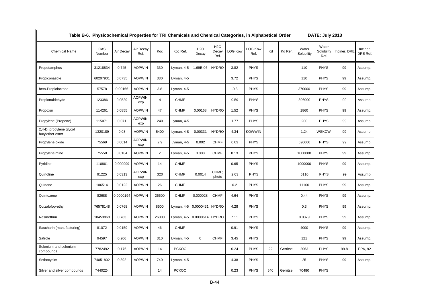| Table B-6. Physicochemical Properties for TRI Chemicals and Chemical Categories, in Alphabetical Order |               |           |                   |                |              |                     |                                   |                | DATE: July 2013        |     |          |                     |                             |              |                      |
|--------------------------------------------------------------------------------------------------------|---------------|-----------|-------------------|----------------|--------------|---------------------|-----------------------------------|----------------|------------------------|-----|----------|---------------------|-----------------------------|--------------|----------------------|
| <b>Chemical Name</b>                                                                                   | CAS<br>Number | Air Decay | Air Decay<br>Ref. | Koc            | Koc Ref.     | <b>H2O</b><br>Decay | H <sub>2</sub> O<br>Decay<br>Ref. | <b>LOG Kow</b> | <b>LOG Kow</b><br>Ref. | Kd  | Kd Ref.  | Water<br>Solubility | Water<br>Solubility<br>Ref. | Inciner. DRE | Inciner.<br>DRE Ref. |
| Propetamphos                                                                                           | 31218834      | 0.745     | <b>AOPWIN</b>     | 330            | Lyman, 4-5   | 1.69E-06            | <b>HYDRO</b>                      | 3.82           | <b>PHYS</b>            |     |          | 110                 | <b>PHYS</b>                 | 99           | Assump.              |
| Propiconazole                                                                                          | 60207901      | 0.0735    | <b>AOPWIN</b>     | 330            | Lyman, 4-5   |                     |                                   | 3.72           | <b>PHYS</b>            |     |          | 110                 | <b>PHYS</b>                 | 99           | Assump.              |
| beta-Propiolactone                                                                                     | 57578         | 0.00166   | <b>AOPWIN</b>     | 3.8            | Lyman, 4-5   |                     |                                   | $-0.8$         | <b>PHYS</b>            |     |          | 370000              | <b>PHYS</b>                 | 99           | Assump.              |
| Propionaldehyde                                                                                        | 123386        | 0.0529    | AOPWIN;<br>exp    | $\overline{4}$ | <b>CHMF</b>  |                     |                                   | 0.59           | <b>PHYS</b>            |     |          | 306000              | <b>PHYS</b>                 | 99           | Assump.              |
| Propoxur                                                                                               | 114261        | 0.0855    | <b>AOPWIN</b>     | 47             | <b>CHMF</b>  | 0.00168             | <b>HYDRO</b>                      | 1.52           | <b>PHYS</b>            |     |          | 1860                | <b>PHYS</b>                 | 99           | Assump.              |
| Propylene (Propene)                                                                                    | 115071        | 0.071     | AOPWIN;<br>exp    | 240            | Lyman, 4-5   |                     |                                   | 1.77           | <b>PHYS</b>            |     |          | 200                 | <b>PHYS</b>                 | 99           | Assump.              |
| 2,4-D, propylene glycol<br>butylether ester                                                            | 1320189       | 0.03      | <b>AOPWIN</b>     | 5400           | Lyman, 4-8   | 0.00331             | <b>HYDRO</b>                      | 4.34           | <b>KOWWIN</b>          |     |          | 1.24                | <b>WSKOW</b>                | 99           | Assump.              |
| Propylene oxide                                                                                        | 75569         | 0.0014    | AOPWIN;<br>exp    | 2.9            | Lyman, 4-5   | 0.002               | <b>CHMF</b>                       | 0.03           | <b>PHYS</b>            |     |          | 590000              | <b>PHYS</b>                 | 99           | Assump.              |
| Propyleneimine                                                                                         | 75558         | 0.0184    | <b>AOPWIN</b>     | 2              | Lyman, 4-5   | 0.008               | <b>CHMF</b>                       | 0.13           | <b>PHYS</b>            |     |          | 1000000             | <b>PHYS</b>                 | 99           | Assump.              |
| Pyridine                                                                                               | 110861        | 0.000999  | <b>AOPWIN</b>     | 14             | <b>CHMF</b>  |                     |                                   | 0.65           | <b>PHYS</b>            |     |          | 1000000             | <b>PHYS</b>                 | 99           | Assump.              |
| Quinoline                                                                                              | 91225         | 0.0313    | AOPWIN;<br>exp    | 320            | <b>CHMF</b>  | 0.0014              | CHMF:<br>photo                    | 2.03           | <b>PHYS</b>            |     |          | 6110                | <b>PHYS</b>                 | 99           | Assump.              |
| Quinone                                                                                                | 106514        | 0.0122    | <b>AOPWIN</b>     | 26             | <b>CHMF</b>  |                     |                                   | 0.2            | <b>PHYS</b>            |     |          | 11100               | <b>PHYS</b>                 | 99           | Assump.              |
| Quintozene                                                                                             | 82688         | 0.0000194 | <b>AOPWIN</b>     | 26600          | <b>CHMF</b>  | 0.000028            | <b>CHMF</b>                       | 4.64           | <b>PHYS</b>            |     |          | 0.44                | <b>PHYS</b>                 | 99           | Assump.              |
| Quizalofop-ethyl                                                                                       | 76578148      | 0.0768    | <b>AOPWIN</b>     | 8500           | Lyman, 4-5   | 0.0000431           | <b>HYDRO</b>                      | 4.28           | <b>PHYS</b>            |     |          | 0.3                 | <b>PHYS</b>                 | 99           | Assump.              |
| Resmethrin                                                                                             | 10453868      | 0.783     | <b>AOPWIN</b>     | 26000          | Lyman, 4-5   | 0.0000614 HYDRO     |                                   | 7.11           | <b>PHYS</b>            |     |          | 0.0379              | <b>PHYS</b>                 | 99           | Assump.              |
| Saccharin (manufacturing)                                                                              | 81072         | 0.0159    | <b>AOPWIN</b>     | 46             | <b>CHMF</b>  |                     |                                   | 0.91           | <b>PHYS</b>            |     |          | 4000                | <b>PHYS</b>                 | 99           | Assump.              |
| Safrole                                                                                                | 94597         | 0.206     | <b>AOPWIN</b>     | 310            | Lyman, 4-5   | $\mathbf 0$         | <b>CHMF</b>                       | 3.45           | <b>PHYS</b>            |     |          | 121                 | <b>PHYS</b>                 | 99           | Assump.              |
| Selenium and selenium<br>compounds                                                                     | 7782492       | 0.176     | <b>AOPWIN</b>     | 14             | <b>PCKOC</b> |                     |                                   | 0.24           | <b>PHYS</b>            | 22  | Gerritse | 2063                | <b>PHYS</b>                 | 99.8         | EPA, 92              |
| Sethoxydim                                                                                             | 74051802      | 0.392     | <b>AOPWIN</b>     | 740            | Lyman, 4-5   |                     |                                   | 4.38           | <b>PHYS</b>            |     |          | 25                  | <b>PHYS</b>                 | 99           | Assump.              |
| Silver and silver compounds                                                                            | 7440224       |           |                   | 14             | <b>PCKOC</b> |                     |                                   | 0.23           | <b>PHYS</b>            | 540 | Gerritse | 70480               | <b>PHYS</b>                 |              |                      |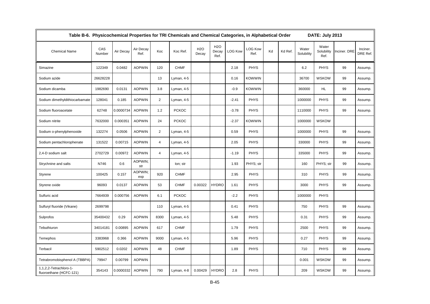| Table B-6. Physicochemical Properties for TRI Chemicals and Chemical Categories, in Alphabetical Order |               |           |                   |                |              |                     |                                   |                |                        |    |         |                     | DATE: July 2013             |              |                      |
|--------------------------------------------------------------------------------------------------------|---------------|-----------|-------------------|----------------|--------------|---------------------|-----------------------------------|----------------|------------------------|----|---------|---------------------|-----------------------------|--------------|----------------------|
| <b>Chemical Name</b>                                                                                   | CAS<br>Number | Air Decay | Air Decay<br>Ref. | Koc            | Koc Ref.     | <b>H2O</b><br>Decay | H <sub>2</sub> O<br>Decay<br>Ref. | <b>LOG Kow</b> | <b>LOG Kow</b><br>Ref. | Kd | Kd Ref. | Water<br>Solubility | Water<br>Solubility<br>Ref. | Inciner. DRE | Inciner.<br>DRE Ref. |
| Simazine                                                                                               | 122349        | 0.0482    | <b>AOPWIN</b>     | 120            | <b>CHMF</b>  |                     |                                   | 2.18           | <b>PHYS</b>            |    |         | 6.2                 | <b>PHYS</b>                 | 99           | Assump.              |
| Sodium azide                                                                                           | 26628228      |           |                   | 13             | Lyman, 4-5   |                     |                                   | 0.16           | <b>KOWWIN</b>          |    |         | 36700               | <b>WSKOW</b>                | 99           | Assump.              |
| Sodium dicamba                                                                                         | 1982690       | 0.0131    | <b>AOPWIN</b>     | 3.8            | Lyman, 4-5   |                     |                                   | $-0.9$         | <b>KOWWIN</b>          |    |         | 360000              | HL                          | 99           | Assump.              |
| Sodium dimethyldithiocarbamate                                                                         | 128041        | 0.185     | <b>AOPWIN</b>     | 2              | Lyman, 4-5   |                     |                                   | $-2.41$        | <b>PHYS</b>            |    |         | 1000000             | <b>PHYS</b>                 | 99           | Assump.              |
| Sodium fluoroacetate                                                                                   | 62748         | 0.0000734 | <b>AOPWIN</b>     | 1.2            | <b>PCKOC</b> |                     |                                   | $-3.78$        | <b>PHYS</b>            |    |         | 1110000             | <b>PHYS</b>                 | 99           | Assump.              |
| Sodium nitrite                                                                                         | 7632000       | 0.000351  | <b>AOPWIN</b>     | 24             | <b>PCKOC</b> |                     |                                   | $-2.37$        | <b>KOWWIN</b>          |    |         | 1000000             | <b>WSKOW</b>                |              |                      |
| Sodium o-phenylphenoxide                                                                               | 132274        | 0.0506    | <b>AOPWIN</b>     | 2              | Lyman, 4-5   |                     |                                   | 0.59           | <b>PHYS</b>            |    |         | 1000000             | <b>PHYS</b>                 | 99           | Assump.              |
| Sodium pentachlorophenate                                                                              | 131522        | 0.00715   | <b>AOPWIN</b>     | $\overline{4}$ | Lyman, 4-5   |                     |                                   | 2.05           | <b>PHYS</b>            |    |         | 330000              | <b>PHYS</b>                 | 99           | Assump.              |
| 2,4-D sodium salt                                                                                      | 2702729       | 0.00972   | <b>AOPWIN</b>     | 4              | Lyman, 4-5   |                     |                                   | $-1.19$        | <b>PHYS</b>            |    |         | 335000              | <b>PHYS</b>                 | 99           | Assump.              |
| Strychnine and salts                                                                                   | N746          | 0.6       | AOPWIN;<br>str    |                | lon; str     |                     |                                   | 1.93           | PHYS; str              |    |         | 160                 | PHYS; str                   | 99           | Assump.              |
| Styrene                                                                                                | 100425        | 0.157     | AOPWIN:<br>exp    | 920            | <b>CHMF</b>  |                     |                                   | 2.95           | <b>PHYS</b>            |    |         | 310                 | <b>PHYS</b>                 | 99           | Assump.              |
| Styrene oxide                                                                                          | 96093         | 0.0137    | <b>AOPWIN</b>     | 53             | <b>CHMF</b>  | 0.00322             | <b>HYDRO</b>                      | 1.61           | <b>PHYS</b>            |    |         | 3000                | <b>PHYS</b>                 | 99           | Assump.              |
| Sulfuric acid                                                                                          | 7664939       | 0.000756  | <b>AOPWIN</b>     | 6.1            | <b>PCKOC</b> |                     |                                   | $-2.2$         | <b>PHYS</b>            |    |         | 1000000             | <b>PHYS</b>                 |              |                      |
| Sulfuryl fluoride (Vikane)                                                                             | 2699798       |           |                   | 110            | Lyman, 4-5   |                     |                                   | 0.41           | <b>PHYS</b>            |    |         | 750                 | <b>PHYS</b>                 | 99           | Assump.              |
| Sulprofos                                                                                              | 35400432      | 0.29      | <b>AOPWIN</b>     | 8300           | Lyman, 4-5   |                     |                                   | 5.48           | <b>PHYS</b>            |    |         | 0.31                | <b>PHYS</b>                 | 99           | Assump.              |
| Tebuthiuron                                                                                            | 34014181      | 0.00895   | <b>AOPWIN</b>     | 617            | <b>CHMF</b>  |                     |                                   | 1.79           | <b>PHYS</b>            |    |         | 2500                | <b>PHYS</b>                 | 99           | Assump.              |
| Temephos                                                                                               | 3383968       | 0.366     | <b>AOPWIN</b>     | 9000           | Lyman, 4-5   |                     |                                   | 5.96           | <b>PHYS</b>            |    |         | 0.27                | <b>PHYS</b>                 | 99           | Assump.              |
| Terbacil                                                                                               | 5902512       | 0.0202    | <b>AOPWIN</b>     | 48             | <b>CHMF</b>  |                     |                                   | 1.89           | <b>PHYS</b>            |    |         | 710                 | <b>PHYS</b>                 | 99           | Assump.              |
| Tetrabromobisphenol A (TBBPA)                                                                          | 79947         | 0.00799   | <b>AOPWIN</b>     |                |              |                     |                                   |                |                        |    |         | 0.001               | <b>WSKOW</b>                | 99           | Assump.              |
| 1,1,2,2-Tetrachloro-1-<br>fluoroethane (HCFC-121)                                                      | 354143        | 0.0000332 | <b>AOPWIN</b>     | 790            | Lyman, 4-8   | 0.00429             | <b>HYDRO</b>                      | 2.8            | <b>PHYS</b>            |    |         | 209                 | <b>WSKOW</b>                | 99           | Assump.              |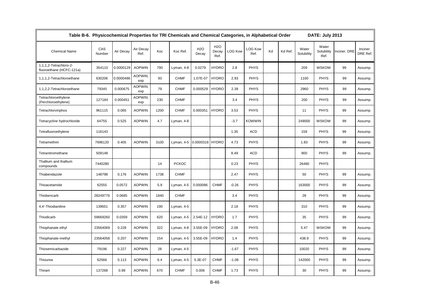| Table B-6. Physicochemical Properties for TRI Chemicals and Chemical Categories, in Alphabetical Order |               |           |                   |      |              |                     |                                   |                |                        |    |         |                     | DATE: July 2013             |              |                      |
|--------------------------------------------------------------------------------------------------------|---------------|-----------|-------------------|------|--------------|---------------------|-----------------------------------|----------------|------------------------|----|---------|---------------------|-----------------------------|--------------|----------------------|
| <b>Chemical Name</b>                                                                                   | CAS<br>Number | Air Decay | Air Decay<br>Ref. | Koc  | Koc Ref.     | <b>H2O</b><br>Decay | H <sub>2</sub> O<br>Decay<br>Ref. | <b>LOG Kow</b> | <b>LOG Kow</b><br>Ref. | Kd | Kd Ref. | Water<br>Solubility | Water<br>Solubility<br>Ref. | Inciner. DRE | Inciner.<br>DRE Ref. |
| 1,1,1,2-Tetrachloro-2-<br>fluoroethane (HCFC-121a)                                                     | 354110        | 0.0000129 | <b>AOPWIN</b>     | 790  | Lyman, 4-8   | 0.0279              | <b>HYDRO</b>                      | 2.8            | <b>PHYS</b>            |    |         | 209                 | <b>WSKOW</b>                | 99           | Assump.              |
| 1,1,1,2-Tetrachloroethane                                                                              | 630206        | 0.0000486 | AOPWIN;<br>exp    | 93   | <b>CHMF</b>  | 1.07E-07            | <b>HYDRO</b>                      | 2.93           | <b>PHYS</b>            |    |         | 1100                | <b>PHYS</b>                 | 99           | Assump.              |
| 1,1,2,2-Tetrachloroethane                                                                              | 79345         | 0.000675  | AOPWIN:<br>exp    | 79   | <b>CHMF</b>  | 0.000529            | <b>HYDRO</b>                      | 2.39           | <b>PHYS</b>            |    |         | 2960                | <b>PHYS</b>                 | 99           | Assump.              |
| Tetrachloroethylene<br>(Perchloroethylene)                                                             | 127184        | 0.000451  | AOPWIN:<br>exp    | 230  | <b>CHMF</b>  |                     |                                   | 3.4            | <b>PHYS</b>            |    |         | 200                 | <b>PHYS</b>                 | 99           | Assump.              |
| Tetrachlorvinphos                                                                                      | 961115        | 0.065     | <b>AOPWIN</b>     | 1200 | <b>CHMF</b>  | 0.000351            | <b>HYDRO</b>                      | 3.53           | <b>PHYS</b>            |    |         | 11                  | <b>PHYS</b>                 | 99           | Assump.              |
| Tetracycline hydrochloride                                                                             | 64755         | 0.525     | <b>AOPWIN</b>     | 4.7  | Lyman, 4-8   |                     |                                   | $-3.7$         | <b>KOWWIN</b>          |    |         | 249000              | <b>WSKOW</b>                | 99           | Assump.              |
| Tetrafluoroethylene                                                                                    | 116143        |           |                   |      |              |                     |                                   | 1.35           | <b>ACD</b>             |    |         | 159                 | <b>PHYS</b>                 | 99           | Assump.              |
| Tetramethrin                                                                                           | 7696120       | 0.405     | <b>AOPWIN</b>     | 3100 | Lyman, 4-5   | 0.0000318 HYDRO     |                                   | 4.73           | <b>PHYS</b>            |    |         | 1.83                | <b>PHYS</b>                 | 99           | Assump.              |
| Tetranitromethane                                                                                      | 509148        |           |                   |      |              |                     |                                   | 8.49           | <b>ACD</b>             |    |         | 900                 | <b>PHYS</b>                 | 99           | Assump.              |
| Thallium and thallium<br>compounds                                                                     | 7440280       |           |                   | 14   | <b>PCKOC</b> |                     |                                   | 0.23           | <b>PHYS</b>            |    |         | 26480               | <b>PHYS</b>                 |              |                      |
| Thiabendazole                                                                                          | 148798        | 0.176     | <b>AOPWIN</b>     | 1738 | <b>CHMF</b>  |                     |                                   | 2.47           | <b>PHYS</b>            |    |         | 50                  | <b>PHYS</b>                 | 99           | Assump.              |
| Thioacetamide                                                                                          | 62555         | 0.0572    | <b>AOPWIN</b>     | 5.9  | Lyman, 4-5   | 0.000086            | <b>CHMF</b>                       | $-0.26$        | <b>PHYS</b>            |    |         | 163000              | <b>PHYS</b>                 | 99           | Assump.              |
| Thiobencarb                                                                                            | 28249776      | 0.0685    | <b>AOPWIN</b>     | 1840 | <b>CHMF</b>  |                     |                                   | 3.4            | <b>PHYS</b>            |    |         | 28                  | <b>PHYS</b>                 | 99           | Assump.              |
| 4,4'-Thiodianiline                                                                                     | 139651        | 0.357     | <b>AOPWIN</b>     | 190  | Lyman, 4-5   |                     |                                   | 2.18           | <b>PHYS</b>            |    |         | 310                 | <b>PHYS</b>                 | 99           | Assump.              |
| Thiodicarb                                                                                             | 59669260      | 0.0359    | <b>AOPWIN</b>     | 620  | Lyman, 4-5   | 2.54E-12            | <b>HYDRO</b>                      | 1.7            | <b>PHYS</b>            |    |         | 35                  | <b>PHYS</b>                 | 99           | Assump.              |
| Thiophanate ethyl                                                                                      | 23564069      | 0.228     | <b>AOPWIN</b>     | 322  | Lyman, 4-8   | 3.55E-09            | <b>HYDRO</b>                      | 2.08           | <b>PHYS</b>            |    |         | 5.47                | <b>WSKOW</b>                | 99           | Assump.              |
| Thiophanate-methyl                                                                                     | 23564058      | 0.207     | <b>AOPWIN</b>     | 154  | Lyman, 4-5   | 3.55E-09            | <b>HYDRO</b>                      | 1.4            | <b>PHYS</b>            |    |         | 438.9               | <b>PHYS</b>                 | 99           | Assump.              |
| Thiosemicarbazide                                                                                      | 79196         | 0.227     | <b>AOPWIN</b>     | 28   | Lyman, 4-5   |                     |                                   | $-1.67$        | <b>PHYS</b>            |    |         | 10020               | <b>PHYS</b>                 | 99           | Assump.              |
| Thiourea                                                                                               | 62566         | 0.113     | <b>AOPWIN</b>     | 6.4  | Lyman, 4-5   | 5.3E-07             | <b>CHMF</b>                       | $-1.08$        | <b>PHYS</b>            |    |         | 142000              | <b>PHYS</b>                 | 99           | Assump.              |
| Thiram                                                                                                 | 137268        | 0.98      | <b>AOPWIN</b>     | 670  | <b>CHMF</b>  | 0.006               | <b>CHMF</b>                       | 1.73           | <b>PHYS</b>            |    |         | 30                  | <b>PHYS</b>                 | 99           | Assump.              |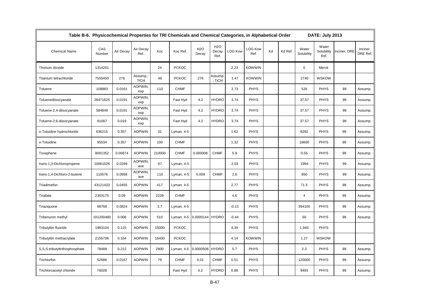| Table B-6. Physicochemical Properties for TRI Chemicals and Chemical Categories, in Alphabetical Order |               |           |                   |        |              |                           |                                   |                |                        |    |         |                     | DATE: July 2013             |              |                      |
|--------------------------------------------------------------------------------------------------------|---------------|-----------|-------------------|--------|--------------|---------------------------|-----------------------------------|----------------|------------------------|----|---------|---------------------|-----------------------------|--------------|----------------------|
| <b>Chemical Name</b>                                                                                   | CAS<br>Number | Air Decay | Air Decay<br>Ref. | Koc    | Koc Ref.     | H <sub>2</sub> O<br>Decay | H <sub>2</sub> O<br>Decay<br>Ref. | <b>LOG Kow</b> | <b>LOG Kow</b><br>Ref. | Kd | Kd Ref. | Water<br>Solubility | Water<br>Solubility<br>Ref. | Inciner. DRE | Inciner.<br>DRE Ref. |
| Thorium dioxide                                                                                        | 1314201       |           |                   | 24     | <b>PCKOC</b> |                           |                                   | 2.23           | <b>KOWWIN</b>          |    |         | $\mathbf 0$         | Merck                       |              |                      |
| Titanium tetrachloride                                                                                 | 7550450       | 276       | Assump.;<br>TiCl4 | 49     | <b>PCKOC</b> | 276                       | Assump.<br>: TiCl4                | 1.47           | <b>KOWWIN</b>          |    |         | 2740                | <b>WSKOW</b>                |              |                      |
| Toluene                                                                                                | 108883        | 0.0161    | AOPWIN:<br>exp    | 110    | <b>CHMF</b>  |                           |                                   | 2.73           | <b>PHYS</b>            |    |         | 526                 | <b>PHYS</b>                 | 99           | Assump.              |
| Toluenediisocyanate                                                                                    | 26471625      | 0.0191    | AOPWIN:<br>exp    |        | Fast Hyd     | 4.2                       | <b>HYDRO</b>                      | 3.74           | <b>PHYS</b>            |    |         | 37.57               | <b>PHYS</b>                 | 99           | Assump.              |
| Toluene-2,4-diisocyanate                                                                               | 584849        | 0.0191    | AOPWIN;<br>exp    |        | Fast Hyd     | 4.2                       | <b>HYDRO</b>                      | 3.74           | <b>PHYS</b>            |    |         | 37.57               | <b>PHYS</b>                 | 99           | Assump.              |
| Toluene-2,6-diisocyanate                                                                               | 91087         | 0.019     | AOPWIN;<br>exp    |        | Fast Hyd     | 4.2                       | <b>HYDRO</b>                      | 3.74           | <b>PHYS</b>            |    |         | 37.57               | <b>PHYS</b>                 | 99           | Assump.              |
| o-Toluidine hydrochloride                                                                              | 636215        | 0.357     | <b>AOPWIN</b>     | 31     | Lyman, 4-5   |                           |                                   | 1.62           | <b>PHYS</b>            |    |         | 8292                | <b>PHYS</b>                 | 99           | Assump.              |
| o-Toluidine                                                                                            | 95534         | 0.357     | <b>AOPWIN</b>     | 100    | <b>CHMF</b>  |                           |                                   | 1.32           | <b>PHYS</b>            |    |         | 16600               | <b>PHYS</b>                 | 99           | Assump.              |
| Toxaphene                                                                                              | 8001352       | 0.00674   | <b>AOPWIN</b>     | 210000 | <b>CHMF</b>  | 0.000008                  | <b>CHMF</b>                       | 5.9            | <b>PHYS</b>            |    |         | 0.55                | <b>PHYS</b>                 | 99           | Assump.              |
| trans-1,3-Dichloropropene                                                                              | 10061026      | 0.0269    | AOPWIN;<br>ave    | 67     | Lyman, 4-5   |                           |                                   | 2.03           | <b>PHYS</b>            |    |         | 1994                | <b>PHYS</b>                 | 99           | Assump.              |
| trans-1,4-Dichloro-2-butene                                                                            | 110576        | 0.0958    | AOPWIN;<br>ave    | 110    | Lyman, 4-5   | 0.009                     | <b>CHMF</b>                       | 2.6            | <b>PHYS</b>            |    |         | 850                 | <b>PHYS</b>                 | 99           | Assump.              |
| Triadimefon                                                                                            | 43121433      | 0.0455    | <b>AOPWIN</b>     | 417    | Lyman, 4-5   |                           |                                   | 2.77           | <b>PHYS</b>            |    |         | 71.5                | <b>PHYS</b>                 | 99           | Assump.              |
| Triallate                                                                                              | 2303175       | 0.09      | <b>AOPWIN</b>     | 2239   | <b>CHMF</b>  |                           |                                   | 4.6            | <b>PHYS</b>            |    |         | $\overline{4}$      | <b>PHYS</b>                 | 99           | Assump.              |
| Triaziquone                                                                                            | 68768         | 0.0824    | <b>AOPWIN</b>     | 3.7    | Lyman, 4-5   |                           |                                   | $-0.13$        | <b>PHYS</b>            |    |         | 394100              | <b>PHYS</b>                 | 99           | Assump.              |
| Tribenuron methyl                                                                                      | 101200480     | 0.008     | <b>AOPWIN</b>     | 510    | Lyman, 4-5   | 0.0000144 HYDRO           |                                   | $-0.44$        | <b>PHYS</b>            |    |         | 50                  | <b>PHYS</b>                 | 99           | Assump.              |
| Tributyltin fluoride                                                                                   | 1983104       | 0.115     | <b>AOPWIN</b>     | 15000  | <b>PCKOC</b> |                           |                                   | 4.39           | <b>PHYS</b>            |    |         | 1.945               | <b>PHYS</b>                 |              |                      |
| Tributyltin methacrylate                                                                               | 2155706       | 0.164     | <b>AOPWIN</b>     | 16400  | <b>PCKOC</b> |                           |                                   | 4.14           | <b>KOWWIN</b>          |    |         | 1.27                | <b>WSKOW</b>                |              |                      |
| S,S,S-tributyltrithiophosphate                                                                         | 78488         | 0.213     | <b>AOPWIN</b>     | 2800   | Lyman, 4-5   | 0.0000506                 | <b>HYDRO</b>                      | 5.7            | <b>PHYS</b>            |    |         | 2.3                 | <b>PHYS</b>                 | 99           | Assump.              |
| Trichlorfon                                                                                            | 52686         | 0.0167    | <b>AOPWIN</b>     | 79     | <b>CHMF</b>  | 0.01                      | <b>CHMF</b>                       | 0.51           | <b>PHYS</b>            |    |         | 120000              | <b>PHYS</b>                 | 99           | Assump.              |
| Trichloroacetyl chloride                                                                               | 76028         |           |                   |        | Fast Hyd     | 4.2                       | <b>HYDRO</b>                      | 0.88           | <b>PHYS</b>            |    |         | 9493                | <b>PHYS</b>                 | 99           | Assump.              |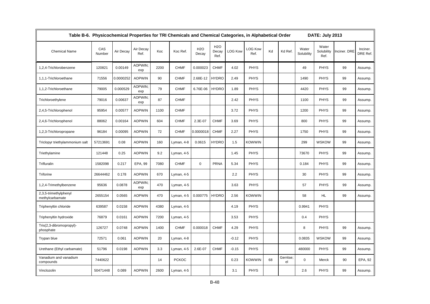| Table B-6. Physicochemical Properties for TRI Chemicals and Chemical Categories, in Alphabetical Order |               |           |                   |      |              |                           |                                   |                |                        |    |                 |                     | <b>DATE: July 2013</b>      |              |                      |
|--------------------------------------------------------------------------------------------------------|---------------|-----------|-------------------|------|--------------|---------------------------|-----------------------------------|----------------|------------------------|----|-----------------|---------------------|-----------------------------|--------------|----------------------|
| <b>Chemical Name</b>                                                                                   | CAS<br>Number | Air Decay | Air Decay<br>Ref. | Koc  | Koc Ref.     | H <sub>2</sub> O<br>Decay | H <sub>2</sub> O<br>Decay<br>Ref. | <b>LOG Kow</b> | <b>LOG Kow</b><br>Ref. | Kd | Kd Ref.         | Water<br>Solubility | Water<br>Solubility<br>Ref. | Inciner. DRE | Inciner.<br>DRE Ref. |
| 1.2.4-Trichlorobenzene                                                                                 | 120821        | 0.00149   | AOPWIN;<br>exp    | 2200 | <b>CHMF</b>  | 0.000023                  | <b>CHMF</b>                       | 4.02           | <b>PHYS</b>            |    |                 | 49                  | <b>PHYS</b>                 | 99           | Assump.              |
| 1,1,1-Trichloroethane                                                                                  | 71556         | 0.0000252 | <b>AOPWIN</b>     | 90   | <b>CHMF</b>  | 2.68E-12                  | <b>HYDRO</b>                      | 2.49           | <b>PHYS</b>            |    |                 | 1490                | <b>PHYS</b>                 | 99           | Assump.              |
| 1,1,2-Trichloroethane                                                                                  | 79005         | 0.000529  | AOPWIN:<br>exp    | 79   | <b>CHMF</b>  | 6.76E-06                  | <b>HYDRO</b>                      | 1.89           | <b>PHYS</b>            |    |                 | 4420                | <b>PHYS</b>                 | 99           | Assump.              |
| Trichloroethylene                                                                                      | 79016         | 0.00637   | AOPWIN:<br>exp    | 87   | <b>CHMF</b>  |                           |                                   | 2.42           | <b>PHYS</b>            |    |                 | 1100                | <b>PHYS</b>                 | 99           | Assump.              |
| 2,4,5-Trichlorophenol                                                                                  | 95954         | 0.00577   | <b>AOPWIN</b>     | 1100 | <b>CHMF</b>  |                           |                                   | 3.72           | <b>PHYS</b>            |    |                 | 1200                | <b>PHYS</b>                 | 99           | Assump.              |
| 2,4,6-Trichlorophenol                                                                                  | 88062         | 0.00164   | <b>AOPWIN</b>     | 604  | <b>CHMF</b>  | 2.3E-07                   | <b>CHMF</b>                       | 3.69           | <b>PHYS</b>            |    |                 | 800                 | <b>PHYS</b>                 | 99           | Assump.              |
| 1,2,3-Trichloropropane                                                                                 | 96184         | 0.00095   | <b>AOPWIN</b>     | 72   | <b>CHMF</b>  | 0.0000018                 | <b>CHMF</b>                       | 2.27           | <b>PHYS</b>            |    |                 | 1750                | <b>PHYS</b>                 | 99           | Assump.              |
| Triclopyr triethylammonium salt                                                                        | 57213691      | 0.08      | <b>AOPWIN</b>     | 160  | Lyman, 4-8   | 0.0615                    | <b>HYDRO</b>                      | 1.5            | KOWWIN                 |    |                 | 299                 | <b>WSKOW</b>                | 99           | Assump.              |
| Triethylamine                                                                                          | 121448        | 0.25      | <b>AOPWIN</b>     | 9.2  | Lyman, 4-5   |                           |                                   | 1.45           | <b>PHYS</b>            |    |                 | 73670               | <b>PHYS</b>                 | 99           | Assump.              |
| Trifluralin                                                                                            | 1582098       | 0.217     | EPA, 99           | 7080 | <b>CHMF</b>  | $\mathbf 0$               | <b>PRNA</b>                       | 5.34           | <b>PHYS</b>            |    |                 | 0.184               | <b>PHYS</b>                 | 99           | Assump.              |
| Triforine                                                                                              | 26644462      | 0.178     | <b>AOPWIN</b>     | 670  | Lyman, 4-5   |                           |                                   | 2.2            | <b>PHYS</b>            |    |                 | 30                  | <b>PHYS</b>                 | 99           | Assump.              |
| 1,2,4-Trimethylbenzene                                                                                 | 95636         | 0.0878    | AOPWIN:<br>exp    | 470  | Lyman, 4-5   |                           |                                   | 3.63           | <b>PHYS</b>            |    |                 | 57                  | <b>PHYS</b>                 | 99           | Assump.              |
| 2,3,5-trimethylphenyl<br>methylcarbamate                                                               | 2655154       | 0.0565    | <b>AOPWIN</b>     | 470  | Lyman, 4-5   | 0.000775                  | <b>HYDRO</b>                      | 2.56           | <b>KOWWIN</b>          |    |                 | 58                  | <b>HL</b>                   | 99           | Assump.              |
| Triphenyltin chloride                                                                                  | 639587        | 0.0158    | <b>AOPWIN</b>     | 4380 | Lyman, 4-5   |                           |                                   | 4.19           | <b>PHYS</b>            |    |                 | 0.9941              | <b>PHYS</b>                 |              |                      |
| Triphenyltin hydroxide                                                                                 | 76879         | 0.0161    | <b>AOPWIN</b>     | 7200 | Lyman, 4-5   |                           |                                   | 3.53           | <b>PHYS</b>            |    |                 | 0.4                 | <b>PHYS</b>                 |              |                      |
| Tris(2,3-dibromopropyl)-<br>phosphate                                                                  | 126727        | 0.0748    | <b>AOPWIN</b>     | 1400 | <b>CHMF</b>  | 0.000018                  | <b>CHMF</b>                       | 4.29           | <b>PHYS</b>            |    |                 | 8                   | <b>PHYS</b>                 | 99           | Assump.              |
| Trypan blue                                                                                            | 72571         | 0.061     | <b>AOPWIN</b>     | 20   | Lyman, 4-8   |                           |                                   | $-0.12$        | <b>PHYS</b>            |    |                 | 0.0835              | <b>WSKOW</b>                | 99           | Assump.              |
| Urethane (Ethyl carbamate)                                                                             | 51796         | 0.0198    | <b>AOPWIN</b>     | 3.3  | Lyman, 4-5   | 2.6E-07                   | <b>CHMF</b>                       | $-0.15$        | <b>PHYS</b>            |    |                 | 480000              | <b>PHYS</b>                 | 99           | Assump.              |
| Vanadium and vanadium<br>compounds                                                                     | 7440622       |           |                   | 14   | <b>PCKOC</b> |                           |                                   | 0.23           | <b>KOWWIN</b>          | 68 | Gerritse;<br>el | 0                   | Merck                       | 90           | EPA, 92              |
| Vinclozolin                                                                                            | 50471448      | 0.089     | <b>AOPWIN</b>     | 2600 | Lyman, 4-5   |                           |                                   | 3.1            | <b>PHYS</b>            |    |                 | 2.6                 | <b>PHYS</b>                 | 99           | Assump.              |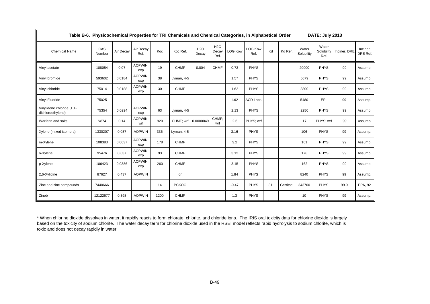| Table B-6. Physicochemical Properties for TRI Chemicals and Chemical Categories, in Alphabetical Order |               |           |                   |      |              |                     |                                   |                |                        |    |          |                     | DATE: July 2013             |              |                      |
|--------------------------------------------------------------------------------------------------------|---------------|-----------|-------------------|------|--------------|---------------------|-----------------------------------|----------------|------------------------|----|----------|---------------------|-----------------------------|--------------|----------------------|
| <b>Chemical Name</b>                                                                                   | CAS<br>Number | Air Decay | Air Decay<br>Ref. | Koc  | Koc Ref.     | <b>H2O</b><br>Decay | H <sub>2</sub> O<br>Decay<br>Ref. | <b>LOG Kow</b> | <b>LOG Kow</b><br>Ref. | Kd | Kd Ref.  | Water<br>Solubility | Water<br>Solubility<br>Ref. | Inciner. DRE | Inciner.<br>DRE Ref. |
| Vinyl acetate                                                                                          | 108054        | 0.07      | AOPWIN:<br>exp    | 19   | <b>CHMF</b>  | 0.004               | <b>CHMF</b>                       | 0.73           | <b>PHYS</b>            |    |          | 20000               | <b>PHYS</b>                 | 99           | Assump.              |
| Vinyl bromide                                                                                          | 593602        | 0.0184    | AOPWIN:<br>exp    | 38   | Lyman, 4-5   |                     |                                   | 1.57           | <b>PHYS</b>            |    |          | 5679                | PHYS                        | 99           | Assump.              |
| Vinyl chloride                                                                                         | 75014         | 0.0188    | AOPWIN:<br>exp    | 30   | <b>CHMF</b>  |                     |                                   | 1.62           | <b>PHYS</b>            |    |          | 8800                | <b>PHYS</b>                 | 99           | Assump.              |
| Vinyl Fluoride                                                                                         | 75025         |           |                   |      |              |                     |                                   | 1.62           | <b>ACD Labs</b>        |    |          | 5480                | EPI                         | 99           | Assump.              |
| Vinylidene chloride (1,1-<br>dichloroethylene)                                                         | 75354         | 0.0294    | AOPWIN:<br>exp    | 63   | Lyman, 4-5   |                     |                                   | 2.13           | <b>PHYS</b>            |    |          | 2250                | PHYS                        | 99           | Assump.              |
| Warfarin and salts                                                                                     | N874          | 0.14      | AOPWIN;<br>wrf    | 920  | CHMF; wrf    | 0.0000049           | CHMF:<br>wrf                      | 2.6            | PHYS; wrf              |    |          | 17                  | PHYS; wrf                   | 99           | Assump.              |
| Xylene (mixed isomers)                                                                                 | 1330207       | 0.037     | <b>AOPWIN</b>     | 336  | Lyman, 4-5   |                     |                                   | 3.16           | <b>PHYS</b>            |    |          | 106                 | <b>PHYS</b>                 | 99           | Assump.              |
| m-Xylene                                                                                               | 108383        | 0.0637    | AOPWIN:<br>exp    | 178  | <b>CHMF</b>  |                     |                                   | 3.2            | <b>PHYS</b>            |    |          | 161                 | <b>PHYS</b>                 | 99           | Assump.              |
| o-Xylene                                                                                               | 95476         | 0.037     | AOPWIN:<br>exp    | 93   | <b>CHMF</b>  |                     |                                   | 3.12           | <b>PHYS</b>            |    |          | 178                 | <b>PHYS</b>                 | 99           | Assump.              |
| p-Xylene                                                                                               | 106423        | 0.0386    | AOPWIN:<br>exp    | 260  | <b>CHMF</b>  |                     |                                   | 3.15           | <b>PHYS</b>            |    |          | 162                 | <b>PHYS</b>                 | 99           | Assump.              |
| 2,6-Xylidine                                                                                           | 87627         | 0.437     | <b>AOPWIN</b>     |      | lon          |                     |                                   | 1.84           | <b>PHYS</b>            |    |          | 8240                | <b>PHYS</b>                 | 99           | Assump.              |
| Zinc and zinc compounds                                                                                | 7440666       |           |                   | 14   | <b>PCKOC</b> |                     |                                   | $-0.47$        | <b>PHYS</b>            | 31 | Gerritse | 343700              | <b>PHYS</b>                 | 99.9         | EPA, 92              |
| Zineb                                                                                                  | 12122677      | 0.398     | <b>AOPWIN</b>     | 1200 | <b>CHMF</b>  |                     |                                   | 1.3            | <b>PHYS</b>            |    |          | 10                  | <b>PHYS</b>                 | 99           | Assump.              |

\* When chlorine dioxide dissolves in water, it rapidly reacts to form chlorate, chlorite, and chloride ions. The IRIS oral toxicity data for chlorine dioxide is largely based on the toxicity of sodium chlorite. The water decay term for chlorine dioxide used in the RSEI model reflects rapid hydrolysis to sodium chlorite, which is toxic and does not decay rapidly in water.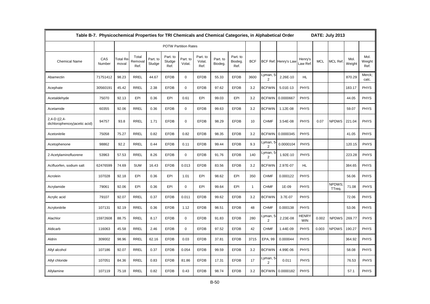|                                                 | Table B-7. Physicochemical Properties for TRI Chemicals and Chemical Categories, in Alphabetical Order |                          |                          |                    |                             |                    |                            |                     |                             |              |                            |                      |                            |            | DATE: July 2013        |                |                        |
|-------------------------------------------------|--------------------------------------------------------------------------------------------------------|--------------------------|--------------------------|--------------------|-----------------------------|--------------------|----------------------------|---------------------|-----------------------------|--------------|----------------------------|----------------------|----------------------------|------------|------------------------|----------------|------------------------|
|                                                 |                                                                                                        |                          |                          |                    | <b>POTW Partition Rates</b> |                    |                            |                     |                             |              |                            |                      |                            |            |                        |                |                        |
| <b>Chemical Name</b>                            | CAS<br>Number                                                                                          | <b>Total Re</b><br>moval | Total<br>Removal<br>Ref. | Part. to<br>Sludge | Part. to<br>Sludge<br>Ref.  | Part. to<br>Volat. | Part. to<br>Volat.<br>Ref. | Part. to<br>Biodeg. | Part. to<br>Biodeg.<br>Ref. | <b>BCF</b>   |                            | BCF Ref. Henry's Lav | Henry's<br>aw Ref.         | <b>MCL</b> | <b>MCL Ref</b>         | Mol.<br>Weight | Mol.<br>Weight<br>Ref. |
| Abamectin                                       | 71751412                                                                                               | 98.23                    | <b>RREL</b>              | 44.67              | <b>EFDB</b>                 | $\mathbf{0}$       | <b>EFDB</b>                | 55.33               | <b>EFDB</b>                 | 3600         | Lyman, 5<br>2              | 2.26E-10             | HL.                        |            |                        | 870.29         | Merck;<br>calc.        |
| Acephate                                        | 30560191                                                                                               | 45.42                    | <b>RREL</b>              | 2.38               | <b>EFDB</b>                 | $\mathbf 0$        | <b>EFDB</b>                | 97.62               | <b>EFDB</b>                 | 3.2          | <b>BCFWIN</b>              | 5.01E-13             | PHYS                       |            |                        | 183.17         | <b>PHYS</b>            |
| Acetaldehyde                                    | 75070                                                                                                  | 92.13                    | EPI                      | 0.36               | EPI                         | 0.61               | EPI                        | 99.03               | EPI                         | 3.2          | <b>BCFWIN</b>              | 0.0000667            | PHYS                       |            |                        | 44.05          | <b>PHYS</b>            |
| Acetamide                                       | 60355                                                                                                  | 92.06                    | <b>RREL</b>              | 0.36               | <b>EFDB</b>                 | $\mathbf 0$        | <b>EFDB</b>                | 99.63               | <b>EFDB</b>                 | 3.2          | <b>BCFWIN</b>              | 1.12E-08             | <b>PHYS</b>                |            |                        | 59.07          | <b>PHYS</b>            |
| $2,4-D$ ((2,4-<br>dichlorophenoxy) acetic acid) | 94757                                                                                                  | 93.8                     | <b>RREL</b>              | 1.71               | <b>EFDB</b>                 | $\mathbf 0$        | <b>EFDB</b>                | 98.29               | <b>EFDB</b>                 | 10           | <b>CHMF</b>                | 3.54E-08             | <b>PHYS</b>                | 0.07       | <b>NPDWS</b>           | 221.04         | <b>PHYS</b>            |
| Acetonitrile                                    | 75058                                                                                                  | 75.27                    | <b>RREL</b>              | 0.82               | <b>EFDB</b>                 | 0.82               | <b>EFDB</b>                | 98.35               | <b>EFDB</b>                 | 3.2          | <b>BCFWIN</b>              | 0.0000345            | <b>PHYS</b>                |            |                        | 41.05          | <b>PHYS</b>            |
| Acetophenone                                    | 98862                                                                                                  | 92.2                     | <b>RREL</b>              | 0.44               | <b>EFDB</b>                 | 0.11               | <b>EFDB</b>                | 99.44               | <b>EFDB</b>                 | 9.3          | Lyman, 5<br>$\overline{2}$ | 0.0000104            | <b>PHYS</b>                |            |                        | 120.15         | <b>PHYS</b>            |
| 2-Acetylaminofluorene                           | 53963                                                                                                  | 57.53                    | <b>RREL</b>              | 8.26               | <b>EFDB</b>                 | $\mathbf 0$        | <b>EFDB</b>                | 91.76               | <b>EFDB</b>                 | 140          | Lyman, 5<br>2              | 1.92E-10             | <b>PHYS</b>                |            |                        | 223.28         | <b>PHYS</b>            |
| Acifluorfen, sodium salt                        | 62476599                                                                                               | 74.69                    | <b>SUM</b>               | 16.43              | <b>EFDB</b>                 | 0.013              | <b>EFDB</b>                | 83.56               | <b>EFDB</b>                 | 3.2          | <b>BCFWIN</b>              | 2.97E-07             | <b>HL</b>                  |            |                        | 384.65         | <b>PHYS</b>            |
| Acrolein                                        | 107028                                                                                                 | 92.18                    | EPI                      | 0.36               | EPI                         | 1.01               | EPI                        | 98.62               | EPI                         | 350          | <b>CHMF</b>                | 0.000122             | <b>PHYS</b>                |            |                        | 56.06          | <b>PHYS</b>            |
| Acrylamide                                      | 79061                                                                                                  | 92.06                    | EPI                      | 0.36               | EPI                         | $\mathbf 0$        | EPI                        | 99.64               | EPI                         | $\mathbf{1}$ | <b>CHMF</b>                | 1E-09                | <b>PHYS</b>                |            | <b>NPDWS</b><br>TTreg. | 71.08          | <b>PHYS</b>            |
| Acrylic acid                                    | 79107                                                                                                  | 92.07                    | <b>RREL</b>              | 0.37               | <b>EFDB</b>                 | 0.011              | <b>EFDB</b>                | 99.62               | <b>EFDB</b>                 | 3.2          | <b>BCFWIN</b>              | 3.7E-07              | PHYS                       |            |                        | 72.06          | <b>PHYS</b>            |
| Acrylonitrile                                   | 107131                                                                                                 | 92.19                    | <b>RREL</b>              | 0.36               | <b>EFDB</b>                 | 1.12               | <b>EFDB</b>                | 98.51               | <b>EFDB</b>                 | 48           | <b>CHMF</b>                | 0.000138             | <b>PHYS</b>                |            |                        | 53.06          | <b>PHYS</b>            |
| Alachlor                                        | 15972608                                                                                               | 88.75                    | <b>RREL</b>              | 8.17               | <b>EFDB</b>                 | $\mathbf 0$        | <b>EFDB</b>                | 91.83               | <b>EFDB</b>                 | 280          | Lyman, 5<br>2              | 2.23E-08             | <b>HENRY</b><br><b>WIN</b> | 0.002      | <b>NPDWS</b>           | 269.77         | <b>PHYS</b>            |
| Aldicarb                                        | 116063                                                                                                 | 45.58                    | <b>RREL</b>              | 2.46               | <b>EFDB</b>                 | $\mathbf 0$        | <b>EFDB</b>                | 97.52               | <b>EFDB</b>                 | 42           | <b>CHMF</b>                | 1.44E-09             | <b>PHYS</b>                | 0.003      | <b>NPDWS</b>           | 190.27         | <b>PHYS</b>            |
| Aldrin                                          | 309002                                                                                                 | 98.96                    | <b>RREL</b>              | 62.16              | <b>EFDB</b>                 | 0.03               | <b>EFDB</b>                | 37.81               | <b>EFDB</b>                 | 3715         | EPA, 99                    | 0.000044             | <b>PHYS</b>                |            |                        | 364.92         | <b>PHYS</b>            |
| Allyl alcohol                                   | 107186                                                                                                 | 92.07                    | <b>RREL</b>              | 0.37               | <b>EFDB</b>                 | 0.054              | <b>EFDB</b>                | 99.59               | <b>EFDB</b>                 | 3.2          | <b>BCFWIN</b>              | 4.99E-06             | PHYS                       |            |                        | 58.08          | <b>PHYS</b>            |
| Allyl chloride                                  | 107051                                                                                                 | 84.36                    | <b>RREL</b>              | 0.83               | <b>EFDB</b>                 | 81.86              | <b>EFDB</b>                | 17.31               | <b>EFDB</b>                 | 17           | Lyman, 5<br>2              | 0.011                | <b>PHYS</b>                |            |                        | 76.53          | <b>PHYS</b>            |
| Allylamine                                      | 107119                                                                                                 | 75.18                    | <b>RREL</b>              | 0.82               | <b>EFDB</b>                 | 0.43               | <b>EFDB</b>                | 98.74               | <b>EFDB</b>                 | 3.2          | <b>BCFWIN</b>              | 0.0000182            | <b>PHYS</b>                |            |                        | 57.1           | <b>PHYS</b>            |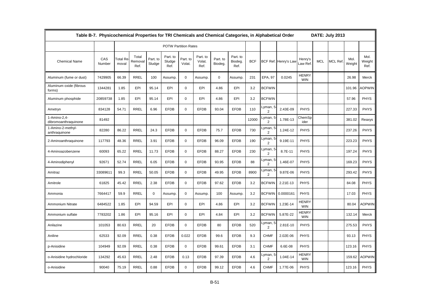|                                      | Table B-7. Physicochemical Properties for TRI Chemicals and Chemical Categories, in Alphabetical Order |                                |                          |                    |                             |                    |                            |                     |                             |            |                            |                      |                            |            | DATE: July 2013 |                |                        |
|--------------------------------------|--------------------------------------------------------------------------------------------------------|--------------------------------|--------------------------|--------------------|-----------------------------|--------------------|----------------------------|---------------------|-----------------------------|------------|----------------------------|----------------------|----------------------------|------------|-----------------|----------------|------------------------|
|                                      |                                                                                                        |                                |                          |                    | <b>POTW Partition Rates</b> |                    |                            |                     |                             |            |                            |                      |                            |            |                 |                |                        |
| <b>Chemical Name</b>                 | CAS<br>Number                                                                                          | Γotal Re <sup>.</sup><br>moval | Total<br>Removal<br>Ref. | Part. to<br>Sludge | Part. to<br>Sludge<br>Ref.  | Part. to<br>Volat. | Part. to<br>Volat.<br>Ref. | Part. to<br>Biodeg. | Part. to<br>Biodeg.<br>Ref. | <b>BCF</b> |                            | BCF Ref. Henry's Law | Henry's<br>aw Ref          | <b>MCL</b> | <b>MCL Ref</b>  | Mol.<br>Weight | Mol.<br>Weight<br>Ref. |
| Aluminum (fume or dust)              | 7429905                                                                                                | 66.39                          | <b>RREL</b>              | 100                | Assump.                     | $\mathbf 0$        | Assump.                    | $\mathbf 0$         | Assump                      | 231        | EPA, 97                    | 0.0245               | <b>HENRY</b><br><b>WIN</b> |            |                 | 26.98          | Merck                  |
| Aluminum oxide (fibrous<br>forms)    | 1344281                                                                                                | 1.85                           | EPI                      | 95.14              | EPI                         | $\mathbf 0$        | EPI                        | 4.86                | EPI                         | 3.2        | <b>BCFWIN</b>              |                      |                            |            |                 | 101.96         | <b>AOPWIN</b>          |
| Aluminum phosphide                   | 20859738                                                                                               | 1.85                           | EPI                      | 95.14              | EPI                         | $\mathbf 0$        | EPI                        | 4.86                | EPI                         | 3.2        | <b>BCFWIN</b>              |                      |                            |            |                 | 57.96          | <b>PHYS</b>            |
| Ametryn                              | 834128                                                                                                 | 54.71                          | <b>RREL</b>              | 6.96               | <b>EFDB</b>                 | $\mathbf 0$        | <b>EFDB</b>                | 93.04               | <b>EFDB</b>                 | 110        | Lyman, 5<br>$\overline{2}$ | 2.43E-09             | <b>PHYS</b>                |            |                 | 227.33         | <b>PHYS</b>            |
| 1-Amino-2,4-<br>dibromoanthraquinone | 81492                                                                                                  |                                |                          |                    |                             |                    |                            |                     |                             | 12000      | Lyman, 5<br>$\overline{2}$ | 1.78E-13             | ChemSp<br>ider             |            |                 | 381.02         | Reaxys                 |
| 1-Amino-2-methyl-<br>anthraquinone   | 82280                                                                                                  | 86.22                          | <b>RREL</b>              | 24.3               | <b>EFDB</b>                 | $\mathbf 0$        | <b>EFDB</b>                | 75.7                | <b>EFDB</b>                 | 730        | Lyman, 5<br>$\overline{2}$ | 1.24E-12             | <b>PHYS</b>                |            |                 | 237.26         | <b>PHYS</b>            |
| 2-Aminoanthraquinone                 | 117793                                                                                                 | 48.36                          | <b>RREL</b>              | 3.91               | <b>EFDB</b>                 | $\mathbf 0$        | <b>EFDB</b>                | 96.09               | <b>EFDB</b>                 | 190        | Lyman, 5<br>2              | 9.19E-11             | <b>PHYS</b>                |            |                 | 223.23         | <b>PHYS</b>            |
| 4-Aminoazobenzene                    | 60093                                                                                                  | 65.22                          | <b>RREL</b>              | 11.73              | <b>EFDB</b>                 | $\mathbf 0$        | <b>EFDB</b>                | 88.27               | <b>EFDB</b>                 | 230        | Lyman, 5<br>$\overline{2}$ | 8.7E-11              | <b>PHYS</b>                |            |                 | 197.24         | <b>PHYS</b>            |
| 4-Aminodiphenyl                      | 92671                                                                                                  | 52.74                          | <b>RREL</b>              | 6.05               | <b>EFDB</b>                 | $\mathbf 0$        | <b>EFDB</b>                | 93.95               | <b>EFDB</b>                 | 88         | Lyman, 5<br>$\overline{2}$ | 1.46E-07             | <b>PHYS</b>                |            |                 | 169.23         | <b>PHYS</b>            |
| Amitraz                              | 33089611                                                                                               | 99.3                           | <b>RREL</b>              | 50.05              | <b>EFDB</b>                 | $\mathbf 0$        | <b>EFDB</b>                | 49.95               | <b>EFDB</b>                 | 8900       | Lyman, 5<br>$\overline{2}$ | 9.87E-06             | <b>PHYS</b>                |            |                 | 293.42         | <b>PHYS</b>            |
| Amitrole                             | 61825                                                                                                  | 45.42                          | <b>RREL</b>              | 2.38               | <b>EFDB</b>                 | $\mathbf 0$        | <b>EFDB</b>                | 97.62               | <b>EFDB</b>                 | 3.2        | <b>BCFWIN</b>              | 2.21E-13             | <b>PHYS</b>                |            |                 | 84.08          | <b>PHYS</b>            |
| Ammonia                              | 7664417                                                                                                | 59.9                           | <b>RREL</b>              | 0                  | Assump.                     | $\mathbf 0$        | Assump.                    | 100                 | Assump                      | 3.2        | <b>BCFWIN</b>              | 0.0000161            | <b>PHYS</b>                |            |                 | 17.03          | <b>PHYS</b>            |
| Ammonium Nitrate                     | 6484522                                                                                                | 1.85                           | EPI                      | 94.59              | EPI                         | $\mathbf 0$        | EPI                        | 4.86                | EPI                         | 3.2        | <b>BCFWIN</b>              | 1.23E-14             | <b>HENRY</b><br><b>WIN</b> |            |                 | 80.04          | <b>AOPWIN</b>          |
| Ammonium sulfate                     | 7783202                                                                                                | 1.86                           | EPI                      | 95.16              | EPI                         | $\mathbf 0$        | EPI                        | 4.84                | EPI                         | 3.2        | <b>BCFWIN</b>              | 5.87E-22             | <b>HENRY</b><br><b>WIN</b> |            |                 | 132.14         | Merck                  |
| Anilazine                            | 101053                                                                                                 | 80.63                          | <b>RREL</b>              | 20                 | <b>EFDB</b>                 | $\mathbf 0$        | <b>EFDB</b>                | 80                  | <b>EFDB</b>                 | 520        | Lyman, 5<br>$\overline{2}$ | 2.81E-10             | <b>PHYS</b>                |            |                 | 275.53         | <b>PHYS</b>            |
| Aniline                              | 62533                                                                                                  | 92.09                          | <b>RREL</b>              | 0.38               | <b>EFDB</b>                 | 0.022              | <b>EFDB</b>                | 99.6                | <b>EFDB</b>                 | 9.3        | <b>CHMF</b>                | 2.02E-06             | <b>PHYS</b>                |            |                 | 93.13          | <b>PHYS</b>            |
| p-Anisidine                          | 104949                                                                                                 | 92.09                          | <b>RREL</b>              | 0.38               | <b>EFDB</b>                 | $\mathbf 0$        | <b>EFDB</b>                | 99.61               | <b>EFDB</b>                 | 3.1        | <b>CHMF</b>                | 6.6E-08              | <b>PHYS</b>                |            |                 | 123.16         | <b>PHYS</b>            |
| o-Anisidine hydrochloride            | 134292                                                                                                 | 45.63                          | <b>RREL</b>              | 2.48               | <b>EFDB</b>                 | 0.13               | <b>EFDB</b>                | 97.39               | <b>EFDB</b>                 | 4.6        | Lyman, 5<br>$\overline{2}$ | 1.04E-14             | <b>HENRY</b><br><b>WIN</b> |            |                 | 159.62         | <b>AOPWIN</b>          |
| o-Anisidine                          | 90040                                                                                                  | 75.19                          | <b>RREL</b>              | 0.88               | <b>EFDB</b>                 | $\Omega$           | <b>EFDB</b>                | 99.12               | <b>EFDB</b>                 | 4.6        | <b>CHMF</b>                | 1.77E-06             | <b>PHYS</b>                |            |                 | 123.16         | <b>PHYS</b>            |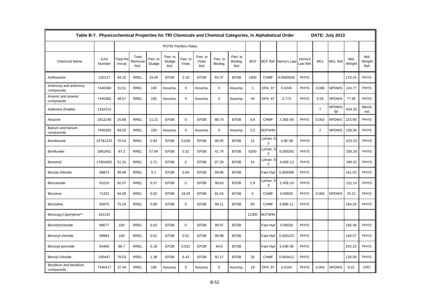|                                      | Table B-7. Physicochemical Properties for TRI Chemicals and Chemical Categories, in Alphabetical Order |                          |                          |                    |                             |                    |                            |                     |                             |              |                            |                      |                    |                | DATE: July 2013     |                |                        |
|--------------------------------------|--------------------------------------------------------------------------------------------------------|--------------------------|--------------------------|--------------------|-----------------------------|--------------------|----------------------------|---------------------|-----------------------------|--------------|----------------------------|----------------------|--------------------|----------------|---------------------|----------------|------------------------|
|                                      |                                                                                                        |                          |                          |                    | <b>POTW Partition Rates</b> |                    |                            |                     |                             |              |                            |                      |                    |                |                     |                |                        |
| <b>Chemical Name</b>                 | CAS<br>Number                                                                                          | <b>Total Re</b><br>moval | Total<br>Removal<br>Ref. | Part. to<br>Sludge | Part. to<br>Sludge<br>Ref.  | Part. to<br>Volat. | Part. to<br>Volat.<br>Ref. | Part. to<br>Biodeg. | Part. to<br>Biodeg.<br>Ref. | <b>BCF</b>   |                            | BCF Ref. Henry's Law | Henry's<br>aw Ref. | <b>MCL</b>     | <b>MCL Ref</b>      | Mol.<br>Weight | Mol.<br>Weight<br>Ref. |
| Anthracene                           | 120127                                                                                                 | 94.15                    | <b>RREL</b>              | 33.45              | <b>EFDB</b>                 | 2.19               | <b>EFDB</b>                | 64.37               | <b>EFDB</b>                 | 1900         | <b>CHMF</b>                | 0.0000556            | <b>PHYS</b>        |                |                     | 178.24         | <b>PHYS</b>            |
| Antimony and antimony<br>compounds   | 7440360                                                                                                | 31.51                    | <b>RREL</b>              | 100                | Assump.                     | $\mathbf 0$        | Assump.                    | $\mathbf 0$         | Assump.                     | $\mathbf{1}$ | <b>EPA, 97</b>             | 0.0245               | <b>PHYS</b>        | 0.006          | <b>NPDWS</b>        | 124.77         | <b>PHYS</b>            |
| Arsenic and arsenic<br>compounds     | 7440382                                                                                                | 48.57                    | <b>RREL</b>              | 100                | Assump.                     | $\mathbf 0$        | Assump.                    | $\mathbf 0$         | Assump.                     | 44           | <b>EPA, 97</b>             | 0.773                | <b>PHYS</b>        | 0.05           | <b>NPDWS</b>        | 77.95          | <b>PHYS</b>            |
| Asbestos (friable)                   | 1332214                                                                                                |                          |                          |                    |                             |                    |                            |                     |                             |              |                            |                      |                    | $\overline{7}$ | <b>NPDWS</b><br>fpl | 554.22         | Merck:<br>est.         |
| Atrazine                             | 1912249                                                                                                | 25.68                    | <b>RREL</b>              | 11.21              | <b>EFDB</b>                 | $\mathbf 0$        | <b>EFDB</b>                | 88.79               | <b>EFDB</b>                 | 8.8          | <b>CHMF</b>                | 2.36E-09             | <b>PHYS</b>        | 0.003          | <b>NPDWS</b>        | 215.69         | <b>PHYS</b>            |
| Barium and barium<br>compounds       | 7440393                                                                                                | 69.02                    | <b>RREL</b>              | 100                | Assump.                     | $\mathbf 0$        | Assump.                    | $\mathbf 0$         | Assump.                     | 3.2          | <b>BCFWIN</b>              |                      |                    | $\overline{2}$ | <b>NPDWS</b>        | 139.36         | <b>PHYS</b>            |
| Bendiocarb                           | 22781233                                                                                               | 76.54                    | <b>RREL</b>              | 0.94               | <b>EFDB</b>                 | 0.026              | <b>EFDB</b>                | 99.05               | <b>EFDB</b>                 | 12           | Lyman, 5<br>2              | 3.9E-08              | <b>PHYS</b>        |                |                     | 223.23         | <b>PHYS</b>            |
| Benfluralin                          | 1861401                                                                                                | 97.2                     | <b>RREL</b>              | 57.94              | <b>EFDB</b>                 | 0.32               | <b>EFDB</b>                | 41.74               | <b>EFDB</b>                 | 6200         | Lyman, 5<br>$\overline{2}$ | 0.000291             | <b>PHYS</b>        |                |                     | 335.29         | <b>PHYS</b>            |
| Benomyl                              | 17804352                                                                                               | 51.31                    | <b>RREL</b>              | 2.71               | <b>EFDB</b>                 | $\mathbf 0$        | <b>EFDB</b>                | 97.29               | <b>EFDB</b>                 | 24           | Lyman, 5<br>2              | 4.93E-12             | <b>PHYS</b>        |                |                     | 290.32         | <b>PHYS</b>            |
| Benzal chloride                      | 98873                                                                                                  | 99.99                    | <b>RREL</b>              | 0.1                | <b>EFDB</b>                 | 0.04               | <b>EFDB</b>                | 99.86               | <b>EFDB</b>                 |              | Fast Hyd                   | 0.000398             | <b>PHYS</b>        |                |                     | 161.03         | <b>PHYS</b>            |
| Benzamide                            | 55210                                                                                                  | 92.07                    | <b>RREL</b>              | 0.37               | <b>EFDB</b>                 | $\mathbf 0$        | <b>EFDB</b>                | 99.63               | <b>EFDB</b>                 | 2.9          | Lyman, 5<br>3              | 2.45E-10             | <b>PHYS</b>        |                |                     | 121.14         | <b>PHYS</b>            |
| Benzene                              | 71432                                                                                                  | 94.09                    | <b>RREL</b>              | 0.62               | <b>EFDB</b>                 | 18.34              | <b>EFDB</b>                | 81.04               | <b>EFDB</b>                 | 5            | <b>CHMF</b>                | 0.00555              | <b>PHYS</b>        | 0.005          | <b>NPDWS</b>        | 78.12          | <b>PHYS</b>            |
| Benzidine                            | 92875                                                                                                  | 75.24                    | <b>RREL</b>              | 0.89               | <b>EFDB</b>                 | 0                  | <b>EFDB</b>                | 99.11               | <b>EFDB</b>                 | 93           | <b>CHMF</b>                | 3.88E-11             | <b>PHYS</b>        |                |                     | 184.24         | <b>PHYS</b>            |
| Benzo(g,h,i)perylene**               | 191242                                                                                                 |                          |                          |                    |                             |                    |                            |                     |                             | 11000        | <b>BCFWIN</b>              |                      |                    |                |                     |                |                        |
| Benzotrichloride                     | 98077                                                                                                  | 100                      | <b>RREL</b>              | 0.03               | <b>EFDB</b>                 | 0                  | <b>EFDB</b>                | 99.97               | <b>EFDB</b>                 |              | Fast Hyd                   | 0.00026              | <b>PHYS</b>        |                |                     | 195.48         | <b>PHYS</b>            |
| Benzoyl chloride                     | 98884                                                                                                  | 100                      | <b>RREL</b>              | 0.01               | <b>EFDB</b>                 | 0.01               | <b>EFDB</b>                | 99.98               | <b>EFDB</b>                 |              | Fast Hyd                   | 0.000123             | <b>PHYS</b>        |                |                     | 140.57         | <b>PHYS</b>            |
| Benzoyl peroxide                     | 94360                                                                                                  | 96.7                     | <b>RREL</b>              | 5.18               | <b>EFDB</b>                 | 0.021              | <b>EFDB</b>                | 94.8                | <b>EFDB</b>                 |              | Fast Hyd                   | 3.54E-06             | <b>PHYS</b>        |                |                     | 242.23         | <b>PHYS</b>            |
| Benzyl chloride                      | 100447                                                                                                 | 78.03                    | <b>RREL</b>              | 1.38               | <b>EFDB</b>                 | 6.43               | <b>EFDB</b>                | 92.17               | <b>EFDB</b>                 | 33           | <b>CHMF</b>                | 0.000412             | <b>PHYS</b>        |                |                     | 126.59         | <b>PHYS</b>            |
| Beryllium and beryllium<br>compounds | 7440417                                                                                                | 37.44                    | <b>RREL</b>              | 100                | Assump.                     | $\Omega$           | Assump.                    | $\mathbf 0$         | Assump.                     | 19           | <b>EPA, 97</b>             | 0.0154               | <b>PHYS</b>        | 0.004          | <b>NPDWS</b>        | 9.01           | <b>CRC</b>             |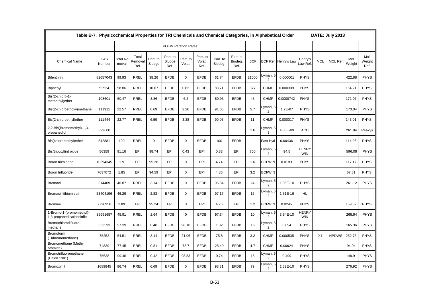|                                                       | Table B-7. Physicochemical Properties for TRI Chemicals and Chemical Categories, in Alphabetical Order |                          |                          |                    |                             |                    |                            |                     |                             |            |                            |                      |                            |            | DATE: July 2013 |                |                        |
|-------------------------------------------------------|--------------------------------------------------------------------------------------------------------|--------------------------|--------------------------|--------------------|-----------------------------|--------------------|----------------------------|---------------------|-----------------------------|------------|----------------------------|----------------------|----------------------------|------------|-----------------|----------------|------------------------|
|                                                       |                                                                                                        |                          |                          |                    | <b>POTW Partition Rates</b> |                    |                            |                     |                             |            |                            |                      |                            |            |                 |                |                        |
| <b>Chemical Name</b>                                  | CAS<br>Number                                                                                          | <b>Total Re</b><br>moval | Total<br>Removal<br>Ref. | Part. to<br>Sludge | Part. to<br>Sludge<br>Ref.  | Part. to<br>Volat. | Part. to<br>Volat.<br>Ref. | Part. to<br>Biodeg. | Part. to<br>Biodeg.<br>Ref. | <b>BCF</b> |                            | BCF Ref. Henry's Law | Henry's<br>aw Ref.         | <b>MCL</b> | <b>MCL Ref</b>  | Mol.<br>Weight | Mol.<br>Weight<br>Ref. |
| <b>Bifenthrin</b>                                     | 82657043                                                                                               | 99.93                    | <b>RREL</b>              | 38.26              | <b>EFDB</b>                 | 0                  | <b>EFDB</b>                | 61.74               | <b>EFDB</b>                 | 21000      | Lyman, 5<br>2              | 0.000001             | <b>PHYS</b>                |            |                 | 422.88         | <b>PHYS</b>            |
| Biphenyl                                              | 92524                                                                                                  | 98.86                    | <b>RREL</b>              | 10.67              | <b>EFDB</b>                 | 0.62               | <b>EFDB</b>                | 88.71               | <b>EFDB</b>                 | 377        | <b>CHMF</b>                | 0.000308             | PHYS                       |            |                 | 154.21         | <b>PHYS</b>            |
| Bis(2-chloro-1-<br>methethyl) ether                   | 108601                                                                                                 | 50.47                    | <b>RREL</b>              | 3.86               | <b>EFDB</b>                 | 6.2                | <b>EFDB</b>                | 89.93               | <b>EFDB</b>                 | 45         | <b>CHMF</b>                | 0.0000742            | <b>PHYS</b>                |            |                 | 171.07         | <b>PHYS</b>            |
| Bis(2-chloroethoxy)methane                            | 111911                                                                                                 | 22.57                    | <b>RREL</b>              | 6.69               | <b>EFDB</b>                 | 2.26               | <b>EFDB</b>                | 91.05               | <b>EFDB</b>                 | 5.7        | Lyman, 5<br>2              | 1.7E-07              | <b>PHYS</b>                |            |                 | 173.04         | <b>PHYS</b>            |
| Bis(2-chloroethyl)ether                               | 111444                                                                                                 | 22.77                    | <b>RREL</b>              | 6.59               | <b>EFDB</b>                 | 3.38               | <b>EFDB</b>                | 90.03               | <b>EFDB</b>                 | 11         | <b>CHMF</b>                | 0.000017             | PHYS                       |            |                 | 143.01         | <b>PHYS</b>            |
| 2,2-Bis(Bromomethyl)-1,3-<br>propanediol              | 329600                                                                                                 |                          |                          |                    |                             |                    |                            |                     |                             | 1.6        | Lyman, 5<br>3              | 4.06E-09             | <b>ACD</b>                 |            |                 | 261.94         | Reaxys                 |
| Bis(chloromethyl)ether                                | 542881                                                                                                 | 100                      | <b>RREL</b>              | $\mathbf 0$        | <b>EFDB</b>                 | 0                  | <b>EFDB</b>                | 100                 | <b>EFDB</b>                 |            | Fast Hyd                   | 0.00436              | PHYS                       |            |                 | 114.96         | <b>PHYS</b>            |
| Bis(tributyltin) oxide                                | 56359                                                                                                  | 91.16                    | EPI                      | 98.74              | EPI                         | 0.43               | EPI                        | 0.83                | EPI                         | 700        | Lyman, 5<br>2              | 94.5                 | <b>HENRY</b><br><b>WIN</b> |            |                 | 596.08         | <b>PHYS</b>            |
| Boron trichloride                                     | 10294345                                                                                               | 1.9                      | EPI                      | 95.26              | EPI                         | $\mathbf 0$        | EPI                        | 4.74                | EPI                         | 1.6        | <b>BCFWIN</b>              | 0.0183               | PHYS                       |            |                 | 117.17         | <b>PHYS</b>            |
| Boron trifluoride                                     | 7637072                                                                                                | 1.85                     | EPI                      | 94.59              | EPI                         | $\mathbf 0$        | EPI                        | 4.86                | EPI                         | 3.2        | <b>BCFWIN</b>              |                      |                            |            |                 | 67.81          | <b>PHYS</b>            |
| <b>Bromacil</b>                                       | 314409                                                                                                 | 46.87                    | <b>RREL</b>              | 3.14               | <b>EFDB</b>                 | $\mathbf 0$        | <b>EFDB</b>                | 96.84               | <b>EFDB</b>                 | 24         | Lyman, 5<br>2              | 1.05E-10             | <b>PHYS</b>                |            |                 | 261.12         | <b>PHYS</b>            |
| Bromacil lithium salt                                 | 53404196                                                                                               | 46.26                    | <b>RREL</b>              | 2.83               | <b>EFDB</b>                 | 0                  | <b>EFDB</b>                | 97.17               | <b>EFDB</b>                 | 16         | Lyman, 5<br>$\overline{2}$ | 1.51E-16             | <b>HL</b>                  |            |                 |                |                        |
| <b>Bromine</b>                                        | 7726956                                                                                                | 1.89                     | EPI                      | 95.24              | EPI                         | $\Omega$           | EPI                        | 4.76                | EPI                         | 1.2        | <b>BCFWIN</b>              | 0.0245               | <b>PHYS</b>                |            |                 | 159.82         | <b>PHYS</b>            |
| 1-Bromo-1-(bromomethyl)-<br>1,3-propanedicarbonitrile | 35691657                                                                                               | 45.91                    | <b>RREL</b>              | 2.64               | <b>EFDB</b>                 | $\mathbf 0$        | <b>EFDB</b>                | 97.34               | <b>EFDB</b>                 | 10         | Lyman, 5<br>2              | 3.94E-10             | <b>HENRY</b><br><b>WIN</b> |            |                 | 265.94         | <b>PHYS</b>            |
| Bromochlorodifluoro-<br>methane                       | 353593                                                                                                 | 97.39                    | <b>RREL</b>              | 0.48               | <b>EFDB</b>                 | 98.18              | <b>EFDB</b>                | 1.32                | <b>EFDB</b>                 | 16         | Lyman, 5<br>$\overline{2}$ | 0.094                | <b>PHYS</b>                |            |                 | 165.36         | <b>PHYS</b>            |
| Bromoform<br>(Tribromomethane)                        | 75252                                                                                                  | 54.51                    | <b>RREL</b>              | 3.14               | <b>EFDB</b>                 | 21.06              | <b>EFDB</b>                | 75.8                | <b>EFDB</b>                 | 3.2        | <b>CHMF</b>                | 0.000535             | <b>PHYS</b>                | 0.1        | <b>NPDWS</b>    | 252.73         | <b>PHYS</b>            |
| Bromomethane (Methyl<br>bromide)                      | 74839                                                                                                  | 77.45                    | RREL                     | 0.81               | <b>EFDB</b>                 | 73.7               | <b>EFDB</b>                | 25.49               | <b>EFDB</b>                 | 4.7        | <b>CHMF</b>                | 0.00624              | <b>PHYS</b>                |            |                 | 94.94          | <b>PHYS</b>            |
| Bromotrifluoromethane<br>(Halon 1301)                 | 75638                                                                                                  | 99.46                    | RREL                     | 0.42               | <b>EFDB</b>                 | 98.83              | <b>EFDB</b>                | 0.74                | <b>EFDB</b>                 | 15         | Lyman, 5<br>$\overline{2}$ | 0.499                | <b>PHYS</b>                |            |                 | 148.91         | <b>PHYS</b>            |
| Bromoxynil                                            | 1689845                                                                                                | 86.74                    | <b>RREL</b>              | 6.69               | <b>EFDB</b>                 | $\Omega$           | <b>EFDB</b>                | 93.31               | <b>EFDB</b>                 | 79         | Lyman, 5<br>$\overline{2}$ | 1.32E-10             | <b>PHYS</b>                |            |                 | 276.92         | <b>PHYS</b>            |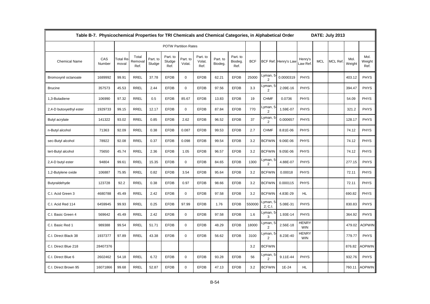|                         | Table B-7. Physicochemical Properties for TRI Chemicals and Chemical Categories, in Alphabetical Order |                   |                          |                    |                             |                    |                            |                     |                             |            |                            |                      |                            |            | <b>DATE: July 2013</b> |                |                        |
|-------------------------|--------------------------------------------------------------------------------------------------------|-------------------|--------------------------|--------------------|-----------------------------|--------------------|----------------------------|---------------------|-----------------------------|------------|----------------------------|----------------------|----------------------------|------------|------------------------|----------------|------------------------|
|                         |                                                                                                        |                   |                          |                    | <b>POTW Partition Rates</b> |                    |                            |                     |                             |            |                            |                      |                            |            |                        |                |                        |
| <b>Chemical Name</b>    | CAS<br>Number                                                                                          | Total Re<br>moval | Total<br>Removal<br>Ref. | Part. to<br>Sludge | Part. to<br>Sludge<br>Ref.  | Part. to<br>Volat. | Part. to<br>Volat.<br>Ref. | Part. to<br>Biodeg. | Part. to<br>Biodeg.<br>Ref. | <b>BCF</b> |                            | BCF Ref. Henry's Law | Henry's<br>aw Ref.         | <b>MCL</b> | MCL Ref                | Mol.<br>Weight | Mol.<br>Weight<br>Ref. |
| Bromoxynil octanoate    | 1689992                                                                                                | 99.91             | <b>RREL</b>              | 37.78              | <b>EFDB</b>                 | $\mathbf 0$        | <b>EFDB</b>                | 62.21               | <b>EFDB</b>                 | 25000      | Lyman, 5<br>$\overline{2}$ | 0.0000319            | <b>PHYS</b>                |            |                        | 403.12         | <b>PHYS</b>            |
| <b>Brucine</b>          | 357573                                                                                                 | 45.53             | <b>RREL</b>              | 2.44               | <b>EFDB</b>                 | $\Omega$           | <b>EFDB</b>                | 97.56               | <b>EFDB</b>                 | 3.3        | Lyman, 5<br>$\overline{2}$ | 2.09E-16             | <b>PHYS</b>                |            |                        | 394.47         | <b>PHYS</b>            |
| 1,3-Butadiene           | 106990                                                                                                 | 97.32             | <b>RREL</b>              | 0.5                | <b>EFDB</b>                 | 85.67              | <b>EFDB</b>                | 13.83               | <b>EFDB</b>                 | 19         | <b>CHMF</b>                | 0.0736               | <b>PHYS</b>                |            |                        | 54.09          | <b>PHYS</b>            |
| 2,4-D butoxyethyl ester | 1929733                                                                                                | 99.15             | <b>RREL</b>              | 12.17              | <b>EFDB</b>                 | $\mathbf 0$        | <b>EFDB</b>                | 87.84               | <b>EFDB</b>                 | 770        | Lyman, 5<br>$\overline{2}$ | 1.59E-07             | <b>PHYS</b>                |            |                        | 321.2          | <b>PHYS</b>            |
| Butyl acrylate          | 141322                                                                                                 | 93.02             | <b>RREL</b>              | 0.85               | <b>EFDB</b>                 | 2.62               | <b>EFDB</b>                | 96.52               | <b>EFDB</b>                 | 37         | Lyman, 5<br>2              | 0.000657             | <b>PHYS</b>                |            |                        | 128.17         | <b>PHYS</b>            |
| n-Butyl alcohol         | 71363                                                                                                  | 92.09             | <b>RREL</b>              | 0.38               | <b>EFDB</b>                 | 0.087              | <b>EFDB</b>                | 99.53               | <b>EFDB</b>                 | 2.7        | <b>CHMF</b>                | 8.81E-06             | <b>PHYS</b>                |            |                        | 74.12          | <b>PHYS</b>            |
| sec-Butyl alcohol       | 78922                                                                                                  | 92.08             | <b>RREL</b>              | 0.37               | <b>EFDB</b>                 | 0.098              | <b>EFDB</b>                | 99.54               | <b>EFDB</b>                 | 3.2        | <b>BCFWIN</b>              | 9.06E-06             | <b>PHYS</b>                |            |                        | 74.12          | <b>PHYS</b>            |
| tert-Butyl alcohol      | 75650                                                                                                  | 45.74             | <b>RREL</b>              | 2.36               | <b>EFDB</b>                 | 1.05               | <b>EFDB</b>                | 96.57               | <b>EFDB</b>                 | 3.2        | <b>BCFWIN</b>              | 9.05E-06             | <b>PHYS</b>                |            |                        | 74.12          | <b>PHYS</b>            |
| 2,4-D butyl ester       | 94804                                                                                                  | 99.61             | <b>RREL</b>              | 15.35              | <b>EFDB</b>                 | $\mathbf 0$        | <b>EFDB</b>                | 84.65               | <b>EFDB</b>                 | 1300       | Lyman, 5<br>$\overline{2}$ | 4.88E-07             | <b>PHYS</b>                |            |                        | 277.15         | <b>PHYS</b>            |
| 1,2-Butylene oxide      | 106887                                                                                                 | 75.95             | <b>RREL</b>              | 0.82               | <b>EFDB</b>                 | 3.54               | <b>EFDB</b>                | 95.64               | <b>EFDB</b>                 | 3.2        | <b>BCFWIN</b>              | 0.00018              | <b>PHYS</b>                |            |                        | 72.11          | <b>PHYS</b>            |
| Butyraldehyde           | 123728                                                                                                 | 92.2              | <b>RREL</b>              | 0.38               | <b>EFDB</b>                 | 0.97               | <b>EFDB</b>                | 98.66               | <b>EFDB</b>                 | 3.2        | <b>BCFWIN</b>              | 0.000115             | <b>PHYS</b>                |            |                        | 72.11          | <b>PHYS</b>            |
| C.I. Acid Green 3       | 4680788                                                                                                | 45.49             | <b>RREL</b>              | 2.42               | <b>EFDB</b>                 | $\mathbf{0}$       | <b>EFDB</b>                | 97.58               | <b>EFDB</b>                 | 3.2        | <b>BCFWIN</b>              | 4.83E-29             | HL.                        |            |                        | 690.82         | <b>PHYS</b>            |
| C.I. Acid Red 114       | 6459945                                                                                                | 99.93             | <b>RREL</b>              | 0.25               | <b>EFDB</b>                 | 97.99              | <b>EFDB</b>                | 1.76                | <b>EFDB</b>                 | 550000     | Lyman, {<br>2; C.I.        | 5.08E-31             | <b>PHYS</b>                |            |                        | 830.83         | <b>PHYS</b>            |
| C.I. Basic Green 4      | 569642                                                                                                 | 45.49             | <b>RREL</b>              | 2.42               | <b>EFDB</b>                 | $\mathbf 0$        | <b>EFDB</b>                | 97.58               | <b>EFDB</b>                 | 1.6        | Lyman, 5<br>3              | 1.93E-14             | <b>PHYS</b>                |            |                        | 364.92         | <b>PHYS</b>            |
| C.I. Basic Red 1        | 989388                                                                                                 | 99.54             | <b>RREL</b>              | 51.71              | <b>EFDB</b>                 | $\mathbf 0$        | <b>EFDB</b>                | 48.29               | <b>EFDB</b>                 | 18000      | Lyman, 5<br>$\overline{2}$ | 2.56E-18             | <b>HENRY</b><br><b>WIN</b> |            |                        | 479.02         | <b>AOPWIN</b>          |
| C.I. Direct Black 38    | 1937377                                                                                                | 97.89             | <b>RREL</b>              | 43.38              | <b>EFDB</b>                 | $\mathbf 0$        | <b>EFDB</b>                | 56.62               | <b>EFDB</b>                 | 3100       | Lyman, 5<br>$\overline{2}$ | 8.23E-40             | <b>HENRY</b><br><b>WIN</b> |            |                        | 779.77         | <b>PHYS</b>            |
| C.I. Direct Blue 218    | 28407376                                                                                               |                   |                          |                    |                             |                    |                            |                     |                             | 3.2        | <b>BCFWIN</b>              |                      |                            |            |                        | 876.82         | <b>AOPWIN</b>          |
| C.I. Direct Blue 6      | 2602462                                                                                                | 54.18             | <b>RREL</b>              | 6.72               | <b>EFDB</b>                 | $\mathbf 0$        | <b>EFDB</b>                | 93.28               | <b>EFDB</b>                 | 56         | Lyman, 5<br>$\overline{2}$ | 9.11E-44             | <b>PHYS</b>                |            |                        | 932.76         | <b>PHYS</b>            |
| C.I. Direct Brown 95    | 16071866                                                                                               | 99.68             | <b>RREL</b>              | 52.87              | <b>EFDB</b>                 | $\Omega$           | <b>EFDB</b>                | 47.13               | <b>EFDB</b>                 | 3.2        | <b>BCFWIN</b>              | 1E-24                | HL                         |            |                        | 760.11         | <b>AOPWIN</b>          |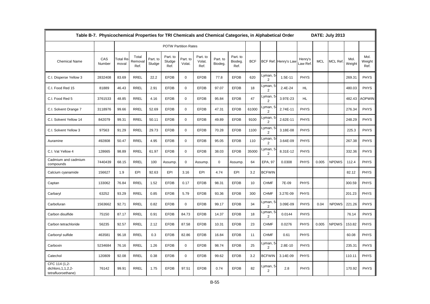|                                                              | Table B-7. Physicochemical Properties for TRI Chemicals and Chemical Categories, in Alphabetical Order |                          |                          |                    |                             |                    |                            |                     |                             |            |                            |                      |                    |            | DATE: July 2013 |                |                        |
|--------------------------------------------------------------|--------------------------------------------------------------------------------------------------------|--------------------------|--------------------------|--------------------|-----------------------------|--------------------|----------------------------|---------------------|-----------------------------|------------|----------------------------|----------------------|--------------------|------------|-----------------|----------------|------------------------|
|                                                              |                                                                                                        |                          |                          |                    | <b>POTW Partition Rates</b> |                    |                            |                     |                             |            |                            |                      |                    |            |                 |                |                        |
| <b>Chemical Name</b>                                         | CAS<br>Number                                                                                          | <b>Total Re</b><br>moval | Total<br>Removal<br>Ref. | Part. to<br>Sludge | Part. to<br>Sludge<br>Ref.  | Part. to<br>Volat. | Part. to<br>Volat.<br>Ref. | Part. to<br>Biodeg. | Part. to<br>Biodeg.<br>Ref. | <b>BCF</b> |                            | BCF Ref. Henry's Lav | Henry's<br>aw Ref. | <b>MCL</b> | <b>MCL Ref</b>  | Mol.<br>Weight | Mol.<br>Weight<br>Ref. |
| C.I. Disperse Yellow 3                                       | 2832408                                                                                                | 83.69                    | <b>RREL</b>              | 22.2               | <b>EFDB</b>                 | $\mathbf 0$        | <b>EFDB</b>                | 77.8                | <b>EFDB</b>                 | 620        | Lyman, 5<br>$\overline{2}$ | 1.5E-11              | <b>PHYS</b>        |            |                 | 269.31         | <b>PHYS</b>            |
| C.I. Food Red 15                                             | 81889                                                                                                  | 46.43                    | <b>RREL</b>              | 2.91               | <b>EFDB</b>                 | $\mathbf 0$        | <b>EFDB</b>                | 97.07               | <b>EFDB</b>                 | 18         | Lyman, 5<br>2              | 2.4E-24              | HL.                |            |                 | 480.03         | <b>PHYS</b>            |
| C.I. Food Red 5                                              | 3761533                                                                                                | 48.85                    | <b>RREL</b>              | 4.16               | <b>EFDB</b>                 | $\mathbf 0$        | <b>EFDB</b>                | 95.84               | <b>EFDB</b>                 | 47         | Lyman, 5<br>2              | 3.97E-23             | <b>HL</b>          |            |                 | 482.43         | <b>AOPWIN</b>          |
| C.I. Solvent Orange 7                                        | 3118976                                                                                                | 99.66                    | <b>RREL</b>              | 52.69              | <b>EFDB</b>                 | $\Omega$           | <b>EFDB</b>                | 47.31               | <b>EFDB</b>                 | 61000      | Lyman, {<br>$\overline{2}$ | 2.74E-11             | <b>PHYS</b>        |            |                 | 276.34         | <b>PHYS</b>            |
| C.I. Solvent Yellow 14                                       | 842079                                                                                                 | 99.31                    | <b>RREL</b>              | 50.11              | <b>EFDB</b>                 | $\mathbf 0$        | <b>EFDB</b>                | 49.89               | <b>EFDB</b>                 | 9100       | Lyman, 5<br>$\overline{2}$ | 2.62E-11             | <b>PHYS</b>        |            |                 | 248.29         | <b>PHYS</b>            |
| C.I. Solvent Yellow 3                                        | 97563                                                                                                  | 91.29                    | <b>RREL</b>              | 29.73              | <b>EFDB</b>                 | $\mathbf 0$        | <b>EFDB</b>                | 70.28               | <b>EFDB</b>                 | 1100       | Lyman, 5<br>2              | 3.18E-08             | <b>PHYS</b>        |            |                 | 225.3          | <b>PHYS</b>            |
| Auramine                                                     | 492808                                                                                                 | 50.47                    | <b>RREL</b>              | 4.95               | <b>EFDB</b>                 | $\Omega$           | <b>EFDB</b>                | 95.05               | <b>EFDB</b>                 | 110        | Lyman, 5<br>2              | 3.64E-09             | <b>PHYS</b>        |            |                 | 267.38         | <b>PHYS</b>            |
| C.I. Vat Yellow 4                                            | 128665                                                                                                 | 98.89                    | <b>RREL</b>              | 61.97              | <b>EFDB</b>                 | $\mathbf 0$        | <b>EFDB</b>                | 38.03               | <b>EFDB</b>                 | 35000      | yman, 5<br>2               | 8.31E-12             | <b>PHYS</b>        |            |                 | 332.36         | <b>PHYS</b>            |
| Cadmium and cadmium<br>compounds                             | 7440439                                                                                                | 68.15                    | <b>RREL</b>              | 100                | Assump.                     | $\mathbf 0$        | Assump.                    | $\mathbf 0$         | Assump.                     | 64         | EPA, 97                    | 0.0308               | <b>PHYS</b>        | 0.005      | <b>NPDWS</b>    | 112.4          | <b>PHYS</b>            |
| Calcium cyanamide                                            | 156627                                                                                                 | 1.9                      | EPI                      | 92.63              | EPI                         | 3.16               | EPI                        | 4.74                | EPI                         | 3.2        | <b>BCFWIN</b>              |                      |                    |            |                 | 82.12          | <b>PHYS</b>            |
| Captan                                                       | 133062                                                                                                 | 76.84                    | <b>RREL</b>              | 1.52               | <b>EFDB</b>                 | 0.17               | <b>EFDB</b>                | 98.31               | <b>EFDB</b>                 | 10         | <b>CHMF</b>                | 7E-09                | <b>PHYS</b>        |            |                 | 300.59         | <b>PHYS</b>            |
| Carbaryl                                                     | 63252                                                                                                  | 93.29                    | <b>RREL</b>              | 0.85               | <b>EFDB</b>                 | 5.79               | <b>EFDB</b>                | 93.36               | <b>EFDB</b>                 | 300        | <b>CHMF</b>                | 3.27E-09             | <b>PHYS</b>        |            |                 | 201.23         | <b>PHYS</b>            |
| Carbofuran                                                   | 1563662                                                                                                | 92.71                    | <b>RREL</b>              | 0.82               | <b>EFDB</b>                 | 0                  | <b>EFDB</b>                | 99.17               | <b>EFDB</b>                 | 34         | Lyman, 5<br>$\overline{2}$ | 3.09E-09             | <b>PHYS</b>        | 0.04       | <b>NPDWS</b>    | 221.26         | <b>PHYS</b>            |
| Carbon disulfide                                             | 75150                                                                                                  | 87.17                    | <b>RREL</b>              | 0.91               | <b>EFDB</b>                 | 84.73              | <b>EFDB</b>                | 14.37               | <b>EFDB</b>                 | 18         | Lyman, 5<br>$\overline{2}$ | 0.0144               | <b>PHYS</b>        |            |                 | 76.14          | <b>PHYS</b>            |
| Carbon tetrachloride                                         | 56235                                                                                                  | 92.57                    | <b>RREL</b>              | 2.12               | <b>EFDB</b>                 | 87.58              | <b>EFDB</b>                | 10.31               | <b>EFDB</b>                 | 23         | <b>CHMF</b>                | 0.0276               | <b>PHYS</b>        | 0.005      | <b>NPDWS</b>    | 153.82         | <b>PHYS</b>            |
| Carbonyl sulfide                                             | 463581                                                                                                 | 96.18                    | <b>RREL</b>              | 0.3                | <b>EFDB</b>                 | 82.86              | <b>EFDB</b>                | 16.84               | <b>EFDB</b>                 | 11         | <b>CHMF</b>                | 0.61                 | <b>PHYS</b>        |            |                 | 60.08          | <b>PHYS</b>            |
| Carboxin                                                     | 5234684                                                                                                | 76.16                    | <b>RREL</b>              | 1.26               | <b>EFDB</b>                 | $\mathbf 0$        | <b>EFDB</b>                | 98.74               | <b>EFDB</b>                 | 25         | Lyman, 5<br>$\overline{2}$ | 2.8E-10              | <b>PHYS</b>        |            |                 | 235.31         | <b>PHYS</b>            |
| Catechol                                                     | 120809                                                                                                 | 92.08                    | <b>RREL</b>              | 0.38               | <b>EFDB</b>                 | $\mathbf 0$        | <b>EFDB</b>                | 99.62               | <b>EFDB</b>                 | 3.2        | <b>BCFWIN</b>              | 3.14E-09             | <b>PHYS</b>        |            |                 | 110.11         | <b>PHYS</b>            |
| CFC 114 (1,2-<br>dichloro, 1, 1, 2, 2-<br>tetrafluoroethane) | 76142                                                                                                  | 99.91                    | <b>RREL</b>              | 1.75               | <b>EFDB</b>                 | 97.51              | <b>EFDB</b>                | 0.74                | <b>EFDB</b>                 | 82         | Lyman, 5<br>$\overline{2}$ | 2.8                  | <b>PHYS</b>        |            |                 | 170.92         | <b>PHYS</b>            |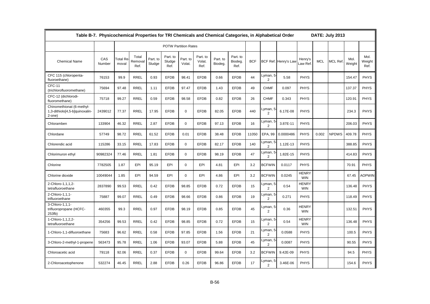|                                                                             | Table B-7. Physicochemical Properties for TRI Chemicals and Chemical Categories, in Alphabetical Order |                          |                          |                    |                             |                    |                            |                     |                             |            |                            |                      |                            |            | DATE: July 2013 |                |                        |
|-----------------------------------------------------------------------------|--------------------------------------------------------------------------------------------------------|--------------------------|--------------------------|--------------------|-----------------------------|--------------------|----------------------------|---------------------|-----------------------------|------------|----------------------------|----------------------|----------------------------|------------|-----------------|----------------|------------------------|
|                                                                             |                                                                                                        |                          |                          |                    | <b>POTW Partition Rates</b> |                    |                            |                     |                             |            |                            |                      |                            |            |                 |                |                        |
| <b>Chemical Name</b>                                                        | CAS<br>Number                                                                                          | <b>Total Re</b><br>moval | Total<br>Removal<br>Ref. | Part. to<br>Sludge | Part. to<br>Sludge<br>Ref.  | Part. to<br>Volat. | Part. to<br>Volat.<br>Ref. | Part. to<br>Biodeg. | Part. to<br>Biodeg.<br>Ref. | <b>BCF</b> |                            | BCF Ref. Henry's Law | Henry's<br>Law Ref.        | <b>MCL</b> | <b>MCL Ref</b>  | Mol.<br>Weight | Mol.<br>Weight<br>Ref. |
| CFC 115 (chloropenta-<br>fluoroethane)                                      | 76153                                                                                                  | 99.9                     | <b>RREL</b>              | 0.93               | <b>EFDB</b>                 | 98.41              | <b>EFDB</b>                | 0.66                | <b>EFDB</b>                 | 44         | Lyman, 5<br>$\overline{2}$ | 5.58                 | <b>PHYS</b>                |            |                 | 154.47         | <b>PHYS</b>            |
| CFC-11<br>(trichlorofluoromethane)                                          | 75694                                                                                                  | 97.48                    | <b>RREL</b>              | 1.11               | <b>EFDB</b>                 | 97.47              | <b>EFDB</b>                | 1.43                | <b>EFDB</b>                 | 49         | <b>CHMF</b>                | 0.097                | <b>PHYS</b>                |            |                 | 137.37         | <b>PHYS</b>            |
| CFC-12 (dichlorodi-<br>fluoromethane)                                       | 75718                                                                                                  | 99.27                    | <b>RREL</b>              | 0.59               | <b>EFDB</b>                 | 98.58              | <b>EFDB</b>                | 0.82                | <b>EFDB</b>                 | 26         | <b>CHMF</b>                | 0.343                | <b>PHYS</b>                |            |                 | 120.91         | <b>PHYS</b>            |
| Chinomethionat (6-methyl-<br>1,3-dithiolo[4,5-b]quinoxalin-<br>$2$ -one $)$ | 2439012                                                                                                | 77.37                    | <b>RREL</b>              | 17.95              | <b>EFDB</b>                 | $\mathbf 0$        | <b>EFDB</b>                | 82.05               | <b>EFDB</b>                 | 440        | Lyman,<br>$\overline{2}$   | 6.17E-08             | <b>PHYS</b>                |            |                 | 234.3          | <b>PHYS</b>            |
| Chloramben                                                                  | 133904                                                                                                 | 46.32                    | <b>RREL</b>              | 2.87               | <b>EFDB</b>                 | $\mathbf 0$        | <b>EFDB</b>                | 97.13               | <b>EFDB</b>                 | 16         | Lyman, 5<br>2              | 3.87E-11             | <b>PHYS</b>                |            |                 | 206.03         | <b>PHYS</b>            |
| Chlordane                                                                   | 57749                                                                                                  | 98.72                    | <b>RREL</b>              | 61.52              | <b>EFDB</b>                 | 0.01               | <b>EFDB</b>                | 38.48               | <b>EFDB</b>                 | 11050      | <b>EPA. 99</b>             | 0.0000486            | <b>PHYS</b>                | 0.002      | <b>NPDWS</b>    | 409.78         | <b>PHYS</b>            |
| Chlorendic acid                                                             | 115286                                                                                                 | 33.15                    | <b>RREL</b>              | 17.83              | <b>EFDB</b>                 | $\Omega$           | <b>EFDB</b>                | 82.17               | <b>EFDB</b>                 | 140        | Lyman, 5<br>2              | 1.12E-13             | <b>PHYS</b>                |            |                 | 388.85         | <b>PHYS</b>            |
| Chlorimuron ethyl                                                           | 90982324                                                                                               | 77.46                    | <b>RREL</b>              | 1.81               | <b>EFDB</b>                 | $\Omega$           | <b>EFDB</b>                | 98.19               | <b>EFDB</b>                 | 47         | Lyman, 5<br>2              | 1.82E-15             | <b>PHYS</b>                |            |                 | 414.83         | <b>PHYS</b>            |
| Chlorine                                                                    | 7782505                                                                                                | 1.87                     | EPI                      | 95.19              | EPI                         | $\Omega$           | EPI                        | 4.81                | EPI                         | 3.2        | <b>BCFWIN</b>              | 0.0117               | <b>PHYS</b>                |            |                 | 70.91          | <b>PHYS</b>            |
| Chlorine dioxide                                                            | 10049044                                                                                               | 1.85                     | EPI                      | 94.59              | EPI                         | $\Omega$           | EPI                        | 4.86                | EPI                         | 3.2        | <b>BCFWIN</b>              | 0.0245               | <b>HENRY</b><br><b>WIN</b> |            |                 | 67.45          | <b>AOPWIN</b>          |
| 2-Chloro-1,1,1,2-<br>tetrafluoroethane                                      | 2837890                                                                                                | 99.53                    | <b>RREL</b>              | 0.42               | <b>EFDB</b>                 | 98.85              | <b>EFDB</b>                | 0.72                | <b>EFDB</b>                 | 15         | Lyman, 5<br>$\overline{2}$ | 0.54                 | <b>HENRY</b><br><b>WIN</b> |            |                 | 136.48         | <b>PHYS</b>            |
| 2-Chloro-1,1,1-<br>trifluoroethane                                          | 75887                                                                                                  | 99.07                    | <b>RREL</b>              | 0.49               | <b>EFDB</b>                 | 98.66              | <b>EFDB</b>                | 0.86                | <b>EFDB</b>                 | 19         | Lyman, 5<br>$\overline{2}$ | 0.271                | <b>PHYS</b>                |            |                 | 118.49         | <b>PHYS</b>            |
| 3-Chloro-1.1.1-<br>trifluoropropane (HCFC-<br>253fb)                        | 460355                                                                                                 | 99.3                     | <b>RREL</b>              | 0.97               | <b>EFDB</b>                 | 98.19              | <b>EFDB</b>                | 0.85                | <b>EFDB</b>                 | 45         | Lyman, 5<br>2              | 0.36                 | <b>HENRY</b><br><b>WIN</b> |            |                 | 132.51         | <b>PHYS</b>            |
| 1-Chloro-1,1,2,2-<br>tetrafluoroethane                                      | 354256                                                                                                 | 99.53                    | <b>RREL</b>              | 0.42               | <b>EFDB</b>                 | 98.85              | <b>EFDB</b>                | 0.72                | <b>EFDB</b>                 | 15         | Lyman, 5<br>$\overline{2}$ | 0.54                 | <b>HENRY</b><br><b>WIN</b> |            |                 | 136.48         | <b>PHYS</b>            |
| 1-Chloro-1,1-difluoroethane                                                 | 75683                                                                                                  | 96.62                    | <b>RREL</b>              | 0.58               | <b>EFDB</b>                 | 97.85              | <b>EFDB</b>                | 1.56                | <b>EFDB</b>                 | 21         | Lyman, 5<br>$\overline{c}$ | 0.0588               | <b>PHYS</b>                |            |                 | 100.5          | <b>PHYS</b>            |
| 3-Chloro-2-methyl-1-propene                                                 | 563473                                                                                                 | 95.78                    | <b>RREL</b>              | 1.06               | <b>EFDB</b>                 | 93.07              | <b>EFDB</b>                | 5.88                | <b>EFDB</b>                 | 45         | Lyman, 5<br>$\overline{2}$ | 0.0087               | <b>PHYS</b>                |            |                 | 90.55          | <b>PHYS</b>            |
| Chloroacetic acid                                                           | 79118                                                                                                  | 92.06                    | <b>RREL</b>              | 0.37               | <b>EFDB</b>                 | 0                  | <b>EFDB</b>                | 99.64               | <b>EFDB</b>                 | 3.2        | <b>BCFWIN</b>              | 9.42E-09             | <b>PHYS</b>                |            |                 | 94.5           | <b>PHYS</b>            |
| 2-Chloroacetophenone                                                        | 532274                                                                                                 | 46.45                    | <b>RREL</b>              | 2.88               | <b>EFDB</b>                 | 0.26               | <b>EFDB</b>                | 96.86               | <b>EFDB</b>                 | 17         | Lyman, 5<br>$\overline{2}$ | 3.46E-06             | <b>PHYS</b>                |            |                 | 154.6          | <b>PHYS</b>            |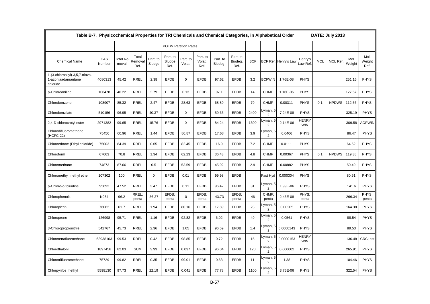|                                                                   | Table B-7. Physicochemical Properties for TRI Chemicals and Chemical Categories, in Alphabetical Order |                          |                          |                    |                             |                    |                            |                     |                             |            |                                        |                      |                            |            | DATE: July 2013 |                |                        |
|-------------------------------------------------------------------|--------------------------------------------------------------------------------------------------------|--------------------------|--------------------------|--------------------|-----------------------------|--------------------|----------------------------|---------------------|-----------------------------|------------|----------------------------------------|----------------------|----------------------------|------------|-----------------|----------------|------------------------|
|                                                                   |                                                                                                        |                          |                          |                    | <b>POTW Partition Rates</b> |                    |                            |                     |                             |            |                                        |                      |                            |            |                 |                |                        |
| <b>Chemical Name</b>                                              | CAS<br>Number                                                                                          | <b>Total Re</b><br>moval | Total<br>Removal<br>Ref. | Part. to<br>Sludge | Part. to<br>Sludge<br>Ref.  | Part. to<br>Volat. | Part. to<br>Volat.<br>Ref. | Part. to<br>Biodeg. | Part. to<br>Biodeg.<br>Ref. | <b>BCF</b> |                                        | BCF Ref. Henry's Law | Henry's<br>Law Ref.        | <b>MCL</b> | MCL Ref.        | Mol.<br>Weight | Mol.<br>Weight<br>Ref. |
| 1-(3-chloroallyl)-3,5,7-triaza-<br>1-azoniaadamantane<br>chloride | 4080313                                                                                                | 45.42                    | <b>RREL</b>              | 2.38               | <b>EFDB</b>                 | $\mathbf 0$        | <b>EFDB</b>                | 97.62               | <b>EFDB</b>                 | 3.2        | <b>BCFWIN</b>                          | 1.76E-08             | <b>PHYS</b>                |            |                 | 251.16         | <b>PHYS</b>            |
| p-Chloroaniline                                                   | 106478                                                                                                 | 46.22                    | <b>RREL</b>              | 2.79               | <b>EFDB</b>                 | 0.13               | <b>EFDB</b>                | 97.1                | <b>EFDB</b>                 | 14         | <b>CHMF</b>                            | 1.16E-06             | <b>PHYS</b>                |            |                 | 127.57         | <b>PHYS</b>            |
| Chlorobenzene                                                     | 108907                                                                                                 | 85.32                    | <b>RREL</b>              | 2.47               | <b>EFDB</b>                 | 28.63              | <b>EFDB</b>                | 68.89               | <b>EFDB</b>                 | 79         | <b>CHMF</b>                            | 0.00311              | <b>PHYS</b>                | 0.1        | <b>NPDWS</b>    | 112.56         | <b>PHYS</b>            |
| Chlorobenzilate                                                   | 510156                                                                                                 | 96.95                    | <b>RREL</b>              | 40.37              | <b>EFDB</b>                 | $\mathbf 0$        | <b>EFDB</b>                | 59.63               | <b>EFDB</b>                 | 2400       | yman, 5.<br>$\overline{2}$             | 7.24E-08             | PHYS                       |            |                 | 325.19         | <b>PHYS</b>            |
| 2,4-D chlorocrotyl ester                                          | 2971382                                                                                                | 99.65                    | <b>RREL</b>              | 15.76              | <b>EFDB</b>                 | $\mathbf 0$        | <b>EFDB</b>                | 84.24               | <b>EFDB</b>                 | 1300       | yman, 5<br>$\overline{2}$              | 2.14E-06             | <b>HENRY</b><br><b>WIN</b> |            |                 | 309.58         | <b>AOPWIN</b>          |
| Chlorodifluoromethane<br>(HCFC-22)                                | 75456                                                                                                  | 60.96                    | <b>RREL</b>              | 1.44               | <b>EFDB</b>                 | 80.87              | <b>EFDB</b>                | 17.68               | <b>EFDB</b>                 | 3.9        | -yman, 5<br>$\overline{2}$             | 0.0406               | <b>PHYS</b>                |            |                 | 86.47          | <b>PHYS</b>            |
| Chloroethane (Ethyl chloride)                                     | 75003                                                                                                  | 84.39                    | <b>RREL</b>              | 0.65               | <b>EFDB</b>                 | 82.45              | <b>EFDB</b>                | 16.9                | <b>EFDB</b>                 | 7.2        | <b>CHMF</b>                            | 0.0111               | <b>PHYS</b>                |            |                 | 64.52          | <b>PHYS</b>            |
| Chloroform                                                        | 67663                                                                                                  | 70.8                     | <b>RREL</b>              | 1.34               | <b>EFDB</b>                 | 62.23              | <b>EFDB</b>                | 36.43               | <b>EFDB</b>                 | 4.8        | <b>CHMF</b>                            | 0.00367              | <b>PHYS</b>                | 0.1        | <b>NPDWS</b>    | 119.38         | <b>PHYS</b>            |
| Chloromethane                                                     | 74873                                                                                                  | 87.66                    | <b>RREL</b>              | 0.5                | <b>EFDB</b>                 | 53.59              | <b>EFDB</b>                | 45.92               | <b>EFDB</b>                 | 2.9        | <b>CHMF</b>                            | 0.00882              | <b>PHYS</b>                |            |                 | 50.49          | <b>PHYS</b>            |
| Chloromethyl methyl ether                                         | 107302                                                                                                 | 100                      | <b>RREL</b>              | 0                  | <b>EFDB</b>                 | 0.01               | <b>EFDB</b>                | 99.98               | <b>EFDB</b>                 |            | Fast Hyd                               | 0.000304             | <b>PHYS</b>                |            |                 | 80.51          | <b>PHYS</b>            |
| p-Chloro-o-toluidine                                              | 95692                                                                                                  | 47.52                    | <b>RREL</b>              | 3.47               | <b>EFDB</b>                 | 0.11               | <b>EFDB</b>                | 96.42               | <b>EFDB</b>                 | 31         | Lyman, 5 <sub></sub><br>$\overline{2}$ | 1.99E-06             | PHYS                       |            |                 | 141.6          | <b>PHYS</b>            |
| Chlorophenols                                                     | N084                                                                                                   | 96.2                     | RREL:<br>penta           | 56.27              | EFDB:<br>penta              | $\mathbf 0$        | EFDB:<br>penta             | 43.73               | EFDB:<br>penta              | 46         | CHMF:<br>penta                         | 2.45E-08             | PHYS:<br>penta             |            |                 | 266.34         | PHYS:<br>penta         |
| Chloropicrin                                                      | 76062                                                                                                  | 61.7                     | <b>RREL</b>              | 1.94               | <b>EFDB</b>                 | 80.16              | <b>EFDB</b>                | 17.89               | <b>EFDB</b>                 | 23         | yman, 5<br>$\overline{2}$              | 0.00205              | <b>PHYS</b>                |            |                 | 164.38         | <b>PHYS</b>            |
| Chloroprene                                                       | 126998                                                                                                 | 95.71                    | <b>RREL</b>              | 1.16               | <b>EFDB</b>                 | 92.82              | <b>EFDB</b>                | 6.02                | <b>EFDB</b>                 | 49         | -yman, 5<br>$\overline{2}$             | 0.0561               | <b>PHYS</b>                |            |                 | 88.54          | <b>PHYS</b>            |
| 3-Chloropropionitrile                                             | 542767                                                                                                 | 45.73                    | <b>RREL</b>              | 2.36               | <b>EFDB</b>                 | 1.05               | <b>EFDB</b>                | 96.59               | <b>EFDB</b>                 | 1.4        | _yman,<br>3                            | 0.0000143            | PHYS                       |            |                 | 89.53          | <b>PHYS</b>            |
| Chlorotetrafluoroethane                                           | 63938103                                                                                               | 99.53                    | <b>RREL</b>              | 0.42               | <b>EFDB</b>                 | 98.85              | <b>EFDB</b>                | 0.72                | <b>EFDB</b>                 | 15         | _yman,<br>$\overline{2}$               | 0.0000153            | <b>HENRY</b><br><b>WIN</b> |            |                 | 136.48         | CRC; est               |
| Chlorothalonil                                                    | 1897456                                                                                                | 82.03                    | <b>SUM</b>               | 3.93               | <b>EFDB</b>                 | 0.037              | <b>EFDB</b>                | 96.04               | <b>EFDB</b>                 | 120        | _yman, 5<br>$\overline{2}$             | 0.000002             | PHYS                       |            |                 | 265.91         | <b>PHYS</b>            |
| Chlorotrifluoromethane                                            | 75729                                                                                                  | 99.82                    | <b>RREL</b>              | 0.35               | <b>EFDB</b>                 | 99.01              | <b>EFDB</b>                | 0.63                | <b>EFDB</b>                 | 11         | yman, 5<br>$\overline{2}$              | 1.38                 | PHYS                       |            |                 | 104.46         | <b>PHYS</b>            |
| Chlorpyrifos methyl                                               | 5598130                                                                                                | 97.73                    | <b>RREL</b>              | 22.19              | <b>EFDB</b>                 | 0.041              | <b>EFDB</b>                | 77.78               | <b>EFDB</b>                 | 1100       | -yman, 5<br>$\overline{2}$             | 3.75E-06             | <b>PHYS</b>                |            |                 | 322.54         | <b>PHYS</b>            |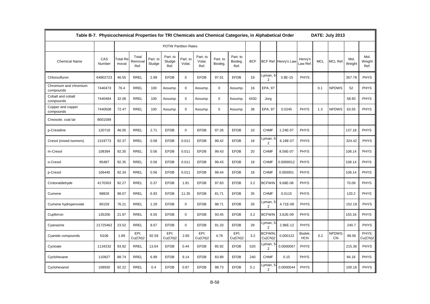|                                    | Table B-7. Physicochemical Properties for TRI Chemicals and Chemical Categories, in Alphabetical Order |                                |                          |                    |                             |                    |                            |                     |                             |            |                            |                      |                      |            | DATE: July 2013     |                |                        |
|------------------------------------|--------------------------------------------------------------------------------------------------------|--------------------------------|--------------------------|--------------------|-----------------------------|--------------------|----------------------------|---------------------|-----------------------------|------------|----------------------------|----------------------|----------------------|------------|---------------------|----------------|------------------------|
|                                    |                                                                                                        |                                |                          |                    | <b>POTW Partition Rates</b> |                    |                            |                     |                             |            |                            |                      |                      |            |                     |                |                        |
| <b>Chemical Name</b>               | CAS<br>Number                                                                                          | Γotal Re <sup>.</sup><br>moval | Total<br>Removal<br>Ref. | Part. to<br>Sludge | Part. to<br>Sludge<br>Ref.  | Part. to<br>Volat. | Part. to<br>Volat.<br>Ref. | Part. to<br>Biodeg. | Part. to<br>Biodeg.<br>Ref. | <b>BCF</b> |                            | BCF Ref. Henry's Law | Henry's<br>aw Ref    | <b>MCL</b> | <b>MCL Ref</b>      | Mol.<br>Weight | Mol.<br>Weight<br>Ref. |
| Chlorsulfuron                      | 64902723                                                                                               | 46.55                          | <b>RREL</b>              | 2.99               | <b>EFDB</b>                 | $\mathbf 0$        | <b>EFDB</b>                | 97.01               | <b>EFDB</b>                 | 19         | Lyman, 5<br>2              | 3.9E-15              | <b>PHYS</b>          |            |                     | 357.78         | <b>PHYS</b>            |
| Chromium and chromium<br>compounds | 7440473                                                                                                | 76.4                           | <b>RREL</b>              | 100                | Assump.                     | $\mathbf 0$        | Assump.                    | $\mathbf 0$         | Assump                      | 16         | EPA, 97                    |                      |                      | 0.1        | <b>NPDWS</b>        | 52             | <b>PHYS</b>            |
| Cobalt and cobalt<br>compounds     | 7440484                                                                                                | 32.06                          | <b>RREL</b>              | 100                | Assump.                     | $\mathbf 0$        | Assump.                    | $\mathbf 0$         | Assump.                     | 4430       | Jorg                       |                      |                      |            |                     | 58.93          | <b>PHYS</b>            |
| Copper and copper<br>compounds     | 7440508                                                                                                | 72.47                          | <b>RREL</b>              | 100                | Assump.                     | $\mathbf 0$        | Assump.                    | $\mathbf 0$         | Assump.                     | 36         | EPA, 97                    | 0.0245               | <b>PHYS</b>          | 1.3        | <b>NPDWS</b>        | 63.55          | <b>PHYS</b>            |
| Creosote, coal tar                 | 8001589                                                                                                |                                |                          |                    |                             |                    |                            |                     |                             |            |                            |                      |                      |            |                     |                |                        |
| p-Cresidine                        | 120718                                                                                                 | 46.05                          | <b>RREL</b>              | 2.71               | <b>EFDB</b>                 | $\mathbf 0$        | <b>EFDB</b>                | 97.26               | <b>EFDB</b>                 | 10         | <b>CHMF</b>                | 1.24E-07             | <b>PHYS</b>          |            |                     | 137.18         | <b>PHYS</b>            |
| Cresol (mixed isomers)             | 1319773                                                                                                | 92.37                          | <b>RREL</b>              | 0.58               | <b>EFDB</b>                 | 0.011              | <b>EFDB</b>                | 99.42               | <b>EFDB</b>                 | 18         | Lyman, 5<br>$\overline{2}$ | 6.19E-07             | <b>PHYS</b>          |            |                     | 324.42         | <b>PHYS</b>            |
| m-Cresol                           | 108394                                                                                                 | 92.35                          | <b>RREL</b>              | 0.56               | <b>EFDB</b>                 | 0.011              | <b>EFDB</b>                | 99.43               | <b>EFDB</b>                 | 20         | <b>CHMF</b>                | 8.56E-07             | <b>PHYS</b>          |            |                     | 108.14         | <b>PHYS</b>            |
| o-Cresol                           | 95487                                                                                                  | 92.35                          | <b>RREL</b>              | 0.56               | <b>EFDB</b>                 | 0.011              | <b>EFDB</b>                | 99.43               | <b>EFDB</b>                 | 18         | <b>CHMF</b>                | 0.0000012            | <b>PHYS</b>          |            |                     | 108.14         | <b>PHYS</b>            |
| p-Cresol                           | 106445                                                                                                 | 92.34                          | <b>RREL</b>              | 0.56               | <b>EFDB</b>                 | 0.011              | <b>EFDB</b>                | 99.44               | <b>EFDB</b>                 | 18         | <b>CHMF</b>                | 0.000001             | <b>PHYS</b>          |            |                     | 108.14         | <b>PHYS</b>            |
| Crotonaldehyde                     | 4170303                                                                                                | 92.27                          | <b>RREL</b>              | 0.37               | <b>EFDB</b>                 | 1.81               | <b>EFDB</b>                | 97.83               | <b>EFDB</b>                 | 3.2        | <b>BCFWIN</b>              | 9.68E-06             | <b>PHYS</b>          |            |                     | 70.09          | <b>PHYS</b>            |
| Cumene                             | 98828                                                                                                  | 98.07                          | <b>RREL</b>              | 6.93               | <b>EFDB</b>                 | 11.35              | <b>EFDB</b>                | 81.71               | <b>EFDB</b>                 | 35         | <b>CHMF</b>                | 0.0115               | <b>PHYS</b>          |            |                     | 120.2          | <b>PHYS</b>            |
| Cumene hydroperoxide               | 80159                                                                                                  | 76.21                          | <b>RREL</b>              | 1.29               | <b>EFDB</b>                 | $\mathbf 0$        | <b>EFDB</b>                | 98.71               | <b>EFDB</b>                 | 26         | Lyman, 5<br>$\overline{2}$ | 4.71E-08             | <b>PHYS</b>          |            |                     | 152.19         | <b>PHYS</b>            |
| Cupferron                          | 135206                                                                                                 | 21.97                          | <b>RREL</b>              | 6.55               | <b>EFDB</b>                 | $\mathbf 0$        | <b>EFDB</b>                | 93.45               | <b>EFDB</b>                 | 3.2        | <b>BCFWIN</b>              | 3.62E-09             | <b>PHYS</b>          |            |                     | 155.16         | <b>PHYS</b>            |
| Cyanazine                          | 21725462                                                                                               | 23.52                          | <b>RREL</b>              | 8.67               | <b>EFDB</b>                 | $\mathbf 0$        | <b>EFDB</b>                | 91.33               | <b>EFDB</b>                 | 29         | Lyman, 5<br>$\overline{2}$ | 2.96E-12             | <b>PHYS</b>          |            |                     | 240.7          | <b>PHYS</b>            |
| Cyanide compounds                  | N <sub>106</sub>                                                                                       | 1.89                           | EPI:<br>Cu(CN)2          | 92.59              | EPI:<br>Cu(CN)2             | 2.65               | EPI;<br>Cu(CN)2            | 4.76                | EPI;<br>Cu(CN)2             | 3.2        | <b>BCFWIN</b><br>Cu(CN)2   | 0.000122             | Bodek;<br><b>HCN</b> | 0.2        | <b>NPDWS</b><br>CN- | 89.56          | PHYS:<br>Cu(CN)2       |
| Cycloate                           | 1134232                                                                                                | 93.92                          | <b>RREL</b>              | 13.64              | <b>EFDB</b>                 | 0.44               | <b>EFDB</b>                | 85.92               | <b>EFDB</b>                 | 520        | Lyman, 5<br>$\overline{2}$ | 0.0000067            | <b>PHYS</b>          |            |                     | 215.36         | <b>PHYS</b>            |
| Cyclohexane                        | 110827                                                                                                 | 88.74                          | <b>RREL</b>              | 6.99               | <b>EFDB</b>                 | 9.14               | <b>EFDB</b>                | 83.89               | <b>EFDB</b>                 | 240        | <b>CHMF</b>                | 0.15                 | <b>PHYS</b>          |            |                     | 84.16          | <b>PHYS</b>            |
| Cyclohexanol                       | 108930                                                                                                 | 92.22                          | <b>RREL</b>              | 0.4                | <b>EFDB</b>                 | 0.87               | <b>EFDB</b>                | 98.73               | <b>EFDB</b>                 | 5.1        | Lyman, 5<br>$\overline{2}$ | 0.0000044            | <b>PHYS</b>          |            |                     | 100.16         | <b>PHYS</b>            |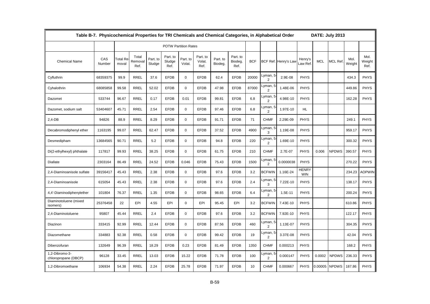|                                        | Table B-7. Physicochemical Properties for TRI Chemicals and Chemical Categories, in Alphabetical Order |                          |                          |                    |                             |                    |                            |                     |                             |            |                            |                      |                            |            | DATE: July 2013 |                |                        |
|----------------------------------------|--------------------------------------------------------------------------------------------------------|--------------------------|--------------------------|--------------------|-----------------------------|--------------------|----------------------------|---------------------|-----------------------------|------------|----------------------------|----------------------|----------------------------|------------|-----------------|----------------|------------------------|
|                                        |                                                                                                        |                          |                          |                    | <b>POTW Partition Rates</b> |                    |                            |                     |                             |            |                            |                      |                            |            |                 |                |                        |
| <b>Chemical Name</b>                   | CAS<br>Number                                                                                          | <b>Total Re</b><br>moval | Total<br>Removal<br>Ref. | Part. to<br>Sludge | Part. to<br>Sludge<br>Ref.  | Part. to<br>Volat. | Part. to<br>Volat.<br>Ref. | Part. to<br>Biodeg. | Part. to<br>Biodeg.<br>Ref. | <b>BCF</b> |                            | BCF Ref. Henry's Law | Henry's<br>_aw Ref.        | <b>MCL</b> | <b>MCL Ref</b>  | Mol.<br>Weight | Mol.<br>Weight<br>Ref. |
| Cyfluthrin                             | 68359375                                                                                               | 99.9                     | <b>RREL</b>              | 37.6               | <b>EFDB</b>                 | 0                  | <b>EFDB</b>                | 62.4                | <b>EFDB</b>                 | 20000      | Lyman, 5<br>2              | 2.9E-08              | <b>PHYS</b>                |            |                 | 434.3          | <b>PHYS</b>            |
| Cyhalothrin                            | 68085858                                                                                               | 99.58                    | <b>RREL</b>              | 52.02              | <b>EFDB</b>                 | $\mathbf 0$        | <b>EFDB</b>                | 47.98               | <b>EFDB</b>                 | 87000      | Lyman, 5<br>$\overline{c}$ | 1.48E-06             | <b>PHYS</b>                |            |                 | 449.86         | <b>PHYS</b>            |
| Dazomet                                | 533744                                                                                                 | 96.67                    | <b>RREL</b>              | 0.17               | <b>EFDB</b>                 | 0.01               | <b>EFDB</b>                | 99.81               | <b>EFDB</b>                 | 6.8        | Lyman, 5<br>2              | 4.98E-10             | <b>PHYS</b>                |            |                 | 162.28         | <b>PHYS</b>            |
| Dazomet, sodium salt                   | 53404607                                                                                               | 45.71                    | <b>RREL</b>              | 2.54               | <b>EFDB</b>                 | $\mathbf 0$        | <b>EFDB</b>                | 97.46               | <b>EFDB</b>                 | 6.8        | Lyman, 5<br>2              | 1.97E-10             | HL.                        |            |                 |                |                        |
| $2,4-DB$                               | 94826                                                                                                  | 88.9                     | <b>RREL</b>              | 8.29               | <b>EFDB</b>                 | $\mathbf 0$        | <b>EFDB</b>                | 91.71               | <b>EFDB</b>                 | 71         | <b>CHMF</b>                | 2.29E-09             | <b>PHYS</b>                |            |                 | 249.1          | <b>PHYS</b>            |
| Decabromodiphenyl ether                | 1163195                                                                                                | 99.07                    | <b>RREL</b>              | 62.47              | <b>EFDB</b>                 | $\mathbf 0$        | <b>EFDB</b>                | 37.52               | <b>EFDB</b>                 | 4900       | Lyman, 5<br>3              | 1.19E-08             | <b>PHYS</b>                |            |                 | 959.17         | <b>PHYS</b>            |
| Desmedipham                            | 13684565                                                                                               | 90.71                    | <b>RREL</b>              | 5.2                | <b>EFDB</b>                 | $\mathbf 0$        | <b>EFDB</b>                | 94.8                | <b>EFDB</b>                 | 220        | Lyman, 5<br>2              | 1.69E-10             | <b>PHYS</b>                |            |                 | 300.32         | <b>PHYS</b>            |
| Di(2-ethylhexyl) phthalate             | 117817                                                                                                 | 99.93                    | <b>RREL</b>              | 38.25              | <b>EFDB</b>                 | $\mathbf 0$        | <b>EFDB</b>                | 61.75               | <b>EFDB</b>                 | 210        | <b>CHMF</b>                | 2.7E-07              | <b>PHYS</b>                | 0.006      | <b>NPDWS</b>    | 390.57         | <b>PHYS</b>            |
| <b>Diallate</b>                        | 2303164                                                                                                | 86.49                    | <b>RREL</b>              | 24.52              | <b>EFDB</b>                 | 0.046              | <b>EFDB</b>                | 75.43               | <b>EFDB</b>                 | 1500       | Lyman, 5<br>$\overline{c}$ | 0.0000038            | <b>PHYS</b>                |            |                 | 270.22         | <b>PHYS</b>            |
| 2.4-Diaminoanisole sulfate             | 39156417                                                                                               | 45.43                    | <b>RREL</b>              | 2.38               | <b>EFDB</b>                 | $\Omega$           | <b>EFDB</b>                | 97.6                | <b>EFDB</b>                 | 3.2        | <b>BCFWIN</b>              | 1.16E-24             | <b>HENRY</b><br><b>WIN</b> |            |                 | 234.23         | <b>AOPWIN</b>          |
| 2,4-Diaminoanisole                     | 615054                                                                                                 | 45.43                    | <b>RREL</b>              | 2.38               | <b>EFDB</b>                 | $\mathbf 0$        | <b>EFDB</b>                | 97.6                | <b>EFDB</b>                 | 2.4        | Lyman, 5<br>3              | 7.22E-10             | <b>PHYS</b>                |            |                 | 138.17         | <b>PHYS</b>            |
| 4,4'-Diaminodiphenylether              | 101804                                                                                                 | 76.37                    | <b>RREL</b>              | 1.35               | <b>EFDB</b>                 | $\mathbf 0$        | <b>EFDB</b>                | 98.65               | <b>EFDB</b>                 | 6.4        | Lyman, 5<br>2              | 1.5E-11              | <b>PHYS</b>                |            |                 | 200.24         | <b>PHYS</b>            |
| Diaminotoluene (mixed<br>isomers)      | 25376458                                                                                               | 22                       | EPI                      | 4.55               | EPI                         | $\mathbf 0$        | EPI                        | 95.45               | EPI                         | 3.2        | <b>BCFWIN</b>              | 7.43E-10             | <b>PHYS</b>                |            |                 | 610.86         | <b>PHYS</b>            |
| 2,4-Diaminotoluene                     | 95807                                                                                                  | 45.44                    | <b>RREL</b>              | 2.4                | <b>EFDB</b>                 | $\mathbf 0$        | <b>EFDB</b>                | 97.6                | <b>EFDB</b>                 | 3.2        | <b>BCFWIN</b>              | 7.92E-10             | <b>PHYS</b>                |            |                 | 122.17         | <b>PHYS</b>            |
| Diazinon                               | 333415                                                                                                 | 92.99                    | <b>RREL</b>              | 12.44              | <b>EFDB</b>                 | $\mathbf 0$        | <b>EFDB</b>                | 87.56               | <b>EFDB</b>                 | 460        | Lyman, 5<br>2              | 1.13E-07             | <b>PHYS</b>                |            |                 | 304.35         | <b>PHYS</b>            |
| Diazomethane                           | 334883                                                                                                 | 92.38                    | <b>RREL</b>              | 0.58               | <b>EFDB</b>                 | $\mathbf 0$        | <b>EFDB</b>                | 99.42               | <b>EFDB</b>                 | 19         | Lyman, 5<br>2              | 3.37E-08             | <b>PHYS</b>                |            |                 | 42.04          | <b>PHYS</b>            |
| Dibenzofuran                           | 132649                                                                                                 | 96.39                    | <b>RREL</b>              | 18.29              | <b>EFDB</b>                 | 0.23               | <b>EFDB</b>                | 81.49               | <b>EFDB</b>                 | 1350       | <b>CHMF</b>                | 0.000213             | PHYS                       |            |                 | 168.2          | <b>PHYS</b>            |
| 1,2-Dibromo-3-<br>chloropropane (DBCP) | 96128                                                                                                  | 33.45                    | <b>RREL</b>              | 13.03              | <b>EFDB</b>                 | 15.22              | <b>EFDB</b>                | 71.78               | <b>EFDB</b>                 | 100        | Lyman, 5<br>$\overline{2}$ | 0.000147             | <b>PHYS</b>                | 0.0002     | <b>NPDWS</b>    | 236.33         | <b>PHYS</b>            |
| 1,2-Dibromoethane                      | 106934                                                                                                 | 54.38                    | <b>RREL</b>              | 2.24               | <b>EFDB</b>                 | 25.78              | <b>EFDB</b>                | 71.97               | <b>EFDB</b>                 | 10         | <b>CHMF</b>                | 0.000667             | <b>PHYS</b>                | 0.00005    | <b>NPDWS</b>    | 187.86         | <b>PHYS</b>            |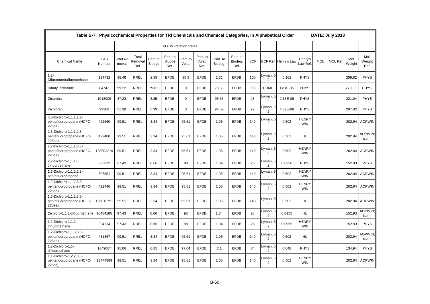|                                                                | Table B-7. Physicochemical Properties for TRI Chemicals and Chemical Categories, in Alphabetical Order |                          |                          |                    |                             |                    |                            |                     |                             |            |                            | DATE: July 2013      |                            |            |                |                |                         |
|----------------------------------------------------------------|--------------------------------------------------------------------------------------------------------|--------------------------|--------------------------|--------------------|-----------------------------|--------------------|----------------------------|---------------------|-----------------------------|------------|----------------------------|----------------------|----------------------------|------------|----------------|----------------|-------------------------|
|                                                                |                                                                                                        |                          |                          |                    | <b>POTW Partition Rates</b> |                    |                            |                     |                             |            |                            |                      |                            |            |                |                |                         |
| <b>Chemical Name</b>                                           | CAS<br>Number                                                                                          | <b>Total Re</b><br>moval | Total<br>Removal<br>Ref. | Part. to<br>Sludge | Part. to<br>Sludge<br>Ref.  | Part. to<br>Volat. | Part. to<br>Volat.<br>Ref. | Part. to<br>Biodeg. | Part. to<br>Biodeg.<br>Ref. | <b>BCF</b> |                            | BCF Ref. Henry's Law | Henry's<br>_aw Ref.        | <b>MCL</b> | <b>MCL Ref</b> | Mol.<br>Weight | Mol.<br>Weight<br>Ref.  |
| $1,2-$<br>Dibromotetrafluoroethane                             | 124732                                                                                                 | 98.48                    | <b>RREL</b>              | 2.39               | <b>EFDB</b>                 | 96.3               | <b>EFDB</b>                | 1.31                | <b>EFDB</b>                 | 100        | Lyman, 5<br>$\overline{2}$ | 0.162                | <b>PHYS</b>                |            |                | 259.82         | <b>PHYS</b>             |
| Dibutyl phthalate                                              | 84742                                                                                                  | 99.22                    | <b>RREL</b>              | 29.61              | <b>EFDB</b>                 | $\mathbf 0$        | <b>EFDB</b>                | 70.38               | <b>EFDB</b>                 | 866        | <b>CHMF</b>                | 1.81E-06             | <b>PHYS</b>                |            |                | 278.35         | <b>PHYS</b>             |
| Dicamba                                                        | 1918009                                                                                                | 47.23                    | <b>RREL</b>              | 3.35               | <b>EFDB</b>                 | $\mathbf 0$        | <b>EFDB</b>                | 96.65               | <b>EFDB</b>                 | 28         | Lyman, 5<br>2              | 2.18E-09             | <b>PHYS</b>                |            |                | 221.04         | <b>PHYS</b>             |
| Dichloran                                                      | 99309                                                                                                  | 51.39                    | <b>RREL</b>              | 5.39               | <b>EFDB</b>                 | $\mathbf{0}$       | <b>EFDB</b>                | 94.59               | <b>EFDB</b>                 | 79         | Lyman, 5<br>$\overline{2}$ | 4.67E-08             | <b>PHYS</b>                |            |                | 207.02         | <b>PHYS</b>             |
| 3,3-Dichloro-1,1,1,2,2-<br>pentafluoropropane (HCFC-<br>225ca) | 422560                                                                                                 | 99.51                    | <b>RREL</b>              | 3.34               | <b>EFDB</b>                 | 95.61              | <b>EFDB</b>                | 1.05                | <b>EFDB</b>                 | 140        | Lyman, 5<br>$\overline{2}$ | 0.502                | <b>HENRY</b><br><b>WIN</b> |            |                | 202.94         | <b>AOPWIN</b>           |
| 2,3-Dichloro-1,1,1,2,3-<br>pentafluoropropane (HCFC-<br>225ba) | 422480                                                                                                 | 99.51                    | <b>RREL</b>              | 3.34               | <b>EFDB</b>                 | 95.61              | <b>EFDB</b>                | 1.05                | <b>EFDB</b>                 | 140        | Lyman, 5<br>$\overline{2}$ | 0.502                | HL.                        |            |                | 202.94         | <b>AOPWIN:</b><br>isom. |
| 2,2-Dichloro-1,1,1,3,3-<br>pentafluoropropane (HCFC-<br>225aa) | 128903219                                                                                              | 99.51                    | <b>RREL</b>              | 3.34               | <b>EFDB</b>                 | 95.61              | <b>EFDB</b>                | 1.05                | <b>EFDB</b>                 | 140        | Lyman, 5<br>$\overline{2}$ | 0.502                | <b>HENRY</b><br><b>WIN</b> |            |                | 202.94         | <b>AOPWIN</b>           |
| 2,2-Dichloro-1,1,1-<br>trifluoroethane                         | 306832                                                                                                 | 97.43                    | <b>RREL</b>              | 0.66               | <b>EFDB</b>                 | 98                 | <b>EFDB</b>                | 1.34                | <b>EFDB</b>                 | 26         | Lyman, 5<br>$\overline{2}$ | 0.0256               | <b>PHYS</b>                |            |                | 152.93         | <b>PHYS</b>             |
| 1,3-Dichloro-1,1,2,2,3-<br>pentafluoropropane                  | 507551                                                                                                 | 99.51                    | <b>RREL</b>              | 3.34               | <b>EFDB</b>                 | 95.61              | <b>EFDB</b>                | 1.05                | <b>EFDB</b>                 | 140        | Lyman, 5<br>2              | 0.502                | <b>HENRY</b><br><b>WIN</b> |            |                | 202.94         | <b>AOPWIN</b>           |
| 1,2-Dichloro-1,1,2,3,3-<br>pentafluoropropane (HCFC-<br>225bb) | 422446                                                                                                 | 99.51                    | <b>RREL</b>              | 3.34               | <b>EFDB</b>                 | 95.61              | <b>EFDB</b>                | 1.05                | <b>EFDB</b>                 | 140        | Lyman, 5<br>$\overline{2}$ | 0.502                | <b>HENRY</b><br><b>WIN</b> |            |                | 202.94         | <b>AOPWIN</b>           |
| 1,3-Dichloro-1,1,2,3,3-<br>pentafluoropropane (HCFC-<br>225ea) | 136013791                                                                                              | 99.51                    | <b>RREL</b>              | 3.34               | <b>EFDB</b>                 | 95.61              | <b>EFDB</b>                | 1.05                | <b>EFDB</b>                 | 140        | Lyman, 5<br>$\overline{2}$ | 0.502                | HL.                        |            |                | 202.94         | <b>AOPWIN</b>           |
| Dichloro-1,1,2-trifluoroethane                                 | 90454185                                                                                               | 97.43                    | <b>RREL</b>              | 0.66               | <b>EFDB</b>                 | 98                 | <b>EFDB</b>                | 1.34                | <b>EFDB</b>                 | 26         | Lyman, 5<br>$\overline{2}$ | 0.0955               | HL.                        |            |                | 152.93         | <b>AOPWIN</b><br>isom.  |
| 1,2-Dichloro-1,1,2-<br>trifluoroethane                         | 354234                                                                                                 | 97.43                    | <b>RREL</b>              | 0.66               | <b>EFDB</b>                 | 98                 | <b>EFDB</b>                | 1.34                | <b>EFDB</b>                 | 26         | Lyman, 5<br>$\overline{2}$ | 0.0955               | <b>HENRY</b><br><b>WIN</b> |            |                | 152.93         | <b>PHYS</b>             |
| 1,2-Dichloro-1,1,3,3,3-<br>pentafluoropropane (HCFC-<br>225da  | 431867                                                                                                 | 99.51                    | <b>RREL</b>              | 3.34               | <b>EFDB</b>                 | 95.61              | <b>EFDB</b>                | 1.05                | <b>EFDB</b>                 | 140        | _yman, 5<br>$\overline{2}$ | 0.502                | HL.                        |            |                | 202.94         | OPWIN<br>isom.          |
| 1,2-Dichloro-1,1-<br>difluoroethane                            | 1649087                                                                                                | 95.06                    | <b>RREL</b>              | 0.85               | <b>EFDB</b>                 | 97.04              | <b>EFDB</b>                | 2.1                 | <b>EFDB</b>                 | 34         | Lyman, 5<br>$\overline{2}$ | 0.048                | <b>PHYS</b>                |            |                | 134.94         | <b>PHYS</b>             |
| 1,1-Dichloro-1,2,2,3,3-<br>pentafluoropropane (HCFC-<br>225cc) | 13474889                                                                                               | 99.51                    | <b>RREL</b>              | 3.34               | <b>EFDB</b>                 | 95.61              | <b>EFDB</b>                | 1.05                | <b>EFDB</b>                 | 140        | Lyman, 5<br>$\overline{2}$ | 0.502                | <b>HENRY</b><br><b>WIN</b> |            |                | 202.94         | <b>AOPWIN</b>           |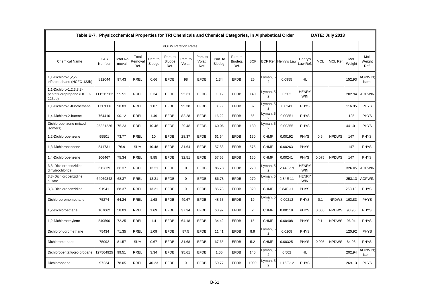|                                                                | Table B-7. Physicochemical Properties for TRI Chemicals and Chemical Categories, in Alphabetical Order |                          |                          |                    |                             |                    |                            |                     |                             |                |                            |                      |                            |            | DATE: July 2013 |                |                        |
|----------------------------------------------------------------|--------------------------------------------------------------------------------------------------------|--------------------------|--------------------------|--------------------|-----------------------------|--------------------|----------------------------|---------------------|-----------------------------|----------------|----------------------------|----------------------|----------------------------|------------|-----------------|----------------|------------------------|
|                                                                |                                                                                                        |                          |                          |                    | <b>POTW Partition Rates</b> |                    |                            |                     |                             |                |                            |                      |                            |            |                 |                |                        |
| <b>Chemical Name</b>                                           | CAS<br>Number                                                                                          | <b>Total Re</b><br>moval | Total<br>Removal<br>Ref. | Part. to<br>Sludge | Part. to<br>Sludge<br>Ref.  | Part. to<br>Volat. | Part. to<br>Volat.<br>Ref. | Part. to<br>Biodeg. | Part. to<br>Biodeg.<br>Ref. | <b>BCF</b>     |                            | BCF Ref. Henry's Law | Henry's<br>Law Ref.        | <b>MCL</b> | <b>MCL Ref</b>  | Mol.<br>Weight | Mol.<br>Weight<br>Ref. |
| 1,1-Dichloro-1,2,2-<br>trifluoroethane (HCFC-123b)             | 812044                                                                                                 | 97.43                    | <b>RREL</b>              | 0.66               | <b>EFDB</b>                 | 98                 | <b>EFDB</b>                | 1.34                | <b>EFDB</b>                 | 26             | Lyman, 5 <sup>.</sup><br>2 | 0.0955               | HL.                        |            |                 | 152.93         | OPWIN;<br>isom.        |
| 1,1-Dichloro-1,2,3,3,3-<br>pentafluoropropane (HCFC-<br>225eb) | 111512562                                                                                              | 99.51                    | <b>RREL</b>              | 3.34               | <b>EFDB</b>                 | 95.61              | <b>EFDB</b>                | 1.05                | <b>EFDB</b>                 | 140            | Lyman, 5<br>$\overline{2}$ | 0.502                | <b>HENRY</b><br><b>WIN</b> |            |                 | 202.94         | <b>AOPWIN</b>          |
| 1,1-Dichloro-1-fluoroethane                                    | 1717006                                                                                                | 90.83                    | <b>RREL</b>              | 1.07               | <b>EFDB</b>                 | 95.38              | <b>EFDB</b>                | 3.56                | <b>EFDB</b>                 | 37             | Lyman, 5<br>2              | 0.0241               | <b>PHYS</b>                |            |                 | 116.95         | <b>PHYS</b>            |
| 1,4-Dichloro-2-butene                                          | 764410                                                                                                 | 90.12                    | <b>RREL</b>              | 1.49               | <b>EFDB</b>                 | 82.28              | <b>EFDB</b>                | 16.22               | <b>EFDB</b>                 | 56             | Lyman, 5<br>$\overline{c}$ | 0.00851              | <b>PHYS</b>                |            |                 | 125            | <b>PHYS</b>            |
| Dichlorobenzene (mixed<br>isomers)                             | 25321226                                                                                               | 75.23                    | <b>RREL</b>              | 10.46              | <b>EFDB</b>                 | 29.48              | <b>EFDB</b>                | 60.06               | <b>EFDB</b>                 | 180            | Lyman, 5<br>2              | 0.00355              | <b>PHYS</b>                |            |                 | 441.01         | <b>PHYS</b>            |
| 1,2-Dichlorobenzene                                            | 95501                                                                                                  | 73.77                    | <b>RREL</b>              | 10                 | <b>EFDB</b>                 | 28.37              | <b>EFDB</b>                | 61.64               | <b>EFDB</b>                 | 150            | <b>CHMF</b>                | 0.00192              | PHYS                       | 0.6        | <b>NPDWS</b>    | 147            | <b>PHYS</b>            |
| 1,3-Dichlorobenzene                                            | 541731                                                                                                 | 76.9                     | <b>SUM</b>               | 10.48              | <b>EFDB</b>                 | 31.64              | <b>EFDB</b>                | 57.88               | <b>EFDB</b>                 | 575            | <b>CHMF</b>                | 0.00263              | <b>PHYS</b>                |            |                 | 147            | <b>PHYS</b>            |
| 1,4-Dichlorobenzene                                            | 106467                                                                                                 | 75.34                    | <b>RREL</b>              | 9.85               | <b>EFDB</b>                 | 32.51              | <b>EFDB</b>                | 57.65               | <b>EFDB</b>                 | 150            | <b>CHMF</b>                | 0.00241              | <b>PHYS</b>                | 0.075      | <b>NPDWS</b>    | 147            | <b>PHYS</b>            |
| 3,3'-Dichlorobenzidine<br>dihydrochloride                      | 612839                                                                                                 | 68.37                    | <b>RREL</b>              | 13.21              | <b>EFDB</b>                 | $\Omega$           | <b>EFDB</b>                | 86.78               | <b>EFDB</b>                 | 270            | Lyman, 5<br>2              | 2.44E-19             | <b>HENRY</b><br><b>WIN</b> |            |                 | 326.05         | <b>AOPWIN</b>          |
| 3,3'-Dichlorobenzidine<br>sulfate                              | 64969342                                                                                               | 68.37                    | RREL                     | 13.21              | <b>EFDB</b>                 | $\mathbf 0$        | <b>EFDB</b>                | 86.78               | <b>EFDB</b>                 | 270            | Lyman, 5<br>2              | 2.84E-11             | <b>HENRY</b><br><b>WIN</b> |            |                 | 253.13         | <b>AOPWIN</b>          |
| 3,3'-Dichlorobenzidine                                         | 91941                                                                                                  | 68.37                    | <b>RREL</b>              | 13.21              | <b>EFDB</b>                 | $\mathbf 0$        | <b>EFDB</b>                | 86.78               | <b>EFDB</b>                 | 329            | <b>CHMF</b>                | 2.84E-11             | <b>PHYS</b>                |            |                 | 253.13         | <b>PHYS</b>            |
| Dichlorobromomethane                                           | 75274                                                                                                  | 64.24                    | <b>RREL</b>              | 1.68               | <b>EFDB</b>                 | 49.67              | <b>EFDB</b>                | 48.63               | <b>EFDB</b>                 | 19             | Lyman, 5<br>$\overline{c}$ | 0.00212              | <b>PHYS</b>                | 0.1        | <b>NPDWS</b>    | 163.83         | <b>PHYS</b>            |
| 1.2-Dichloroethane                                             | 107062                                                                                                 | 58.03                    | <b>RREL</b>              | 1.69               | <b>EFDB</b>                 | 37.34              | <b>EFDB</b>                | 60.97               | <b>EFDB</b>                 | $\overline{2}$ | <b>CHMF</b>                | 0.00118              | <b>PHYS</b>                | 0.005      | <b>NPDWS</b>    | 98.96          | <b>PHYS</b>            |
| 1,2-Dichloroethylene                                           | 540590                                                                                                 | 72.25                    | <b>RREL</b>              | 1.4                | <b>EFDB</b>                 | 64.18              | <b>EFDB</b>                | 34.42               | <b>EFDB</b>                 | 15             | <b>CHMF</b>                | 0.00408              | PHYS                       | 0.1        | <b>NPDWS</b>    | 96.94          | <b>PHYS</b>            |
| Dichlorofluoromethane                                          | 75434                                                                                                  | 71.35                    | <b>RREL</b>              | 1.09               | <b>EFDB</b>                 | 87.5               | <b>EFDB</b>                | 11.41               | <b>EFDB</b>                 | 8.9            | _yman, 5<br>$\overline{2}$ | 0.0108               | <b>PHYS</b>                |            |                 | 120.92         | <b>PHYS</b>            |
| Dichloromethane                                                | 75092                                                                                                  | 81.57                    | <b>SUM</b>               | 0.67               | <b>EFDB</b>                 | 31.68              | <b>EFDB</b>                | 67.65               | <b>EFDB</b>                 | 5.2            | <b>CHMF</b>                | 0.00325              | PHYS                       | 0.005      | <b>NPDWS</b>    | 84.93          | <b>PHYS</b>            |
| Dichloropentafluoro-propane                                    | 127564925                                                                                              | 99.51                    | <b>RREL</b>              | 3.34               | <b>EFDB</b>                 | 95.61              | <b>EFDB</b>                | 1.05                | <b>EFDB</b>                 | 140            | Lyman, 5<br>2              | 0.502                | HL.                        |            |                 | 202.94         | OPWIN:<br>isom.        |
| Dichlorophene                                                  | 97234                                                                                                  | 78.05                    | <b>RREL</b>              | 40.23              | <b>EFDB</b>                 | $\mathbf 0$        | <b>EFDB</b>                | 59.77               | <b>EFDB</b>                 | 1000           | Lyman, 5<br>$\overline{2}$ | 1.15E-12             | <b>PHYS</b>                |            |                 | 269.13         | <b>PHYS</b>            |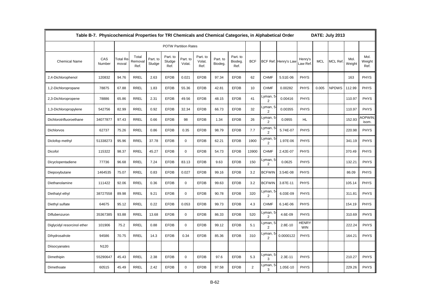|                             | Table B-7. Physicochemical Properties for TRI Chemicals and Chemical Categories, in Alphabetical Order |                          |                          |                    |                             |                    |                            |                     |                             |                |                            | DATE: July 2013      |                            |            |                |                |                        |
|-----------------------------|--------------------------------------------------------------------------------------------------------|--------------------------|--------------------------|--------------------|-----------------------------|--------------------|----------------------------|---------------------|-----------------------------|----------------|----------------------------|----------------------|----------------------------|------------|----------------|----------------|------------------------|
|                             |                                                                                                        |                          |                          |                    | <b>POTW Partition Rates</b> |                    |                            |                     |                             |                |                            |                      |                            |            |                |                |                        |
| <b>Chemical Name</b>        | CAS<br>Number                                                                                          | <b>Total Re</b><br>moval | Total<br>Removal<br>Ref. | Part. to<br>Sludge | Part. to<br>Sludge<br>Ref.  | Part. to<br>Volat. | Part. to<br>Volat.<br>Ref. | Part. to<br>Biodeg. | Part. to<br>Biodeg.<br>Ref. | <b>BCF</b>     |                            | BCF Ref. Henry's Lav | Henry's<br>aw Ref          | <b>MCL</b> | <b>MCL Ref</b> | Mol.<br>Weight | Mol.<br>Weight<br>Ref. |
| 2,4-Dichlorophenol          | 120832                                                                                                 | 94.76                    | <b>RREL</b>              | 2.63               | <b>EFDB</b>                 | 0.021              | <b>EFDB</b>                | 97.34               | <b>EFDB</b>                 | 62             | <b>CHMF</b>                | 5.51E-06             | <b>PHYS</b>                |            |                | 163            | <b>PHYS</b>            |
| 1,2-Dichloropropane         | 78875                                                                                                  | 67.88                    | <b>RREL</b>              | 1.83               | <b>EFDB</b>                 | 55.36              | <b>EFDB</b>                | 42.81               | <b>EFDB</b>                 | 10             | <b>CHMF</b>                | 0.00282              | <b>PHYS</b>                | 0.005      | <b>NPDWS</b>   | 112.99         | <b>PHYS</b>            |
| 2,3-Dichloropropene         | 78886                                                                                                  | 65.86                    | <b>RREL</b>              | 2.31               | <b>EFDB</b>                 | 49.56              | <b>EFDB</b>                | 48.15               | <b>EFDB</b>                 | 41             | Lyman, 5<br>2              | 0.00416              | <b>PHYS</b>                |            |                | 110.97         | <b>PHYS</b>            |
| 1,3-Dichloropropylene       | 542756                                                                                                 | 82.99                    | <b>RREL</b>              | 0.92               | <b>EFDB</b>                 | 32.34              | <b>EFDB</b>                | 66.73               | <b>EFDB</b>                 | 32             | Lyman, 5<br>$\overline{2}$ | 0.00355              | <b>PHYS</b>                |            |                | 110.97         | <b>PHYS</b>            |
| Dichlorotrifluoroethane     | 34077877                                                                                               | 97.43                    | <b>RREL</b>              | 0.66               | <b>EFDB</b>                 | 98                 | <b>EFDB</b>                | 1.34                | <b>EFDB</b>                 | 26             | Lyman, 5<br>$\overline{2}$ | 0.0955               | HL.                        |            |                | 152.93         | <b>OPWIN</b><br>isom.  |
| <b>Dichlorvos</b>           | 62737                                                                                                  | 75.26                    | <b>RREL</b>              | 0.86               | <b>EFDB</b>                 | 0.35               | <b>EFDB</b>                | 98.79               | <b>EFDB</b>                 | 7.7            | Lyman, 5<br>$\overline{2}$ | 5.74E-07             | <b>PHYS</b>                |            |                | 220.98         | <b>PHYS</b>            |
| Diclofop methyl             | 51338273                                                                                               | 95.96                    | <b>RREL</b>              | 37.78              | <b>EFDB</b>                 | $\Omega$           | <b>EFDB</b>                | 62.21               | <b>EFDB</b>                 | 1900           | Lyman, 5<br>2              | 1.97E-06             | <b>PHYS</b>                |            |                | 341.19         | <b>PHYS</b>            |
| Dicofol                     | 115322                                                                                                 | 98.37                    | RREL                     | 45.27              | <b>EFDB</b>                 | $\mathbf 0$        | <b>EFDB</b>                | 54.73               | <b>EFDB</b>                 | 13900          | <b>CHMF</b>                | 2.42E-07             | <b>PHYS</b>                |            |                | 370.49         | <b>PHYS</b>            |
| Dicyclopentadiene           | 77736                                                                                                  | 96.68                    | <b>RREL</b>              | 7.24               | <b>EFDB</b>                 | 83.13              | <b>EFDB</b>                | 9.63                | <b>EFDB</b>                 | 150            | Lyman, 5<br>$\overline{2}$ | 0.0625               | <b>PHYS</b>                |            |                | 132.21         | <b>PHYS</b>            |
| Diepoxybutane               | 1464535                                                                                                | 75.07                    | <b>RREL</b>              | 0.83               | <b>EFDB</b>                 | 0.027              | <b>EFDB</b>                | 99.16               | <b>EFDB</b>                 | 3.2            | <b>BCFWIN</b>              | 3.54E-08             | <b>PHYS</b>                |            |                | 86.09          | <b>PHYS</b>            |
| Diethanolamine              | 111422                                                                                                 | 92.06                    | <b>RREL</b>              | 0.36               | <b>EFDB</b>                 | $\mathbf 0$        | <b>EFDB</b>                | 99.63               | <b>EFDB</b>                 | 3.2            | <b>BCFWIN</b>              | 3.87E-11             | <b>PHYS</b>                |            |                | 105.14         | <b>PHYS</b>            |
| Diethatyl ethyl             | 38727558                                                                                               | 89.98                    | RREL                     | 9.21               | <b>EFDB</b>                 | $\mathbf 0$        | <b>EFDB</b>                | 90.78               | <b>EFDB</b>                 | 320            | Lyman, 5<br>2              | 6.03E-09             | <b>PHYS</b>                |            |                | 311.81         | <b>PHYS</b>            |
| Diethyl sulfate             | 64675                                                                                                  | 95.12                    | <b>RREL</b>              | 0.22               | <b>EFDB</b>                 | 0.053              | <b>EFDB</b>                | 99.73               | <b>EFDB</b>                 | 4.3            | <b>CHMF</b>                | 6.14E-06             | <b>PHYS</b>                |            |                | 154.19         | <b>PHYS</b>            |
| Diflubenzuron               | 35367385                                                                                               | 93.88                    | RREL                     | 13.68              | <b>EFDB</b>                 | $\mathbf 0$        | <b>EFDB</b>                | 86.33               | <b>EFDB</b>                 | 520            | Lyman, 5<br>$\overline{c}$ | 4.6E-09              | <b>PHYS</b>                |            |                | 310.69         | <b>PHYS</b>            |
| Diglycidyl resorcinol ether | 101906                                                                                                 | 75.2                     | <b>RREL</b>              | 0.88               | <b>EFDB</b>                 | $\mathbf 0$        | <b>EFDB</b>                | 99.12               | <b>EFDB</b>                 | 5.1            | Lyman, 5<br>$\overline{2}$ | 2.8E-10              | <b>HENRY</b><br><b>WIN</b> |            |                | 222.24         | <b>PHYS</b>            |
| Dihydrosafrole              | 94586                                                                                                  | 70.75                    | <b>RREL</b>              | 14.3               | <b>EFDB</b>                 | 0.34               | <b>EFDB</b>                | 85.36               | <b>EFDB</b>                 | 310            | Lyman, 5<br>$\overline{2}$ | 0.0000122            | <b>PHYS</b>                |            |                | 164.21         | <b>PHYS</b>            |
| Diisocyanates               | N120                                                                                                   |                          |                          |                    |                             |                    |                            |                     |                             |                |                            |                      |                            |            |                |                |                        |
| Dimethipin                  | 55290647                                                                                               | 45.43                    | <b>RREL</b>              | 2.38               | <b>EFDB</b>                 | $\mathbf 0$        | <b>EFDB</b>                | 97.6                | <b>EFDB</b>                 | 5.3            | Lyman, 5<br>3              | 2.3E-11              | <b>PHYS</b>                |            |                | 210.27         | <b>PHYS</b>            |
| Dimethoate                  | 60515                                                                                                  | 45.49                    | <b>RREL</b>              | 2.42               | <b>EFDB</b>                 | $\Omega$           | <b>EFDB</b>                | 97.58               | <b>EFDB</b>                 | $\overline{2}$ | Lyman, 5<br>3              | 1.05E-10             | <b>PHYS</b>                |            |                | 229.26         | <b>PHYS</b>            |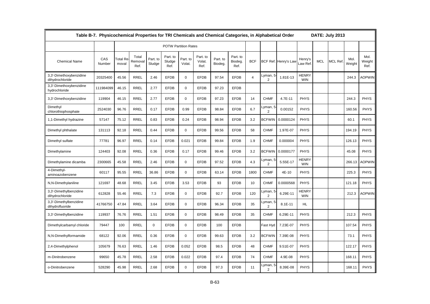|                                            | Table B-7. Physicochemical Properties for TRI Chemicals and Chemical Categories, in Alphabetical Order |                                |                          |                    |                             |                    |                            |                     |                             |                |                            |                      |                            |            | DATE: July 2013 |                |                        |
|--------------------------------------------|--------------------------------------------------------------------------------------------------------|--------------------------------|--------------------------|--------------------|-----------------------------|--------------------|----------------------------|---------------------|-----------------------------|----------------|----------------------------|----------------------|----------------------------|------------|-----------------|----------------|------------------------|
|                                            |                                                                                                        |                                |                          |                    | <b>POTW Partition Rates</b> |                    |                            |                     |                             |                |                            |                      |                            |            |                 |                |                        |
| <b>Chemical Name</b>                       | CAS<br>Number                                                                                          | Γotal Re <sup>.</sup><br>moval | Total<br>Removal<br>Ref. | Part. to<br>Sludge | Part. to<br>Sludge<br>Ref.  | Part. to<br>Volat. | Part. to<br>Volat.<br>Ref. | Part. to<br>Biodeg. | Part. to<br>Biodeg.<br>Ref. | <b>BCF</b>     |                            | BCF Ref. Henry's Law | Henry's<br>aw Ref.         | <b>MCL</b> | <b>MCL Ref</b>  | Mol.<br>Weight | Mol.<br>Weight<br>Ref. |
| 3,3'-Dimethoxybenzidine<br>dihydrochloride | 20325400                                                                                               | 45.56                          | <b>RREL</b>              | 2.46               | <b>EFDB</b>                 | $\mathbf 0$        | <b>EFDB</b>                | 97.54               | <b>EFDB</b>                 | $\overline{4}$ | Lyman, 5<br>$\overline{2}$ | 1.81E-13             | HENRY<br><b>WIN</b>        |            |                 | 244.3          | AOPWIN                 |
| 3,3'-Dimethoxybenzidine<br>hydrochloride   | 111984099                                                                                              | 46.15                          | <b>RREL</b>              | 2.77               | <b>EFDB</b>                 | $\Omega$           | <b>EFDB</b>                | 97.23               | <b>EFDB</b>                 |                |                            |                      |                            |            |                 |                |                        |
| 3,3'-Dimethoxybenzidine                    | 119904                                                                                                 | 46.15                          | <b>RREL</b>              | 2.77               | <b>EFDB</b>                 | $\mathbf 0$        | <b>EFDB</b>                | 97.23               | <b>EFDB</b>                 | 14             | <b>CHMF</b>                | 4.7E-11              | <b>PHYS</b>                |            |                 | 244.3          | <b>PHYS</b>            |
| Dimethyl<br>chlorothiophosphate            | 2524030                                                                                                | 96.76                          | <b>RREL</b>              | 0.17               | <b>EFDB</b>                 | 0.99               | <b>EFDB</b>                | 98.84               | <b>EFDB</b>                 | 6.7            | Lyman, 5<br>$\overline{2}$ | 0.00152              | <b>PHYS</b>                |            |                 | 160.56         | <b>PHYS</b>            |
| 1,1-Dimethyl hydrazine                     | 57147                                                                                                  | 75.12                          | <b>RREL</b>              | 0.83               | <b>EFDB</b>                 | 0.24               | <b>EFDB</b>                | 98.94               | <b>EFDB</b>                 | 3.2            | <b>BCFWIN</b>              | 0.0000124            | <b>PHYS</b>                |            |                 | 60.1           | <b>PHYS</b>            |
| Dimethyl phthalate                         | 131113                                                                                                 | 92.18                          | <b>RREL</b>              | 0.44               | <b>EFDB</b>                 | $\mathbf 0$        | <b>EFDB</b>                | 99.56               | <b>EFDB</b>                 | 58             | <b>CHMF</b>                | 1.97E-07             | <b>PHYS</b>                |            |                 | 194.19         | <b>PHYS</b>            |
| Dimethyl sulfate                           | 77781                                                                                                  | 96.97                          | <b>RREL</b>              | 0.14               | <b>EFDB</b>                 | 0.021              | <b>EFDB</b>                | 99.84               | <b>EFDB</b>                 | 1.9            | <b>CHMF</b>                | 0.000004             | <b>PHYS</b>                |            |                 | 126.13         | <b>PHYS</b>            |
| Dimethylamine                              | 124403                                                                                                 | 92.08                          | <b>RREL</b>              | 0.36               | <b>EFDB</b>                 | 0.17               | <b>EFDB</b>                | 99.46               | <b>EFDB</b>                 | 3.2            | <b>BCFWIN</b>              | 0.0000177            | <b>PHYS</b>                |            |                 | 45.08          | <b>PHYS</b>            |
| Dimethylamine dicamba                      | 2300665                                                                                                | 45.58                          | <b>RREL</b>              | 2.46               | <b>EFDB</b>                 | $\mathbf 0$        | <b>EFDB</b>                | 97.52               | <b>EFDB</b>                 | 4.3            | Lyman, 5<br>$\overline{2}$ | 5.55E-17             | <b>HENRY</b><br><b>WIN</b> |            |                 | 266.13         | <b>AOPWIN</b>          |
| 4-Dimethyl-<br>aminoazobenzene             | 60117                                                                                                  | 95.55                          | <b>RREL</b>              | 36.86              | <b>EFDB</b>                 | $\mathbf 0$        | <b>EFDB</b>                | 63.14               | <b>EFDB</b>                 | 1800           | <b>CHMF</b>                | 4E-10                | <b>PHYS</b>                |            |                 | 225.3          | <b>PHYS</b>            |
| N,N-Dimethylaniline                        | 121697                                                                                                 | 48.68                          | <b>RREL</b>              | 3.45               | <b>EFDB</b>                 | 3.53               | <b>EFDB</b>                | 93                  | <b>EFDB</b>                 | 10             | <b>CHMF</b>                | 0.0000568            | <b>PHYS</b>                |            |                 | 121.18         | <b>PHYS</b>            |
| 3,3'-Dimethylbenzidine<br>dihydrochloride  | 612828                                                                                                 | 55.46                          | <b>RREL</b>              | 7.3                | <b>EFDB</b>                 | $\mathbf 0$        | <b>EFDB</b>                | 92.7                | <b>EFDB</b>                 | 120            | Lyman, 5<br>$\overline{2}$ | 6.29E-11             | <b>HENRY</b><br><b>WIN</b> |            |                 | 212.3          | <b>AOPWIN</b>          |
| 3,3'-Dimethylbenzidine<br>dihydrofluoride  | 41766750                                                                                               | 47.84                          | <b>RREL</b>              | 3.64               | <b>EFDB</b>                 | $\mathbf 0$        | <b>EFDB</b>                | 96.34               | <b>EFDB</b>                 | 35             | Lyman, 5<br>2              | $8.1E-11$            | HL.                        |            |                 |                |                        |
| 3,3'-Dimethylbenzidine                     | 119937                                                                                                 | 76.76                          | <b>RREL</b>              | 1.51               | <b>EFDB</b>                 | $\mathbf 0$        | <b>EFDB</b>                | 98.49               | <b>EFDB</b>                 | 35             | <b>CHMF</b>                | 6.29E-11             | <b>PHYS</b>                |            |                 | 212.3          | <b>PHYS</b>            |
| Dimethylcarbamyl chloride                  | 79447                                                                                                  | 100                            | <b>RREL</b>              | $\mathbf 0$        | <b>EFDB</b>                 | $\mathbf 0$        | <b>EFDB</b>                | 100                 | <b>EFDB</b>                 |                | Fast Hyd                   | 7.23E-07             | <b>PHYS</b>                |            |                 | 107.54         | <b>PHYS</b>            |
| N,N-Dimethylformamide                      | 68122                                                                                                  | 92.06                          | <b>RREL</b>              | 0.36               | <b>EFDB</b>                 | $\mathbf 0$        | <b>EFDB</b>                | 99.63               | <b>EFDB</b>                 | 3.2            | <b>BCFWIN</b>              | 7.39E-08             | <b>PHYS</b>                |            |                 | 73.1           | <b>PHYS</b>            |
| 2,4-Dimethylphenol                         | 105679                                                                                                 | 76.63                          | <b>RREL</b>              | 1.46               | <b>EFDB</b>                 | 0.052              | <b>EFDB</b>                | 98.5                | <b>EFDB</b>                 | 48             | <b>CHMF</b>                | 9.51E-07             | <b>PHYS</b>                |            |                 | 122.17         | <b>PHYS</b>            |
| m-Dinitrobenzene                           | 99650                                                                                                  | 45.78                          | <b>RREL</b>              | 2.58               | <b>EFDB</b>                 | 0.022              | <b>EFDB</b>                | 97.4                | <b>EFDB</b>                 | 74             | <b>CHMF</b>                | 4.9E-08              | <b>PHYS</b>                |            |                 | 168.11         | <b>PHYS</b>            |
| o-Dinitrobenzene                           | 528290                                                                                                 | 45.98                          | <b>RREL</b>              | 2.68               | <b>EFDB</b>                 | $\Omega$           | <b>EFDB</b>                | 97.3                | <b>EFDB</b>                 | 11             | Lyman, 5<br>$\overline{2}$ | 8.39E-08             | <b>PHYS</b>                |            |                 | 168.11         | <b>PHYS</b>            |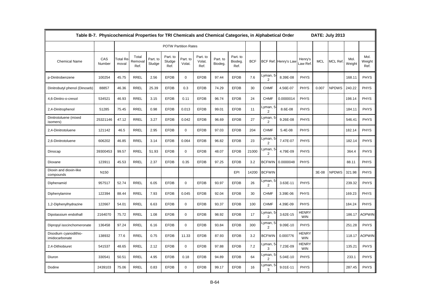|                                         | Table B-7. Physicochemical Properties for TRI Chemicals and Chemical Categories, in Alphabetical Order |                   |                          |                    |                             |                    |                            |                     |                             |            |                            | DATE: July 2013      |                            |            |                |                |                        |
|-----------------------------------------|--------------------------------------------------------------------------------------------------------|-------------------|--------------------------|--------------------|-----------------------------|--------------------|----------------------------|---------------------|-----------------------------|------------|----------------------------|----------------------|----------------------------|------------|----------------|----------------|------------------------|
|                                         |                                                                                                        |                   |                          |                    | <b>POTW Partition Rates</b> |                    |                            |                     |                             |            |                            |                      |                            |            |                |                |                        |
| <b>Chemical Name</b>                    | CAS<br>Number                                                                                          | Total Re<br>moval | Total<br>Removal<br>Ref. | Part. to<br>Sludge | Part. to<br>Sludge<br>Ref.  | Part. to<br>Volat. | Part. to<br>Volat.<br>Ref. | Part. to<br>Biodeg. | Part. to<br>Biodeg.<br>Ref. | <b>BCF</b> |                            | BCF Ref. Henry's Lav | Henry's<br>aw Ref          | <b>MCL</b> | <b>MCL Ref</b> | Mol.<br>Weight | Mol.<br>Weight<br>Ref. |
| p-Dinitrobenzene                        | 100254                                                                                                 | 45.75             | <b>RREL</b>              | 2.56               | <b>EFDB</b>                 | $\mathbf 0$        | <b>EFDB</b>                | 97.44               | <b>EFDB</b>                 | 7.6        | Lyman, 5<br>2              | 8.39E-08             | <b>PHYS</b>                |            |                | 168.11         | <b>PHYS</b>            |
| Dinitrobutyl phenol (Dinoseb)           | 88857                                                                                                  | 46.36             | <b>RREL</b>              | 25.39              | <b>EFDB</b>                 | 0.3                | <b>EFDB</b>                | 74.29               | <b>EFDB</b>                 | 30         | <b>CHMF</b>                | 4.56E-07             | <b>PHYS</b>                | 0.007      | <b>NPDWS</b>   | 240.22         | <b>PHYS</b>            |
| 4,6-Dinitro-o-cresol                    | 534521                                                                                                 | 46.93             | <b>RREL</b>              | 3.15               | <b>EFDB</b>                 | 0.11               | <b>EFDB</b>                | 96.74               | <b>EFDB</b>                 | 24         | <b>CHMF</b>                | 0.0000014            | <b>PHYS</b>                |            |                | 198.14         | <b>PHYS</b>            |
| 2,4-Dinitrophenol                       | 51285                                                                                                  | 75.45             | <b>RREL</b>              | 0.98               | <b>EFDB</b>                 | 0.013              | <b>EFDB</b>                | 99.01               | <b>EFDB</b>                 | 11         | Lyman,<br>$\overline{2}$   | 8.6E-08              | <b>PHYS</b>                |            |                | 184.11         | <b>PHYS</b>            |
| Dinitrotoluene (mixed<br>isomers)       | 25321146                                                                                               | 47.12             | <b>RREL</b>              | 3.27               | <b>EFDB</b>                 | 0.042              | <b>EFDB</b>                | 96.69               | <b>EFDB</b>                 | 27         | Lyman,<br>$\overline{2}$   | 9.26E-08             | <b>PHYS</b>                |            |                | 546.41         | <b>PHYS</b>            |
| 2,4-Dinitrotoluene                      | 121142                                                                                                 | 46.5              | <b>RREL</b>              | 2.95               | <b>EFDB</b>                 | $\mathbf 0$        | <b>EFDB</b>                | 97.03               | <b>EFDB</b>                 | 204        | <b>CHMF</b>                | 5.4E-08              | <b>PHYS</b>                |            |                | 182.14         | <b>PHYS</b>            |
| 2,6-Dinitrotoluene                      | 606202                                                                                                 | 46.85             | <b>RREL</b>              | 3.14               | <b>EFDB</b>                 | 0.064              | <b>EFDB</b>                | 96.82               | <b>EFDB</b>                 | 23         | Lyman, 5<br>2              | 7.47E-07             | <b>PHYS</b>                |            |                | 182.14         | <b>PHYS</b>            |
| Dinocap                                 | 39300453                                                                                               | 99.57             | RREL                     | 51.93              | <b>EFDB</b>                 | $\mathbf 0$        | <b>EFDB</b>                | 48.07               | <b>EFDB</b>                 | 21000      | Lyman, 5<br>$\overline{2}$ | 4.79E-09             | <b>PHYS</b>                |            |                | 364.4          | <b>PHYS</b>            |
| Dioxane                                 | 123911                                                                                                 | 45.53             | <b>RREL</b>              | 2.37               | <b>EFDB</b>                 | 0.35               | <b>EFDB</b>                | 97.25               | <b>EFDB</b>                 | 3.2        | <b>BCFWIN</b>              | 0.0000048            | <b>PHYS</b>                |            |                | 88.11          | <b>PHYS</b>            |
| Dioxin and dioxin-like<br>compounds     | N <sub>150</sub>                                                                                       |                   |                          |                    |                             |                    |                            |                     | EPI                         | 14200      | <b>BCFWIN</b>              |                      |                            | 3E-08      | <b>NPDWS</b>   | 321.98         | <b>PHYS</b>            |
| Diphenamid                              | 957517                                                                                                 | 52.74             | <b>RREL</b>              | 6.05               | <b>EFDB</b>                 | $\mathbf 0$        | <b>EFDB</b>                | 93.97               | <b>EFDB</b>                 | 26         | Lyman, 5<br>$\overline{2}$ | 3.63E-11             | <b>PHYS</b>                |            |                | 239.32         | <b>PHYS</b>            |
| Diphenylamine                           | 122394                                                                                                 | 88.44             | RREL                     | 7.93               | <b>EFDB</b>                 | 0.045              | <b>EFDB</b>                | 92.04               | <b>EFDB</b>                 | 30         | <b>CHMF</b>                | 3.39E-06             | <b>PHYS</b>                |            |                | 169.23         | <b>PHYS</b>            |
| 1,2-Diphenylhydrazine                   | 122667                                                                                                 | 54.01             | <b>RREL</b>              | 6.63               | <b>EFDB</b>                 | $\mathbf 0$        | <b>EFDB</b>                | 93.37               | <b>EFDB</b>                 | 100        | <b>CHMF</b>                | 4.39E-09             | <b>PHYS</b>                |            |                | 184.24         | <b>PHYS</b>            |
| Dipotassium endothall                   | 2164070                                                                                                | 75.72             | RREL                     | 1.08               | <b>EFDB</b>                 | $\mathbf 0$        | <b>EFDB</b>                | 98.92               | <b>EFDB</b>                 | 17         | Lyman, 5<br>$\overline{2}$ | 3.62E-15             | <b>HENRY</b><br><b>WIN</b> |            |                | 186.17         | <b>AOPWIN</b>          |
| Dipropyl isocinchomeronate              | 136458                                                                                                 | 97.24             | <b>RREL</b>              | 6.16               | <b>EFDB</b>                 | $\mathbf 0$        | <b>EFDB</b>                | 93.84               | <b>EFDB</b>                 | 300        | $\overline{2}$             | 9.09E-10             | <b>PHYS</b>                |            |                | 251.28         | <b>PHYS</b>            |
| Disodium cyanodithio-<br>imidocarbonate | 138932                                                                                                 | 77.6              | <b>RREL</b>              | 0.75               | <b>EFDB</b>                 | 11.33              | <b>EFDB</b>                | 87.93               | <b>EFDB</b>                 | 3.2        | <b>BCFWIN</b>              | 0.000776             | <b>HENRY</b><br><b>WIN</b> |            |                | 118.17         | <b>AOPWIN</b>          |
| 2,4-Dithiobiuret                        | 541537                                                                                                 | 48.65             | <b>RREL</b>              | 2.12               | <b>EFDB</b>                 | $\mathbf 0$        | <b>EFDB</b>                | 97.88               | <b>EFDB</b>                 | 7.2        | Lyman, 5<br>3              | 7.23E-09             | HENRY<br><b>WIN</b>        |            |                | 135.21         | <b>PHYS</b>            |
| Diuron                                  | 330541                                                                                                 | 50.51             | <b>RREL</b>              | 4.95               | <b>EFDB</b>                 | 0.18               | <b>EFDB</b>                | 94.89               | <b>EFDB</b>                 | 64         | Lyman, 5<br>$\overline{2}$ | 5.04E-10             | <b>PHYS</b>                |            |                | 233.1          | <b>PHYS</b>            |
| Dodine                                  | 2439103                                                                                                | 75.06             | <b>RREL</b>              | 0.83               | <b>EFDB</b>                 | $\Omega$           | <b>EFDB</b>                | 99.17               | <b>EFDB</b>                 | 16         | Lyman, 5<br>3              | 9.01E-11             | <b>PHYS</b>                |            |                | 287.45         | <b>PHYS</b>            |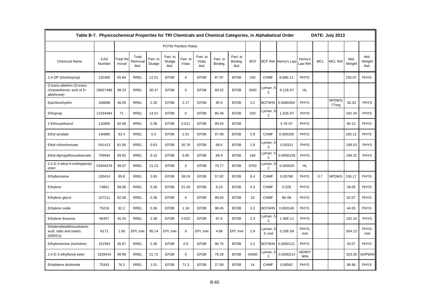|                                                                        | Table B-7. Physicochemical Properties for TRI Chemicals and Chemical Categories, in Alphabetical Order |                   |                          |                    |                             |                    |                            |                     |                             |            |                            |                      |                            |            | DATE: July 2013        |                |                        |
|------------------------------------------------------------------------|--------------------------------------------------------------------------------------------------------|-------------------|--------------------------|--------------------|-----------------------------|--------------------|----------------------------|---------------------|-----------------------------|------------|----------------------------|----------------------|----------------------------|------------|------------------------|----------------|------------------------|
|                                                                        |                                                                                                        |                   |                          |                    | <b>POTW Partition Rates</b> |                    |                            |                     |                             |            |                            |                      |                            |            |                        |                |                        |
| <b>Chemical Name</b>                                                   | CAS<br>Number                                                                                          | Total Re<br>moval | Total<br>Removal<br>Ref. | Part. to<br>Sludge | Part. to<br>Sludge<br>Ref.  | Part. to<br>Volat. | Part. to<br>Volat.<br>Ref. | Part. to<br>Biodeg. | Part. to<br>Biodeg.<br>Ref. | <b>BCF</b> |                            | BCF Ref. Henry's Lav | Henry's<br>aw Ref.         | <b>MCL</b> | <b>MCL Ref</b>         | Mol.<br>Weight | Mol.<br>Weight<br>Ref. |
| 2,4-DP (Dichlorprop)                                                   | 120365                                                                                                 | 65.84             | <b>RREL</b>              | 12.01              | <b>EFDB</b>                 | $\mathbf 0$        | <b>EFDB</b>                | 87.97               | <b>EFDB</b>                 | 240        | <b>CHMF</b>                | 8.68E-11             | <b>PHYS</b>                |            |                        | 235.07         | <b>PHYS</b>            |
| D-trans-allethrin (D-trans-<br>chrysanthemic acid of D-<br>allethrone) | 28057489                                                                                               | 99.33             | <b>RREL</b>              | 30.47              | <b>EFDB</b>                 | $\mathbf 0$        | <b>EFDB</b>                | 69.52               | <b>EFDB</b>                 | 2500       | Lyman, 5<br>2              | 6.12E-07             | HL.                        |            |                        |                |                        |
| Epichlorohydrin                                                        | 106898                                                                                                 | 46.05             | <b>RREL</b>              | 2.35               | <b>EFDB</b>                 | 2.17               | <b>EFDB</b>                | 95.5                | <b>EFDB</b>                 | 3.2        | <b>BCFWIN</b>              | 0.0000304            | <b>PHYS</b>                |            | <b>NPDWS</b><br>TTreg. | 92.53          | <b>PHYS</b>            |
| Ethoprop                                                               | 13194484                                                                                               | 71                | <b>RREL</b>              | 14.51              | <b>EFDB</b>                 | $\mathbf 0$        | <b>EFDB</b>                | 85.49               | <b>EFDB</b>                 | 320        | Lyman, 5<br>$\overline{2}$ | 1.62E-07             | <b>PHYS</b>                |            |                        | 242.34         | <b>PHYS</b>            |
| 2-Ethoxyethanol                                                        | 110805                                                                                                 | 92.06             | <b>RREL</b>              | 0.36               | <b>EFDB</b>                 | 0.011              | <b>EFDB</b>                | 99.63               | <b>EFDB</b>                 |            |                            | 4.7E-07              | <b>PHYS</b>                |            |                        | 90.12          | <b>PHYS</b>            |
| Ethyl acrylate                                                         | 140885                                                                                                 | 92.4              | <b>RREL</b>              | 0.4                | <b>EFDB</b>                 | 2.51               | <b>EFDB</b>                | 97.08               | <b>EFDB</b>                 | 5.9        | <b>CHMF</b>                | 0.000339             | <b>PHYS</b>                |            |                        | 100.12         | <b>PHYS</b>            |
| Ethyl chloroformate                                                    | 541413                                                                                                 | 81.95             | <b>RREL</b>              | 0.63               | <b>EFDB</b>                 | 30.76              | <b>EFDB</b>                | 68.6                | <b>EFDB</b>                 | 1.8        | Lyman, 5<br>3              | 0.00312              | <b>PHYS</b>                |            |                        | 108.53         | <b>PHYS</b>            |
| Ethyl dipropylthiocarbamate                                            | 759944                                                                                                 | 59.92             | <b>RREL</b>              | 9.15               | <b>EFDB</b>                 | 0.95               | <b>EFDB</b>                | 89.9                | <b>EFDB</b>                 | 160        | Lyman, 5<br>2              | 0.0000159            | <b>PHYS</b>                |            |                        | 189.32         | <b>PHYS</b>            |
| 2,4-D 2-ethyl-4-methylpentyl<br>ester                                  | 53404378                                                                                               | 99.97             | <b>RREL</b>              | 21.23              | <b>EFDB</b>                 | $\mathbf 0$        | <b>EFDB</b>                | 78.77               | <b>EFDB</b>                 | 9700       | Lyman, 5<br>2              | 0.000029             | HL.                        |            |                        |                |                        |
| Ethylbenzene                                                           | 100414                                                                                                 | 89.8              | <b>RREL</b>              | 3.93               | <b>EFDB</b>                 | 38.24              | <b>EFDB</b>                | 57.82               | <b>EFDB</b>                 | 8.4        | <b>CHMF</b>                | 0.00788              | <b>PHYS</b>                | 0.7        | <b>NPDWS</b>           | 106.17         | <b>PHYS</b>            |
| Ethylene                                                               | 74851                                                                                                  | 99.06             | <b>RREL</b>              | 0.28               | <b>EFDB</b>                 | 91.49              | <b>EFDB</b>                | 8.23                | <b>EFDB</b>                 | 4.3        | <b>CHMF</b>                | 0.228                | <b>PHYS</b>                |            |                        | 28.05          | <b>PHYS</b>            |
| Ethylene glycol                                                        | 107211                                                                                                 | 92.06             | <b>RREL</b>              | 0.36               | <b>EFDB</b>                 | $\mathbf 0$        | <b>EFDB</b>                | 99.63               | <b>EFDB</b>                 | 10         | <b>CHMF</b>                | 6E-08                | <b>PHYS</b>                |            |                        | 62.07          | <b>PHYS</b>            |
| Ethylene oxide                                                         | 75218                                                                                                  | 92.2              | <b>RREL</b>              | 0.36               | <b>EFDB</b>                 | 1.18               | <b>EFDB</b>                | 98.45               | <b>EFDB</b>                 | 3.2        | <b>BCFWIN</b>              | 0.000148             | <b>PHYS</b>                |            |                        | 44.05          | <b>PHYS</b>            |
| Ethylene thiourea                                                      | 96457                                                                                                  | 45.43             | <b>RREL</b>              | 2.38               | <b>EFDB</b>                 | 0.022              | <b>EFDB</b>                | 97.6                | <b>EFDB</b>                 | 2.3        | Lyman, 5<br>3              | 1.36E-11             | <b>PHYS</b>                |            |                        | 102.16         | <b>PHYS</b>            |
| Ethylenebisdithiocarbamic<br>acid, salts and esters<br>(EBDCs)         | N171                                                                                                   | 1.85              | EPI; met                 | 95.14              | EPI; met                    | $\mathbf 0$        | EPI; met                   | 4.86                | EPI; met                    | 2.8        | -yman, 5<br>3: met         | 5.33E-08             | PHYS:<br>met               |            |                        | 504.13         | PHYS;<br>met           |
| Ethyleneimine (Aziridine)                                              | 151564                                                                                                 | 45.67             | <b>RREL</b>              | 2.36               | <b>EFDB</b>                 | 0.9                | <b>EFDB</b>                | 96.76               | <b>EFDB</b>                 | 3.2        | <b>BCFWIN</b>              | 0.0000121            | <b>PHYS</b>                |            |                        | 43.07          | <b>PHYS</b>            |
| 2,4-D 2-ethylhexyl ester                                               | 1928434                                                                                                | 99.99             | <b>RREL</b>              | 21.72              | <b>EFDB</b>                 | $\mathbf 0$        | <b>EFDB</b>                | 78.28               | <b>EFDB</b>                 | 34000      | Lyman, 5<br>2              | 0.0000214            | <b>HENRY</b><br><b>WIN</b> |            |                        | 333.26         | <b>AOPWIN</b>          |
| Ethylidene dichloride                                                  | 75343                                                                                                  | 76.2              | <b>RREL</b>              | 1.01               | <b>EFDB</b>                 | 71.3               | <b>EFDB</b>                | 27.69               | <b>EFDB</b>                 | 14         | <b>CHMF</b>                | 0.00562              | <b>PHYS</b>                |            |                        | 98.96          | <b>PHYS</b>            |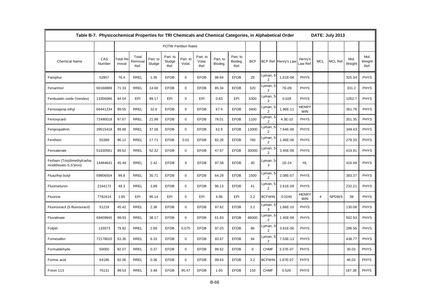|                                                       | Table B-7. Physicochemical Properties for TRI Chemicals and Chemical Categories, in Alphabetical Order |                          |                          |                    |                             |                    |                            |                     |                             |            |                                    |                      |                            |                | DATE: July 2013 |                |                        |
|-------------------------------------------------------|--------------------------------------------------------------------------------------------------------|--------------------------|--------------------------|--------------------|-----------------------------|--------------------|----------------------------|---------------------|-----------------------------|------------|------------------------------------|----------------------|----------------------------|----------------|-----------------|----------------|------------------------|
|                                                       |                                                                                                        |                          |                          |                    | <b>POTW Partition Rates</b> |                    |                            |                     |                             |            |                                    |                      |                            |                |                 |                |                        |
| <b>Chemical Name</b>                                  | CAS<br>Number                                                                                          | <b>Total Re</b><br>moval | Total<br>Removal<br>Ref. | Part. to<br>Sludge | Part. to<br>Sludge<br>Ref.  | Part. to<br>Volat. | Part. to<br>Volat.<br>Ref. | Part. to<br>Biodeg. | Part. to<br>Biodeg.<br>Ref. | <b>BCF</b> |                                    | BCF Ref. Henry's Law | Henry's<br>Law Ref.        | <b>MCL</b>     | MCL Ref         | Mol.<br>Weight | Mol.<br>Weight<br>Ref. |
| Famphur                                               | 52857                                                                                                  | 76.4                     | <b>RREL</b>              | 1.36               | <b>EFDB</b>                 | $\mathbf 0$        | <b>EFDB</b>                | 98.64               | <b>EFDB</b>                 | 29         | yman, 5 <u>.</u><br>2              | 1.61E-08             | <b>PHYS</b>                |                |                 | 325.34         | <b>PHYS</b>            |
| Fenarimol                                             | 60168889                                                                                               | 71.33                    | <b>RREL</b>              | 14.66              | <b>EFDB</b>                 | $\mathbf 0$        | <b>EFDB</b>                | 85.34               | <b>EFDB</b>                 | 320        | Lyman, 5<br>$\overline{2}$         | 7E-09                | <b>PHYS</b>                |                |                 | 331.2          | <b>PHYS</b>            |
| Fenbutatin oxide (Vendex)                             | 13356086                                                                                               | 94.04                    | EPI                      | 99.17              | EPI                         | 0                  | EPI                        | 0.83                | EPI                         | 5300       | _yman, 5<br>$\overline{2}$         | 0.028                | <b>PHYS</b>                |                |                 | 1052.7         | <b>PHYS</b>            |
| Fenoxaprop ethyl                                      | 66441234                                                                                               | 99.55                    | <b>RREL</b>              | 32.6               | <b>EFDB</b>                 | $\mathbf 0$        | <b>EFDB</b>                | 67.4                | <b>EFDB</b>                 | 3400       | yman, 5 <u>.</u><br>$\overline{2}$ | 1.96E-11             | <b>HENRY</b><br><b>WIN</b> |                |                 | 361.78         | <b>PHYS</b>            |
| Fenoxycarb                                            | 72490018                                                                                               | 97.67                    | <b>RREL</b>              | 21.99              | <b>EFDB</b>                 | $\mathbf 0$        | <b>EFDB</b>                | 78.01               | <b>EFDB</b>                 | 1100       | yman, 5<br>2                       | 4.3E-10              | <b>PHYS</b>                |                |                 | 301.35         | <b>PHYS</b>            |
| Fenpropathrin                                         | 39515418                                                                                               | 99.88                    | <b>RREL</b>              | 37.09              | <b>EFDB</b>                 | $\mathbf 0$        | <b>EFDB</b>                | 62.9                | <b>EFDB</b>                 | 13000      | _yman, 5<br>2                      | 7.64E-06             | <b>PHYS</b>                |                |                 | 349.43         | <b>PHYS</b>            |
| Fenthion                                              | 55389                                                                                                  | 96.12                    | <b>RREL</b>              | 17.71              | <b>EFDB</b>                 | 0.01               | <b>EFDB</b>                | 82.28               | <b>EFDB</b>                 | 760        | Lyman, 5<br>$\overline{2}$         | 1.46E-06             | <b>PHYS</b>                |                |                 | 278.33         | <b>PHYS</b>            |
| Fenvalerate                                           | 51630581                                                                                               | 99.62                    | <b>RREL</b>              | 52.32              | <b>EFDB</b>                 | $\mathbf 0$        | <b>EFDB</b>                | 47.67               | <b>EFDB</b>                 | 30000      | _yman, 5<br>2                      | 3.45E-08             | <b>PHYS</b>                |                |                 | 419.91         | <b>PHYS</b>            |
| Ferbam (Tris(dimethylcarba-<br>modithioato-S,S')iron) | 14484641                                                                                               | 45.48                    | <b>RREL</b>              | 2.42               | <b>EFDB</b>                 | $\mathbf 0$        | <b>EFDB</b>                | 97.58               | <b>EFDB</b>                 | 40         | _yman, 5<br>3                      | 1E-24                | <b>HL</b>                  |                |                 | 416.49         | <b>PHYS</b>            |
| Fluazifop butyl                                       | 69806504                                                                                               | 99.8                     | <b>RREL</b>              | 35.71              | <b>EFDB</b>                 | $\mathbf 0$        | <b>EFDB</b>                | 64.29               | <b>EFDB</b>                 | 1500       | yman, 5<br>2                       | 2.08E-07             | <b>PHYS</b>                |                |                 | 383.37         | <b>PHYS</b>            |
| Fluometuron                                           | 2164172                                                                                                | 48.3                     | <b>RREL</b>              | 3.89               | <b>EFDB</b>                 | $\mathbf 0$        | <b>EFDB</b>                | 96.13               | <b>EFDB</b>                 | 41         | _yman, 5<br>2                      | 2.61E-09             | <b>PHYS</b>                |                |                 | 232.21         | <b>PHYS</b>            |
| Fluorine                                              | 7782414                                                                                                | 1.85                     | EPI                      | 95.14              | EPI                         | 0                  | EPI                        | 4.86                | EPI                         | 3.2        | <b>BCFWIN</b>                      | 0.0245               | <b>HENRY</b><br><b>WIN</b> | $\overline{4}$ | <b>NPDWS</b>    | 38             | <b>PHYS</b>            |
| Fluorouracil (5-fluorouracil)                         | 51218                                                                                                  | 45.42                    | <b>RREL</b>              | 2.38               | <b>EFDB</b>                 | $\mathbf 0$        | <b>EFDB</b>                | 97.62               | <b>EFDB</b>                 | 3.2        | _yman, 5<br>3                      | 1.66E-10             | <b>PHYS</b>                |                |                 | 130.08         | <b>PHYS</b>            |
| Fluvalinate                                           | 69409945                                                                                               | 99.93                    | <b>RREL</b>              | 38.17              | <b>EFDB</b>                 | $\mathbf 0$        | <b>EFDB</b>                | 61.83               | <b>EFDB</b>                 | 88000      | yman, 5 <u>.</u><br>2              | 1.45E-08             | <b>PHYS</b>                |                |                 | 502.93         | <b>PHYS</b>            |
| Folpet                                                | 133073                                                                                                 | 79.92                    | <b>RREL</b>              | 2.89               | <b>EFDB</b>                 | 0.075              | <b>EFDB</b>                | 97.03               | <b>EFDB</b>                 | 86         | _yman, 5<br>2                      | 3.81E-06             | <b>PHYS</b>                |                |                 | 296.56         | <b>PHYS</b>            |
| Fomesafen                                             | 72178020                                                                                               | 53.36                    | <b>RREL</b>              | 6.33               | <b>EFDB</b>                 | $\mathbf 0$        | <b>EFDB</b>                | 93.67               | <b>EFDB</b>                 | 94         | yman, 5 <u>.</u><br>$\overline{2}$ | 7.53E-13             | <b>PHYS</b>                |                |                 | 438.77         | <b>PHYS</b>            |
| Formaldehyde                                          | 50000                                                                                                  | 92.07                    | <b>RREL</b>              | 0.37               | <b>EFDB</b>                 | $\mathbf 0$        | <b>EFDB</b>                | 99.62               | <b>EFDB</b>                 | 0          | <b>CHMF</b>                        | 3.37E-07             | <b>PHYS</b>                |                |                 | 30.03          | <b>PHYS</b>            |
| Formic acid                                           | 64186                                                                                                  | 92.06                    | <b>RREL</b>              | 0.36               | <b>EFDB</b>                 | $\mathbf 0$        | <b>EFDB</b>                | 99.63               | <b>EFDB</b>                 | 3.2        | <b>BCFWIN</b>                      | 1.67E-07             | <b>PHYS</b>                |                |                 | 46.03          | <b>PHYS</b>            |
| Freon 113                                             | 76131                                                                                                  | 99.53                    | <b>RREL</b>              | 3.48               | <b>EFDB</b>                 | 95.47              | <b>EFDB</b>                | 1.05                | <b>EFDB</b>                 | 150        | <b>CHMF</b>                        | 0.526                | <b>PHYS</b>                |                |                 | 187.38         | <b>PHYS</b>            |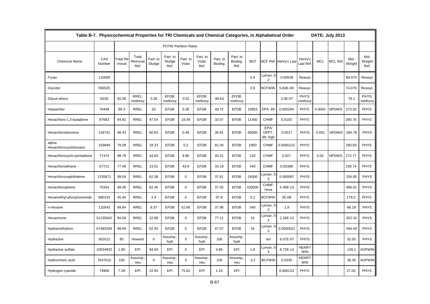|                                 | Table B-7. Physicochemical Properties for TRI Chemicals and Chemical Categories, in Alphabetical Order |                   |                          |                    |                             |                    |                            |                     |                             |            |                            |                      |                            |            | DATE: July 2013 |                |                        |
|---------------------------------|--------------------------------------------------------------------------------------------------------|-------------------|--------------------------|--------------------|-----------------------------|--------------------|----------------------------|---------------------|-----------------------------|------------|----------------------------|----------------------|----------------------------|------------|-----------------|----------------|------------------------|
|                                 |                                                                                                        |                   |                          |                    | <b>POTW Partition Rates</b> |                    |                            |                     |                             |            |                            |                      |                            |            |                 |                |                        |
| <b>Chemical Name</b>            | CAS<br>Number                                                                                          | Total Re<br>moval | Total<br>Removal<br>Ref. | Part. to<br>Sludge | Part. to<br>Sludge<br>Ref.  | Part. to<br>Volat. | Part. to<br>Volat.<br>Ref. | Part. to<br>Biodeg. | Part. to<br>Biodeg.<br>Ref. | <b>BCF</b> |                            | BCF Ref. Henry's Law | Henry's<br>Law Ref         | <b>MCL</b> | <b>MCL Ref</b>  | Mol.<br>Weight | Mol.<br>Weight<br>Ref. |
| Furan                           | 110009                                                                                                 |                   |                          |                    |                             |                    |                            |                     |                             | 5.9        | Lyman, 5<br>2              | 0.00538              | Reaxys                     |            |                 | 68.075         | Reaxys                 |
| Glycidol                        | 556525                                                                                                 |                   |                          |                    |                             |                    |                            |                     |                             | 0.9        | <b>BCFWIN</b>              | 5.84E-09             | Reaxys                     |            |                 | 74.079         | Reaxys                 |
| Glycol ethers                   | N230                                                                                                   | 92.06             | RREL:<br>methoxy         | 0.36               | EFDB:<br>methoxy            | 0.01               | EFDB;<br>methoxy           | 99.63               | EFDB:<br>methoxy            |            |                            | 3.3E-07              | PHYS:<br>methoxy           |            |                 | 76.1           | PHYS:<br>methoxy       |
| Heptachlor                      | 76448                                                                                                  | 99.3              | <b>RREL</b>              | 50                 | <b>EFDB</b>                 | 0.28               | <b>EFDB</b>                | 49.72               | <b>EFDB</b>                 | 19953      | EPA, 99                    | 0.000294             | <b>PHYS</b>                | 0.0004     | <b>NPDWS</b>    | 373.32         | <b>PHYS</b>            |
| Hexachloro-1,3-butadiene        | 87683                                                                                                  | 94.82             | <b>RREL</b>              | 47.54              | <b>EFDB</b>                 | 18.49              | <b>EFDB</b>                | 33.97               | <b>EFDB</b>                 | 11400      | <b>CHMF</b>                | 0.0103               | <b>PHYS</b>                |            |                 | 260.76         | <b>PHYS</b>            |
| Hexachlorobenzene               | 118741                                                                                                 | 98.43             | <b>RREL</b>              | 60.63              | <b>EFDB</b>                 | 0.46               | <b>EFDB</b>                | 38.91               | <b>EFDB</b>                 | 66000      | EPA/<br>OPPT,<br>98; high  | 0.0017               | <b>PHYS</b>                | 0.001      | <b>NPDWS</b>    | 284.78         | <b>PHYS</b>            |
| alpha-<br>Hexachlorocyclohexane | 319846                                                                                                 | 78.08             | <b>RREL</b>              | 18.33              | <b>EFDB</b>                 | 0.2                | <b>EFDB</b>                | 81.45               | <b>EFDB</b>                 | 1950       | <b>CHMF</b>                | 0.0000122            | <b>PHYS</b>                |            |                 | 290.83         | <b>PHYS</b>            |
| Hexachlorocyclo-pentadiene      | 77474                                                                                                  | 98.78             | <b>RREL</b>              | 44.83              | <b>EFDB</b>                 | 9.86               | <b>EFDB</b>                | 45.31               | <b>EFDB</b>                 | 120        | <b>CHMF</b>                | 0.027                | <b>PHYS</b>                | 0.05       | <b>NPDWS</b>    | 272.77         | <b>PHYS</b>            |
| Hexachloroethane                | 67721                                                                                                  | 77.49             | <b>RREL</b>              | 23.01              | <b>EFDB</b>                 | 43.8               | <b>EFDB</b>                | 33.19               | <b>EFDB</b>                 | 440        | <b>CHMF</b>                | 0.00389              | <b>PHYS</b>                |            |                 | 236.74         | <b>PHYS</b>            |
| Hexachloronaphthalene           | 1335871                                                                                                | 99.04             | <b>RREL</b>              | 62.38              | <b>EFDB</b>                 | 0                  | <b>EFDB</b>                | 37.61               | <b>EFDB</b>                 | 24000      | yman, 5 <u>.</u><br>3      | 0.000087             | <b>PHYS</b>                |            |                 | 334.85         | <b>PHYS</b>            |
| Hexachlorophene                 | 70304                                                                                                  | 99.06             | <b>RREL</b>              | 62.45              | <b>EFDB</b>                 | $\mathbf 0$        | <b>EFDB</b>                | 37.55               | <b>EFDB</b>                 | 320000     | CHMF:<br>hexa              | 5.48E-13             | <b>PHYS</b>                |            |                 | 406.91         | <b>PHYS</b>            |
| Hexamethyl-phosphoramide        | 680319                                                                                                 | 45.44             | <b>RREL</b>              | 2.4                | <b>EFDB</b>                 | 0                  | <b>EFDB</b>                | 97.6                | <b>EFDB</b>                 | 3.2        | <b>BCFWIN</b>              | 2E-08                | <b>PHYS</b>                |            |                 | 179.2          | <b>PHYS</b>            |
| n-Hexane                        | 110543                                                                                                 | 99.94             | <b>RREL</b>              | 9.37               | <b>EFDB</b>                 | 52.66              | <b>EFDB</b>                | 37.96               | <b>EFDB</b>                 | 540        | _yman, 5<br>$\overline{2}$ | 1.8                  | <b>PHYS</b>                |            |                 | 86.18          | <b>PHYS</b>            |
| Hexazinone                      | 51235042                                                                                               | 84.56             | <b>RREL</b>              | 22.88              | <b>EFDB</b>                 | 0                  | <b>EFDB</b>                | 77.11               | <b>EFDB</b>                 | 15         | _yman, 5<br>$\overline{2}$ | 2.26E-12             | <b>PHYS</b>                |            |                 | 252.32         | <b>PHYS</b>            |
| Hydramethylnon                  | 67485294                                                                                               | 99.69             | <b>RREL</b>              | 52.93              | <b>EFDB</b>                 | 0                  | <b>EFDB</b>                | 47.07               | <b>EFDB</b>                 | 34         | yman, 5<br>2               | 0.0000022            | <b>PHYS</b>                |            |                 | 494.49         | <b>PHYS</b>            |
| Hydrazine                       | 302012                                                                                                 | 85                | Howard                   | $\mathbf 0$        | Assump.<br>hydr             | 0                  | Assump<br>hydr             | 100                 | Assump.<br>hydr             |            | lon                        | 6.07E-07             | <b>PHYS</b>                |            |                 | 32.05          | <b>PHYS</b>            |
| Hydrazine sulfate               | 10034932                                                                                               | 1.85              | EPI                      | 94.59              | EPI                         | $\Omega$           | EPI                        | 4.86                | EPI                         | 1.8        | _yman, 5<br>3              | 8.72E-14             | <b>HENRY</b><br><b>WIN</b> |            |                 | 128.1          | <b>AOPWIN</b>          |
| Hydrochloric acid               | 7647010                                                                                                | 100               | Assump.<br>neu           | $\mathbf 0$        | Assump.<br>neu              | $\Omega$           | Assump<br>neu              | 100                 | Assump.<br>neu              | 3.2        | <b>BCFWIN</b>              | 0.0245               | <b>HENRY</b><br><b>WIN</b> |            |                 | 36.45          | <b>AOPWIN</b>          |
| Hydrogen cyanide                | 74908                                                                                                  | 7.28              | EPI                      | 22.94              | EPI                         | 75.82              | EPI                        | 1.24                | EPI                         |            |                            | 0.000133             | <b>PHYS</b>                |            |                 | 27.03          | <b>PHYS</b>            |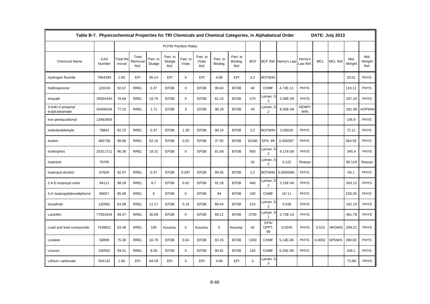|                                     | Table B-7. Physicochemical Properties for TRI Chemicals and Chemical Categories, in Alphabetical Order |                          |                          |                    |                             |                    |                            |                     |                             |            |                            |                      |                            |            | DATE: July 2013 |                |                        |
|-------------------------------------|--------------------------------------------------------------------------------------------------------|--------------------------|--------------------------|--------------------|-----------------------------|--------------------|----------------------------|---------------------|-----------------------------|------------|----------------------------|----------------------|----------------------------|------------|-----------------|----------------|------------------------|
|                                     |                                                                                                        |                          |                          |                    | <b>POTW Partition Rates</b> |                    |                            |                     |                             |            |                            |                      |                            |            |                 |                |                        |
| <b>Chemical Name</b>                | CAS<br>Number                                                                                          | <b>Total Re</b><br>moval | Total<br>Removal<br>Ref. | Part. to<br>Sludge | Part. to<br>Sludge<br>Ref.  | Part. to<br>Volat. | Part. to<br>Volat.<br>Ref. | Part. to<br>Biodeg. | Part. to<br>Biodeg.<br>Ref. | <b>BCF</b> |                            | BCF Ref. Henry's Law | Henry's<br>aw Ref.         | <b>MCL</b> | <b>MCL Ref</b>  | Mol.<br>Weight | Mol.<br>Weight<br>Ref. |
| Hydrogen fluoride                   | 7664393                                                                                                | 1.85                     | EPI                      | 95.14              | EPI                         | $\mathbf 0$        | EPI                        | 4.86                | EPI                         | 3.2        | <b>BCFWIN</b>              |                      |                            |            |                 | 20.01          | <b>PHYS</b>            |
| Hydroquinone                        | 123319                                                                                                 | 92.07                    | <b>RREL</b>              | 0.37               | <b>EFDB</b>                 | $\mathbf 0$        | <b>EFDB</b>                | 99.63               | <b>EFDB</b>                 | 40         | <b>CHMF</b>                | 4.73E-11             | <b>PHYS</b>                |            |                 | 110.11         | <b>PHYS</b>            |
| Imazalil                            | 35554440                                                                                               | 78.69                    | <b>RREL</b>              | 18.76              | <b>EFDB</b>                 | $\mathbf 0$        | <b>EFDB</b>                | 81.24               | <b>EFDB</b>                 | 470        | Lyman, 5<br>2              | 2.59E-09             | <b>PHYS</b>                |            |                 | 297.19         | <b>PHYS</b>            |
| 3-lodo-2-propynyl<br>butylcarbamate | 55406536                                                                                               | 77.22                    | <b>RREL</b>              | 1.71               | <b>EFDB</b>                 | $\mathbf 0$        | <b>EFDB</b>                | 98.29               | <b>EFDB</b>                 | 43         | Lyman, 5<br>$\overline{2}$ | 8.93E-09             | <b>HENRY</b><br><b>WIN</b> |            |                 | 281.09         | <b>AOPWIN</b>          |
| Iron pentacarbonyl                  | 13463406                                                                                               |                          |                          |                    |                             |                    |                            |                     |                             |            |                            |                      |                            |            |                 | 195.9          | <b>PHYS</b>            |
| Isobutyraldehyde                    | 78842                                                                                                  | 92.23                    | <b>RREL</b>              | 0.37               | <b>EFDB</b>                 | 1.39               | <b>EFDB</b>                | 98.24               | <b>EFDB</b>                 | 3.2        | <b>BCFWIN</b>              | 0.00018              | <b>PHYS</b>                |            |                 | 72.11          | <b>PHYS</b>            |
| Isodrin                             | 465736                                                                                                 | 98.96                    | <b>RREL</b>              | 62.16              | <b>EFDB</b>                 | 0.02               | <b>EFDB</b>                | 37.82               | <b>EFDB</b>                 | 20180      | EPA, 99                    | 0.000387             | <b>PHYS</b>                |            |                 | 364.92         | <b>PHYS</b>            |
| Isofenphos                          | 25311711                                                                                               | 96.38                    | <b>RREL</b>              | 18.31              | <b>EFDB</b>                 | $\mathbf 0$        | <b>EFDB</b>                | 81.69               | <b>EFDB</b>                 | 800        | Lyman, 5<br>$\overline{2}$ | 6.17E-08             | <b>PHYS</b>                |            |                 | 345.4          | <b>PHYS</b>            |
| Isoprene                            | 78795                                                                                                  |                          |                          |                    |                             |                    |                            |                     |                             | 33         | Lyman, 5<br>$\overline{2}$ | 0.122                | Reaxys                     |            |                 | 68.119         | Reaxys                 |
| Isopropyl alcohol                   | 67630                                                                                                  | 92.07                    | <b>RREL</b>              | 0.37               | <b>EFDB</b>                 | 0.087              | <b>EFDB</b>                | 99.55               | <b>EFDB</b>                 | 3.2        | <b>BCFWIN</b>              | 0.0000081            | <b>PHYS</b>                |            |                 | 60.1           | <b>PHYS</b>            |
| 2,4-D isopropyl ester               | 94111                                                                                                  | 98.28                    | <b>RREL</b>              | 8.7                | <b>EFDB</b>                 | 0.02               | <b>EFDB</b>                | 91.28               | <b>EFDB</b>                 | 460        | Lyman, 5<br>$\overline{2}$ | 2.15E-06             | <b>PHYS</b>                |            |                 | 263.12         | <b>PHYS</b>            |
| 4,4'-Isopropylidenediphenol         | 80057                                                                                                  | 85.68                    | <b>RREL</b>              | 6                  | <b>EFDB</b>                 | $\mathbf 0$        | <b>EFDB</b>                | 94                  | <b>EFDB</b>                 | 100        | <b>CHMF</b>                | $1E-11$              | <b>PHYS</b>                |            |                 | 228.29         | <b>PHYS</b>            |
| Isosafrole                          | 120581                                                                                                 | 64.08                    | <b>RREL</b>              | 11.17              | <b>EFDB</b>                 | 0.19               | <b>EFDB</b>                | 88.64               | <b>EFDB</b>                 | 210        | Lyman, 5<br>$\overline{2}$ | 0.036                | <b>PHYS</b>                |            |                 | 162.19         | <b>PHYS</b>            |
| Lactofen                            | 77501634                                                                                               | 99.37                    | <b>RREL</b>              | 30.89              | <b>EFDB</b>                 | 0                  | <b>EFDB</b>                | 69.12               | <b>EFDB</b>                 | 2700       | yman, 5<br>2               | 5.73E-10             | <b>PHYS</b>                |            |                 | 461.78         | <b>PHYS</b>            |
| Lead and lead compounds             | 7439921                                                                                                | 63.48                    | <b>RREL</b>              | 100                | Assump.                     | 0                  | Assump.                    | $\mathbf 0$         | Assump.                     | 42         | EPA/<br>OPPT,<br>99        | 0.0245               | <b>PHYS</b>                | 0.015      | <b>NPDWS</b>    | 209.21         | <b>PHYS</b>            |
| Lindane                             | 58899                                                                                                  | 75.38                    | <b>RREL</b>              | 16.79              | <b>EFDB</b>                 | 0.04               | <b>EFDB</b>                | 83.15               | <b>EFDB</b>                 | 1300       | <b>CHMF</b>                | 5.14E-06             | <b>PHYS</b>                | 0.0002     | <b>NPDWS</b>    | 290.83         | <b>PHYS</b>            |
| Linuron                             | 330552                                                                                                 | 59.41                    | <b>RREL</b>              | 9.09               | <b>EFDB</b>                 | $\mathbf 0$        | <b>EFDB</b>                | 90.91               | <b>EFDB</b>                 | 160        | <b>CHMF</b>                | 6.25E-09             | <b>PHYS</b>                |            |                 | 249.1          | <b>PHYS</b>            |
| Lithium carbonate                   | 554132                                                                                                 | 1.85                     | EPI                      | 94.59              | EPI                         | $\Omega$           | EPI                        | 4.86                | EPI                         | 3          | Lyman, 5<br>3              |                      |                            |            |                 | 73.89          | <b>PHYS</b>            |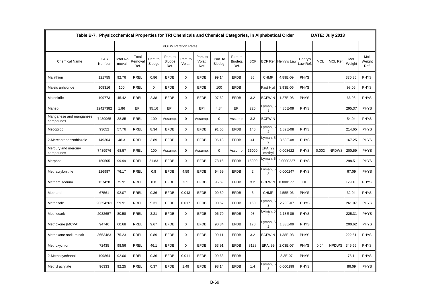|                                      | Table B-7. Physicochemical Properties for TRI Chemicals and Chemical Categories, in Alphabetical Order |                          |                          |                    |                             |                    |                            |                     |                             |                |                            |                      |                    |            | DATE: July 2013 |                |                        |
|--------------------------------------|--------------------------------------------------------------------------------------------------------|--------------------------|--------------------------|--------------------|-----------------------------|--------------------|----------------------------|---------------------|-----------------------------|----------------|----------------------------|----------------------|--------------------|------------|-----------------|----------------|------------------------|
|                                      |                                                                                                        |                          |                          |                    | <b>POTW Partition Rates</b> |                    |                            |                     |                             |                |                            |                      |                    |            |                 |                |                        |
| <b>Chemical Name</b>                 | CAS<br>Number                                                                                          | <b>Total Re</b><br>moval | Total<br>Removal<br>Ref. | Part. to<br>Sludge | Part. to<br>Sludge<br>Ref.  | Part. to<br>Volat. | Part. to<br>Volat.<br>Ref. | Part. to<br>Biodeg. | Part. to<br>Biodeg.<br>Ref. | <b>BCF</b>     |                            | BCF Ref. Henry's Law | Henry's<br>aw Ref. | <b>MCL</b> | <b>MCL Ref</b>  | Mol.<br>Weight | Mol.<br>Weight<br>Ref. |
| Malathion                            | 121755                                                                                                 | 92.76                    | <b>RREL</b>              | 0.86               | <b>EFDB</b>                 | $\mathbf 0$        | <b>EFDB</b>                | 99.14               | <b>EFDB</b>                 | 36             | <b>CHMF</b>                | 4.89E-09             | <b>PHYS</b>        |            |                 | 330.36         | <b>PHYS</b>            |
| Maleic anhydride                     | 108316                                                                                                 | 100                      | <b>RREL</b>              | $\mathbf 0$        | <b>EFDB</b>                 | $\mathbf 0$        | <b>EFDB</b>                | 100                 | <b>EFDB</b>                 |                | Fast Hyd                   | 3.93E-06             | <b>PHYS</b>        |            |                 | 98.06          | <b>PHYS</b>            |
| Malonitrile                          | 109773                                                                                                 | 45.42                    | <b>RREL</b>              | 2.38               | <b>EFDB</b>                 | $\mathbf 0$        | <b>EFDB</b>                | 97.62               | <b>EFDB</b>                 | 3.2            | <b>BCFWIN</b>              | 1.27E-08             | <b>PHYS</b>        |            |                 | 66.06          | <b>PHYS</b>            |
| Maneb                                | 12427382                                                                                               | 1.86                     | EPI                      | 95.16              | EPI                         | $\Omega$           | EPI                        | 4.84                | EPI                         | 220            | Lyman, 5<br>3              | 4.86E-09             | <b>PHYS</b>        |            |                 | 295.37         | <b>PHYS</b>            |
| Manganese and manganese<br>compounds | 7439965                                                                                                | 38.85                    | <b>RREL</b>              | 100                | Assump.                     | $\mathbf 0$        | Assump.                    | $\mathbf 0$         | Assump.                     | 3.2            | <b>BCFWIN</b>              |                      |                    |            |                 | 54.94          | <b>PHYS</b>            |
| Mecoprop                             | 93652                                                                                                  | 57.76                    | <b>RREL</b>              | 8.34               | <b>EFDB</b>                 | $\mathbf 0$        | <b>EFDB</b>                | 91.66               | <b>EFDB</b>                 | 140            | Lyman, 5<br>2              | 1.82E-08             | <b>PHYS</b>        |            |                 | 214.65         | <b>PHYS</b>            |
| 2-Mercaptobenzothiazole              | 149304                                                                                                 | 48.3                     | <b>RREL</b>              | 3.89               | <b>EFDB</b>                 | $\mathbf 0$        | <b>EFDB</b>                | 96.13               | <b>EFDB</b>                 | 41             | Lyman, 5<br>$\overline{2}$ | 3.63E-08             | <b>PHYS</b>        |            |                 | 167.25         | <b>PHYS</b>            |
| Mercury and mercury<br>compounds     | 7439976                                                                                                | 68.57                    | <b>RREL</b>              | 100                | Assump.                     | $\mathbf 0$        | Assump.                    | 0                   | Assump.                     | 36000          | EPA, 99<br>methyl          | 0.008622             | <b>PHYS</b>        | 0.002      | <b>NPDWS</b>    | 200.59         | <b>PHYS</b>            |
| Merphos                              | 150505                                                                                                 | 99.99                    | <b>RREL</b>              | 21.83              | <b>EFDB</b>                 | $\mathbf 0$        | <b>EFDB</b>                | 78.16               | <b>EFDB</b>                 | 15000          | Lyman, 5<br>3              | 0.0000227            | <b>PHYS</b>        |            |                 | 298.51         | <b>PHYS</b>            |
| Methacrylonitrile                    | 126987                                                                                                 | 76.17                    | <b>RREL</b>              | 0.8                | <b>EFDB</b>                 | 4.59               | <b>EFDB</b>                | 94.59               | <b>EFDB</b>                 | $\overline{2}$ | Lyman, 5<br>3              | 0.000247             | <b>PHYS</b>        |            |                 | 67.09          | <b>PHYS</b>            |
| Metham sodium                        | 137428                                                                                                 | 75.91                    | <b>RREL</b>              | 0.8                | <b>EFDB</b>                 | 3.5                | <b>EFDB</b>                | 95.69               | <b>EFDB</b>                 | 3.2            | <b>BCFWIN</b>              | 0.000177             | HL                 |            |                 | 129.18         | <b>PHYS</b>            |
| Methanol                             | 67561                                                                                                  | 92.07                    | <b>RREL</b>              | 0.36               | <b>EFDB</b>                 | 0.043              | <b>EFDB</b>                | 99.59               | <b>EFDB</b>                 | 3              | <b>CHMF</b>                | 4.55E-06             | PHYS               |            |                 | 32.04          | <b>PHYS</b>            |
| Methazole                            | 20354261                                                                                               | 59.91                    | <b>RREL</b>              | 9.31               | <b>EFDB</b>                 | 0.017              | <b>EFDB</b>                | 90.67               | <b>EFDB</b>                 | 160            | Lyman, 5<br>2              | 2.29E-07             | <b>PHYS</b>        |            |                 | 261.07         | <b>PHYS</b>            |
| Methiocarb                           | 2032657                                                                                                | 80.58                    | <b>RREL</b>              | 3.21               | <b>EFDB</b>                 | $\mathbf 0$        | <b>EFDB</b>                | 96.79               | <b>EFDB</b>                 | 98             | 2                          | 1.18E-09             | <b>PHYS</b>        |            |                 | 225.31         | <b>PHYS</b>            |
| Methoxone (MCPA)                     | 94746                                                                                                  | 60.68                    | <b>RREL</b>              | 9.67               | <b>EFDB</b>                 | $\mathbf 0$        | <b>EFDB</b>                | 90.34               | <b>EFDB</b>                 | 170            | Lyman, 5<br>$\overline{c}$ | 1.33E-09             | <b>PHYS</b>        |            |                 | 200.62         | <b>PHYS</b>            |
| Methoxone sodium salt                | 3653483                                                                                                | 75.23                    | <b>RREL</b>              | 0.89               | <b>EFDB</b>                 | $\mathbf 0$        | <b>EFDB</b>                | 99.11               | <b>EFDB</b>                 | 3.2            | <b>BCFWIN</b>              | 1.38E-08             | <b>PHYS</b>        |            |                 | 222.61         | <b>PHYS</b>            |
| Methoxychlor                         | 72435                                                                                                  | 98.56                    | <b>RREL</b>              | 46.1               | <b>EFDB</b>                 | $\mathbf 0$        | <b>EFDB</b>                | 53.91               | <b>EFDB</b>                 | 8128           | EPA, 99                    | 2.03E-07             | <b>PHYS</b>        | 0.04       | <b>NPDWS</b>    | 345.66         | <b>PHYS</b>            |
| 2-Methoxyethanol                     | 109864                                                                                                 | 92.06                    | <b>RREL</b>              | 0.36               | <b>EFDB</b>                 | 0.011              | <b>EFDB</b>                | 99.63               | <b>EFDB</b>                 |                |                            | 3.3E-07              | <b>PHYS</b>        |            |                 | 76.1           | <b>PHYS</b>            |
| Methyl acrylate                      | 96333                                                                                                  | 92.25                    | <b>RREL</b>              | 0.37               | <b>EFDB</b>                 | 1.49               | <b>EFDB</b>                | 98.14               | <b>EFDB</b>                 | 1.4            | Lyman, 5<br>3              | 0.000199             | <b>PHYS</b>        |            |                 | 86.09          | <b>PHYS</b>            |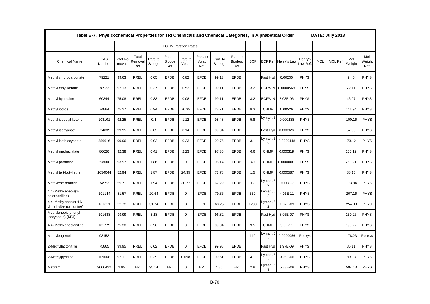|                                                | Table B-7. Physicochemical Properties for TRI Chemicals and Chemical Categories, in Alphabetical Order |                   |                          |                    |                            |                             |                            |                     |                             |            |                            |                      |                     |            | DATE: July 2013 |                |                        |
|------------------------------------------------|--------------------------------------------------------------------------------------------------------|-------------------|--------------------------|--------------------|----------------------------|-----------------------------|----------------------------|---------------------|-----------------------------|------------|----------------------------|----------------------|---------------------|------------|-----------------|----------------|------------------------|
|                                                |                                                                                                        |                   |                          |                    |                            | <b>POTW Partition Rates</b> |                            |                     |                             |            |                            |                      |                     |            |                 |                |                        |
| <b>Chemical Name</b>                           | CAS<br>Number                                                                                          | Total Re<br>moval | Total<br>Removal<br>Ref. | Part. to<br>Sludge | Part. to<br>Sludge<br>Ref. | Part. to<br>Volat.          | Part. to<br>Volat.<br>Ref. | Part. to<br>Biodeg. | Part. to<br>Biodeg.<br>Ref. | <b>BCF</b> |                            | BCF Ref. Henry's Lav | Henry's<br>Law Ref. | <b>MCL</b> | <b>MCL Ref</b>  | Mol.<br>Weight | Mol.<br>Weight<br>Ref. |
| Methyl chlorocarbonate                         | 79221                                                                                                  | 99.63             | <b>RREL</b>              | 0.05               | <b>EFDB</b>                | 0.82                        | <b>EFDB</b>                | 99.13               | <b>EFDB</b>                 |            | Fast Hyd                   | 0.00235              | <b>PHYS</b>         |            |                 | 94.5           | <b>PHYS</b>            |
| Methyl ethyl ketone                            | 78933                                                                                                  | 92.13             | <b>RREL</b>              | 0.37               | <b>EFDB</b>                | 0.53                        | <b>EFDB</b>                | 99.11               | <b>EFDB</b>                 | 3.2        | <b>BCFWIN</b>              | 0.0000569            | <b>PHYS</b>         |            |                 | 72.11          | <b>PHYS</b>            |
| Methyl hydrazine                               | 60344                                                                                                  | 75.08             | <b>RREL</b>              | 0.83               | <b>EFDB</b>                | 0.08                        | <b>EFDB</b>                | 99.11               | <b>EFDB</b>                 | 3.2        | <b>BCFWIN</b>              | 3.03E-06             | <b>PHYS</b>         |            |                 | 46.07          | <b>PHYS</b>            |
| Methyl iodide                                  | 74884                                                                                                  | 75.27             | <b>RREL</b>              | 0.94               | <b>EFDB</b>                | 70.35                       | <b>EFDB</b>                | 28.71               | <b>EFDB</b>                 | 8.3        | <b>CHMF</b>                | 0.00526              | PHYS                |            |                 | 141.94         | <b>PHYS</b>            |
| Methyl isobutyl ketone                         | 108101                                                                                                 | 92.25             | <b>RREL</b>              | 0.4                | <b>EFDB</b>                | 1.12                        | <b>EFDB</b>                | 98.48               | <b>EFDB</b>                 | 5.8        | Lyman, 5<br>$\overline{2}$ | 0.000138             | <b>PHYS</b>         |            |                 | 100.16         | <b>PHYS</b>            |
| Methyl isocyanate                              | 624839                                                                                                 | 99.95             | <b>RREL</b>              | 0.02               | <b>EFDB</b>                | 0.14                        | <b>EFDB</b>                | 99.84               | <b>EFDB</b>                 |            | Fast Hyd                   | 0.000926             | <b>PHYS</b>         |            |                 | 57.05          | <b>PHYS</b>            |
| Methyl isothiocyanate                          | 556616                                                                                                 | 99.96             | <b>RREL</b>              | 0.02               | <b>EFDB</b>                | 0.23                        | <b>EFDB</b>                | 99.75               | <b>EFDB</b>                 | 3.1        | Lyman, 5<br>2              | 0.0000448            | <b>PHYS</b>         |            |                 | 73.12          | <b>PHYS</b>            |
| Methyl methacrylate                            | 80626                                                                                                  | 92.38             | <b>RREL</b>              | 0.41               | <b>EFDB</b>                | 2.23                        | <b>EFDB</b>                | 97.36               | <b>EFDB</b>                 | 6.6        | <b>CHMF</b>                | 0.000319             | PHYS                |            |                 | 100.12         | <b>PHYS</b>            |
| Methyl parathion                               | 298000                                                                                                 | 93.97             | <b>RREL</b>              | 1.86               | <b>EFDB</b>                | $\mathbf 0$                 | <b>EFDB</b>                | 98.14               | <b>EFDB</b>                 | 40         | <b>CHMF</b>                | 0.0000001            | <b>PHYS</b>         |            |                 | 263.21         | <b>PHYS</b>            |
| Methyl tert-butyl ether                        | 1634044                                                                                                | 52.94             | <b>RREL</b>              | 1.87               | <b>EFDB</b>                | 24.35                       | <b>EFDB</b>                | 73.78               | <b>EFDB</b>                 | 1.5        | <b>CHMF</b>                | 0.000587             | <b>PHYS</b>         |            |                 | 88.15          | <b>PHYS</b>            |
| Methylene bromide                              | 74953                                                                                                  | 55.71             | <b>RREL</b>              | 1.94               | <b>EFDB</b>                | 30.77                       | <b>EFDB</b>                | 67.29               | <b>EFDB</b>                 | 12         | Lyman, 5<br>2              | 0.000822             | <b>PHYS</b>         |            |                 | 173.84         | <b>PHYS</b>            |
| 4,4'-Methylenebis(2-<br>chloroaniline)         | 101144                                                                                                 | 81.57             | <b>RREL</b>              | 20.64              | <b>EFDB</b>                | $\mathbf 0$                 | <b>EFDB</b>                | 79.36               | <b>EFDB</b>                 | 550        | Lyman, 5<br>2              | 4.06E-11             | <b>PHYS</b>         |            |                 | 267.16         | <b>PHYS</b>            |
| 4,4'-Methylenebis(N,N-<br>dimethylbenzenamine) | 101611                                                                                                 | 92.73             | <b>RREL</b>              | 31.74              | <b>EFDB</b>                | $\mathbf 0$                 | <b>EFDB</b>                | 68.25               | <b>EFDB</b>                 | 1200       | Lyman, 5<br>$\overline{2}$ | 1.07E-09             | <b>PHYS</b>         |            |                 | 254.38         | <b>PHYS</b>            |
| Methylenebis(phenyl-<br>isocyanate) (MDI)      | 101688                                                                                                 | 99.99             | <b>RREL</b>              | 3.18               | <b>EFDB</b>                | $\Omega$                    | <b>EFDB</b>                | 96.82               | <b>EFDB</b>                 |            | Fast Hyd                   | 8.95E-07             | <b>PHYS</b>         |            |                 | 250.26         | <b>PHYS</b>            |
| 4,4'-Methylenedianiline                        | 101779                                                                                                 | 75.38             | <b>RREL</b>              | 0.96               | <b>EFDB</b>                | $\Omega$                    | <b>EFDB</b>                | 99.04               | <b>EFDB</b>                 | 9.5        | <b>CHMF</b>                | 5.6E-11              | <b>PHYS</b>         |            |                 | 198.27         | <b>PHYS</b>            |
| Methyleugenol                                  | 93152                                                                                                  |                   |                          |                    |                            |                             |                            |                     |                             | 110        | Lyman, 5<br>$\overline{2}$ | 0.0000056            | Reaxys              |            |                 | 178.23         | Reaxys                 |
| 2-Methyllactonitrile                           | 75865                                                                                                  | 99.95             | <b>RREL</b>              | 0.02               | <b>EFDB</b>                | $\Omega$                    | <b>EFDB</b>                | 99.98               | <b>EFDB</b>                 |            | Fast Hyd                   | 1.97E-09             | <b>PHYS</b>         |            |                 | 85.11          | <b>PHYS</b>            |
| 2-Methylpyridine                               | 109068                                                                                                 | 92.11             | <b>RREL</b>              | 0.39               | <b>EFDB</b>                | 0.098                       | <b>EFDB</b>                | 99.51               | <b>EFDB</b>                 | 4.1        | Lyman, 5<br>2              | 9.96E-06             | <b>PHYS</b>         |            |                 | 93.13          | <b>PHYS</b>            |
| Metiram                                        | 9006422                                                                                                | 1.85              | EPI                      | 95.14              | EPI                        | $\Omega$                    | EPI                        | 4.86                | EPI                         | 2.8        | Lyman, 5<br>3              | 5.33E-08             | <b>PHYS</b>         |            |                 | 504.13         | <b>PHYS</b>            |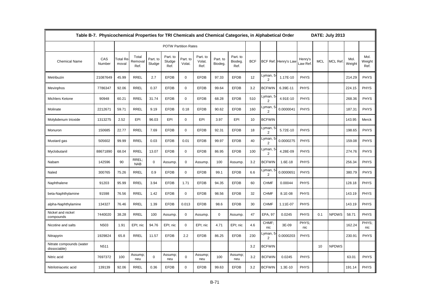|                                          | Table B-7. Physicochemical Properties for TRI Chemicals and Chemical Categories, in Alphabetical Order |                          |                          |                    |                             |                    |                            |                     |                             |            |                            |                      |                   |            | DATE: July 2013 |                |                        |
|------------------------------------------|--------------------------------------------------------------------------------------------------------|--------------------------|--------------------------|--------------------|-----------------------------|--------------------|----------------------------|---------------------|-----------------------------|------------|----------------------------|----------------------|-------------------|------------|-----------------|----------------|------------------------|
|                                          |                                                                                                        |                          |                          |                    | <b>POTW Partition Rates</b> |                    |                            |                     |                             |            |                            |                      |                   |            |                 |                |                        |
| <b>Chemical Name</b>                     | CAS<br>Number                                                                                          | <b>Total Re</b><br>moval | Total<br>Removal<br>Ref. | Part. to<br>Sludge | Part. to<br>Sludge<br>Ref.  | Part. to<br>Volat. | Part. to<br>Volat.<br>Ref. | Part. to<br>Biodeg. | Part. to<br>Biodeg.<br>Ref. | <b>BCF</b> |                            | BCF Ref. Henry's Law | Henry's<br>aw Ref | <b>MCL</b> | <b>MCL Ref</b>  | Mol.<br>Weight | Mol.<br>Weight<br>Ref. |
| Metribuzin                               | 21087649                                                                                               | 45.99                    | <b>RREL</b>              | 2.7                | <b>EFDB</b>                 | $\mathbf 0$        | <b>EFDB</b>                | 97.33               | <b>EFDB</b>                 | 12         | Lyman, 5<br>2              | 1.17E-10             | <b>PHYS</b>       |            |                 | 214.29         | <b>PHYS</b>            |
| Mevinphos                                | 7786347                                                                                                | 92.06                    | <b>RREL</b>              | 0.37               | <b>EFDB</b>                 | $\mathbf 0$        | <b>EFDB</b>                | 99.64               | <b>EFDB</b>                 | 3.2        | <b>BCFWIN</b>              | 6.39E-11             | <b>PHYS</b>       |            |                 | 224.15         | <b>PHYS</b>            |
| <b>Michlers Ketone</b>                   | 90948                                                                                                  | 60.21                    | <b>RREL</b>              | 31.74              | <b>EFDB</b>                 | $\mathbf 0$        | <b>EFDB</b>                | 68.28               | <b>EFDB</b>                 | 510        | Lyman, 5<br>2              | 4.91E-10             | <b>PHYS</b>       |            |                 | 268.36         | <b>PHYS</b>            |
| Molinate                                 | 2212671                                                                                                | 59.71                    | <b>RREL</b>              | 9.19               | <b>EFDB</b>                 | 0.18               | <b>EFDB</b>                | 90.62               | <b>EFDB</b>                 | 160        | Lyman, 5<br>$\overline{2}$ | 0.0000041            | <b>PHYS</b>       |            |                 | 187.31         | <b>PHYS</b>            |
| Molybdenum trioxide                      | 1313275                                                                                                | 2.52                     | EPI                      | 96.03              | EPI                         | $\Omega$           | EPI                        | 3.97                | EPI                         | 10         | <b>BCFWIN</b>              |                      |                   |            |                 | 143.95         | Merck                  |
| Monuron                                  | 150685                                                                                                 | 22.77                    | <b>RREL</b>              | 7.69               | <b>EFDB</b>                 | $\mathbf 0$        | <b>EFDB</b>                | 92.31               | <b>EFDB</b>                 | 18         | Lyman,<br>$\overline{2}$   | 5.72E-10             | <b>PHYS</b>       |            |                 | 198.65         | <b>PHYS</b>            |
| Mustard gas                              | 505602                                                                                                 | 99.99                    | <b>RREL</b>              | 0.03               | <b>EFDB</b>                 | 0.01               | <b>EFDB</b>                | 99.97               | <b>EFDB</b>                 | 40         | Lyman, 5<br>2              | 0.0000275            | <b>PHYS</b>       |            |                 | 159.08         | <b>PHYS</b>            |
| Myclobutanil                             | 88671890                                                                                               | 68.04                    | <b>RREL</b>              | 13.07              | <b>EFDB</b>                 | 0                  | <b>EFDB</b>                | 86.95               | <b>EFDB</b>                 | 100        | Lyman, 5<br>$\overline{2}$ | 4.28E-09             | <b>PHYS</b>       |            |                 | 274.76         | <b>PHYS</b>            |
| Nabam                                    | 142596                                                                                                 | 90                       | RREL;<br><b>NAB</b>      | $\mathbf 0$        | Assump.                     | 0                  | Assump.                    | 100                 | Assump.                     | 3.2        | <b>BCFWIN</b>              | 1.6E-18              | <b>PHYS</b>       |            |                 | 256.34         | <b>PHYS</b>            |
| Naled                                    | 300765                                                                                                 | 75.26                    | <b>RREL</b>              | 0.9                | <b>EFDB</b>                 | $\mathbf 0$        | <b>EFDB</b>                | 99.1                | <b>EFDB</b>                 | 6.6        | Lyman, 5<br>2              | 0.0000651            | <b>PHYS</b>       |            |                 | 380.79         | <b>PHYS</b>            |
| Naphthalene                              | 91203                                                                                                  | 95.99                    | <b>RREL</b>              | 3.94               | <b>EFDB</b>                 | 1.71               | <b>EFDB</b>                | 94.35               | <b>EFDB</b>                 | 60         | <b>CHMF</b>                | 0.00044              | <b>PHYS</b>       |            |                 | 128.18         | <b>PHYS</b>            |
| beta-Naphthylamine                       | 91598                                                                                                  | 76.56                    | RREL                     | 1.42               | <b>EFDB</b>                 | $\mathbf 0$        | <b>EFDB</b>                | 98.56               | <b>EFDB</b>                 | 32         | <b>CHMF</b>                | 8.1E-08              | <b>PHYS</b>       |            |                 | 143.19         | <b>PHYS</b>            |
| alpha-Naphthylamine                      | 134327                                                                                                 | 76.46                    | <b>RREL</b>              | 1.39               | <b>EFDB</b>                 | 0.013              | <b>EFDB</b>                | 98.6                | <b>EFDB</b>                 | 30         | <b>CHMF</b>                | 1.11E-07             | <b>PHYS</b>       |            |                 | 143.19         | <b>PHYS</b>            |
| Nickel and nickel<br>compounds           | 7440020                                                                                                | 38.28                    | RREL                     | 100                | Assump.                     | $\mathbf 0$        | Assump.                    | $\mathbf 0$         | Assump.                     | 47         | EPA, 97                    | 0.0245               | <b>PHYS</b>       | 0.1        | <b>NPDWS</b>    | 58.71          | <b>PHYS</b>            |
| Nicotine and salts                       | N503                                                                                                   | 1.91                     | EPI; nic                 | 94.76              | EPI; nic                    | $\mathbf 0$        | EPI; nic                   | 4.71                | EPI; nic                    | 4.6        | CHMF:<br>nic               | 3E-09                | PHYS:<br>nic      |            |                 | 162.24         | PHYS:<br>nic           |
| Nitrapyrin                               | 1929824                                                                                                | 65.8                     | <b>RREL</b>              | 11.57              | <b>EFDB</b>                 | 2.2                | <b>EFDB</b>                | 86.25               | <b>EFDB</b>                 | 230        | Lyman, 5<br>$\overline{2}$ | 0.0000203            | <b>PHYS</b>       |            |                 | 230.91         | <b>PHYS</b>            |
| Nitrate compounds (water<br>dissociable) | N511                                                                                                   |                          |                          |                    |                             |                    |                            |                     |                             | 3.2        | <b>BCFWIN</b>              |                      |                   | 10         | <b>NPDWS</b>    |                |                        |
| Nitric acid                              | 7697372                                                                                                | 100                      | Assump;<br>neu           | $\mathbf 0$        | Assump;<br>neu              | $\Omega$           | Assump;<br>neu             | 100                 | Assump<br>neu               | 3.2        | <b>BCFWIN</b>              | 0.0245               | <b>PHYS</b>       |            |                 | 63.01          | <b>PHYS</b>            |
| Nitrilotriacetic acid                    | 139139                                                                                                 | 92.06                    | <b>RREL</b>              | 0.36               | <b>EFDB</b>                 | $\Omega$           | <b>EFDB</b>                | 99.63               | <b>EFDB</b>                 | 3.2        | <b>BCFWIN</b>              | $1.3E-10$            | <b>PHYS</b>       |            |                 | 191.14         | <b>PHYS</b>            |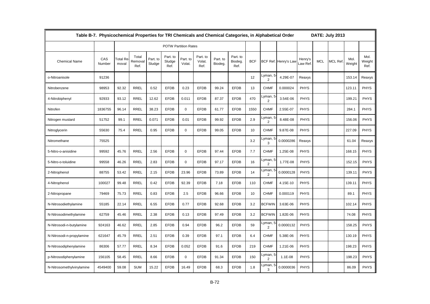|                           | Table B-7. Physicochemical Properties for TRI Chemicals and Chemical Categories, in Alphabetical Order |                          |                          |                    |                             |                    |                            |                     |                             |            |                            |                      |                   |            | DATE: July 2013 |                |                        |
|---------------------------|--------------------------------------------------------------------------------------------------------|--------------------------|--------------------------|--------------------|-----------------------------|--------------------|----------------------------|---------------------|-----------------------------|------------|----------------------------|----------------------|-------------------|------------|-----------------|----------------|------------------------|
|                           |                                                                                                        |                          |                          |                    | <b>POTW Partition Rates</b> |                    |                            |                     |                             |            |                            |                      |                   |            |                 |                |                        |
| <b>Chemical Name</b>      | CAS<br>Number                                                                                          | <b>Total Re</b><br>moval | Total<br>Removal<br>Ref. | Part. to<br>Sludge | Part. to<br>Sludge<br>Ref.  | Part. to<br>Volat. | Part. to<br>Volat.<br>Ref. | Part. to<br>Biodeg. | Part. to<br>Biodeg.<br>Ref. | <b>BCF</b> |                            | BCF Ref. Henry's Law | Henry's<br>aw Ref | <b>MCL</b> | <b>MCL Ref</b>  | Mol.<br>Weight | Mol.<br>Weight<br>Ref. |
| o-Nitroanisole            | 91236                                                                                                  |                          |                          |                    |                             |                    |                            |                     |                             | 12         | Lyman, 5<br>2              | 4.29E-07             | Reaxys            |            |                 | 153.14         | Reaxys                 |
| Nitrobenzene              | 98953                                                                                                  | 92.32                    | <b>RREL</b>              | 0.52               | <b>EFDB</b>                 | 0.23               | <b>EFDB</b>                | 99.24               | <b>EFDB</b>                 | 13         | <b>CHMF</b>                | 0.000024             | <b>PHYS</b>       |            |                 | 123.11         | <b>PHYS</b>            |
| 4-Nitrobiphenyl           | 92933                                                                                                  | 93.12                    | <b>RREL</b>              | 12.62              | <b>EFDB</b>                 | 0.011              | <b>EFDB</b>                | 87.37               | <b>EFDB</b>                 | 470        | Lyman, 5<br>2              | 3.54E-06             | <b>PHYS</b>       |            |                 | 199.21         | <b>PHYS</b>            |
| Nitrofen                  | 1836755                                                                                                | 96.14                    | <b>RREL</b>              | 38.23              | <b>EFDB</b>                 | $\mathbf 0$        | <b>EFDB</b>                | 61.77               | <b>EFDB</b>                 | 1550       | <b>CHMF</b>                | 2.55E-07             | <b>PHYS</b>       |            |                 | 284.1          | <b>PHYS</b>            |
| Nitrogen mustard          | 51752                                                                                                  | 99.1                     | <b>RREL</b>              | 0.071              | <b>EFDB</b>                 | 0.01               | <b>EFDB</b>                | 99.92               | <b>EFDB</b>                 | 2.9        | Lyman, 5<br>$\overline{2}$ | 8.48E-08             | <b>PHYS</b>       |            |                 | 156.06         | <b>PHYS</b>            |
| Nitroglycerin             | 55630                                                                                                  | 75.4                     | <b>RREL</b>              | 0.95               | <b>EFDB</b>                 | $\mathbf 0$        | <b>EFDB</b>                | 99.05               | <b>EFDB</b>                 | 10         | <b>CHMF</b>                | 9.87E-08             | <b>PHYS</b>       |            |                 | 227.09         | <b>PHYS</b>            |
| Nitromethane              | 75525                                                                                                  |                          |                          |                    |                             |                    |                            |                     |                             | 3.2        | Lyman, 5<br>3              | 0.0000286            | Reaxys            |            |                 | 61.04          | Reaxys                 |
| 5-Nitro-o-anisidine       | 99592                                                                                                  | 45.76                    | RREL                     | 2.56               | <b>EFDB</b>                 | 0                  | <b>EFDB</b>                | 97.44               | <b>EFDB</b>                 | 7.7        | <b>CHMF</b>                | 1.25E-08             | <b>PHYS</b>       |            |                 | 168.15         | <b>PHYS</b>            |
| 5-Nitro-o-toluidine       | 99558                                                                                                  | 46.26                    | <b>RREL</b>              | 2.83               | <b>EFDB</b>                 | 0                  | <b>EFDB</b>                | 97.17               | <b>EFDB</b>                 | 16         | Lyman, 5<br>$\overline{2}$ | 1.77E-08             | <b>PHYS</b>       |            |                 | 152.15         | <b>PHYS</b>            |
| 2-Nitrophenol             | 88755                                                                                                  | 53.42                    | <b>RREL</b>              | 2.15               | <b>EFDB</b>                 | 23.96              | <b>EFDB</b>                | 73.89               | <b>EFDB</b>                 | 14         | Lyman, 5<br>2              | 0.0000128            | <b>PHYS</b>       |            |                 | 139.11         | <b>PHYS</b>            |
| 4-Nitrophenol             | 100027                                                                                                 | 99.48                    | <b>RREL</b>              | 0.42               | <b>EFDB</b>                 | 92.39              | <b>EFDB</b>                | 7.18                | <b>EFDB</b>                 | 110        | <b>CHMF</b>                | 4.15E-10             | <b>PHYS</b>       |            |                 | 139.11         | <b>PHYS</b>            |
| 2-Nitropropane            | 79469                                                                                                  | 75.73                    | RREL                     | 0.83               | <b>EFDB</b>                 | 2.5                | <b>EFDB</b>                | 96.66               | <b>EFDB</b>                 | 10         | <b>CHMF</b>                | 0.000119             | <b>PHYS</b>       |            |                 | 89.1           | <b>PHYS</b>            |
| N-Nitrosodiethylamine     | 55185                                                                                                  | 22.14                    | <b>RREL</b>              | 6.55               | <b>EFDB</b>                 | 0.77               | <b>EFDB</b>                | 92.68               | <b>EFDB</b>                 | 3.2        | <b>BCFWIN</b>              | 3.63E-06             | <b>PHYS</b>       |            |                 | 102.14         | <b>PHYS</b>            |
| N-Nitrosodimethylamine    | 62759                                                                                                  | 45.46                    | RREL                     | 2.38               | <b>EFDB</b>                 | 0.13               | <b>EFDB</b>                | 97.49               | <b>EFDB</b>                 | 3.2        | <b>BCFWIN</b>              | 1.82E-06             | <b>PHYS</b>       |            |                 | 74.08          | <b>PHYS</b>            |
| N-Nitrosodi-n-butylamine  | 924163                                                                                                 | 46.62                    | <b>RREL</b>              | 2.85               | <b>EFDB</b>                 | 0.94               | <b>EFDB</b>                | 96.2                | <b>EFDB</b>                 | 59         | Lyman, 5<br>$\overline{2}$ | 0.0000132            | <b>PHYS</b>       |            |                 | 158.25         | <b>PHYS</b>            |
| N-Nitrosodi-n-propylamine | 621647                                                                                                 | 45.79                    | <b>RREL</b>              | 2.51               | <b>EFDB</b>                 | 0.39               | <b>EFDB</b>                | 97.1                | <b>EFDB</b>                 | 6.4        | <b>CHMF</b>                | 5.38E-06             | <b>PHYS</b>       |            |                 | 130.19         | <b>PHYS</b>            |
| N-Nitrosodiphenylamine    | 86306                                                                                                  | 57.77                    | <b>RREL</b>              | 8.34               | <b>EFDB</b>                 | 0.052              | <b>EFDB</b>                | 91.6                | <b>EFDB</b>                 | 219        | <b>CHMF</b>                | 1.21E-06             | <b>PHYS</b>       |            |                 | 198.23         | <b>PHYS</b>            |
| p-Nitrosodiphenylamine    | 156105                                                                                                 | 58.45                    | <b>RREL</b>              | 8.66               | <b>EFDB</b>                 | $\mathbf{0}$       | <b>EFDB</b>                | 91.34               | <b>EFDB</b>                 | 150        | Lyman, 5<br>$\overline{2}$ | 1.1E-08              | <b>PHYS</b>       |            |                 | 198.23         | <b>PHYS</b>            |
| N-Nitrosomethylvinylamine | 4549400                                                                                                | 59.08                    | <b>SUM</b>               | 15.22              | <b>EFDB</b>                 | 16.49              | <b>EFDB</b>                | 68.3                | <b>EFDB</b>                 | 1.8        | Lyman, 5<br>3              | 0.0000036            | <b>PHYS</b>       |            |                 | 86.09          | <b>PHYS</b>            |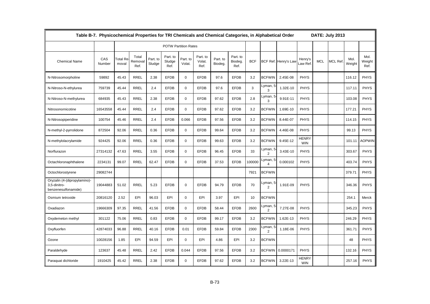|                                                                     | Table B-7. Physicochemical Properties for TRI Chemicals and Chemical Categories, in Alphabetical Order |                   |                          |                    |                             |                    |                            |                     |                             |            |                            |                      |                            |            | DATE: July 2013 |                |                        |
|---------------------------------------------------------------------|--------------------------------------------------------------------------------------------------------|-------------------|--------------------------|--------------------|-----------------------------|--------------------|----------------------------|---------------------|-----------------------------|------------|----------------------------|----------------------|----------------------------|------------|-----------------|----------------|------------------------|
|                                                                     |                                                                                                        |                   |                          |                    | <b>POTW Partition Rates</b> |                    |                            |                     |                             |            |                            |                      |                            |            |                 |                |                        |
| <b>Chemical Name</b>                                                | CAS<br>Number                                                                                          | Total Re<br>moval | Total<br>Removal<br>Ref. | Part. to<br>Sludge | Part. to<br>Sludge<br>Ref.  | Part. to<br>Volat. | Part. to<br>Volat.<br>Ref. | Part. to<br>Biodeg. | Part. to<br>Biodeg.<br>Ref. | <b>BCF</b> |                            | BCF Ref. Henry's Law | Henry's<br>aw Ref.         | <b>MCL</b> | <b>MCL Ref</b>  | Mol.<br>Weight | Mol.<br>Weight<br>Ref. |
| N-Nitrosomorpholine                                                 | 59892                                                                                                  | 45.43             | <b>RREL</b>              | 2.38               | <b>EFDB</b>                 | $\mathbf 0$        | <b>EFDB</b>                | 97.6                | <b>EFDB</b>                 | 3.2        | <b>BCFWIN</b>              | 2.45E-08             | <b>PHYS</b>                |            |                 | 116.12         | <b>PHYS</b>            |
| N-Nitroso-N-ethylurea                                               | 759739                                                                                                 | 45.44             | <b>RREL</b>              | 2.4                | <b>EFDB</b>                 | $\mathbf 0$        | <b>EFDB</b>                | 97.6                | <b>EFDB</b>                 | 3          | Lyman, 5<br>3              | 1.32E-10             | <b>PHYS</b>                |            |                 | 117.11         | <b>PHYS</b>            |
| N-Nitroso-N-methylurea                                              | 684935                                                                                                 | 45.43             | <b>RREL</b>              | 2.38               | <b>EFDB</b>                 | $\mathbf 0$        | <b>EFDB</b>                | 97.62               | <b>EFDB</b>                 | 2.8        | Lyman, 5<br>3              | 9.91E-11             | <b>PHYS</b>                |            |                 | 103.08         | <b>PHYS</b>            |
| Nitrosonornicotine                                                  | 16543558                                                                                               | 45.44             | <b>RREL</b>              | 2.4                | <b>EFDB</b>                 | $\mathbf 0$        | <b>EFDB</b>                | 97.62               | <b>EFDB</b>                 | 3.2        | <b>BCFWIN</b>              | 1.69E-10             | <b>PHYS</b>                |            |                 | 177.21         | <b>PHYS</b>            |
| N-Nitrosopiperidine                                                 | 100754                                                                                                 | 45.46             | <b>RREL</b>              | 2.4                | <b>EFDB</b>                 | 0.066              | <b>EFDB</b>                | 97.56               | <b>EFDB</b>                 | 3.2        | <b>BCFWIN</b>              | 8.44E-07             | <b>PHYS</b>                |            |                 | 114.15         | <b>PHYS</b>            |
| N-methyl-2-pyrrolidone                                              | 872504                                                                                                 | 92.06             | <b>RREL</b>              | 0.36               | <b>EFDB</b>                 | $\mathbf 0$        | <b>EFDB</b>                | 99.64               | <b>EFDB</b>                 | 3.2        | <b>BCFWIN</b>              | 4.46E-08             | <b>PHYS</b>                |            |                 | 99.13          | <b>PHYS</b>            |
| N-methylolacrylamide                                                | 924425                                                                                                 | 92.06             | <b>RREL</b>              | 0.36               | <b>EFDB</b>                 | $\mathbf 0$        | <b>EFDB</b>                | 99.63               | <b>EFDB</b>                 | 3.2        | <b>BCFWIN</b>              | 9.45E-12             | <b>HENRY</b><br><b>WIN</b> |            |                 | 101.11         | <b>AOPWIN</b>          |
| Norflurazon                                                         | 27314132                                                                                               | 47.63             | <b>RREL</b>              | 3.55               | <b>EFDB</b>                 | $\mathbf 0$        | <b>EFDB</b>                | 96.45               | <b>EFDB</b>                 | 33         | Lyman, 5<br>$\overline{2}$ | 3.43E-10             | <b>PHYS</b>                |            |                 | 303.67         | <b>PHYS</b>            |
| Octachloronaphthalene                                               | 2234131                                                                                                | 99.07             | <b>RREL</b>              | 62.47              | <b>EFDB</b>                 | $\mathbf 0$        | <b>EFDB</b>                | 37.53               | <b>EFDB</b>                 | 100000     | Lyman, 5<br>$\overline{4}$ | 0.000102             | <b>PHYS</b>                |            |                 | 403.74         | <b>PHYS</b>            |
| Octochlorostyrene                                                   | 29082744                                                                                               |                   |                          |                    |                             |                    |                            |                     |                             | 7921       | <b>BCFWIN</b>              |                      |                            |            |                 | 379.71         | <b>PHYS</b>            |
| Oryzalin (4-(dipropylamino)-<br>3,5-dinitro-<br>benzenesulfonamide) | 19044883                                                                                               | 51.02             | <b>RREL</b>              | 5.23               | <b>EFDB</b>                 | 0                  | <b>EFDB</b>                | 94.79               | <b>EFDB</b>                 | 70         | Lyman, 5<br>2              | 1.91E-09             | <b>PHYS</b>                |            |                 | 346.36         | <b>PHYS</b>            |
| Osmium tetroxide                                                    | 20816120                                                                                               | 2.52              | EPI                      | 96.03              | EPI                         | $\mathbf 0$        | EPI                        | 3.97                | EPI                         | 10         | <b>BCFWIN</b>              |                      |                            |            |                 | 254.1          | Merck                  |
| Oxadiazon                                                           | 19666309                                                                                               | 97.35             | <b>RREL</b>              | 41.56              | <b>EFDB</b>                 | $\mathbf 0$        | <b>EFDB</b>                | 58.44               | <b>EFDB</b>                 | 2600       | Lyman, 5<br>2              | 7.27E-08             | <b>PHYS</b>                |            |                 | 345.23         | <b>PHYS</b>            |
| Oxydemeton methyl                                                   | 301122                                                                                                 | 75.06             | <b>RREL</b>              | 0.83               | <b>EFDB</b>                 | $\mathbf 0$        | <b>EFDB</b>                | 99.17               | <b>EFDB</b>                 | 3.2        | <b>BCFWIN</b>              | 1.62E-13             | <b>PHYS</b>                |            |                 | 246.29         | <b>PHYS</b>            |
| Oxyfluorfen                                                         | 42874033                                                                                               | 96.88             | <b>RREL</b>              | 40.16              | <b>EFDB</b>                 | 0.01               | <b>EFDB</b>                | 59.84               | <b>EFDB</b>                 | 2300       | Lyman, 5<br>$\overline{2}$ | 1.18E-06             | <b>PHYS</b>                |            |                 | 361.71         | <b>PHYS</b>            |
| Ozone                                                               | 10028156                                                                                               | 1.85              | EPI                      | 94.59              | EPI                         | $\Omega$           | EPI                        | 4.86                | EPI                         | 3.2        | <b>BCFWIN</b>              |                      |                            |            |                 | 48             | <b>PHYS</b>            |
| Paraldehyde                                                         | 123637                                                                                                 | 45.48             | <b>RREL</b>              | 2.42               | <b>EFDB</b>                 | 0.044              | <b>EFDB</b>                | 97.56               | <b>EFDB</b>                 | 3.2        | <b>BCFWIN</b>              | 0.0000171            | <b>PHYS</b>                |            |                 | 132.16         | <b>PHYS</b>            |
| Paraquat dichloride                                                 | 1910425                                                                                                | 45.42             | <b>RREL</b>              | 2.38               | <b>EFDB</b>                 | $\mathbf 0$        | <b>EFDB</b>                | 97.62               | <b>EFDB</b>                 | 3.2        | <b>BCFWIN</b>              | 3.22E-13             | <b>HENRY</b><br><b>WIN</b> |            |                 | 257.16         | <b>PHYS</b>            |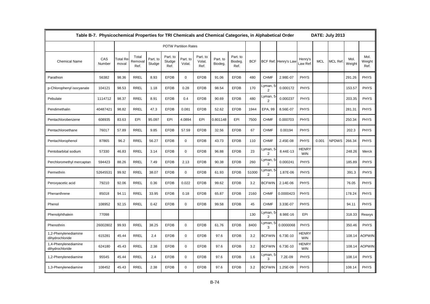|                                         | Table B-7. Physicochemical Properties for TRI Chemicals and Chemical Categories, in Alphabetical Order |                                |                          |                    |                             |                    |                            |                     |                             |            |                            |                      |                            |            | DATE: July 2013 |                |                        |
|-----------------------------------------|--------------------------------------------------------------------------------------------------------|--------------------------------|--------------------------|--------------------|-----------------------------|--------------------|----------------------------|---------------------|-----------------------------|------------|----------------------------|----------------------|----------------------------|------------|-----------------|----------------|------------------------|
|                                         |                                                                                                        |                                |                          |                    | <b>POTW Partition Rates</b> |                    |                            |                     |                             |            |                            |                      |                            |            |                 |                |                        |
| <b>Chemical Name</b>                    | CAS<br>Number                                                                                          | Γotal Re <sup>.</sup><br>moval | Total<br>Removal<br>Ref. | Part. to<br>Sludge | Part. to<br>Sludge<br>Ref.  | Part. to<br>Volat. | Part. to<br>Volat.<br>Ref. | Part. to<br>Biodeg. | Part. to<br>Biodeg.<br>Ref. | <b>BCF</b> |                            | BCF Ref. Henry's Law | Henry's<br>aw Ref          | <b>MCL</b> | <b>MCL Ref</b>  | Mol.<br>Weight | Mol.<br>Weight<br>Ref. |
| Parathion                               | 56382                                                                                                  | 98.36                          | <b>RREL</b>              | 8.93               | <b>EFDB</b>                 | $\mathbf 0$        | <b>EFDB</b>                | 91.06               | <b>EFDB</b>                 | 480        | <b>CHMF</b>                | 2.98E-07             | <b>PHYS</b>                |            |                 | 291.26         | <b>PHYS</b>            |
| p-Chlorophenyl isocyanate               | 104121                                                                                                 | 98.53                          | <b>RREL</b>              | 1.18               | <b>EFDB</b>                 | 0.28               | <b>EFDB</b>                | 98.54               | <b>EFDB</b>                 | 170        | Lyman, 5<br>$\overline{2}$ | 0.000172             | <b>PHYS</b>                |            |                 | 153.57         | <b>PHYS</b>            |
| Pebulate                                | 1114712                                                                                                | 98.37                          | <b>RREL</b>              | 8.91               | <b>EFDB</b>                 | 0.4                | <b>EFDB</b>                | 90.69               | <b>EFDB</b>                 | 480        | Lyman, 5<br>2              | 0.000237             | <b>PHYS</b>                |            |                 | 203.35         | <b>PHYS</b>            |
| Pendimethalin                           | 40487421                                                                                               | 98.82                          | <b>RREL</b>              | 47.3               | <b>EFDB</b>                 | 0.081              | <b>EFDB</b>                | 52.62               | <b>EFDB</b>                 | 1944       | EPA, 99                    | 8.56E-07             | <b>PHYS</b>                |            |                 | 281.31         | <b>PHYS</b>            |
| Pentachlorobenzene                      | 608935                                                                                                 | 83.63                          | EPI                      | 95.097             | EPI                         | 4.0894             | EPI                        | 0.801148            | EPI                         | 7500       | <b>CHMF</b>                | 0.000703             | <b>PHYS</b>                |            |                 | 250.34         | <b>PHYS</b>            |
| Pentachloroethane                       | 76017                                                                                                  | 57.89                          | <b>RREL</b>              | 9.85               | <b>EFDB</b>                 | 57.59              | <b>EFDB</b>                | 32.56               | <b>EFDB</b>                 | 67         | <b>CHMF</b>                | 0.00194              | <b>PHYS</b>                |            |                 | 202.3          | <b>PHYS</b>            |
| Pentachlorophenol                       | 87865                                                                                                  | 96.2                           | <b>RREL</b>              | 56.27              | <b>EFDB</b>                 | 0                  | <b>EFDB</b>                | 43.73               | <b>EFDB</b>                 | 110        | <b>CHMF</b>                | 2.45E-08             | <b>PHYS</b>                | 0.001      | <b>NPDWS</b>    | 266.34         | <b>PHYS</b>            |
| Pentobarbital sodium                    | 57330                                                                                                  | 46.83                          | <b>RREL</b>              | 3.14               | <b>EFDB</b>                 | $\mathbf 0$        | <b>EFDB</b>                | 96.88               | <b>EFDB</b>                 | 23         | Lyman,<br>$\overline{2}$   | 8.44E-13             | <b>HENRY</b><br><b>WIN</b> |            |                 | 248.26         | Merck                  |
| Perchloromethyl mercaptan               | 594423                                                                                                 | 88.26                          | <b>RREL</b>              | 7.49               | <b>EFDB</b>                 | 2.13               | <b>EFDB</b>                | 90.38               | <b>EFDB</b>                 | 260        | Lyman, 5<br>$\overline{2}$ | 0.000241             | <b>PHYS</b>                |            |                 | 185.89         | <b>PHYS</b>            |
| Permethrin                              | 52645531                                                                                               | 99.92                          | <b>RREL</b>              | 38.07              | <b>EFDB</b>                 | $\mathbf 0$        | <b>EFDB</b>                | 61.93               | <b>EFDB</b>                 | 51000      | _yman, 5<br>$\overline{2}$ | 1.87E-06             | <b>PHYS</b>                |            |                 | 391.3          | <b>PHYS</b>            |
| Peroxyacetic acid                       | 79210                                                                                                  | 92.06                          | <b>RREL</b>              | 0.36               | <b>EFDB</b>                 | 0.022              | <b>EFDB</b>                | 99.62               | <b>EFDB</b>                 | 3.2        | <b>BCFWIN</b>              | 2.14E-06             | <b>PHYS</b>                |            |                 | 76.05          | <b>PHYS</b>            |
| Phenanthrene                            | 85018                                                                                                  | 94.11                          | <b>RREL</b>              | 33.95              | <b>EFDB</b>                 | 0.18               | <b>EFDB</b>                | 65.87               | <b>EFDB</b>                 | 2160       | <b>CHMF</b>                | 0.0000423            | <b>PHYS</b>                |            |                 | 178.24         | <b>PHYS</b>            |
| Phenol                                  | 108952                                                                                                 | 92.15                          | <b>RREL</b>              | 0.42               | <b>EFDB</b>                 | $\mathbf 0$        | <b>EFDB</b>                | 99.58               | <b>EFDB</b>                 | 45         | <b>CHMF</b>                | 3.33E-07             | <b>PHYS</b>                |            |                 | 94.11          | <b>PHYS</b>            |
| Phenolphthalein                         | 77098                                                                                                  |                                |                          |                    |                             |                    |                            |                     |                             | 130        | _yman, 5<br>$\overline{2}$ | 8.98E-16             | EPI                        |            |                 | 318.33         | Reaxys                 |
| Phenothrin                              | 26002802                                                                                               | 99.93                          | <b>RREL</b>              | 38.25              | <b>EFDB</b>                 | $\mathbf 0$        | <b>EFDB</b>                | 61.76               | <b>EFDB</b>                 | 8400       | Lyman, 5<br>3              | 0.0000068            | <b>PHYS</b>                |            |                 | 350.46         | <b>PHYS</b>            |
| 1,2-Phenylenediamine<br>dihydrochloride | 615281                                                                                                 | 45.44                          | <b>RREL</b>              | 2.4                | <b>EFDB</b>                 | $\mathbf 0$        | <b>EFDB</b>                | 97.6                | <b>EFDB</b>                 | 3.2        | <b>BCFWIN</b>              | 6.73E-10             | <b>HENRY</b><br><b>WIN</b> |            |                 | 108.14         | <b>AOPWIN</b>          |
| 1,4-Phenylenediamine<br>dihydrochloride | 624180                                                                                                 | 45.43                          | <b>RREL</b>              | 2.38               | <b>EFDB</b>                 | $\mathbf 0$        | <b>EFDB</b>                | 97.6                | <b>EFDB</b>                 | 3.2        | <b>BCFWIN</b>              | 6.73E-10             | HENRY<br><b>WIN</b>        |            |                 | 108.14         | <b>AOPWIN</b>          |
| 1,2-Phenylenediamine                    | 95545                                                                                                  | 45.44                          | <b>RREL</b>              | 2.4                | <b>EFDB</b>                 | $\mathbf 0$        | <b>EFDB</b>                | 97.6                | <b>EFDB</b>                 | 1.6        | Lyman, 5<br>3              | 7.2E-09              | <b>PHYS</b>                |            |                 | 108.14         | <b>PHYS</b>            |
| 1,3-Phenylenediamine                    | 108452                                                                                                 | 45.43                          | <b>RREL</b>              | 2.38               | <b>EFDB</b>                 | $\Omega$           | <b>EFDB</b>                | 97.6                | <b>EFDB</b>                 | 3.2        | <b>BCFWIN</b>              | 1.25E-09             | <b>PHYS</b>                |            |                 | 108.14         | <b>PHYS</b>            |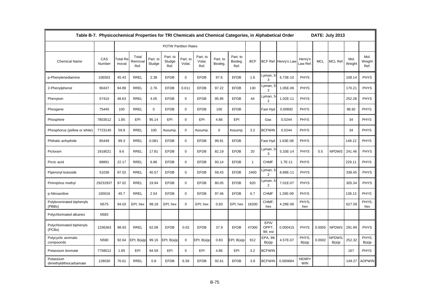|                                      | Table B-7. Physicochemical Properties for TRI Chemicals and Chemical Categories, in Alphabetical Order |                   |                          |                    |                             |                    |                            |                     |                             |              |                            |                      |                            |            | DATE: July 2013       |                |                        |
|--------------------------------------|--------------------------------------------------------------------------------------------------------|-------------------|--------------------------|--------------------|-----------------------------|--------------------|----------------------------|---------------------|-----------------------------|--------------|----------------------------|----------------------|----------------------------|------------|-----------------------|----------------|------------------------|
|                                      |                                                                                                        |                   |                          |                    | <b>POTW Partition Rates</b> |                    |                            |                     |                             |              |                            |                      |                            |            |                       |                |                        |
| <b>Chemical Name</b>                 | CAS<br>Number                                                                                          | Total Re<br>moval | Total<br>Removal<br>Ref. | Part. to<br>Sludge | Part. to<br>Sludge<br>Ref.  | Part. to<br>Volat. | Part. to<br>Volat.<br>Ref. | Part. to<br>Biodeg. | Part. to<br>Biodeg.<br>Ref. | <b>BCF</b>   |                            | BCF Ref. Henry's Law | Henry's<br>aw Ref.         | <b>MCL</b> | MCL Ref               | Mol.<br>Weight | Mol.<br>Weight<br>Ref. |
| p-Phenylenediamine                   | 106503                                                                                                 | 45.43             | <b>RREL</b>              | 2.38               | <b>EFDB</b>                 | $\mathbf 0$        | <b>EFDB</b>                | 97.6                | <b>EFDB</b>                 | 1.6          | Lyman, 5<br>3              | 6.73E-10             | <b>PHYS</b>                |            |                       | 108.14         | <b>PHYS</b>            |
| 2-Phenylphenol                       | 90437                                                                                                  | 94.89             | <b>RREL</b>              | 2.76               | <b>EFDB</b>                 | 0.011              | <b>EFDB</b>                | 97.22               | <b>EFDB</b>                 | 130          | Lyman, 5<br>$\overline{2}$ | 1.05E-06             | <b>PHYS</b>                |            |                       | 170.21         | <b>PHYS</b>            |
| Phenytoin                            | 57410                                                                                                  | 48.63             | <b>RREL</b>              | 4.05               | <b>EFDB</b>                 | $\mathbf 0$        | <b>EFDB</b>                | 95.95               | <b>EFDB</b>                 | 44           | Lyman, 5<br>2              | 1.02E-11             | <b>PHYS</b>                |            |                       | 252.28         | <b>PHYS</b>            |
| Phosgene                             | 75445                                                                                                  | 100               | <b>RREL</b>              | $\mathbf 0$        | <b>EFDB</b>                 | $\mathbf 0$        | <b>EFDB</b>                | 100                 | <b>EFDB</b>                 |              | Fast Hyd                   | 0.00892              | <b>PHYS</b>                |            |                       | 98.92          | <b>PHYS</b>            |
| Phosphine                            | 7803512                                                                                                | 1.85              | EPI                      | 95.14              | EPI                         | $\Omega$           | EPI                        | 4.86                | EPI                         |              | Gas                        | 0.0244               | <b>PHYS</b>                |            |                       | 34             | <b>PHYS</b>            |
| Phosphorus (yellow or white)         | 7723140                                                                                                | 59.8              | <b>RREL</b>              | 100                | Assump.                     | $\mathbf 0$        | Assump.                    | $\mathbf 0$         | Assump.                     | 3.2          | <b>BCFWIN</b>              | 0.0244               | <b>PHYS</b>                |            |                       | 34             | <b>PHYS</b>            |
| Phthalic anhydride                   | 85449                                                                                                  | 99.3              | <b>RREL</b>              | 0.081              | <b>EFDB</b>                 | $\mathbf 0$        | <b>EFDB</b>                | 99.91               | <b>EFDB</b>                 |              | Fast Hyd                   | 1.63E-08             | <b>PHYS</b>                |            |                       | 148.12         | <b>PHYS</b>            |
| Picloram                             | 1918021                                                                                                | 9.6               | <b>RREL</b>              | 17.81              | <b>EFDB</b>                 | $\mathbf 0$        | <b>EFDB</b>                | 82.19               | <b>EFDB</b>                 | 20           | Lyman, 5<br>3              | 5.33E-14             | <b>PHYS</b>                | 0.5        | <b>NPDWS</b>          | 241.46         | <b>PHYS</b>            |
| Picric acid                          | 88891                                                                                                  | 22.17             | <b>RREL</b>              | 6.86               | <b>EFDB</b>                 | $\mathbf 0$        | <b>EFDB</b>                | 93.14               | <b>EFDB</b>                 | $\mathbf{1}$ | <b>CHMF</b>                | 1.7E-11              | <b>PHYS</b>                |            |                       | 229.11         | <b>PHYS</b>            |
| Piperonyl butoxide                   | 51036                                                                                                  | 97.02             | <b>RREL</b>              | 40.57              | <b>EFDB</b>                 | $\mathbf 0$        | <b>EFDB</b>                | 59.43               | <b>EFDB</b>                 | 2400         | Lyman, 5<br>$\overline{2}$ | 8.89E-11             | <b>PHYS</b>                |            |                       | 338.45         | <b>PHYS</b>            |
| Pirimiphos methyl                    | 29232937                                                                                               | 97.02             | <b>RREL</b>              | 19.94              | <b>EFDB</b>                 | $\mathbf 0$        | <b>EFDB</b>                | 80.05               | <b>EFDB</b>                 | 920          | Lyman, 5<br>2              | 7.01E-07             | <b>PHYS</b>                |            |                       | 305.34         | <b>PHYS</b>            |
| p-Nitroaniline                       | 100016                                                                                                 | 45.7              | <b>RREL</b>              | 2.54               | <b>EFDB</b>                 | $\mathbf 0$        | <b>EFDB</b>                | 97.46               | <b>EFDB</b>                 | 6.7          | <b>CHMF</b>                | 1.26E-09             | <b>PHYS</b>                |            |                       | 138.13         | <b>PHYS</b>            |
| Polybrominated biphenyls<br>(PBBs)   | N575                                                                                                   | 94.03             | EPI; hex                 | 99.18              | EPI; hex                    | $\mathbf 0$        | EPI; hex                   | 0.83                | EPI; hex                    | 18200        | CHMF;<br>hex               | 4.29E-06             | PHYS;<br>hex               |            |                       | 627.59         | PHYS;<br>hex           |
| Polychlorinated alkanes              | N583                                                                                                   |                   |                          |                    |                             |                    |                            |                     |                             |              |                            |                      |                            |            |                       |                |                        |
| Polychlorinated biphenyls<br>(PCBs)  | 1336363                                                                                                | 98.93             | <b>RREL</b>              | 62.08              | <b>EFDB</b>                 | 0.03               | <b>EFDB</b>                | 37.9                | <b>EFDB</b>                 | 47000        | EPA/<br>OPPT.<br>98; est   | 0.000415             | <b>PHYS</b>                | 0.0005     | <b>NPDWS</b>          | 291.99         | <b>PHYS</b>            |
| Polycyclic aromatic<br>compounds     | N590                                                                                                   | 92.64             | EPI; B(a)p               | 99.16              | EPI; B(a)p                  | 0                  | EPI; B(a)p                 | 0.83                | EPI; B(a)p                  | 912          | EPA, 99<br>B(a)p           | 4.57E-07             | PHYS:<br>B(a)p             | 0.0002     | <b>NPDWS</b><br>B(a)p | 252.32         | PHYS:<br>B(a)p         |
| Potassium bromate                    | 7758012                                                                                                | 1.85              | EPI                      | 94.59              | EPI                         | $\mathbf 0$        | EPI                        | 4.86                | EPI                         | 3.2          | <b>BCFWIN</b>              |                      |                            |            |                       | 167            | <b>PHYS</b>            |
| Potassium<br>dimethyldithiocarbamate | 128030                                                                                                 | 76.61             | <b>RREL</b>              | 0.8                | <b>EFDB</b>                 | 6.59               | <b>EFDB</b>                | 92.61               | <b>EFDB</b>                 | 3.9          | <b>BCFWIN</b>              | 0.000684             | <b>HENRY</b><br><b>WIN</b> |            |                       | 149.27         | <b>AOPWIN</b>          |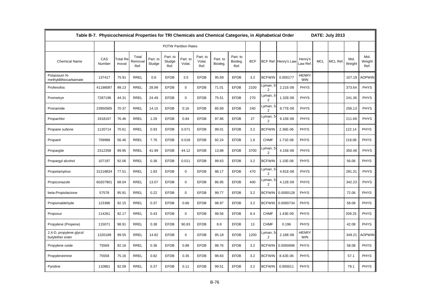|                                             | Table B-7. Physicochemical Properties for TRI Chemicals and Chemical Categories, in Alphabetical Order |                          |                          |                    |                             |                    |                            |                     |                             |            |                                    |                      |                            |            | DATE: July 2013 |                |                        |
|---------------------------------------------|--------------------------------------------------------------------------------------------------------|--------------------------|--------------------------|--------------------|-----------------------------|--------------------|----------------------------|---------------------|-----------------------------|------------|------------------------------------|----------------------|----------------------------|------------|-----------------|----------------|------------------------|
|                                             |                                                                                                        |                          |                          |                    | <b>POTW Partition Rates</b> |                    |                            |                     |                             |            |                                    |                      |                            |            |                 |                |                        |
| <b>Chemical Name</b>                        | CAS<br>Number                                                                                          | <b>Total Re</b><br>moval | Total<br>Removal<br>Ref. | Part. to<br>Sludge | Part. to<br>Sludge<br>Ref.  | Part. to<br>Volat. | Part. to<br>Volat.<br>Ref. | Part. to<br>Biodeg. | Part. to<br>Biodeg.<br>Ref. | <b>BCF</b> |                                    | BCF Ref. Henry's Law | Henry's<br>aw Ref          | <b>MCL</b> | <b>MCL Ref</b>  | Mol.<br>Weight | Mol.<br>Weight<br>Ref. |
| Potassium N-<br>methyldithiocarbamate       | 137417                                                                                                 | 75.91                    | <b>RREL</b>              | 0.8                | <b>EFDB</b>                 | 3.5                | <b>EFDB</b>                | 95.69               | <b>EFDB</b>                 | 3.2        | <b>BCFWIN</b>                      | 0.000177             | <b>HENRY</b><br><b>WIN</b> |            |                 | 107.19         | AOPWIN                 |
| Profenofos                                  | 41198087                                                                                               | 99.13                    | <b>RREL</b>              | 28.99              | <b>EFDB</b>                 | $\mathbf 0$        | <b>EFDB</b>                | 71.01               | <b>EFDB</b>                 | 2100       | Lyman, 5<br>2                      | 2.21E-08             | <b>PHYS</b>                |            |                 | 373.64         | <b>PHYS</b>            |
| Prometryn                                   | 7287196                                                                                                | 44.31                    | <b>RREL</b>              | 24.49              | <b>EFDB</b>                 | $\mathbf 0$        | <b>EFDB</b>                | 75.51               | <b>EFDB</b>                 | 270        | Lyman, 5<br>2                      | 1.32E-08             | <b>PHYS</b>                |            |                 | 241.36         | <b>PHYS</b>            |
| Pronamide                                   | 23950585                                                                                               | 70.37                    | <b>RREL</b>              | 14.15              | <b>EFDB</b>                 | 0.16               | <b>EFDB</b>                | 85.69               | <b>EFDB</b>                 | 240        | Lyman, 5<br>2                      | 9.77E-09             | <b>PHYS</b>                |            |                 | 256.13         | <b>PHYS</b>            |
| Propachlor                                  | 1918167                                                                                                | 76.46                    | <b>RREL</b>              | 1.29               | <b>EFDB</b>                 | 0.84               | <b>EFDB</b>                | 97.86               | <b>EFDB</b>                 | 27         | Lyman, 5<br>$\overline{2}$         | 9.15E-08             | <b>PHYS</b>                |            |                 | 211.69         | <b>PHYS</b>            |
| Propane sultone                             | 1120714                                                                                                | 70.61                    | <b>RREL</b>              | 0.93               | <b>EFDB</b>                 | 0.071              | <b>EFDB</b>                | 99.01               | <b>EFDB</b>                 | 3.2        | <b>BCFWIN</b>                      | 2.36E-06             | PHYS                       |            |                 | 122.14         | <b>PHYS</b>            |
| Propanil                                    | 709988                                                                                                 | 56.46                    | <b>RREL</b>              | 7.76               | <b>EFDB</b>                 | 0.018              | <b>EFDB</b>                | 92.24               | <b>EFDB</b>                 | 1.6        | <b>CHMF</b>                        | 1.71E-08             | <b>PHYS</b>                |            |                 | 218.08         | <b>PHYS</b>            |
| Propargite                                  | 2312358                                                                                                | 99.95                    | <b>RREL</b>              | 41.99              | <b>EFDB</b>                 | 44.12              | <b>EFDB</b>                | 13.88               | <b>EFDB</b>                 | 3700       | Lyman, 5<br>2                      | 4.15E-08             | <b>PHYS</b>                |            |                 | 350.48         | <b>PHYS</b>            |
| Propargyl alcohol                           | 107197                                                                                                 | 92.06                    | <b>RREL</b>              | 0.36               | <b>EFDB</b>                 | 0.011              | <b>EFDB</b>                | 99.63               | <b>EFDB</b>                 | 3.2        | <b>BCFWIN</b>                      | 1.15E-06             | PHYS                       |            |                 | 56.06          | <b>PHYS</b>            |
| Propetamphos                                | 31218834                                                                                               | 77.51                    | <b>RREL</b>              | 1.83               | <b>EFDB</b>                 | $\mathbf 0$        | <b>EFDB</b>                | 98.17               | <b>EFDB</b>                 | 470        | Lyman, 5<br>2                      | 4.81E-08             | <b>PHYS</b>                |            |                 | 281.31         | <b>PHYS</b>            |
| Propiconazole                               | 60207901                                                                                               | 68.04                    | <b>RREL</b>              | 13.07              | <b>EFDB</b>                 | $\mathbf 0$        | <b>EFDB</b>                | 86.95               | <b>EFDB</b>                 | 400        | Lyman, 5<br>2                      | 4.12E-09             | <b>PHYS</b>                |            |                 | 342.23         | <b>PHYS</b>            |
| beta-Propiolactone                          | 57578                                                                                                  | 95.91                    | <b>RREL</b>              | 0.22               | <b>EFDB</b>                 | $\mathbf 0$        | <b>EFDB</b>                | 99.77               | <b>EFDB</b>                 | 3.2        | <b>BCFWIN</b>                      | 0.0000128            | <b>PHYS</b>                |            |                 | 72.06          | <b>PHYS</b>            |
| Propionaldehyde                             | 123386                                                                                                 | 92.15                    | <b>RREL</b>              | 0.37               | <b>EFDB</b>                 | 0.66               | <b>EFDB</b>                | 98.97               | <b>EFDB</b>                 | 3.2        | <b>BCFWIN</b>                      | 0.0000734            | PHYS                       |            |                 | 58.08          | <b>PHYS</b>            |
| Propoxur                                    | 114261                                                                                                 | 92.17                    | <b>RREL</b>              | 0.43               | <b>EFDB</b>                 | $\mathbf 0$        | <b>EFDB</b>                | 99.56               | <b>EFDB</b>                 | 8.4        | <b>CHMF</b>                        | 1.43E-09             | <b>PHYS</b>                |            |                 | 209.25         | <b>PHYS</b>            |
| Propylene (Propene)                         | 115071                                                                                                 | 98.91                    | <b>RREL</b>              | 0.38               | <b>EFDB</b>                 | 90.83              | <b>EFDB</b>                | 8.8                 | <b>EFDB</b>                 | 13         | <b>CHMF</b>                        | 0.196                | PHYS                       |            |                 | 42.08          | <b>PHYS</b>            |
| 2,4-D, propylene glycol<br>butylether ester | 1320189                                                                                                | 99.55                    | <b>RREL</b>              | 14.82              | <b>EFDB</b>                 | $\mathbf 0$        | <b>EFDB</b>                | 85.18               | <b>EFDB</b>                 | 1200       | yman, 5 <u>.</u><br>$\overline{2}$ | 2.18E-08             | <b>HENRY</b><br><b>WIN</b> |            |                 | 349.21         | <b>AOPWIN</b>          |
| Propylene oxide                             | 75569                                                                                                  | 92.16                    | <b>RREL</b>              | 0.36               | <b>EFDB</b>                 | 0.88               | <b>EFDB</b>                | 98.76               | <b>EFDB</b>                 | 3.2        | <b>BCFWIN</b>                      | 0.0000696            | <b>PHYS</b>                |            |                 | 58.08          | <b>PHYS</b>            |
| Propyleneimine                              | 75558                                                                                                  | 75.16                    | <b>RREL</b>              | 0.82               | <b>EFDB</b>                 | 0.35               | <b>EFDB</b>                | 98.83               | <b>EFDB</b>                 | 3.2        | <b>BCFWIN</b>                      | 8.42E-06             | <b>PHYS</b>                |            |                 | 57.1           | <b>PHYS</b>            |
| Pyridine                                    | 110861                                                                                                 | 92.09                    | <b>RREL</b>              | 0.37               | <b>EFDB</b>                 | 0.11               | <b>EFDB</b>                | 99.51               | <b>EFDB</b>                 | 3.2        | <b>BCFWIN</b>                      | 0.000011             | <b>PHYS</b>                |            |                 | 79.1           | <b>PHYS</b>            |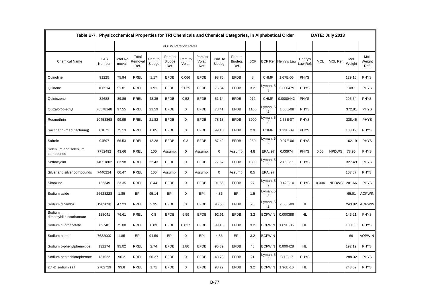|                                    | Table B-7. Physicochemical Properties for TRI Chemicals and Chemical Categories, in Alphabetical Order |                   |                          |                    |                             |                    |                            |                     |                             |            |                            |                      |                   |            | DATE: July 2013 |                |                        |
|------------------------------------|--------------------------------------------------------------------------------------------------------|-------------------|--------------------------|--------------------|-----------------------------|--------------------|----------------------------|---------------------|-----------------------------|------------|----------------------------|----------------------|-------------------|------------|-----------------|----------------|------------------------|
|                                    |                                                                                                        |                   |                          |                    | <b>POTW Partition Rates</b> |                    |                            |                     |                             |            |                            |                      |                   |            |                 |                |                        |
| <b>Chemical Name</b>               | CAS<br>Number                                                                                          | Total Re<br>moval | Total<br>Removal<br>Ref. | Part. to<br>Sludge | Part. to<br>Sludge<br>Ref.  | Part. to<br>Volat. | Part. to<br>Volat.<br>Ref. | Part. to<br>Biodeg. | Part. to<br>Biodeg.<br>Ref. | <b>BCF</b> |                            | BCF Ref. Henry's Lav | Henry's<br>aw Ref | <b>MCL</b> | <b>MCL Ref</b>  | Mol.<br>Weight | Mol.<br>Weight<br>Ref. |
| Quinoline                          | 91225                                                                                                  | 75.94             | <b>RREL</b>              | 1.17               | <b>EFDB</b>                 | 0.066              | <b>EFDB</b>                | 98.76               | <b>EFDB</b>                 | 8          | <b>CHMF</b>                | 1.67E-06             | <b>PHYS</b>       |            |                 | 129.16         | <b>PHYS</b>            |
| Quinone                            | 106514                                                                                                 | 51.81             | <b>RREL</b>              | 1.91               | <b>EFDB</b>                 | 21.25              | <b>EFDB</b>                | 76.84               | <b>EFDB</b>                 | 3.2        | Lyman, 5<br>3              | 0.000479             | <b>PHYS</b>       |            |                 | 108.1          | <b>PHYS</b>            |
| Quintozene                         | 82688                                                                                                  | 89.86             | <b>RREL</b>              | 48.35              | <b>EFDB</b>                 | 0.52               | <b>EFDB</b>                | 51.14               | <b>EFDB</b>                 | 912        | <b>CHMF</b>                | 0.0000442            | <b>PHYS</b>       |            |                 | 295.34         | <b>PHYS</b>            |
| Quizalofop-ethyl                   | 76578148                                                                                               | 97.55             | <b>RREL</b>              | 21.59              | <b>EFDB</b>                 | $\mathbf 0$        | <b>EFDB</b>                | 78.41               | <b>EFDB</b>                 | 1100       | Lyman, 5<br>$\overline{2}$ | 1.06E-08             | <b>PHYS</b>       |            |                 | 372.81         | <b>PHYS</b>            |
| Resmethrin                         | 10453868                                                                                               | 99.99             | <b>RREL</b>              | 21.82              | <b>EFDB</b>                 | $\mathbf 0$        | <b>EFDB</b>                | 78.18               | <b>EFDB</b>                 | 3900       | Lyman, 5<br>3              | 1.33E-07             | <b>PHYS</b>       |            |                 | 338.45         | <b>PHYS</b>            |
| Saccharin (manufacturing)          | 81072                                                                                                  | 75.13             | <b>RREL</b>              | 0.85               | <b>EFDB</b>                 | $\mathbf 0$        | <b>EFDB</b>                | 99.15               | <b>EFDB</b>                 | 2.9        | <b>CHMF</b>                | 1.23E-09             | <b>PHYS</b>       |            |                 | 183.19         | <b>PHYS</b>            |
| Safrole                            | 94597                                                                                                  | 66.53             | <b>RREL</b>              | 12.28              | <b>EFDB</b>                 | 0.3                | <b>EFDB</b>                | 87.42               | <b>EFDB</b>                 | 250        | Lyman, 5<br>2              | 9.07E-06             | <b>PHYS</b>       |            |                 | 162.19         | <b>PHYS</b>            |
| Selenium and selenium<br>compounds | 7782492                                                                                                | 43.66             | <b>RREL</b>              | 100                | Assump.                     | 0                  | Assump.                    | $\mathbf 0$         | Assump.                     | 4.8        | EPA, 97                    | 0.00974              | <b>PHYS</b>       | 0.05       | <b>NPDWS</b>    | 78.96          | <b>PHYS</b>            |
| Sethoxydim                         | 74051802                                                                                               | 83.98             | <b>RREL</b>              | 22.43              | <b>EFDB</b>                 | $\mathbf 0$        | <b>EFDB</b>                | 77.57               | <b>EFDB</b>                 | 1300       | Lyman, 5<br>$\overline{2}$ | 2.16E-11             | <b>PHYS</b>       |            |                 | 327.49         | <b>PHYS</b>            |
| Silver and silver compounds        | 7440224                                                                                                | 66.47             | <b>RREL</b>              | 100                | Assump.                     | $\mathbf 0$        | Assump.                    | $\mathbf 0$         | Assump.                     | 0.5        | EPA, 97                    |                      |                   |            |                 | 107.87         | <b>PHYS</b>            |
| Simazine                           | 122349                                                                                                 | 23.35             | <b>RREL</b>              | 8.44               | <b>EFDB</b>                 | $\mathbf 0$        | <b>EFDB</b>                | 91.56               | <b>EFDB</b>                 | 27         | Lyman, 5<br>2              | 9.42E-10             | <b>PHYS</b>       | 0.004      | <b>NPDWS</b>    | 201.66         | <b>PHYS</b>            |
| Sodium azide                       | 26628228                                                                                               | 1.85              | EPI                      | 95.14              | EPI                         | $\mathbf 0$        | EPI                        | 4.86                | EPI                         | 1.5        | Lyman, 5<br>3              |                      |                   |            |                 | 65.01          | <b>AOPWIN</b>          |
| Sodium dicamba                     | 1982690                                                                                                | 47.23             | <b>RREL</b>              | 3.35               | <b>EFDB</b>                 | $\mathbf 0$        | <b>EFDB</b>                | 96.65               | <b>EFDB</b>                 | 28         | Lyman, 5<br>2              | 7.55E-09             | HL                |            |                 | 243.02         | <b>AOPWIN</b>          |
| Sodium<br>dimethyldithiocarbamate  | 128041                                                                                                 | 76.61             | <b>RREL</b>              | 0.8                | <b>EFDB</b>                 | 6.59               | <b>EFDB</b>                | 92.61               | <b>EFDB</b>                 | 3.2        | <b>BCFWIN</b>              | 0.000388             | HL.               |            |                 | 143.21         | <b>PHYS</b>            |
| Sodium fluoroacetate               | 62748                                                                                                  | 75.08             | <b>RREL</b>              | 0.83               | <b>EFDB</b>                 | 0.027              | <b>EFDB</b>                | 99.15               | <b>EFDB</b>                 | 3.2        | <b>BCFWIN</b>              | 1.09E-06             | HL.               |            |                 | 100.03         | <b>PHYS</b>            |
| Sodium nitrite                     | 7632000                                                                                                | 1.85              | EPI                      | 94.59              | EPI                         | $\Omega$           | EPI                        | 4.86                | EPI                         | 3.2        | <b>BCFWIN</b>              |                      |                   |            |                 | 69             | <b>AOPWIN</b>          |
| Sodium o-phenylphenoxide           | 132274                                                                                                 | 95.02             | <b>RREL</b>              | 2.74               | <b>EFDB</b>                 | 1.86               | <b>EFDB</b>                | 95.39               | <b>EFDB</b>                 | 48         | <b>BCFWIN</b>              | 0.000428             | <b>HL</b>         |            |                 | 192.19         | <b>PHYS</b>            |
| Sodium pentachlorophenate          | 131522                                                                                                 | 96.2              | <b>RREL</b>              | 56.27              | <b>EFDB</b>                 | $\mathbf 0$        | <b>EFDB</b>                | 43.73               | <b>EFDB</b>                 | 21         | Lyman, 5<br>$\overline{2}$ | $3.1E-17$            | <b>PHYS</b>       |            |                 | 288.32         | <b>PHYS</b>            |
| 2,4-D sodium salt                  | 2702729                                                                                                | 93.8              | <b>RREL</b>              | 1.71               | <b>EFDB</b>                 | $\Omega$           | <b>EFDB</b>                | 98.29               | <b>EFDB</b>                 | 3.2        | <b>BCFWIN</b>              | 1.96E-10             | HL                |            |                 | 243.02         | <b>PHYS</b>            |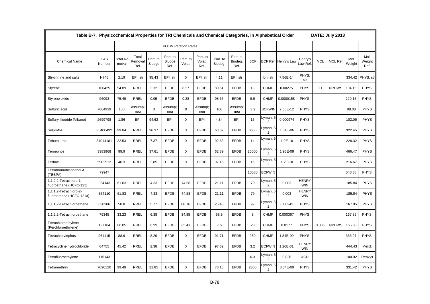|                                                    | Table B-7. Physicochemical Properties for TRI Chemicals and Chemical Categories, in Alphabetical Order |                   |                          |                    |                             |                    |                            |                     |                             |            |                            |                      |                            |            | DATE: July 2013 |                |                        |
|----------------------------------------------------|--------------------------------------------------------------------------------------------------------|-------------------|--------------------------|--------------------|-----------------------------|--------------------|----------------------------|---------------------|-----------------------------|------------|----------------------------|----------------------|----------------------------|------------|-----------------|----------------|------------------------|
|                                                    |                                                                                                        |                   |                          |                    | <b>POTW Partition Rates</b> |                    |                            |                     |                             |            |                            |                      |                            |            |                 |                |                        |
| <b>Chemical Name</b>                               | CAS<br>Number                                                                                          | Total Re<br>moval | Total<br>Removal<br>Ref. | Part. to<br>Sludge | Part. to<br>Sludge<br>Ref.  | Part. to<br>Volat. | Part. to<br>Volat.<br>Ref. | Part. to<br>Biodeg. | Part. to<br>Biodeg.<br>Ref. | <b>BCF</b> |                            | BCF Ref. Henry's Law | Henry's<br>Law Ref         | <b>MCL</b> | <b>MCL Ref</b>  | Mol.<br>Weight | Mol.<br>Weight<br>Ref. |
| Strychnine and salts                               | N746                                                                                                   | 2.19              | EPI: str                 | 95.43              | EPI: str                    | $\Omega$           | EPI; str                   | 4.11                | EPI; str                    |            | lon; str                   | 7.56E-14             | PHYS:<br>str               |            |                 | 334.42         | PHYS; str              |
| Styrene                                            | 100425                                                                                                 | 94.89             | <b>RREL</b>              | 2.12               | <b>EFDB</b>                 | 8.27               | <b>EFDB</b>                | 89.61               | <b>EFDB</b>                 | 13         | <b>CHMF</b>                | 0.00275              | <b>PHYS</b>                | 0.1        | <b>NPDWS</b>    | 104.15         | <b>PHYS</b>            |
| Styrene oxide                                      | 96093                                                                                                  | 75.49             | <b>RREL</b>              | 0.95               | <b>EFDB</b>                 | 0.38               | <b>EFDB</b>                | 98.66               | <b>EFDB</b>                 | 9.9        | <b>CHMF</b>                | 0.0000158            | <b>PHYS</b>                |            |                 | 120.15         | PHYS                   |
| Sulfuric acid                                      | 7664939                                                                                                | 100               | Assump;<br>neu           | $\mathbf 0$        | Assump;<br>neu              | $\mathbf 0$        | Assump;<br>neu             | 100                 | Assump:<br>neu              | 3.2        | <b>BCFWIN</b>              | 7.65E-12             | PHYS                       |            |                 | 98.08          | <b>PHYS</b>            |
| Sulfuryl fluoride (Vikane)                         | 2699798                                                                                                | 1.86              | EPI                      | 94.62              | EPI                         | $\mathbf 0$        | EPI                        | 4.84                | EPI                         | 15         | Lyman, 5<br>3              | 0.000974             | <b>PHYS</b>                |            |                 | 102.06         | <b>PHYS</b>            |
| Sulprofos                                          | 35400432                                                                                               | 99.84             | <b>RREL</b>              | 36.37              | <b>EFDB</b>                 | $\mathbf 0$        | <b>EFDB</b>                | 63.62               | <b>EFDB</b>                 | 8600       | yman, 5<br>$\overline{2}$  | 1.64E-06             | <b>PHYS</b>                |            |                 | 322.45         | <b>PHYS</b>            |
| Tebuthiuron                                        | 34014181                                                                                               | 22.53             | <b>RREL</b>              | 7.37               | <b>EFDB</b>                 | $\mathbf 0$        | <b>EFDB</b>                | 92.63               | <b>EFDB</b>                 | 14         | Lyman, 5<br>$\overline{2}$ | $1.2E-10$            | <b>PHYS</b>                |            |                 | 228.32         | <b>PHYS</b>            |
| Temephos                                           | 3383968                                                                                                | 99.9              | <b>RREL</b>              | 37.61              | <b>EFDB</b>                 | $\mathbf 0$        | <b>EFDB</b>                | 62.39               | <b>EFDB</b>                 | 20000      | .yman,<br>$\overline{2}$   | 1.96E-09             | <b>PHYS</b>                |            |                 | 466.47         | <b>PHYS</b>            |
| Terbacil                                           | 5902512                                                                                                | 46.3              | <b>RREL</b>              | 2.85               | <b>EFDB</b>                 | $\mathbf 0$        | <b>EFDB</b>                | 97.15               | <b>EFDB</b>                 | 16         | Lyman, 5<br>2              | $1.2E-10$            | <b>PHYS</b>                |            |                 | 216.67         | <b>PHYS</b>            |
| Tetrabromobisphenol A<br>(TBBPA)                   | 79947                                                                                                  |                   |                          |                    |                             |                    |                            |                     |                             | 10580      | <b>BCFWIN</b>              |                      |                            |            |                 | 543.88         | <b>PHYS</b>            |
| 1,1,2,2-Tetrachloro-1-<br>fluoroethane (HCFC-121)  | 354143                                                                                                 | 61.83             | <b>RREL</b>              | 4.33               | <b>EFDB</b>                 | 74.58              | <b>EFDB</b>                | 21.11               | <b>EFDB</b>                 | 79         | Lyman, 5<br>2              | 0.003                | <b>HENRY</b><br><b>WIN</b> |            |                 | 185.84         | <b>PHYS</b>            |
| 1,1,1,2-Tetrachloro-2-<br>fluoroethane (HCFC-121a) | 354110                                                                                                 | 61.83             | <b>RREL</b>              | 4.33               | <b>EFDB</b>                 | 74.58              | <b>EFDB</b>                | 21.11               | <b>EFDB</b>                 | 79         | _yman, 5<br>$\overline{2}$ | 0.003                | <b>HENRY</b><br><b>WIN</b> |            |                 | 185.84         | <b>PHYS</b>            |
| 1,1,1,2-Tetrachloroethane                          | 630206                                                                                                 | 58.8              | <b>RREL</b>              | 5.77               | <b>EFDB</b>                 | 68.76              | <b>EFDB</b>                | 25.48               | <b>EFDB</b>                 | 99         | Lyman, 5<br>2              | 0.00242              | <b>PHYS</b>                |            |                 | 167.85         | <b>PHYS</b>            |
| 1,1,2,2-Tetrachloroethane                          | 79345                                                                                                  | 33.23             | <b>RREL</b>              | 6.38               | <b>EFDB</b>                 | 34.85              | <b>EFDB</b>                | 58.8                | <b>EFDB</b>                 | 8          | <b>CHMF</b>                | 0.000367             | <b>PHYS</b>                |            |                 | 167.85         | <b>PHYS</b>            |
| Tetrachloroethylene<br>(Perchloroethylene)         | 127184                                                                                                 | 88.85             | <b>RREL</b>              | 6.99               | <b>EFDB</b>                 | 85.41              | <b>EFDB</b>                | 7.6                 | <b>EFDB</b>                 | 23         | <b>CHMF</b>                | 0.0177               | <b>PHYS</b>                | 0.005      | <b>NPDWS</b>    | 165.83         | <b>PHYS</b>            |
| Tetrachlorvinphos                                  | 961115                                                                                                 | 88.9              | <b>RREL</b>              | 8.29               | <b>EFDB</b>                 | $\mathbf 0$        | <b>EFDB</b>                | 91.71               | <b>EFDB</b>                 | 280        | <b>CHMF</b>                | 1.84E-09             | <b>PHYS</b>                |            |                 | 365.97         | <b>PHYS</b>            |
| Tetracycline hydrochloride                         | 64755                                                                                                  | 45.42             | <b>RREL</b>              | 2.38               | <b>EFDB</b>                 | $\mathbf 0$        | <b>EFDB</b>                | 97.62               | <b>EFDB</b>                 | 3.2        | <b>BCFWIN</b>              | 1.26E-31             | <b>HENRY</b><br><b>WIN</b> |            |                 | 444.43         | Merck                  |
| Tetrafluoroethylene                                | 116143                                                                                                 |                   |                          |                    |                             |                    |                            |                     |                             | 6.3        | Lyman, 5<br>2              | 0.828                | <b>ACD</b>                 |            |                 | 100.02         | Reaxys                 |
| Tetramethrin                                       | 7696120                                                                                                | 99.49             | <b>RREL</b>              | 21.85              | <b>EFDB</b>                 | $\mathbf 0$        | <b>EFDB</b>                | 78.15               | <b>EFDB</b>                 | 2300       | Lyman, 5<br>2              | 8.34E-09             | <b>PHYS</b>                |            |                 | 331.42         | <b>PHYS</b>            |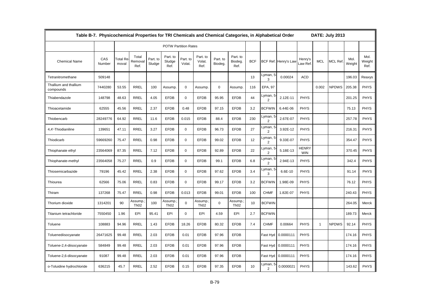|                                    | Table B-7. Physicochemical Properties for TRI Chemicals and Chemical Categories, in Alphabetical Order |                          |                              |                    |                             |                    |                             |                     |                             |            |                            |                      |                            |              | DATE: July 2013 |                |                        |
|------------------------------------|--------------------------------------------------------------------------------------------------------|--------------------------|------------------------------|--------------------|-----------------------------|--------------------|-----------------------------|---------------------|-----------------------------|------------|----------------------------|----------------------|----------------------------|--------------|-----------------|----------------|------------------------|
|                                    |                                                                                                        |                          |                              |                    | <b>POTW Partition Rates</b> |                    |                             |                     |                             |            |                            |                      |                            |              |                 |                |                        |
| <b>Chemical Name</b>               | CAS<br>Number                                                                                          | <b>Total Re</b><br>moval | Total<br>Removal<br>Ref.     | Part. to<br>Sludge | Part. to<br>Sludge<br>Ref.  | Part. to<br>Volat. | Part. to<br>Volat.<br>Ref.  | Part. to<br>Biodeg. | Part. to<br>Biodeg.<br>Ref. | <b>BCF</b> |                            | BCF Ref. Henry's Law | Henry's<br>aw Ref          | <b>MCL</b>   | <b>MCL Ref</b>  | Mol.<br>Weight | Mol.<br>Weight<br>Ref. |
| Tetranitromethane                  | 509148                                                                                                 |                          |                              |                    |                             |                    |                             |                     |                             | 13         | Lyman, 5<br>3              | 0.00024              | <b>ACD</b>                 |              |                 | 196.03         | Reaxys                 |
| Thallium and thallium<br>compounds | 7440280                                                                                                | 53.55                    | <b>RREL</b>                  | 100                | Assump.                     | $\mathbf 0$        | Assump.                     | $\mathbf 0$         | Assump.                     | 116        | EPA, 97                    |                      |                            | 0.002        | <b>NPDWS</b>    | 205.38         | <b>PHYS</b>            |
| Thiabendazole                      | 148798                                                                                                 | 48.63                    | <b>RREL</b>                  | 4.05               | <b>EFDB</b>                 | $\mathbf 0$        | <b>EFDB</b>                 | 95.95               | <b>EFDB</b>                 | 44         | Lyman, 5<br>$\overline{2}$ | 2.12E-11             | <b>PHYS</b>                |              |                 | 201.25         | <b>PHYS</b>            |
| Thioacetamide                      | 62555                                                                                                  | 45.56                    | <b>RREL</b>                  | 2.37               | <b>EFDB</b>                 | 0.48               | <b>EFDB</b>                 | 97.15               | <b>EFDB</b>                 | 3.2        | <b>BCFWIN</b>              | 6.44E-06             | <b>PHYS</b>                |              |                 | 75.13          | <b>PHYS</b>            |
| Thiobencarb                        | 28249776                                                                                               | 64.92                    | <b>RREL</b>                  | 11.6               | <b>EFDB</b>                 | 0.015              | <b>EFDB</b>                 | 88.4                | <b>EFDB</b>                 | 230        | Lyman, 5<br>$\overline{2}$ | 2.67E-07             | <b>PHYS</b>                |              |                 | 257.78         | <b>PHYS</b>            |
| 4,4'-Thiodianiline                 | 139651                                                                                                 | 47.11                    | <b>RREL</b>                  | 3.27               | <b>EFDB</b>                 | $\mathbf 0$        | <b>EFDB</b>                 | 96.73               | <b>EFDB</b>                 | 27         | Lyman, {<br>2              | 3.92E-12             | <b>PHYS</b>                |              |                 | 216.31         | <b>PHYS</b>            |
| Thiodicarb                         | 59669260                                                                                               | 75.47                    | <b>RREL</b>                  | 0.98               | <b>EFDB</b>                 | $\mathbf 0$        | <b>EFDB</b>                 | 99.02               | <b>EFDB</b>                 | 12         | Lyman, {<br>$\overline{2}$ | 9.33E-07             | <b>PHYS</b>                |              |                 | 354.47         | <b>PHYS</b>            |
| Thiophanate ethyl                  | 23564069                                                                                               | 87.35                    | <b>RREL</b>                  | 7.12               | <b>EFDB</b>                 | $\mathbf 0$        | <b>EFDB</b>                 | 92.89               | <b>EFDB</b>                 | 22         | Lyman, 5<br>$\overline{2}$ | 5.18E-13             | <b>HENRY</b><br><b>WIN</b> |              |                 | 370.45         | <b>PHYS</b>            |
| Thiophanate-methyl                 | 23564058                                                                                               | 75.27                    | <b>RREL</b>                  | 0.9                | <b>EFDB</b>                 | $\mathbf 0$        | <b>EFDB</b>                 | 99.1                | <b>EFDB</b>                 | 6.8        | Lyman, 5<br>$\overline{2}$ | 2.94E-13             | <b>PHYS</b>                |              |                 | 342.4          | <b>PHYS</b>            |
| Thiosemicarbazide                  | 79196                                                                                                  | 45.42                    | <b>RREL</b>                  | 2.38               | <b>EFDB</b>                 | $\mathbf 0$        | <b>EFDB</b>                 | 97.62               | <b>EFDB</b>                 | 3.4        | Lyman, 5<br>3              | 6.6E-10              | <b>PHYS</b>                |              |                 | 91.14          | <b>PHYS</b>            |
| Thiourea                           | 62566                                                                                                  | 75.06                    | <b>RREL</b>                  | 0.83               | <b>EFDB</b>                 | $\mathbf 0$        | <b>EFDB</b>                 | 99.17               | <b>EFDB</b>                 | 3.2        | <b>BCFWIN</b>              | 1.98E-09             | PHYS                       |              |                 | 76.12          | <b>PHYS</b>            |
| Thiram                             | 137268                                                                                                 | 75.47                    | <b>RREL</b>                  | 0.98               | <b>EFDB</b>                 | 0.013              | <b>EFDB</b>                 | 99.01               | <b>EFDB</b>                 | 100        | <b>CHMF</b>                | 1.82E-07             | PHYS                       |              |                 | 240.43         | <b>PHYS</b>            |
| Thorium dioxide                    | 1314201                                                                                                | 90                       | Assump.;<br>Th <sub>02</sub> | 100                | Assump.<br>Th <sub>02</sub> | $\mathbf 0$        | Assump.<br>Th <sub>02</sub> | $\mathbf 0$         | Assump.<br>Th <sub>02</sub> | 10         | <b>BCFWIN</b>              |                      |                            |              |                 | 264.05         | Merck                  |
| Titanium tetrachloride             | 7550450                                                                                                | 1.96                     | EPI                          | 95.41              | EPI                         | $\mathbf 0$        | EPI                         | 4.59                | EPI                         | 2.7        | <b>BCFWIN</b>              |                      |                            |              |                 | 189.73         | Merck                  |
| Toluene                            | 108883                                                                                                 | 94.96                    | <b>RREL</b>                  | 1.43               | <b>EFDB</b>                 | 18.26              | <b>EFDB</b>                 | 80.32               | <b>EFDB</b>                 | 7.4        | <b>CHMF</b>                | 0.00664              | <b>PHYS</b>                | $\mathbf{1}$ | <b>NPDWS</b>    | 92.14          | <b>PHYS</b>            |
| Toluenediisocyanate                | 26471625                                                                                               | 99.48                    | RREL                         | 2.03               | <b>EFDB</b>                 | 0.01               | <b>EFDB</b>                 | 97.96               | <b>EFDB</b>                 |            | Fast Hyd                   | 0.0000111            | PHYS                       |              |                 | 174.16         | <b>PHYS</b>            |
| Toluene-2,4-diisocyanate           | 584849                                                                                                 | 99.48                    | <b>RREL</b>                  | 2.03               | <b>EFDB</b>                 | 0.01               | <b>EFDB</b>                 | 97.96               | <b>EFDB</b>                 |            | Fast Hyd                   | 0.0000111            | <b>PHYS</b>                |              |                 | 174.16         | <b>PHYS</b>            |
| Toluene-2,6-diisocyanate           | 91087                                                                                                  | 99.48                    | <b>RREL</b>                  | 2.03               | <b>EFDB</b>                 | 0.01               | <b>EFDB</b>                 | 97.96               | <b>EFDB</b>                 |            | Fast Hyd                   | 0.0000111            | <b>PHYS</b>                |              |                 | 174.16         | <b>PHYS</b>            |
| o-Toluidine hydrochloride          | 636215                                                                                                 | 45.7                     | RREL                         | 2.52               | <b>EFDB</b>                 | 0.15               | <b>EFDB</b>                 | 97.35               | <b>EFDB</b>                 | 10         | Lyman, 5 <sup>.</sup><br>2 | 0.0000021            | <b>PHYS</b>                |              |                 | 143.62         | <b>PHYS</b>            |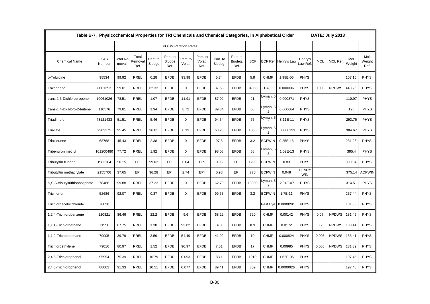|                                | Table B-7. Physicochemical Properties for TRI Chemicals and Chemical Categories, in Alphabetical Order |                          |                          |                    |                             |                    |                            |                     |                             |            |                            |                      |                            |            | DATE: July 2013 |                |                        |
|--------------------------------|--------------------------------------------------------------------------------------------------------|--------------------------|--------------------------|--------------------|-----------------------------|--------------------|----------------------------|---------------------|-----------------------------|------------|----------------------------|----------------------|----------------------------|------------|-----------------|----------------|------------------------|
|                                |                                                                                                        |                          |                          |                    | <b>POTW Partition Rates</b> |                    |                            |                     |                             |            |                            |                      |                            |            |                 |                |                        |
| <b>Chemical Name</b>           | CAS<br>Number                                                                                          | <b>Total Re</b><br>moval | Total<br>Removal<br>Ref. | Part. to<br>Sludge | Part. to<br>Sludge<br>Ref.  | Part. to<br>Volat. | Part. to<br>Volat.<br>Ref. | Part. to<br>Biodeg. | Part. to<br>Biodeg.<br>Ref. | <b>BCF</b> |                            | BCF Ref. Henry's Lav | Henry's<br>Law Ref.        | <b>MCL</b> | <b>MCL Ref</b>  | Mol.<br>Weight | Mol.<br>Weight<br>Ref. |
| o-Toluidine                    | 95534                                                                                                  | 99.92                    | <b>RREL</b>              | 0.28               | <b>EFDB</b>                 | 93.98              | <b>EFDB</b>                | 5.74                | <b>EFDB</b>                 | 5.9        | <b>CHMF</b>                | 1.98E-06             | <b>PHYS</b>                |            |                 | 107.16         | <b>PHYS</b>            |
| Toxaphene                      | 8001352                                                                                                | 99.01                    | <b>RREL</b>              | 62.32              | <b>EFDB</b>                 | $\mathbf 0$        | <b>EFDB</b>                | 37.68               | <b>EFDB</b>                 | 34050      | EPA, 99                    | 0.000006             | <b>PHYS</b>                | 0.003      | <b>NPDWS</b>    | 448.26         | <b>PHYS</b>            |
| trans-1,3-Dichloropropene      | 10061026                                                                                               | 78.51                    | <b>RREL</b>              | 1.07               | <b>EFDB</b>                 | 11.91              | <b>EFDB</b>                | 87.02               | <b>EFDB</b>                 | 21         | Lyman, 5<br>$\overline{2}$ | 0.000871             | <b>PHYS</b>                |            |                 | 110.97         | <b>PHYS</b>            |
| trans-1,4-Dichloro-2-butene    | 110576                                                                                                 | 79.81                    | <b>RREL</b>              | 1.94               | <b>EFDB</b>                 | 8.72               | <b>EFDB</b>                | 89.34               | <b>EFDB</b>                 | 56         | Lyman, 5<br>$\overline{2}$ | 0.000664             | <b>PHYS</b>                |            |                 | 125            | <b>PHYS</b>            |
| Triadimefon                    | 43121433                                                                                               | 51.51                    | <b>RREL</b>              | 5.46               | <b>EFDB</b>                 | $\mathbf 0$        | <b>EFDB</b>                | 94.54               | <b>EFDB</b>                 | 75         | Lyman, 5<br>$\overline{2}$ | 8.11E-11             | <b>PHYS</b>                |            |                 | 293.76         | <b>PHYS</b>            |
| Triallate                      | 2303175                                                                                                | 95.45                    | <b>RREL</b>              | 36.61              | <b>EFDB</b>                 | 0.13               | <b>EFDB</b>                | 63.28               | <b>EFDB</b>                 | 1800       | _yman, 5<br>$\overline{2}$ | 0.0000193            | <b>PHYS</b>                |            |                 | 304.67         | <b>PHYS</b>            |
| Triaziquone                    | 68768                                                                                                  | 45.43                    | <b>RREL</b>              | 2.38               | <b>EFDB</b>                 | $\Omega$           | <b>EFDB</b>                | 97.6                | <b>EFDB</b>                 | 3.2        | <b>BCFWIN</b>              | 9.25E-16             | <b>PHYS</b>                |            |                 | 231.26         | <b>PHYS</b>            |
| Tribenuron methyl              | 101200480                                                                                              | 77.72                    | <b>RREL</b>              | 1.92               | <b>EFDB</b>                 | $\mathbf 0$        | <b>EFDB</b>                | 98.08               | <b>EFDB</b>                 | 68         | Lyman, 5<br>3              | 1.02E-13             | <b>PHYS</b>                |            |                 | 395.4          | <b>PHYS</b>            |
| Tributyltin fluoride           | 1983104                                                                                                | 50.15                    | EPI                      | 99.02              | EPI                         | 0.04               | EPI                        | 0.96                | EPI                         | 1200       | <b>BCFWIN</b>              | 0.83                 | <b>PHYS</b>                |            |                 | 309.04         | <b>PHYS</b>            |
| Tributyltin methacrylate       | 2155706                                                                                                | 37.65                    | EPI                      | 96.28              | EPI                         | 2.74               | EPI                        | 0.98                | EPI                         | 770        | <b>BCFWIN</b>              | 0.048                | <b>HENRY</b><br><b>WIN</b> |            |                 | 375.14         | <b>AOPWIN</b>          |
| S,S,S-tributyltrithiophosphate | 78488                                                                                                  | 99.88                    | RREL                     | 37.22              | <b>EFDB</b>                 | $\mathbf 0$        | <b>EFDB</b>                | 62.79               | <b>EFDB</b>                 | 13000      | Lyman, 5<br>2              | 2.94E-07             | <b>PHYS</b>                |            |                 | 314.51         | <b>PHYS</b>            |
| Trichlorfon                    | 52686                                                                                                  | 92.07                    | <b>RREL</b>              | 0.37               | <b>EFDB</b>                 | $\mathbf 0$        | <b>EFDB</b>                | 99.63               | <b>EFDB</b>                 | 3.2        | <b>BCFWIN</b>              | 1.7E-11              | <b>PHYS</b>                |            |                 | 257.44         | <b>PHYS</b>            |
| Trichloroacetyl chloride       | 76028                                                                                                  |                          |                          |                    |                             |                    |                            |                     |                             |            | Fast Hyd                   | 0.0000291            | <b>PHYS</b>                |            |                 | 181.83         | <b>PHYS</b>            |
| 1,2,4-Trichlorobenzene         | 120821                                                                                                 | 86.46                    | <b>RREL</b>              | 22.2               | <b>EFDB</b>                 | 9.6                | <b>EFDB</b>                | 68.22               | <b>EFDB</b>                 | 720        | <b>CHMF</b>                | 0.00142              | <b>PHYS</b>                | 0.07       | <b>NPDWS</b>    | 181.45         | <b>PHYS</b>            |
| 1,1,1-Trichloroethane          | 71556                                                                                                  | 87.75                    | <b>RREL</b>              | 1.38               | <b>EFDB</b>                 | 93.82              | <b>EFDB</b>                | 4.8                 | <b>EFDB</b>                 | 8.9        | <b>CHMF</b>                | 0.0172               | <b>PHYS</b>                | 0.2        | <b>NPDWS</b>    | 133.41         | <b>PHYS</b>            |
| 1,1,2-Trichloroethane          | 79005                                                                                                  | 39.79                    | <b>RREL</b>              | 3.59               | <b>EFDB</b>                 | 54.49              | <b>EFDB</b>                | 41.92               | <b>EFDB</b>                 | 10         | <b>CHMF</b>                | 0.000824             | <b>PHYS</b>                | 0.005      | <b>NPDWS</b>    | 133.41         | <b>PHYS</b>            |
| Trichloroethylene              | 79016                                                                                                  | 80.97                    | <b>RREL</b>              | 1.52               | <b>EFDB</b>                 | 90.97              | <b>EFDB</b>                | 7.51                | <b>EFDB</b>                 | 17         | <b>CHMF</b>                | 0.00985              | <b>PHYS</b>                | 0.005      | <b>NPDWS</b>    | 131.39         | <b>PHYS</b>            |
| 2,4,5-Trichlorophenol          | 95954                                                                                                  | 75.39                    | <b>RREL</b>              | 16.79              | <b>EFDB</b>                 | 0.093              | <b>EFDB</b>                | 83.1                | <b>EFDB</b>                 | 1910       | <b>CHMF</b>                | 1.62E-06             | <b>PHYS</b>                |            |                 | 197.45         | <b>PHYS</b>            |
| 2,4,6-Trichlorophenol          | 88062                                                                                                  | 91.33                    | <b>RREL</b>              | 10.51              | <b>EFDB</b>                 | 0.077              | <b>EFDB</b>                | 89.41               | <b>EFDB</b>                 | 309        | <b>CHMF</b>                | 0.0000026            | <b>PHYS</b>                |            |                 | 197.45         | <b>PHYS</b>            |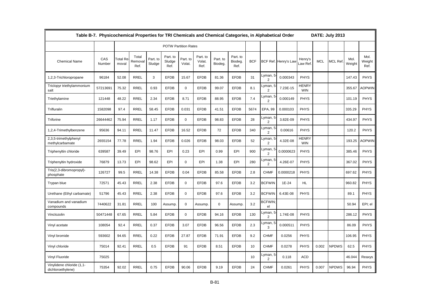|                                                | Table B-7. Physicochemical Properties for TRI Chemicals and Chemical Categories, in Alphabetical Order |                   |                          |                    |                             |                    |                            |                     |                             |            |                                        |                      |                            |            | DATE: July 2013 |                |                        |
|------------------------------------------------|--------------------------------------------------------------------------------------------------------|-------------------|--------------------------|--------------------|-----------------------------|--------------------|----------------------------|---------------------|-----------------------------|------------|----------------------------------------|----------------------|----------------------------|------------|-----------------|----------------|------------------------|
|                                                |                                                                                                        |                   |                          |                    | <b>POTW Partition Rates</b> |                    |                            |                     |                             |            |                                        |                      |                            |            |                 |                |                        |
| <b>Chemical Name</b>                           | CAS<br>Number                                                                                          | Total Re<br>moval | Total<br>Removal<br>Ref. | Part. to<br>Sludge | Part. to<br>Sludge<br>Ref.  | Part. to<br>Volat. | Part. to<br>Volat.<br>Ref. | Part. to<br>Biodeg. | Part. to<br>Biodeg.<br>Ref. | <b>BCF</b> |                                        | BCF Ref. Henry's Law | Henry's<br>Law Ref.        | <b>MCL</b> | MCL Ref.        | Mol.<br>Weight | Mol.<br>Weight<br>Ref. |
| 1,2,3-Trichloropropane                         | 96184                                                                                                  | 52.08             | <b>RREL</b>              | 3                  | <b>EFDB</b>                 | 15.67              | <b>EFDB</b>                | 81.36               | <b>EFDB</b>                 | 31         | Lyman, 5 <sub></sub><br>$\overline{2}$ | 0.000343             | PHYS                       |            |                 | 147.43         | <b>PHYS</b>            |
| Triclopyr triethylammonium<br>salt             | 57213691                                                                                               | 75.32             | <b>RREL</b>              | 0.93               | <b>EFDB</b>                 | $\mathbf 0$        | <b>EFDB</b>                | 99.07               | <b>EFDB</b>                 | 8.1        | yman, 5<br>$\overline{2}$              | 7.23E-15             | <b>HENRY</b><br><b>WIN</b> |            |                 | 355.67         | <b>AOPWIN</b>          |
| Triethylamine                                  | 121448                                                                                                 | 48.22             | <b>RREL</b>              | 2.34               | <b>EFDB</b>                 | 8.71               | <b>EFDB</b>                | 88.95               | <b>EFDB</b>                 | 7.4        | Lyman, 5<br>$\overline{2}$             | 0.000149             | <b>PHYS</b>                |            |                 | 101.19         | <b>PHYS</b>            |
| Trifluralin                                    | 1582098                                                                                                | 97.4              | <b>RREL</b>              | 58.45              | <b>EFDB</b>                 | 0.031              | <b>EFDB</b>                | 41.51               | <b>EFDB</b>                 | 5674       | EPA, 99                                | 0.000103             | <b>PHYS</b>                |            |                 | 335.29         | <b>PHYS</b>            |
| Triforine                                      | 26644462                                                                                               | 75.94             | <b>RREL</b>              | 1.17               | <b>EFDB</b>                 | $\mathbf 0$        | <b>EFDB</b>                | 98.83               | <b>EFDB</b>                 | 28         | Lyman, 5-<br>2                         | 3.82E-09             | PHYS                       |            |                 | 434.97         | <b>PHYS</b>            |
| 1,2,4-Trimethylbenzene                         | 95636                                                                                                  | 94.11             | <b>RREL</b>              | 11.47              | <b>EFDB</b>                 | 16.52              | <b>EFDB</b>                | 72                  | <b>EFDB</b>                 | 340        | yman, 5<br>$\overline{2}$              | 0.00616              | PHYS                       |            |                 | 120.2          | <b>PHYS</b>            |
| 2,3,5-trimethylphenyl<br>methylcarbamate       | 2655154                                                                                                | 77.78             | <b>RREL</b>              | 1.94               | <b>EFDB</b>                 | 0.026              | <b>EFDB</b>                | 98.03               | <b>EFDB</b>                 | 52         | Lyman, 5 <sub></sub><br>$\overline{2}$ | 4.32E-08             | <b>HENRY</b><br><b>WIN</b> |            |                 | 193.25         | <b>AOPWIN</b>          |
| Triphenyltin chloride                          | 639587                                                                                                 | 39.49             | EPI                      | 98.76              | EPI                         | 0.23               | EPI                        | 0.99                | EPI                         | 900        | Lyman,<br>5<br>$\overline{2}$          | 0.0000623            | PHYS                       |            |                 | 385.46         | <b>PHYS</b>            |
| Triphenyltin hydroxide                         | 76879                                                                                                  | 13.73             | EPI                      | 98.62              | EPI                         | $\mathbf 0$        | EPI                        | 1.38                | EPI                         | 280        | -yman, 5<br>$\overline{2}$             | 4.26E-07             | PHYS                       |            |                 | 367.02         | <b>PHYS</b>            |
| Tris(2,3-dibromopropyl)-<br>phosphate          | 126727                                                                                                 | 99.5              | <b>RREL</b>              | 14.38              | <b>EFDB</b>                 | 0.04               | <b>EFDB</b>                | 85.58               | <b>EFDB</b>                 | 2.8        | <b>CHMF</b>                            | 0.0000218            | <b>PHYS</b>                |            |                 | 697.62         | <b>PHYS</b>            |
| Trypan blue                                    | 72571                                                                                                  | 45.43             | <b>RREL</b>              | 2.38               | <b>EFDB</b>                 | $\Omega$           | <b>EFDB</b>                | 97.6                | <b>EFDB</b>                 | 3.2        | <b>BCFWIN</b>                          | $1E-24$              | <b>HL</b>                  |            |                 | 960.82         | <b>PHYS</b>            |
| Urethane (Ethyl carbamate)                     | 51796                                                                                                  | 45.43             | <b>RREL</b>              | 2.38               | <b>EFDB</b>                 | 0                  | <b>EFDB</b>                | 97.6                | <b>EFDB</b>                 | 3.2        | <b>BCFWIN</b>                          | 6.43E-08             | <b>PHYS</b>                |            |                 | 89.1           | <b>PHYS</b>            |
| Vanadium and vanadium<br>compounds             | 7440622                                                                                                | 31.81             | <b>RREL</b>              | 100                | Assump.                     | $\mathbf 0$        | Assump.                    | $\mathbf 0$         | Assump                      | 3.2        | <b>BCFWIN:</b><br>el                   |                      |                            |            |                 | 50.94          | EPI; el                |
| Vinclozolin                                    | 50471448                                                                                               | 67.65             | <b>RREL</b>              | 5.84               | <b>EFDB</b>                 | $\mathbf 0$        | <b>EFDB</b>                | 94.16               | <b>EFDB</b>                 | 130        | yman, 5<br>2                           | 1.74E-08             | PHYS                       |            |                 | 286.12         | <b>PHYS</b>            |
| Vinyl acetate                                  | 108054                                                                                                 | 92.4              | <b>RREL</b>              | 0.37               | <b>EFDB</b>                 | 3.07               | <b>EFDB</b>                | 96.56               | <b>EFDB</b>                 | 2.3        | yman, 5<br>3                           | 0.000511             | <b>PHYS</b>                |            |                 | 86.09          | <b>PHYS</b>            |
| Vinyl bromide                                  | 593602                                                                                                 | 94.65             | <b>RREL</b>              | 0.22               | <b>EFDB</b>                 | 27.87              | <b>EFDB</b>                | 71.91               | <b>EFDB</b>                 | 9.2        | <b>CHMF</b>                            | 0.0256               | <b>PHYS</b>                |            |                 | 106.95         | <b>PHYS</b>            |
| Vinyl chloride                                 | 75014                                                                                                  | 92.41             | <b>RREL</b>              | 0.5                | <b>EFDB</b>                 | 91                 | <b>EFDB</b>                | 8.51                | <b>EFDB</b>                 | 10         | <b>CHMF</b>                            | 0.0278               | <b>PHYS</b>                | 0.002      | <b>NPDWS</b>    | 62.5           | <b>PHYS</b>            |
| Vinyl Fluoride                                 | 75025                                                                                                  |                   |                          |                    |                             |                    |                            |                     |                             | 10         | yman, 5<br>$\overline{2}$              | 0.118                | <b>ACD</b>                 |            |                 | 46.044         | Reaxys                 |
| Vinylidene chloride (1,1-<br>dichloroethylene) | 75354                                                                                                  | 92.02             | <b>RREL</b>              | 0.75               | <b>EFDB</b>                 | 90.06              | <b>EFDB</b>                | 9.19                | <b>EFDB</b>                 | 24         | <b>CHMF</b>                            | 0.0261               | <b>PHYS</b>                | 0.007      | <b>NPDWS</b>    | 96.94          | <b>PHYS</b>            |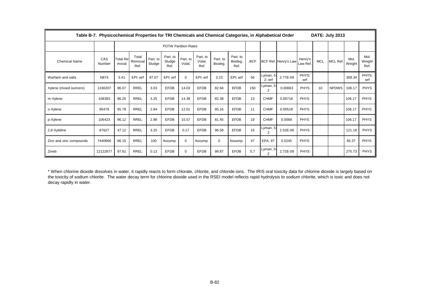|                         | Table B-7. Physicochemical Properties for TRI Chemicals and Chemical Categories, in Alphabetical Order |                    |                          |                    |                             |                    |                            |                     |                             |            |                       |                      |                     |            | DATE: July 2013 |                |                        |
|-------------------------|--------------------------------------------------------------------------------------------------------|--------------------|--------------------------|--------------------|-----------------------------|--------------------|----------------------------|---------------------|-----------------------------|------------|-----------------------|----------------------|---------------------|------------|-----------------|----------------|------------------------|
|                         |                                                                                                        |                    |                          |                    | <b>POTW Partition Rates</b> |                    |                            |                     |                             |            |                       |                      |                     |            |                 |                |                        |
| <b>Chemical Name</b>    | CAS<br>Number                                                                                          | Total Re-<br>moval | Total<br>Removal<br>Ref. | Part. to<br>Sludge | Part. to<br>Sludge<br>Ref.  | Part. to<br>Volat. | Part. to<br>Volat.<br>Ref. | Part. to<br>Biodeg. | Part. to<br>Biodeg.<br>Ref. | <b>BCF</b> |                       | BCF Ref. Henry's Law | Henry's<br>Law Ref. | <b>MCL</b> | MCL Ref.        | Mol.<br>Weight | Mol.<br>Weight<br>Ref. |
| Warfarin and salts      | N874                                                                                                   | 3.41               | EPI; wrf                 | 97.07              | EPI; wrf                    | $\mathbf 0$        | EPI; wrf                   | 3.23                | EPI; wrf                    | 56         | Lyman, 5<br>$2$ ; wrf | 2.77E-09             | PHYS:<br>wrf        |            |                 | 308.34         | PHYS:<br>wrf           |
| Xylene (mixed isomers)  | 1330207                                                                                                | 96.07              | <b>RREL</b>              | 3.03               | <b>EFDB</b>                 | 14.03              | <b>EFDB</b>                | 82.94               | <b>EFDB</b>                 | 150        | Lyman, 5<br>2         | 0.00663              | <b>PHYS</b>         | 10         | <b>NPDWS</b>    | 106.17         | <b>PHYS</b>            |
| m-Xylene                | 108383                                                                                                 | 96.25              | <b>RREL</b>              | 3.25               | <b>EFDB</b>                 | 14.38              | <b>EFDB</b>                | 82.38               | <b>EFDB</b>                 | 13         | <b>CHMF</b>           | 0.00718              | <b>PHYS</b>         |            |                 | 106.17         | <b>PHYS</b>            |
| o-Xylene                | 95476                                                                                                  | 95.78              | <b>RREL</b>              | 2.84               | <b>EFDB</b>                 | 12.01              | <b>EFDB</b>                | 85.16               | <b>EFDB</b>                 | 11         | <b>CHMF</b>           | 0.00518              | <b>PHYS</b>         |            |                 | 106.17         | <b>PHYS</b>            |
| p-Xylene                | 106423                                                                                                 | 96.12              | <b>RREL</b>              | 2.98               | <b>EFDB</b>                 | 15.57              | <b>EFDB</b>                | 81.45               | <b>EFDB</b>                 | 19         | <b>CHMF</b>           | 0.0069               | <b>PHYS</b>         |            |                 | 106.17         | <b>PHYS</b>            |
| 2,6-Xylidine            | 87627                                                                                                  | 47.12              | RREL                     | 3.25               | <b>EFDB</b>                 | 0.17               | <b>EFDB</b>                | 96.58               | <b>EFDB</b>                 | 15         | Lyman, 5<br>2         | 2.52E-06             | <b>PHYS</b>         |            |                 | 121.18         | <b>PHYS</b>            |
| Zinc and zinc compounds | 7440666                                                                                                | 66.15              | <b>RREL</b>              | 100                | Assump.                     | 0                  | Assump.                    | $\mathbf 0$         | Assump.                     | 47         | EPA, 97               | 0.0245               | <b>PHYS</b>         |            |                 | 65.37          | <b>PHYS</b>            |
| Zineb                   | 12122677                                                                                               | 97.61              | <b>RREL</b>              | 0.13               | <b>EFDB</b>                 | 0                  | <b>EFDB</b>                | 99.87               | <b>EFDB</b>                 | 5.7        | Lyman, 5<br>2         | 2.72E-09             | <b>PHYS</b>         |            |                 | 275.73         | <b>PHYS</b>            |

\* When chlorine dioxide dissolves in water, it rapidly reacts to form chlorate, chlorite, and chloride ions. The IRIS oral toxicity data for chlorine dioxide is largely based on the toxicity of sodium chlorite. The water decay term for chlorine dioxide used in the RSEI model reflects rapid hydrolysis to sodium chlorite, which is toxic and does not decay rapidly in water.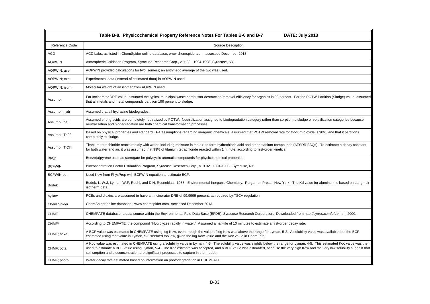| DATE: July 2013<br>Table B-8. Physicochemical Property Reference Notes For Tables B-6 and B-7 |                                                                                                                                                                                                                                                                                                                                                                                                                                                               |  |
|-----------------------------------------------------------------------------------------------|---------------------------------------------------------------------------------------------------------------------------------------------------------------------------------------------------------------------------------------------------------------------------------------------------------------------------------------------------------------------------------------------------------------------------------------------------------------|--|
| Reference Code                                                                                | Source Description                                                                                                                                                                                                                                                                                                                                                                                                                                            |  |
| <b>ACD</b>                                                                                    | ACD Labs, as listed in ChemSpider online database, www.chemspider.com, accessed December 2013.                                                                                                                                                                                                                                                                                                                                                                |  |
| <b>AOPWIN</b>                                                                                 | Atmospheric Oxidation Program, Syracuse Research Corp., v. 1.88. 1994-1998. Syracuse, NY.                                                                                                                                                                                                                                                                                                                                                                     |  |
| AOPWIN; ave                                                                                   | AOPWIN provided calculations for two isomers; an arithmetic average of the two was used.                                                                                                                                                                                                                                                                                                                                                                      |  |
| AOPWIN; exp                                                                                   | Experimental data (instead of estimated data) in AOPWIN used.                                                                                                                                                                                                                                                                                                                                                                                                 |  |
| AOPWIN; isom.                                                                                 | Molecular weight of an isomer from AOPWIN used.                                                                                                                                                                                                                                                                                                                                                                                                               |  |
| Assump.                                                                                       | For Incinerator DRE value, assumed the typical municipal waste combustor destruction/removal efficiency for organics is 99 percent. For the POTW Partition (Sludge) value, assumed<br>that all metals and metal compounds partition 100 percent to sludge.                                                                                                                                                                                                    |  |
| Assump.; hydr                                                                                 | Assumed that all hydrazine biodegrades.                                                                                                                                                                                                                                                                                                                                                                                                                       |  |
| Assump.; neu                                                                                  | Assumed strong acids are completely neutralized by POTW. Neutralization assigned to biodegradation category rather than sorption to sludge or volatilization categories because<br>neutralization and biodegradation are both chemical transformation processes.                                                                                                                                                                                              |  |
| Assump.; Th02                                                                                 | Based on physical properties and standard EPA assumptions regarding inorganic chemicals, assumed that POTW removal rate for thorium dioxide is 90%, and that it partitions<br>completely to sludge.                                                                                                                                                                                                                                                           |  |
| Assump.; TiCl4                                                                                | Titanium tetrachloride reacts rapidly with water, including moisture in the air, to form hydrochloric acid and other titanium compounds (ATSDR FAQs). To estimate a decay constant<br>for both water and air, it was assumed that 99% of titanium tetrachloride reacted within 1 minute, according to first-order kinetics.                                                                                                                                   |  |
| B(a)p                                                                                         | Benzo(a)pyrene used as surrogate for polycyclic aromatic compounds for physicochemical properties.                                                                                                                                                                                                                                                                                                                                                            |  |
| <b>BCFWIN</b>                                                                                 | Bioconcentration Factor Estimation Program, Syracuse Research Corp., v. 3.02. 1994-1998. Syracuse, NY.                                                                                                                                                                                                                                                                                                                                                        |  |
| BCFWIN eq.                                                                                    | Used Kow from PhysProp with BCFWIN equation to estimate BCF.                                                                                                                                                                                                                                                                                                                                                                                                  |  |
| <b>Bodek</b>                                                                                  | Bodek, I., W.J. Lyman, W.F. Reehl, and D.H. Rosenblatt. 1988. Environmental Inorganic Chemistry. Pergamon Press. New York. The Kd value for aluminum is based on Langmuir<br>isotherm data.                                                                                                                                                                                                                                                                   |  |
| by law                                                                                        | PCBs and dioxins are assumed to have an Incinerator DRE of 99.9999 percent, as required by TSCA regulation.                                                                                                                                                                                                                                                                                                                                                   |  |
| Chem Spider                                                                                   | ChemSpider online database. www.chemspider.com. Accessed December 2013.                                                                                                                                                                                                                                                                                                                                                                                       |  |
| <b>CHMF</b>                                                                                   | CHEMFATE database, a data source within the Environmental Fate Data Base (EFDB), Syracuse Research Corporation. Downloaded from http://syrres.com/efdb.htm, 2000.                                                                                                                                                                                                                                                                                             |  |
| CHMF*                                                                                         | According to CHEMFATE, the compound "Hydrolyzes rapidly in water." Assumed a half-life of 10 minutes to estimate a first-order decay rate.                                                                                                                                                                                                                                                                                                                    |  |
| CHMF; hexa                                                                                    | A BCF value was estimated in CHEMFATE using log Kow, even though the value of log Kow was above the range for Lyman, 5-2. A solubility value was available, but the BCF<br>estimated using that value in Lyman, 5-3 seemed too low, given the log Kow value and the Koc value in ChemFate.                                                                                                                                                                    |  |
| CHMF; octa                                                                                    | A Koc value was estimated in CHEMFATE using a solubility value in Lyman, 4-5. The solubility value was slightly below the range for Lyman, 4-5. This estimated Koc value was then<br>used to estimate a BCF value using Lyman, 5-4. The Koc estimate was accepted, and a BCF value was estimated, because the very high Kow and the very low solubility suggest that<br>soil sorption and bioconcentration are significant processes to capture in the model. |  |
| CHMF; photo                                                                                   | Water decay rate estimated based on information on photodegradation in CHEMFATE.                                                                                                                                                                                                                                                                                                                                                                              |  |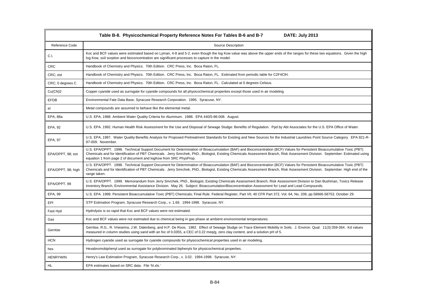| Table B-8. Physicochemical Property Reference Notes For Tables B-6 and B-7<br>DATE: July 2013 |                                                                                                                                                                                                                                                                                                                                                                                                                              |  |
|-----------------------------------------------------------------------------------------------|------------------------------------------------------------------------------------------------------------------------------------------------------------------------------------------------------------------------------------------------------------------------------------------------------------------------------------------------------------------------------------------------------------------------------|--|
| Reference Code                                                                                | Source Description                                                                                                                                                                                                                                                                                                                                                                                                           |  |
| C.I.                                                                                          | Koc and BCF values were estimated based on Lyman, 4-8 and 5-2, even though the log Kow value was above the upper ends of the ranges for these two equations. Given the high<br>log Kow, soil sorption and bioconcentration are significant processes to capture in the model.                                                                                                                                                |  |
| ${\sf CRC}$                                                                                   | Handbook of Chemistry and Physics. 70th Edition. CRC Press, Inc. Boca Raton, FL.                                                                                                                                                                                                                                                                                                                                             |  |
| CRC; est                                                                                      | Handbook of Chemistry and Physics. 70th Edition. CRC Press, Inc. Boca Raton, FL. Estimated from periodic table for C2F4CIH.                                                                                                                                                                                                                                                                                                  |  |
| CRC; 0 degrees C                                                                              | Handbook of Chemistry and Physics. 70th Edition. CRC Press, Inc. Boca Raton, FL. Calculated at 0 degrees Celsius.                                                                                                                                                                                                                                                                                                            |  |
| Cu(CN)2                                                                                       | Copper cyanide used as surrogate for cyanide compounds for all physicochemical properties except those used in air modeling.                                                                                                                                                                                                                                                                                                 |  |
| EFDB                                                                                          | Environmental Fate Data Base, Syracuse Research Corporation. 1995. Syracuse, NY.                                                                                                                                                                                                                                                                                                                                             |  |
| el                                                                                            | Metal compounds are assumed to behave like the elemental metal.                                                                                                                                                                                                                                                                                                                                                              |  |
| EPA, 88a                                                                                      | U.S. EPA, 1988. Ambient Water Quality Criteria for Aluminum. 1988. EPA 440/5-86-008. August.                                                                                                                                                                                                                                                                                                                                 |  |
| EPA, 92                                                                                       | U.S. EPA. 1992. Human Health Risk Assessment for the Use and Disposal of Sewage Sludge: Benefits of Regulation. Ppd by Abt Associates for the U.S. EPA Office of Water.                                                                                                                                                                                                                                                      |  |
| EPA, 97                                                                                       | U.S. EPA, 1997. Water Quality Benefits Analysis for Proposed Pretreatment Standards for Existing and New Sources for the Industrial Laundries Point Source Category. EPA 821-R-<br>97-009. November.                                                                                                                                                                                                                         |  |
| EPA/OPPT, 98; est                                                                             | U.S. EPA/OPPT. 1998. Technical Support Document for Determination of Bioaccumulation (BAF) and Bioconcentration (BCF) Values for Persistent Bioaccumulative Toxic (PBT)<br>Chemicals and for Identification of PBT Chemicals. Jerry Smrchek, PhD., Biologist, Existing Chemicals Assessment Branch, Risk Assessment Division. September. Estimated using<br>equation 1 from page 2 of document and logKow from SRC PhysProp. |  |
| EPA/OPPT, 98; high                                                                            | U.S. EPA/OPPT. 1998. Technical Support Document for Determination of Bioaccumulation (BAF) and Bioconcentration (BCF) Values for Persistent Bioaccumulative Toxic (PBT)<br>Chemicals and for Identification of PBT Chemicals. Jerry Smrchek, PhD., Biologist, Existing Chemicals Assessment Branch, Risk Assessment Division. September. High end of the<br>range taken.                                                     |  |
| EPA/OPPT, 99                                                                                  | U.S. EPA/OPPT. 1999. Memorandum from Jerry Smrchek, PhD., Biologist, Existing Chemicals Assessment Branch, Risk Assessment Division to Dan Bushman, Toxics Release<br>Inventory Branch, Environmental Assistance Division. May 26. Subject: Bioaccumulation/Bioconcentration Assessment for Lead and Lead Compounds.                                                                                                         |  |
| EPA, 99                                                                                       | U.S. EPA. 1999. Persistent Bioaccumulative Toxic (PBT) Chemicals; Final Rule. Federal Register, Part VII, 40 CFR Part 372, Vol. 64, No. 209, pp.58666-58753, October 29.                                                                                                                                                                                                                                                     |  |
| EPI                                                                                           | STP Estimation Program, Syracuse Research Corp., v. 1.66. 1994-1998. Syracuse, NY.                                                                                                                                                                                                                                                                                                                                           |  |
| Fast Hyd                                                                                      | Hydrolysis is so rapid that Koc and BCF values were not estimated.                                                                                                                                                                                                                                                                                                                                                           |  |
| Gas                                                                                           | Koc and BCF values were not estimated due to chemical being in gas phase at ambient environmental temperatures.                                                                                                                                                                                                                                                                                                              |  |
| Gerritse                                                                                      | Gerritse, R.G., R. Vriesema, J.W. Dalenberg, and H.P. De Roos. 1982. Effect of Sewage Sludge on Trace Element Mobility in Soils. J. Environ. Qual. 11(3):359-364. Kd values<br>measured in column studies using sand with an foc of 0.0355, a CEC of 0.22 meg/g, zero clay content, and a solution pH of 5.                                                                                                                  |  |
| <b>HCN</b>                                                                                    | Hydrogen cyanide used as surrogate for cyanide compounds for physicochemical properties used in air modeling.                                                                                                                                                                                                                                                                                                                |  |
| hex                                                                                           | Hexabromobiphenyl used as surrogate for polybrominated biphenyls for physicochemical properties.                                                                                                                                                                                                                                                                                                                             |  |
| <b>HENRYWIN</b>                                                                               | Henry's Law Estimation Program, Syracuse Research Corp., v. 3.02. 1994-1998. Syracuse, NY.                                                                                                                                                                                                                                                                                                                                   |  |
| <b>HL</b>                                                                                     | EPA estimates based on SRC data. File 'hl.xls.'                                                                                                                                                                                                                                                                                                                                                                              |  |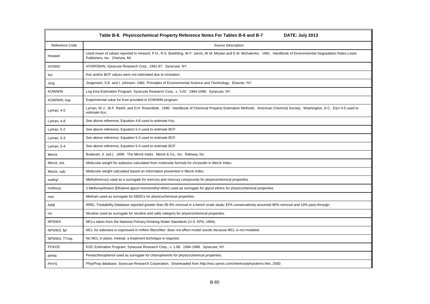| Table B-8. Physicochemical Property Reference Notes For Tables B-6 and B-7<br>DATE: July 2013 |                                                                                                                                                                                                      |  |
|-----------------------------------------------------------------------------------------------|------------------------------------------------------------------------------------------------------------------------------------------------------------------------------------------------------|--|
| Reference Code                                                                                | <b>Source Description</b>                                                                                                                                                                            |  |
| Howard                                                                                        | Used mean of values reported in Howard, P.H., R.S. Boethling, W.F. Jarvis, W.M. Meylan and E.M. Michalenko. 1991. Handbook of Environmental Degradation Rates.Lewis<br>Publishers, Inc. Chelsea, MI. |  |
| <b>HYDRO</b>                                                                                  | HYDROWIN, Syracuse Research Corp., 1991-97. Syracuse, NY.                                                                                                                                            |  |
| lon                                                                                           | Koc and/or BCF values were not estimated due to ionization.                                                                                                                                          |  |
| Jorg                                                                                          | Jorgensen, S.E. and I. Johnsen. 1981. Principles of Environmental Science and Technology. Elsevier, NY.                                                                                              |  |
| <b>KOWWIN</b>                                                                                 | Log Kow Estimation Program, Syracuse Research Corp., v. 3.02. 1994-1998. Syracuse, NY.                                                                                                               |  |
| KOWWIN; exp                                                                                   | Experimental value for Kow provided in KOWWIN program.                                                                                                                                               |  |
| Lyman, 4-5                                                                                    | Lyman, W.J., W.F. Reehl, and D.H. Rosenblatt. 1990. Handbook of Chemical Property Estimation Methods. American Chemical Society. Washington, D.C. Eq'n 4-5 used to<br>estimate Koc.                  |  |
| Lyman, 4-8                                                                                    | See above reference; Equation 4-8 used to estimate Koc.                                                                                                                                              |  |
| Lyman, 5-2                                                                                    | See above reference; Equation 5-2 used to estimate BCF.                                                                                                                                              |  |
| Lyman, 5-3                                                                                    | See above reference; Equation 5-3 used to estimate BCF.                                                                                                                                              |  |
| Lyman, 5-4                                                                                    | See above reference; Equation 5-4 used to estimate BCF.                                                                                                                                              |  |
| Merck                                                                                         | Budavari, S. (ed.). 1989. The Merck Index. Merck & Co., Inc. Rahway, NJ.                                                                                                                             |  |
| Merck, est.                                                                                   | Molecular weight for asbestos calculated from molecular formula for chrysotile in Merck Index.                                                                                                       |  |
| Merck; calc                                                                                   | Molecular weight calculated based on information presented in Merck Index.                                                                                                                           |  |
| methyl                                                                                        | Methylmercury used as a surrogate for mercury and mercury compounds for physicochemical properties.                                                                                                  |  |
| methoxy                                                                                       | 2-Methoxyethanol (Ethylene glycol monomethyl ether) used as surrogate for glycol ethers for physicochemical properties.                                                                              |  |
| met                                                                                           | Metiram used as surrogate for EBDCs for physicochemical properties.                                                                                                                                  |  |
| <b>NAB</b>                                                                                    | RREL Treatability Database reported greater than 95.9% removal in a bench scale study; EPA conservatively assumed 90% removal and 10% pass-through.                                                  |  |
| nic                                                                                           | Nicotine used as surrogate for nicotine and salts category for physicochemical properties.                                                                                                           |  |
| <b>NPDWS</b>                                                                                  | MCLs taken from the National Primary Drinking Water Standards (U.S. EPA, 1994).                                                                                                                      |  |
| NPDWS; fpl                                                                                    | MCL for asbestos is expressed in million fibers/liter; does not affect model results because MCL is not modeled.                                                                                     |  |
| NPDWS; TTreq.                                                                                 | No MCL in place; instead, a treatment technique is required.                                                                                                                                         |  |
| <b>PCKOC</b>                                                                                  | KOC Estimation Program, Syracuse Research Corp., v. 1.66. 1994-1998. Syracuse, NY.                                                                                                                   |  |
| penta                                                                                         | Pentachlorophenol used as surrogate for chlorophenols for physicochemical properties.                                                                                                                |  |
| <b>PHYS</b>                                                                                   | PhysProp database, Syracuse Research Corporation. Downloaded from http://esc.syrres.com/interkow/physdemo.htm, 2000.                                                                                 |  |